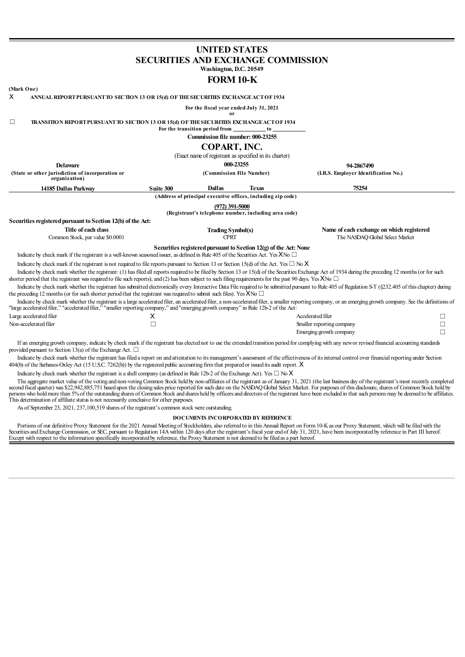# **UNITED STATES SECURITIES AND EXCHANGE COMMISSION Washington, D.C. 20549**

# **FORM 10-K**

### **(Mark One)**

X **ANNUAL REPORTPURSUANTTO SECTION 13 OR 15(d) OFTHESECURITIES EXCHANGEACTOF 1934**

**For the fiscal year ended July 31, 2021**

**or**

☐ **TRANSITION REPORTPURSUANTTO SECTION 13 OR 15(d) OFTHESECURITIES EXCHANGEACTOF 1934**

**For the transition period from to Commission file number: 000-23255**

**COPART, INC.**

(Exact name of registrant as specified in its charter)

**(State or other jurisdiction of incorporation or**

**organization) (Commission File Number) (I.R.S. Employer Identification No.) 14185Dallas Parkway Suite 300 Dallas Texas 75254 (Address of principal executive offices, including zip code) (972) 391-5000 (Registrant's telephone number, including area code) Securities registered pursuant to Section 12(b) of the Act: Title** of each class<br> **Trading Symbol(s) Name of each exchange on which registered**<br> **CPRT CPRT The NASDAO Gobal Select** Market Common Stock, par value \$0.0001 CPRT **Securities registered pursuant to Section 12(g) of the Act: None** Indicate by check mark if the registrant is a well-known seasoned issuer, as defined in Rule 405 of the Securities Act. Yes  $XNo$ Indicate by check mark if the registrant is not required to file reports pursuant to Section 13 or Section 15(d) of the Act. Yes  $\Box$  No  $X$ Indicate by check mark whether the registrant: (1) has filed all reports required to be filed by Section 13 or 15(d) of the Securities Exchange Act of 1934 during the preceding 12 months (or for such shorter period that the registrant was required to file such reports); and (2) has been subject to such filing requirements for the past 90 days. Yes  $XN_0$ Indicate by check mark whether the registrant has submitted electronically every Interactive Data File required to be submitted pursuant to Rule 405 of Regulation S-T (§232.405 of this chapter) during the preceding 12 months (or for such shorter period that the registrant was required to submit such files). Yes  $XNo$ Indicate by check mark whether the registrant is a large accelerated filer, an accelerated filer, a non-accelerated filer, a smaller reporting company, or an emerging growth company. See the definitions of "large accelerated filer," "accelerated filer," "smaller reporting company," and "emerging growth company" in Rule 12b-2 of the Act: Large accelerated filer  $□$ Non-accelerated filer ☐ Smaller reporting company ☐ Emerging growth company **□** 

If an emerging growth company, indicate by check mark if the registrant has elected not to use the extended transition period for complying with any new or revised financial accounting standards provided pursuant to Section 13(a) of the Exchange Act.  $\Box$ 

Indicate by check mark whether the registrant has filed a report on and attestation to its management's assessment of the effectiveness of its internal control over financial reporting under Section 404(b) of the Sarbanes-Oxley Act (15 U.S.C. 7262(b)) by theregistered publicaccounting firmthat prepared or issued itsaudit report. X

Indicate by check mark whether the registrant is a shell company (as defined in Rule 12b-2 of the Exchange Act). Yes  $\Box$  No X

The aggregate market value of the voting and non-voting Common Stock held by non-affiliates of the registrant as of January 31, 2021 (the last business day of the registrant's most recently completed second fiscal quarter) persons who hold more than 5% of the outstanding shares of Common Stock and shares held by officers and directors of the registrant have been excluded in that such persons may be deemed to be affiliates.<br>This determination

As of September 23, 2021, 237,100,519 shares of the registrant's common stock were outstanding.

#### **DOCUMENTS INCORPORATED BY REFERENCE**

<span id="page-0-0"></span>Portions of our definitive Proxy Statement for the 2021 Annual Meeting of Stockholders, also referred to in this Annual Report on Form 10-K as our Proxy Statement, which will be filed with the Securities and Exchange Commission, or SEC, pursuant to Regulation 14A within 120 days after the registrant's fiscal year end of July 31, 2021, have been incorporated by reference in Part III hereof. Except with respect to the information specifically incorporated by reference, the Proxy Statement is not deemed to be filed as a part hereof.

**Delaware 000-23255 94-2867490**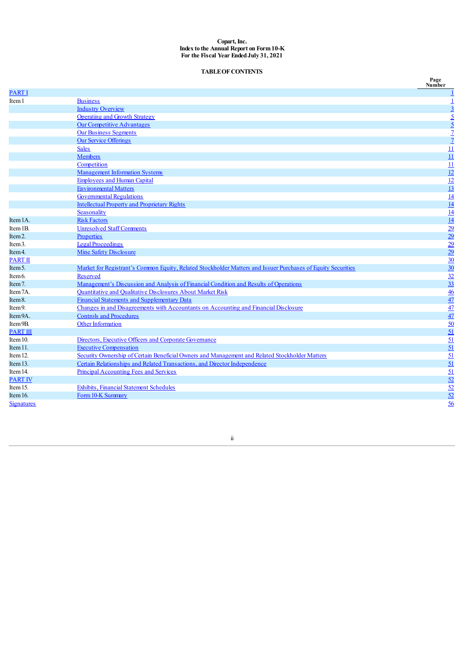### **Copart, Inc. Index to the Annual Report on Form10-K For the Fiscal Year EndedJuly 31, 2021**

# **TABLEOFCONTENTS**

<span id="page-1-0"></span>

|                     |                                                                                                              | Page<br>Number                                                     |
|---------------------|--------------------------------------------------------------------------------------------------------------|--------------------------------------------------------------------|
| <b>PARTI</b>        |                                                                                                              |                                                                    |
| Item 1              | <b>Business</b>                                                                                              |                                                                    |
|                     | <b>Industry Overview</b>                                                                                     | $\frac{1}{3}$<br>$\frac{5}{2}$<br>$\frac{7}{2}$<br>$\frac{11}{11}$ |
|                     | <b>Operating and Growth Strategy</b>                                                                         |                                                                    |
|                     | <b>Our Competitive Advantages</b>                                                                            |                                                                    |
|                     | <b>Our Business Segments</b>                                                                                 |                                                                    |
|                     | <b>Our Service Offerings</b>                                                                                 |                                                                    |
|                     | <b>Sales</b>                                                                                                 |                                                                    |
|                     | <b>Members</b>                                                                                               |                                                                    |
|                     | Competition                                                                                                  |                                                                    |
|                     | <b>Management Information Systems</b>                                                                        |                                                                    |
|                     | <b>Employees and Human Capital</b>                                                                           |                                                                    |
|                     | <b>Environmental Matters</b>                                                                                 |                                                                    |
|                     | <b>Governmental Regulations</b>                                                                              |                                                                    |
|                     | <b>Intellectual Property and Proprietary Rights</b>                                                          |                                                                    |
|                     | Seasonality                                                                                                  |                                                                    |
| Item 1A.            | <b>Risk Factors</b>                                                                                          |                                                                    |
| Item 1B.            | <b>Unresolved Staff Comments</b>                                                                             |                                                                    |
| Item <sub>2</sub> . | Properties                                                                                                   |                                                                    |
| Item 3.             | <b>Legal Proceedings</b>                                                                                     |                                                                    |
| Item 4.             | <b>Mine Safety Disclosure</b>                                                                                |                                                                    |
| <b>PART II</b>      |                                                                                                              |                                                                    |
| Item 5.             | Market for Registrant's Common Equity, Related Stockholder Matters and Issuer Purchases of Equity Securities |                                                                    |
| Item 6.             | Reserved                                                                                                     |                                                                    |
| Item 7.             | Management's Discussion and Analysis of Financial Condition and Results of Operations                        |                                                                    |
| Item 7A.            | Quantitative and Qualitative Disclosures About Market Risk                                                   |                                                                    |
| Item 8.             | <b>Financial Statements and Supplementary Data</b>                                                           |                                                                    |
| Item <sub>9</sub> . | Changes in and Disagreements with Accountants on Accounting and Financial Disclosure                         |                                                                    |
| Item 9A.            | <b>Controls and Procedures</b>                                                                               |                                                                    |
| Item 9B.            | Other Information                                                                                            |                                                                    |
| <b>PART III</b>     |                                                                                                              |                                                                    |
| Item 10.            | Directors, Executive Officers and Corporate Governance                                                       |                                                                    |
| Item 11.            | <b>Executive Compensation</b>                                                                                |                                                                    |
| Item 12.            | Security Ownership of Certain Beneficial Owners and Management and Related Stockholder Matters               |                                                                    |
| Item 13.            | Certain Relationships and Related Transactions, and Director Independence                                    |                                                                    |
| Item 14.            | <b>Principal Accounting Fees and Services</b>                                                                |                                                                    |
| <b>PART IV</b>      |                                                                                                              |                                                                    |
| Item 15.            | <b>Exhibits, Financial Statement Schedules</b>                                                               |                                                                    |
| Item 16.            | Form 10-K Summary                                                                                            |                                                                    |
| <b>Signatures</b>   |                                                                                                              |                                                                    |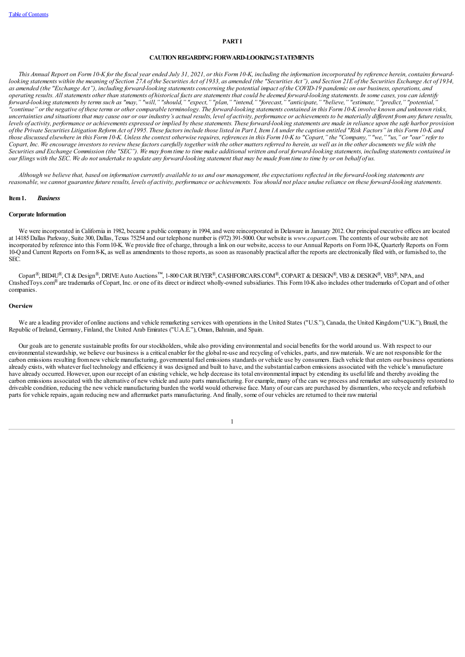# **PARTI**

# **CAUTIONREGARDINGFORWARD-LOOKINGSTATEMENTS**

This Annual Report on Form 10-K for the fiscal year ended July 31, 2021, or this Form 10-K, including the information incorporated by reference herein, contains forwardlooking statements within the meaning of Section 27A of the Securities Act of 1933, as amended (the "Securities Act"), and Section 21E of the Securities Exchange Act of 1934, as amended (the "Exchange Act"), including forward-looking statements concerning the potential impact of the COVID-19 pandemic on our business, operations, and operating results. All statements other than statements of historical facts are statements that could be deemed forward-looking statements. In some cases, you can identify<br>forward-looking statements by terms such as "may," 'forward-looking statements by terms such as "may," "will," "should," "expect," "plan," "intend," "forecast," "anticipate," "believe," "estimate," "continue" or the negative of these terms or other comparable terminology. The forward-looking statements contained in this Form 10-K involve known and unknown risks, uncertainties and situations that may cause our or our industry's actual results, level of activity, performance or achievements to be materially different from any future results, levels of activity, performance or achievements expressed or implied by these statements. These forward-looking statements are made in reliance upon the safe harbor provision of the Private Securities Litigation Reform Act of 1995. These factors include those listed in Part I, Item 1A under the caption entitled "Risk Factors" in this Form 10-K and those discussed elsewhere in this Form 10-K. Unless the context otherwise requires, references in this Form 10-K to "Copart," the "Company," "we," "us," or "our" refer to Copart, Inc. We encourage investors to review these factors carefully together with the other matters referred to herein, as well as in the other documents we file with the Securities and Exchange Commission (the "SEC"). We may from time to time make additional written and oral forward-looking statements, including statements contained in our filings with the SEC. We do not undertake to update any forward-looking statement that may be made from time to time by or on behalf of us.

Although we believe that, based on information currently available to us and our management, the expectations reflected in the forward-looking statements are reasonable, we cannot guarantee future results, levels of activity, performance or achievements. You should not place undue reliance on these forward-looking statements.

#### <span id="page-2-0"></span>**Item1.** *Business*

### **Corporate Information**

We were incorporated in California in 1982, became a public company in 1994, and were reincorporated in Delaware in January 2012. Our principal executive offices are located at 14185Dallas Parkway, Suite 300, Dallas, Texas 75254 and our telephone number is (972) 391-5000. Our website is *www.copart.com*. The contents of our website are not incorporated by reference into this Form 10-K. We provide free of charge, through a link on our website, access to our Annual Reports on Form 10-K, Quarterly Reports on Form 10-Q and Current Reports on Form8-K, as well as amendments to those reports, as soon as reasonably practical after the reports are electronically filed with, or furnished to, the SEC.

Copart®, BID4U®, CI & Design®, DRIVE Auto Auctions™, 1-800 CAR BUYER®, CA\$HFORCARS.COM®, COPART & DESIGN®, VB3 & DESIGN®, VB3®, NPA, and Crashed Toys.com<sup>®</sup> are trademarks of Copart, Inc. or one of its direct or indirect wholly-owned subsidiaries. This Form 10-K also includes other trademarks of Copart and of other companies.

#### **Overview**

We are a leading provider of online auctions and vehicle remarketing services with operations in the United States ("U.S."), Canada, the United Kingdom ("U.K."), Brazil, the Republic of Ireland, Germany, Finland, the United Arab Emirates ("U.A.E."), Oman, Bahrain, and Spain.

Our goals are to generate sustainable profits for ourstockholders, while also providing environmentaland social benefits for the world around us. With respect to our environmental stewardship, we believe our business is a critical enabler for the global re-use and recycling of vehicles, parts, and raw materials. We are not responsible for the carbon emissions resulting fromnew vehicle manufacturing, governmental fuel emissions standards or vehicle use by consumers. Each vehicle that enters our business operations already exists, with whatever fuel technology and efficiency it was designed and built to have, and the substantial carbon emissions associated with the vehicle's manufacture have already occurred. However, upon our receipt of an existing vehicle, we help decrease its total environmental impact by extending its useful life and thereby avoiding the carbon emissions associated with the alternative of newvehicle and auto parts manufacturing. Forexample, many of the cars we process and remarket are subsequently restored to driveable condition, reducing the newvehicle manufacturing burden the world would otherwise face. Many of ourcars are purchased by dismantlers, who recycle and refurbish parts for vehicle repairs, again reducing new and aftermarket parts manufacturing. And finally, some of our vehicles are returned to their raw material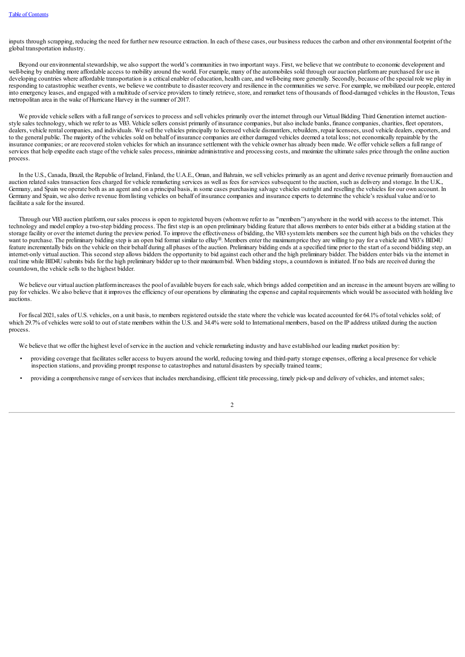inputs through scrapping, reducing the need for further newresource extraction. In each of these cases, our business reduces the carbon and otherenvironmental footprint of the global transportation industry.

Beyond our environmental stewardship, we also support the world's communities in two important ways. First, we believe that we contribute to economic development and well-being by enabling more affordable access to mobility around the world. For example, many of the automobiles sold through our auction platformare purchased for use in developing countries where affordable transportation is a critical enabler of education, health care, and well-being more generally. Secondly, because of the special role we play in responding to catastrophic weather events, we believe we contribute to disaster recovery and resilience in the communities we serve. For example, we mobilized our people, entered into emergency leases,and engaged with a multitude ofservice providers to timely retrieve, store,and remarket tens of thousands of flood-damaged vehicles in the Houston, Texas metropolitan area in the wake of Hurricane Harvey in the summer of 2017.

We provide vehicle sellers with a full range of services to process and sell vehicles primarily over the internet through our Virtual Bidding Third Generation internet auctionstyle sales technology, which we refer to as VB3. Vehicle sellers consist primarily of insurance companies, but also include banks, finance companies, charities, fleet operators, dealers, vehicle rental companies, and individuals. We sell the vehicles principally to licensed vehicle dismantlers, rebuilders, repair licensees, used vehicle dealers, exporters, and to the general public. The majority of the vehicles sold on behalf of insurance companies are either damaged vehicles deemed a total loss; not economically repairable by the insurance companies; orare recovered stolen vehicles for which an insurance settlement with the vehicle owner has already been made. We offer vehicle sellers a full range of services that help expedite each stage of the vehicle sales process, minimize administrative and processing costs, and maximize the ultimate sales price through the online auction process.

In the U.S., Canada, Brazil, the Republic of Ireland, Finland, the U.A.E., Oman,and Bahrain, we sell vehicles primarily as an agent and derive revenue primarily fromauction and auction related sales transaction fees charged for vehicle remarketing services as well as fees for services subsequent to the auction, such as delivery and storage. In the U.K., Germany, and Spain we operate both as an agent and on a principal basis, in some cases purchasing salvage vehicles outright and reselling the vehicles for our own account. In Germany and Spain, we also derive revenue fromlisting vehicles on behalf of insurance companies and insurance experts to determine the vehicle's residual value and/or to facilitate a sale for the insured.

Through our VB3 auction platform, oursales process is open to registered buyers (whomwe refer to as "members")anywhere in the world with access to the internet. This technology and modelemploy a two-step bidding process. The first step is an open preliminary bidding feature that allows members to enter bids eitherat a bidding station at the storage facility or over the internet during the previewperiod. To improve the effectiveness of bidding, the VB3 systemlets members see the current high bids on the vehicles they want to purchase. The preliminary bidding step is an open bid format similar to eBay®. Members enter the maximum price they are willing to pay for a vehicle and VB3's BID4U feature incrementally bids on the vehicle on their behalf during all phases of the auction. Preliminary bidding ends at a specified time prior to the start of a second bidding step, an internet-only virtual auction. This second step allows bidders the opportunity to bid against each other and the high preliminary bidder. The bidders enter bids via the internet in real time while BID4U submits bids for the high preliminary bidder up to their maximum bid. When bidding stops, a countdown is initiated. If no bids are received during the countdown, the vehicle sells to the highest bidder. ®

We believe our virtual auction platform increases the pool of available buyers for each sale, which brings added competition and an increase in the amount buyers are willing to pay for vehicles. We also believe that it improves the efficiency of our operations by eliminating the expense and capital requirements which would be associated with holding live auctions.

For fiscal 2021, sales of U.S. vehicles, on a unit basis, to members registered outside the state where the vehicle was located accounted for 64.1% of total vehicles sold; of which 29.7% of vehicles were sold to out of state members within the U.S. and 34.4% were sold to International members, based on the IP address utilized during the auction process.

We believe that we offer the highest level of service in the auction and vehicle remarketing industry and have established our leading market position by:

- providing coverage that facilitates selleraccess to buyers around the world, reducing towing and third-party storage expenses, offering a local presence for vehicle inspection stations,and providing prompt response to catastrophes and natural disasters by specially trained teams;
- providing a comprehensive range of services that includes merchandising, efficient title processing, timely pick-up and delivery of vehicles, and internet sales;

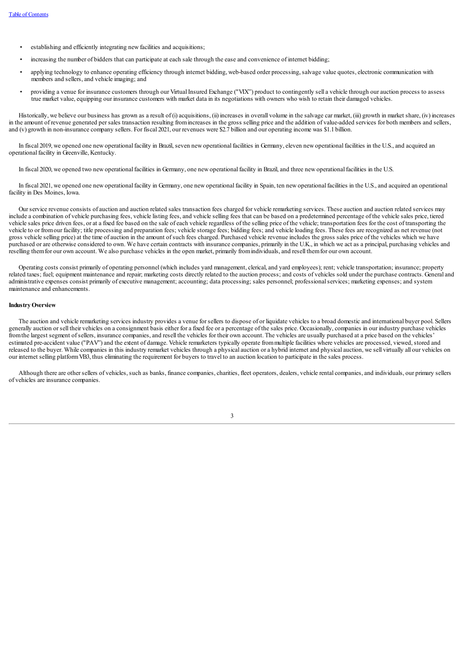- establishing and efficiently integrating new facilities and acquisitions;
- increasing the number of bidders that can participate at each sale through the ease and convenience of internet bidding;
- applying technology to enhance operating efficiency through internet bidding, web-based order processing, salvage value quotes, electronic communication with members and sellers, and vehicle imaging; and
- providing a venue for insurance customers through our Virtual Insured Exchange ("VIX") product to contingently sella vehicle through ourauction process to assess true market value,equipping our insurance customers with market data in its negotiations with owners who wish to retain their damaged vehicles.

Historically, we believe our business has grown as a result of (i) acquisitions, (ii) increases in overall volume in the salvage car market, (iii) growth in market share, (iv) increases in the amount of revenue generated persales transaction resulting fromincreases in the gross selling price and the addition of value-added services for both members and sellers, and (v) growth in non-insurance company sellers. For fiscal 2021, our revenues were \$2.7 billion and our operating income was \$1.1 billion.

In fiscal 2019, we opened one new operational facility in Brazil, seven new operational facilities in Germany, eleven new operational facilities in the U.S., and acquired an operational facility in Greenville, Kentucky.

In fiscal 2020, we opened two new operational facilities in Germany, one new operational facility in Brazil, and three new operational facilities in the U.S.

In fiscal 2021, we opened one new operational facility in Germany, one new operational facility in Spain, ten new operational facilities in the U.S., and acquired an operational facility in Des Moines, Iowa.

Ourservice revenue consists ofauction and auction related sales transaction fees charged for vehicle remarketing services. These auction and auction related services may include a combination of vehicle purchasing fees, vehicle listing fees, and vehicle selling fees that can be based on a predetermined percentage of the vehicle sales price, tiered vehicle sales price driven fees, orat a fixed fee based on the sale ofeach vehicle regardless of the selling price of the vehicle; transportation fees for the cost of transporting the vehicle to or fromour facility; title processing and preparation fees; vehicle storage fees; bidding fees; and vehicle loading fees. These fees are recognized as net revenue (not gross vehicle selling price) at the time of auction in the amount of such fees charged. Purchased vehicle revenue includes the gross sales price of the vehicles which we have purchased orare otherwise considered to own. We have certain contracts with insurance companies, primarily in the U.K., in which we act as a principal, purchasing vehicles and reselling themfor our own account. We also purchase vehicles in the open market, primarily fromindividuals,and resell themfor our own account.

Operating costs consist primarily of operating personnel (which includes yard management,clerical,and yard employees); rent; vehicle transportation; insurance; property related taxes; fuel; equipment maintenance and repair; marketing costs directly related to the auction process; and costs of vehicles sold under the purchase contracts. Generaland administrative expenses consist primarily ofexecutive management; accounting; data processing; sales personnel; professionalservices; marketing expenses; and system maintenance and enhancements.

# <span id="page-4-0"></span>**IndustryOverview**

The auction and vehicle remarketing services industry provides a venue forsellers to dispose of or liquidate vehicles to a broad domestic and international buyer pool. Sellers generally auction orsell their vehicles on a consignment basis either fora fixed fee ora percentage of the sales price. Occasionally,companies in our industry purchase vehicles from the largest segment of sellers, insurance companies, and resell the vehicles for their own account. The vehicles are usually purchased at a price based on the vehicles' estimated pre-accident value ("PAV") and the extent of damage. Vehicle remarketers typically operate from multiple facilities where vehicles are processed, viewed, stored and released to the buyer. While companies in this industry remarket vehicles through a physicalauction ora hybrid internet and physicalauction, we sell virtually all our vehicles on our internet selling platformVB3, thus eliminating the requirement for buyers to travel to an auction location to participate in the sales process.

Although there are other sellers of vehicles, such as banks, finance companies, charities, fleet operators, dealers, vehicle rental companies, and individuals, our primary sellers of vehicles are insurance companies.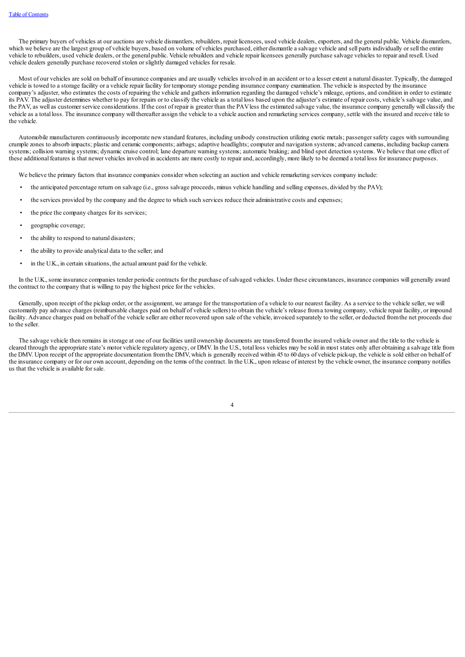The primary buyers of vehicles at ourauctions are vehicle dismantlers, rebuilders, repair licensees, used vehicle dealers,exporters,and the general public. Vehicle dismantlers, which we believe are the largest group of vehicle buyers, based on volume of vehicles purchased, either dismantle a salvage vehicle and sell parts individually or sell the entire vehicle to rebuilders, used vehicle dealers, or the general public. Vehicle rebuilders and vehicle repair licensees generally purchase salvage vehicles to repairand resell. Used vehicle dealers generally purchase recovered stolen orslightly damaged vehicles for resale.

Most of our vehicles are sold on behalf of insurance companies and are usually vehicles involved in an accident or to a lesserextent a natural disaster. Typically, the damaged vehicle is towed to a storage facility ora vehicle repair facility for temporary storage pending insurance company examination. The vehicle is inspected by the insurance company's adjuster, who estimates the costs of repairing the vehicle and gathers information regarding the damaged vehicle's mileage, options,and condition in order to estimate its PAV. The adjuster determines whether to pay for repairs or to classify the vehicle as a total loss based upon the adjuster's estimate of repair costs, vehicle's salvage value, and the PAV, as well as customer service considerations. If the cost of repair is greater than the PAV less the estimated salvage value, the insurance company generally will classify the vehicle as a total loss. The insurance company will thereafterassign the vehicle to a vehicle auction and remarketing services company, settle with the insured and receive title to the vehicle.

Automobile manufacturers continuously incorporate newstandard features, including unibody construction utilizing exotic metals; passengersafety cages with surrounding crumple zones to absorb impacts; plastic and ceramic components; airbags; adaptive headlights; computerand navigation systems; advanced cameras, including backup camera systems; collision warning systems; dynamic cruise control; lane departure warning systems; automatic braking; and blind spot detection systems. We believe that one effect of these additional features is that newer vehicles involved in accidents are more costly to repairand,accordingly, more likely to be deemed a total loss for insurance purposes.

We believe the primary factors that insurance companies consider when selecting an auction and vehicle remarketing services company include:

- the anticipated percentage return on salvage (i.e., gross salvage proceeds, minus vehicle handling and selling expenses, divided by the PAV);
- the services provided by the company and the degree to which such services reduce their administrative costs and expenses;
- the price the company charges for its services:
- geographic coverage;
- the ability to respond to natural disasters;
- the ability to provide analytical data to the seller; and
- in the U.K., in certain situations, the actual amount paid for the vehicle.

In the U.K., some insurance companies tender periodic contracts for the purchase ofsalvaged vehicles. Under these circumstances, insurance companies will generally award the contract to the company that is willing to pay the highest price for the vehicles.

Generally, upon receipt of the pickup order, or the assignment, we arrange for the transportation of a vehicle to our nearest facility. As a service to the vehicle seller, we will customarily pay advance charges (reimbursable charges paid on behalf of vehicle sellers) to obtain the vehicle's release froma towing company, vehicle repair facility, or impound facility. Advance charges paid on behalf of the vehicle seller are either recovered upon sale of the vehicle, invoiced separately to the seller, or deducted from the net proceeds due to the seller.

The salvage vehicle then remains in storage at one of our facilities until ownership documents are transferred from the insured vehicle owner and the title to the vehicle is cleared through the appropriate state's motor vehicle regulatory agency, or DMV. In the U.S., total loss vehicles may be sold in most states only after obtaining a salvage title from the DMV. Upon receipt of the appropriate documentation fromthe DMV, which is generally received within 45 to 60 days of vehicle pick-up, the vehicle is sold either on behalf of the insurance company or for our own account, depending on the terms of the contract. In the U.K., upon release of interest by the vehicle owner, the insurance company notifies us that the vehicle is available forsale.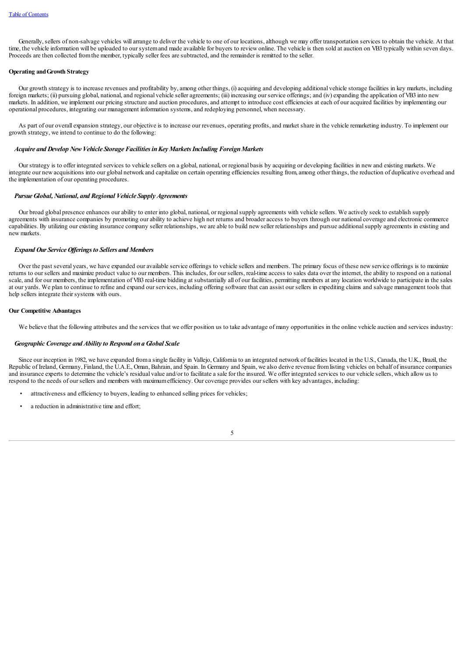Generally, sellers of non-salvage vehicles will arrange to deliver the vehicle to one of our locations, although we may offer transportation services to obtain the vehicle. At that time, the vehicle information will be uploaded to our system and made available for buyers to review online. The vehicle is then sold at auction on VB3 typically within seven days. Proceeds are then collected from the member, typically seller fees are subtracted, and the remainder is remitted to the seller.

## **Operating andGrowth Strategy**

Our growth strategy is to increase revenues and profitability by, among other things, (i) acquiring and developing additional vehicle storage facilities in key markets, including foreign markets; (ii) pursuing global, national, and regional vehicle seller agreements; (iii) increasing our service offerings; and (iv) expanding the application of VB3 into new markets. In addition, we implement our pricing structure and auction procedures, and attempt to introduce cost efficiencies at each of our acquired facilities by implementing our operational procedures, integrating ourmanagement information systems,and redeploying personnel, when necessary.

As part of our overall expansion strategy, our objective is to increase our revenues, operating profits, and market share in the vehicle remarketing industry. To implement our growth strategy, we intend to continue to do the following:

# *Acquire and Develop New Vehicle Storage FacilitiesinKey MarketsIncluding ForeignMarkets*

Ourstrategy is to offer integrated services to vehicle sellers on a global, national, or regional basis by acquiring or developing facilities in newand existing markets. We integrate our newacquisitions into our global network and capitalize on certain operating efficiencies resulting from,among other things, the reduction of duplicative overhead and the implementation of our operating procedures.

# *Pursue Global,National, and Regional Vehicle Supply Agreements*

Our broad global presence enhances ourability to enter into global, national, or regionalsupply agreements with vehicle sellers. We actively seek to establish supply agreements with insurance companies by promoting our ability to achieve high net returns and broader access to buyers through our national coverage and electronic commerce capabilities. By utilizing ourexisting insurance company seller relationships, we are able to build newseller relationships and pursue additionalsupply agreements in existing and newmarkets.

### *Expand Our Service Of eringsto Sellers and Members*

Over the past several years, we have expanded ouravailable service offerings to vehicle sellers and members. The primary focus of these newservice offerings is to maximize returns to oursellers and maximize product value to ourmembers. This includes, for oursellers, real-time access to sales data over the internet, the ability to respond on a national scale, and for our members, the implementation of VB3 real-time bidding at substantially all of our facilities, permitting members at any location worldwide to participate in the sales at our yards. We plan to continue to refine and expand ourservices, including offering software that can assist oursellers in expediting claims and salvage management tools that help sellers integrate their systems with ours.

### **Our Competitive Advantages**

We believe that the following attributes and the services that we offer position us to take advantage of many opportunities in the online vehicle auction and services industry:

### *Geographic Coverage and Abilityto Respond on a Global Scale*

Since our inception in 1982, we have expanded from a single facility in Vallejo, California to an integrated network of facilities located in the U.S., Canada, the U.K., Brazil, the Republic of Ireland, Germany, Finland, the U.A.E., Oman, Bahrain, and Spain. In Germany and Spain, we also derive revenue from listing vehicles on behalf of insurance companies and insurance experts to determine the vehicle's residual value and/or to facilitate a sale for the insured. We offer integrated services to our vehicle sellers, which allowus to respond to the needs of oursellers and members with maximumefficiency. Ourcoverage provides oursellers with key advantages, including:

- attractiveness and efficiency to buyers, leading to enhanced selling prices for vehicles;
- a reduction in administrative time and effort;

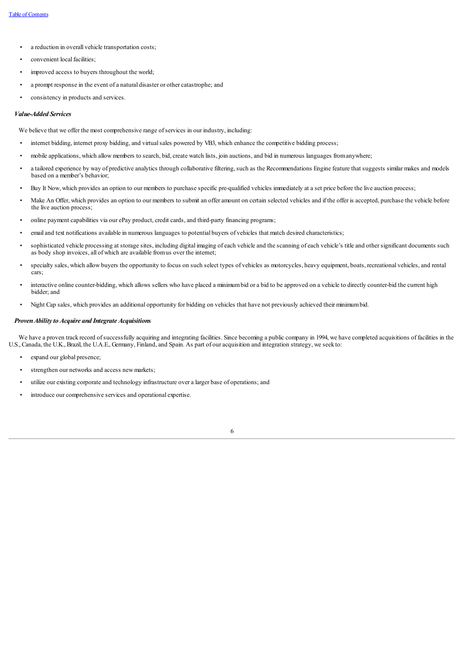- a reduction in overall vehicle transportation costs;
- convenient local facilities;
- improved access to buyers throughout the world;
- a prompt response in the event of a natural disaster or other catastrophe; and
- consistency in products and services.

### *Value-Added Services*

We believe that we offer the most comprehensive range of services in our industry, including:

- internet bidding, internet proxy bidding, and virtual sales powered by VB3, which enhance the competitive bidding process;
- mobile applications, which allow members to search, bid, create watch lists, join auctions, and bid in numerous languages from anywhere;
- a tailored experience by way of predictive analytics through collaborative filtering, such as the Recommendations Engine feature that suggests similar makes and models based on a member's behavior;
- Buy It Now, which provides an option to ourmembers to purchase specific pre-qualified vehicles immediately at a set price before the live auction process;
- Make An Offer, which provides an option to our members to submit an offer amount on certain selected vehicles and if the offer is accepted, purchase the vehicle before the live auction process;
- online payment capabilities via our ePay product, credit cards, and third-party financing programs;
- emailand text notifications available in numerous languages to potential buyers of vehicles that match desired characteristics;
- sophisticated vehicle processing at storage sites, including digital imaging of each vehicle and the scanning of each vehicle's title and other significant documents such as body shop invoices, all of which are available from us over the internet;
- specialty sales, which allow buyers the opportunity to focus on such select types of vehicles as motorcycles, heavy equipment, boats, recreational vehicles, and rental cars;
- interactive online counter-bidding, which allows sellers who have placed a minimumbid ora bid to be approved on a vehicle to directly counter-bid the current high bidder; and
- Night Cap sales, which provides an additional opportunity for bidding on vehicles that have not previously achieved their minimum bid.

# *ProvenAbilityto Acquire and Integrate Acquisitions*

We have a proven track record of successfully acquiring and integrating facilities. Since becoming a public company in 1994, we have completed acquisitions of facilities in the U.S., Canada, the U.K., Brazil, the U.A.E., Germany, Finland,and Spain. As part of ouracquisition and integration strategy, we seek to:

- expand our global presence;
- strengthen our networks and access new markets;
- utilize ourexisting corporate and technology infrastructure overa larger base of operations; and
- introduce our comprehensive services and operational expertise.

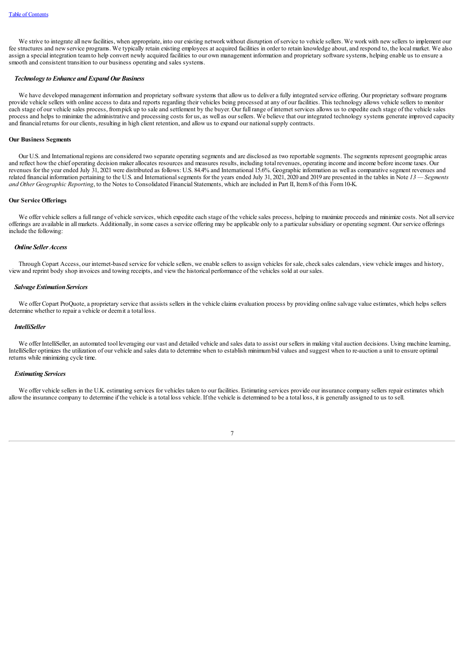We strive to integrate all new facilities, when appropriate, into our existing network without disruption of service to vehicle sellers. We work with new sellers to implement our fee structures and new service programs. We typically retain existing employees at acquired facilities in order to retain knowledge about, and respond to, the local market. We also assign a special integration teamto help convert newly acquired facilities to our own management information and proprietary software systems, helping enable us to ensure a smooth and consistent transition to our business operating and sales systems.

### *Technologyto Enhance and Expand Our Business*

We have developed management information and proprietary software systems that allow us to deliver a fully integrated service offering. Our proprietary software programs provide vehicle sellers with online access to data and reports regarding their vehicles being processed at any of our facilities. This technology allows vehicle sellers to monitor each stage of our vehicle sales process, frompick up to sale and settlement by the buyer. Our full range of internet services allows us to expedite each stage of the vehicle sales process and helps to minimize the administrative and processing costs for us,as wellas oursellers. We believe that our integrated technology systems generate improved capacity and financial returns for ourclients, resulting in high client retention,and allowus to expand our nationalsupply contracts.

### <span id="page-8-0"></span>**Our Business Segments**

Our U.S.and International regions are considered two separate operating segments and are disclosed as two reportable segments. The segments represent geographic areas and reflect how the chief operating decision maker allocates resources and measures results, including total revenues, operating income and income before income taxes. Our revenues for the year ended July 31, 2021 were distributed as follows: U.S. 84.4% and International 15.6%. Geographic information as well as comparative segment revenues and related financial information pertaining to the U.S.and Internationalsegments for the years ended July 31, 2021, 2020 and 2019 are presented in the tables in Note *13 — Segments and Other Geographic Reporting*, to the Notes to Consolidated Financial Statements, which are included in Part II, Item 8 of this Form 10-K.

### <span id="page-8-1"></span>**Our Service Offerings**

We offer vehicle sellers a full range of vehicle services, which expedite each stage of the vehicle sales process, helping to maximize proceeds and minimize costs. Not all service offerings are available in allmarkets. Additionally, in some cases a service offering may be applicable only to a particularsubsidiary or operating segment. Ourservice offerings include the following:

#### *Online Seller Access*

Through Copart Access, our internet-based service for vehicle sellers, we enable sellers to assign vehicles for sale, check sales calendars, view vehicle images and history, view and reprint body shop invoices and towing receipts, and view the historical performance of the vehicles sold at our sales.

# *Salvage Estimation Services*

We offer Copart ProQuote, a proprietary service that assists sellers in the vehicle claims evaluation process by providing online salvage value estimates, which helps sellers determine whether to repaira vehicle or deemit a total loss.

#### *IntelliSeller*

We offer IntelliSeller, an automated tool leveraging our vast and detailed vehicle and sales data to assist our sellers in making vital auction decisions. Using machine learning, IntelliSeller optimizes the utilization of our vehicle and sales data to determine when to establish minimumbid values and suggest when to re-auction a unit to ensure optimal returns while minimizing cycle time.

### *Estimating Services*

We offer vehicle sellers in the U.K. estimating services for vehicles taken to our facilities. Estimating services provide our insurance company sellers repair estimates which allowthe insurance company to determine if the vehicle is a total loss vehicle. If the vehicle is determined to be a total loss, it is generally assigned to us to sell.

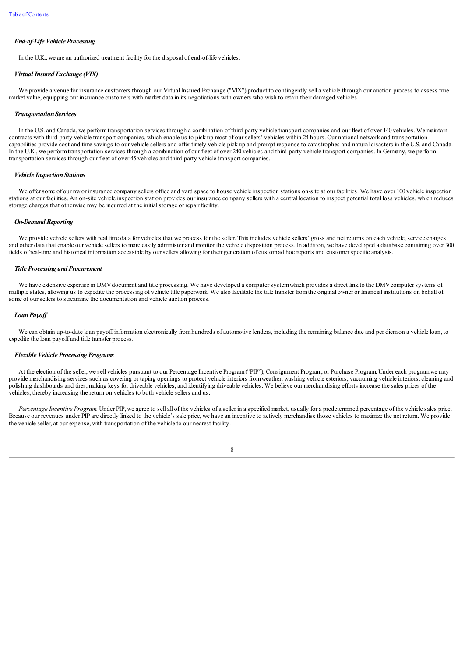# *End-of-Life Vehicle Processing*

In the U.K., we are an authorized treatment facility for the disposal ofend-of-life vehicles.

### *Virtual Insured Exchange(VIX)*

We provide a venue for insurance customers through our Virtual Insured Exchange ("VIX") product to contingently sell a vehicle through our auction process to assess true market value, equipping our insurance customers with market data in its negotiations with owners who wish to retain their damaged vehicles.

#### *Transportation Services*

In the U.S.and Canada, we performtransportation services through a combination of third-party vehicle transport companies and our fleet of over 140 vehicles. We maintain contracts with third-party vehicle transport companies, which enable us to pick up most of oursellers' vehicles within 24 hours. Our national network and transportation capabilities provide cost and time savings to our vehicle sellers and offer timely vehicle pick up and prompt response to catastrophes and natural disasters in the U.S.and Canada. In the U.K., we performtransportation services through a combination of our fleet of over 240 vehicles and third-party vehicle transport companies. In Germany, we perform transportation services through our fleet of over 45 vehicles and third-party vehicle transport companies.

### *Vehicle Inspection Stations*

We offer some of our major insurance company sellers office and yard space to house vehicle inspection stations on-site at our facilities. We have over 100 vehicle inspection stations at our facilities. An on-site vehicle inspection station provides our insurance company sellers with a central location to inspect potential total loss vehicles, which reduces storage charges that otherwise may be incurred at the initialstorage or repair facility.

# *On-Demand Reporting*

We provide vehicle sellers with real time data for vehicles that we process for the seller. This includes vehicle sellers' gross and net returns on each vehicle, service charges, and other data that enable our vehicle sellers to more easily administerand monitor the vehicle disposition process. In addition, we have developed a database containing over 300 fields of real-time and historical information accessible by our sellers allowing for their generation of customad hoc reports and customer specific analysis.

### *Title Processing and Procurement*

We have extensive expertise in DMV document and title processing. We have developed a computer system which provides a direct link to the DMV computer systems of multiple states,allowing us to expedite the processing of vehicle title paperwork. We also facilitate the title transfer fromthe original owner or financial institutions on behalf of some of our sellers to streamline the documentation and vehicle auction process.

### *LoanPayof*

We can obtain up-to-date loan payoff information electronically from hundreds of automotive lenders, including the remaining balance due and per diemon a vehicle loan, to expedite the loan payoffand title transfer process.

# *Flexible Vehicle Processing Programs*

At the election of the seller, we sell vehicles pursuant to our Percentage Incentive Program("PIP"), Consignment Program, or Purchase Program. Under each program we may provide merchandising services such as covering or taping openings to protect vehicle interiors fromweather, washing vehicle exteriors, vacuuming vehicle interiors,cleaning and polishing dashboards and tires, making keys for driveable vehicles, and identifying driveable vehicles. We believe our merchandising efforts increase the sales prices of the vehicles, thereby increasing the return on vehicles to both vehicle sellers and us.

*Percentage Incentive Program.* Under PIP, we agree to sellall of the vehicles ofa seller in a specified market, usually fora predetermined percentage of the vehicle sales price. Because our revenues under PIP are directly linked to the vehicle's sale price, we have an incentive to actively merchandise those vehicles to maximize the net return. We provide the vehicle seller, at our expense, with transportation of the vehicle to our nearest facility.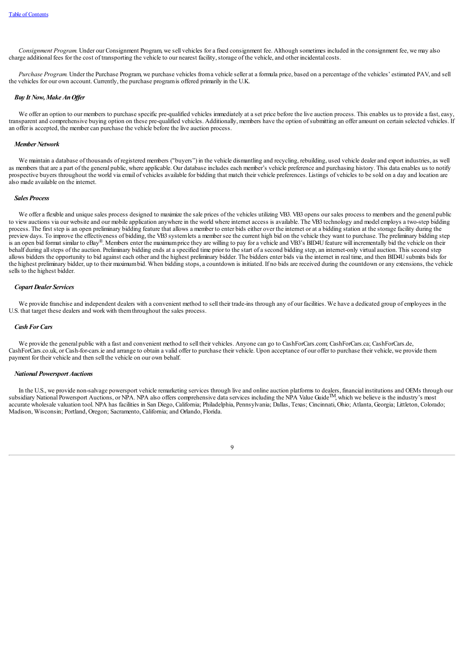*Consignment Program.* Under our Consignment Program, we sell vehicles fora fixed consignment fee. Although sometimes included in the consignment fee, we may also charge additional fees for the cost of transporting the vehicle to our nearest facility, storage of the vehicle,and other incidentalcosts.

*Purchase Program.* Under the Purchase Program, we purchase vehicles froma vehicle sellerat a formula price, based on a percentage of the vehicles'estimated PAV,and sell the vehicles for our own account. Currently, the purchase programis offered primarily in the U.K.

### *Buy It Now, Make An Offer*

We offer an option to our members to purchase specific pre-qualified vehicles immediately at a set price before the live auction process. This enables us to provide a fast, easy, transparent and comprehensive buying option on these pre-qualified vehicles. Additionally, members have the option ofsubmitting an offeramount on certain selected vehicles. If an offer is accepted, the membercan purchase the vehicle before the live auction process.

#### *Member Network*

We maintain a database of thousands of registered members ("buyers") in the vehicle dismantling and recycling, rebuilding, used vehicle dealer and export industries, as well as members that are a part of the general public, where applicable. Our database includes each member's vehicle preference and purchasing history. This data enables us to notify prospective buyers throughout the world via email of vehicles available for bidding that match their vehicle preferences. Listings of vehicles to be sold on a day and location are also made available on the internet.

#### *Sales Process*

We offer a flexible and unique sales process designed to maximize the sale prices of the vehicles utilizing VB3. VB3 opens our sales process to members and the general public to viewauctions via our website and ourmobile application anywhere in the world where internet access is available. The VB3 technology and modelemploys a two-step bidding process. The first step is an open preliminary bidding feature that allows a member to enter bids either over the internet orat a bidding station at the storage facility during the previewdays. To improve the effectiveness of bidding, the VB3 systemlets a membersee the current high bid on the vehicle they want to purchase. The preliminary bidding step .<br>Is an open bid format similar to eBay®. Members enter the maximum price they are willing to pay for a vehicle and VB3's BID4U feature will incrementally bid the vehicle on their behalf during all steps of the auction. Preliminary bidding ends at a specified time prior to the start of a second bidding step, an internet-only virtual auction. This second step allows bidders the opportunity to bid against each other and the highest preliminary bidder. The bidders enter bids via the internet in real time, and then BID4U submits bids for the highest preliminary bidder, up to their maximum bid. When bidding stops, a countdown is initiated. If no bids are received during the countdown or any extensions, the vehicle sells to the highest bidder.

# *Copart Dealer Services*

We provide franchise and independent dealers with a convenient method to sell their trade-ins through any of our facilities. We have a dedicated group of employees in the U.S. that target these dealers and work with them throughout the sales process.

#### *CashFor Cars*

We provide the general public with a fast and convenient method to sell their vehicles. Anyone can go to CashForCars.com; CashForCars.ca; CashForCars.de, CashForCars.co.uk, or Cash-for-cars.ie and arrange to obtain a valid offer to purchase their vehicle. Upon acceptance of our offer to purchase their vehicle, we provide them payment for their vehicle and then sell the vehicle on our own behalf.

#### *National Powersport Auctions*

In the U.S., we provide non-salvage powersport vehicle remarketing services through live and online auction platforms to dealers, financial institutions and OEMs through our subsidiary National Powersport Auctions, or NPA. NPA also offers comprehensive data services including the NPA Value Guide<sup>TM</sup>, which we believe is the industry's most accurate wholesale valuation tool. NPA has facilities in San Diego, California; Philadelphia, Pennsylvania; Dallas, Texas; Cincinnati, Ohio; Atlanta, Georgia; Littleton, Colorado; Madison, Wisconsin; Portland, Oregon; Sacramento, California; and Orlando, Florida.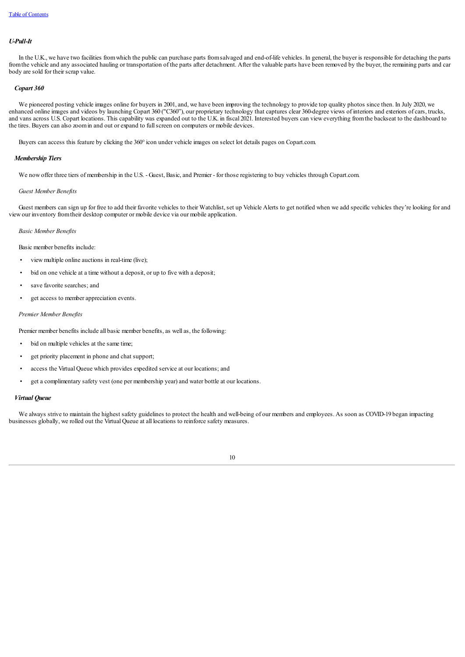# *U-Pull-It*

In the U.K., we have two facilities from which the public can purchase parts from salvaged and end-of-life vehicles. In general, the buyer is responsible for detaching the parts fromthe vehicle and any associated hauling or transportation of the parts after detachment. After the valuable parts have been removed by the buyer, the remaining parts and car body are sold for their scrap value.

### *Copart 360*

We pioneered posting vehicle images online for buyers in 2001, and, we have been improving the technology to provide top quality photos since then. In July 2020, we enhanced online images and videos by launching Copart 360 ("C360"), our proprietary technology that captures clear 360-degree views of interiors and exteriors of cars, trucks, and vans across U.S. Copart locations. This capability was expanded out to the U.K. in fiscal 2021. Interested buyers can vieweverything fromthe backseat to the dashboard to the tires. Buyers can also zoomin and out orexpand to fullscreen on computers ormobile devices.

Buyers can access this feature by clicking the 360° icon under vehicle images on select lot details pages on Copart.com.

# *Membership Tiers*

We now offer three tiers of membership in the U.S. - Guest, Basic, and Premier - for those registering to buy vehicles through Copart.com.

### *Guest Member Benefits*

Guest members can sign up for free to add their favorite vehicles to their Watchlist, set up Vehicle Alerts to get notified when we add specific vehicles they're looking forand viewour inventory fromtheir desktop computer ormobile device via ourmobile application.

#### *Basic Member Benefits*

Basic member benefits include:

- viewmultiple online auctions in real-time (live);
- bid on one vehicle at a time without a deposit, or up to five with a deposit;
- save favorite searches; and
- get access to memberappreciation events.

#### *Premier Member Benefits*

Premier member benefits include all basic member benefits, as well as, the following:

- bid on multiple vehicles at the same time;
- get priority placement in phone and chat support;
- access the VirtualQueue which provides expedited service at our locations; and
- get a complimentary safety vest (one per membership year) and water bottle at our locations.

### *Virtual Queue*

We always strive to maintain the highest safety guidelines to protect the health and well-being of our members and employees. As soon as COVID-19 began impacting businesses globally, we rolled out the VirtualQueue at all locations to reinforce safety measures.

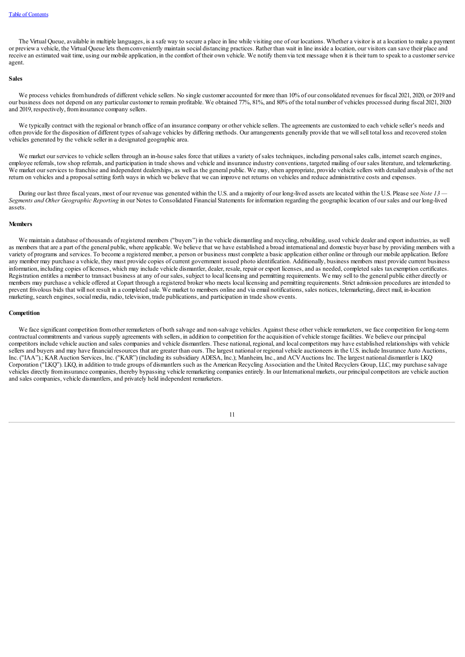The Virtual Queue, available in multiple languages, is a safe way to secure a place in line while visiting one of our locations. Whether a visitor is at a location to make a payment or previewa vehicle, the VirtualQueue lets themconveniently maintain social distancing practices. Rather than wait in line inside a location, our visitors can save their place and receive an estimated wait time, using our mobile application, in the comfort of their own vehicle. We notify them via text message when it is their turn to speak to a customer service agent.

#### **Sales**

We process vehicles from hundreds of different vehicle sellers. No single customer accounted for more than 10% of our consolidated revenues for fiscal 2021, 2020, or 2019 and our business does not depend on any particular customer to remain profitable. We obtained 77%, 81%, and 80% of the total number of vehicles processed during fiscal 2021, 2020 and 2019, respectively, frominsurance company sellers.

We typically contract with the regional or branch office of an insurance company or other vehicle sellers. The agreements are customized to each vehicle seller's needs and often provide for the disposition of different types ofsalvage vehicles by differing methods. Ourarrangements generally provide that we willsell total loss and recovered stolen vehicles generated by the vehicle seller in a designated geographic area.

We market our services to vehicle sellers through an in-house sales force that utilizes a variety of sales techniques, including personal sales calls, internet search engines, employee referrals, tow shop referrals, and pa We market our services to franchise and independent dealerships, as well as the general public. We may, when appropriate, provide vehicle sellers with detailed analysis of the net return on vehicles and a proposalsetting forth ways in which we believe that we can improve net returns on vehicles and reduce administrative costs and expenses.

During our last three fiscal years, most of our revenue was generated within the U.S. and a majority of our long-lived assets are located within the U.S. Please see *Note* 13  $-$ *Segments and Other Geographic Reporting* in our Notes to Consolidated Financial Statements for information regarding the geographic location of oursales and our long-lived assets.

#### **Members**

We maintain a database of thousands of registered members ("buyers") in the vehicle dismantling and recycling, rebuilding, used vehicle dealer and export industries, as well as members that are a part of the general public, where applicable. We believe that we have established a broad internationaland domestic buyer base by providing members with a variety of programs and services. To become a registered member,a person or business must complete a basic application either online or through ourmobile application. Before any member may purchase a vehicle, they must provide copies of current government issued photo identification. Additionally, business members must provide current business information, including copies of licenses, which may include vehicle dismantler, dealer, resale, repair or export licenses, and as needed, completed sales tax exemption certificates. Registration entitles a member to transact business at any of our sales, subject to local licensing and permitting requirements. We may sell to the general public either directly or members may purchase a vehicle offered at Copart through a registered broker who meets local licensing and permitting requirements. Strict admission procedures are intended to prevent frivolous bids that will not result in a completed sale. We market to members online and via email notifications, sales notices, telemarketing, direct mail, in-location marketing, search engines, social media, radio, television, trade publications, and participation in trade show events.

#### **Competition**

<span id="page-12-0"></span>We face significant competition from other remarketers of both salvage and non-salvage vehicles. Against these other vehicle remarketers, we face competition for long-term contractual commitments and various supply agreements with sellers, in addition to competition for the acquisition of vehicle storage facilities. We believe our principal competitors include vehicle auction and sales companies and vehicle dismantlers. These national, regional,and localcompetitors may have established relationships with vehicle sellers and buyers and may have financial resources that are greater than ours. The largest national or regional vehicle auctioneers in the U.S. include Insurance Auto Auctions, Inc. ("IAA").; KAR Auction Services, Inc. ("KAR") (including its subsidiary ADESA, Inc.); Manheim, Inc., and ACV Auctions Inc. The largest national dismantler is LKQ Corporation ("LKQ"). LKQ, in addition to trade groups of dismantlers such as the American Recycling Association and the United Recyclers Group, LLC, may purchase salvage vehicles directly frominsurance companies, thereby bypassing vehicle remarketing companies entirely. In our Internationalmarkets, our principalcompetitors are vehicle auction and sales companies, vehicle dismantlers, and privately held independent remarketers.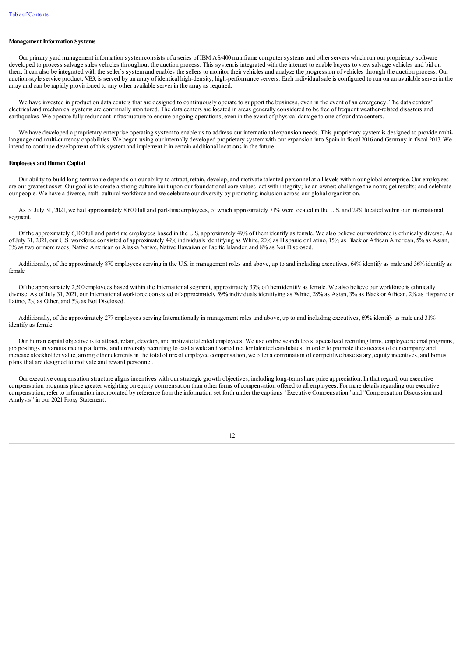### **Management Information Systems**

Our primary vard management information system consists of a series of IBM AS/400 mainframe computer systems and other servers which run our proprietary software developed to process salvage sales vehicles throughout the auction process. This system is integrated with the internet to enable buyers to view salvage vehicles and bid on them. It can also be integrated with the seller's systemand enables the sellers to monitor their vehicles and analyze the progression of vehicles through the auction process. Our auction-style service product, VB3, is served by an array of identical high-density, high-performance servers. Each individualsale is configured to run on an available server in the array and can be rapidly provisioned to any otheravailable server in the array as required.

We have invested in production data centers that are designed to continuously operate to support the business, even in the event of an emergency. The data centers' electrical and mechanical systems are continually monitored. The data centers are located in areas generally considered to be free of frequent weather-related disasters and earthquakes. We operate fully redundant infrastructure to ensure ongoing operations, even in the event of physical damage to one of our data centers.

We have developed a proprietary enterprise operating system to enable us to address our international expansion needs. This proprietary system is designed to provide multilanguage and multi-currency capabilities. We began using our internally developed proprietary system with our expansion into Spain in fiscal 2016 and Germany in fiscal 2017. We intend to continue development of this systemand implement it in certain additional locations in the future.

### <span id="page-13-0"></span>**Employees andHuman Capital**

Our ability to build long-term value depends on our ability to attract, retain, develop, and motivate talented personnel at all levels within our global enterprise. Our employees are our greatest asset. Our goal is to create a strong culture built upon our foundational core values: act with integrity; be an owner; challenge the norm; get results; and celebrate our people. We have a diverse, multi-culturalworkforce and we celebrate our diversity by promoting inclusion across our global organization.

As ofJuly 31, 2021, we had approximately 8,600 fulland part-time employees, of which approximately 71% were located in the U.S.and 29% located within our International segment.

Of the approximately 6,100 fulland part-time employees based in the U.S,approximately 49% of themidentify as female. We also believe our workforce is ethnically diverse. As ofJuly 31, 2021, our U.S. workforce consisted ofapproximately 49% individuals identifying as White, 20% as Hispanic or Latino, 15% as Black or African American, 5% as Asian, 3% as two ormore races, Native American or Alaska Native, Native Hawaiian or Pacific Islander,and 8% as Not Disclosed.

Additionally, of the approximately 870 employees serving in the U.S. in management roles and above, up to and including executives, 64% identify as male and 36% identify as female

Of the approximately 2,500 employees based within the Internationalsegment,approximately 33% of themidentify as female. We also believe our workforce is ethnically diverse. As of July 31, 2021, our International workforce consisted of approximately 59% individuals identifying as White, 28% as Asian, 3% as Black or African, 2% as Hispanic or Latino,  $2\%$  as Other, and  $5\%$  as Not Disclosed.

Additionally, of the approximately 277 employees serving Internationally in management roles and above, up to and including executives, 69% identify as male and 31% identify as female.

Our human capital objective is to attract, retain, develop, and motivate talented employees. We use online search tools, specialized recruiting firms, employee referral programs, job postings in various media platforms,and university recruiting to cast a wide and varied net for talented candidates. In order to promote the success of ourcompany and increase stockholder value,among otherelements in the total ofmixofemployee compensation, we offera combination ofcompetitive base salary,equity incentives,and bonus plans that are designed to motivate and reward personnel.

Our executive compensation structure aligns incentives with our strategic growth objectives, including long-termshare price appreciation. In that regard, our executive compensation programs place greater weighting on equity compensation than other forms of compensation offered to all employees. For more details regarding our executive compensation, refer to information incorporated by reference fromthe information set forth under the captions "Executive Compensation" and "Compensation Discussion and Analysis" in our 2021 Proxy Statement.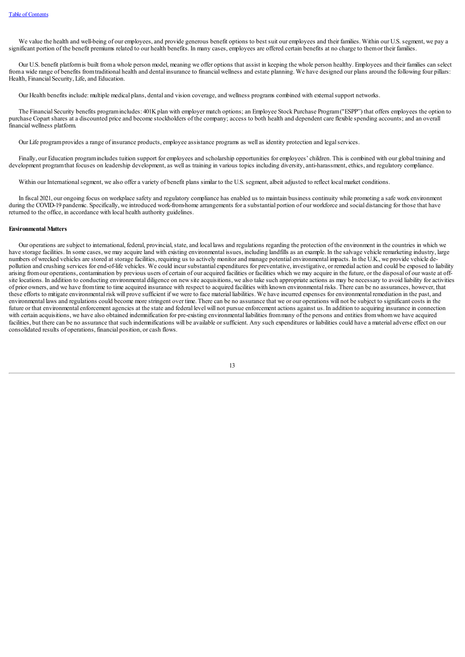We value the health and well-being of our employees, and provide generous benefit options to best suit our employees and their families. Within our U.S. segment, we pay a significant portion of the benefit premiums related to our health benefits. In many cases, employees are offered certain benefits at no charge to them or their families.

Our U.S. benefit platformis built froma whole person model, meaning we offer options that assist in keeping the whole person healthy. Employees and their families can select froma wide range of benefits from traditional health and dental insurance to financial wellness and estate planning. We have designed our plans around the following four pillars: Health, Financial Security, Life, and Education.

Our Health benefits include: multiple medical plans, dental and vision coverage, and wellness programs combined with external support networks.

The Financial Security benefits program includes: 401K plan with employer match options; an Employee Stock Purchase Program ("ESPP") that offers employees the option to purchase Copart shares at a discounted price and become stockholders of the company; access to both health and dependent care flexible spending accounts; and an overall financialwellness platform.

Our Life programprovides a range of insurance products,employee assistance programs as wellas identity protection and legalservices.

Finally, our Education programincludes tuition support for employees and scholarship opportunities for employees' children. This is combined with our global training and development program that focuses on leadership development, as well as training in various topics including diversity, anti-harassment, ethics, and regulatory compliance.

Within our International segment, we also offer a variety of benefit plans similar to the U.S. segment, albeit adjusted to reflect local market conditions.

In fiscal 2021, our ongoing focus on workplace safety and regulatory compliance has enabled us to maintain business continuity while promoting a safe work environment during the COVID-19 pandemic. Specifically, we introduced work-from-home arrangements for a substantial portion of our workforce and social distancing for those that have returned to the office, in accordance with local health authority guidelines.

### <span id="page-14-0"></span>**Environmental Matters**

<span id="page-14-1"></span>Our operations are subject to international, federal, provincial, state, and local laws and regulations regarding the protection of the environment in the countries in which we have storage facilities. In some cases, we may acquire land with existing environmental issues, including landfills as an example. In the salvage vehicle remarketing industry, large numbers of wrecked vehicles are stored at storage facilities, requiring us to actively monitorand manage potentialenvironmental impacts. In the U.K., we provide vehicle depollution and crushing services forend-of-life vehicles. We could incursubstantialexpenditures for preventative, investigative, or remedialaction and could be exposed to liability arising from our operations, contamination by previous users of certain of our acquired facilities or facilities which we may acquire in the future, or the disposal of our waste at offsite locations. In addition to conducting environmental diligence on new site acquisitions, we also take such appropriate actions as may be necessary to avoid liability for activities of prior owners,and we have fromtime to time acquired insurance with respect to acquired facilities with known environmental risks. There can be no assurances, however, that these efforts to mitigate environmental risk will prove sufficient if we were to face material liabilities. We have incurred expenses for environmental remediation in the past, and environmental laws and regulations could become more stringent over time. There can be no assurance that we or our operations will not be subject to significant costs in the future or that environmentalenforcement agencies at the state and federal levelwill not pursue enforcement actions against us. In addition to acquiring insurance in connection with certain acquisitions, we have also obtained indemnification for pre-existing environmental liabilities frommany of the persons and entities from whom we have acquired facilities, but there can be no assurance that such indemnifications will be available or sufficient. Any such expenditures or liabilities could have a material adverse effect on our consolidated results of operations, financial position, orcash flows.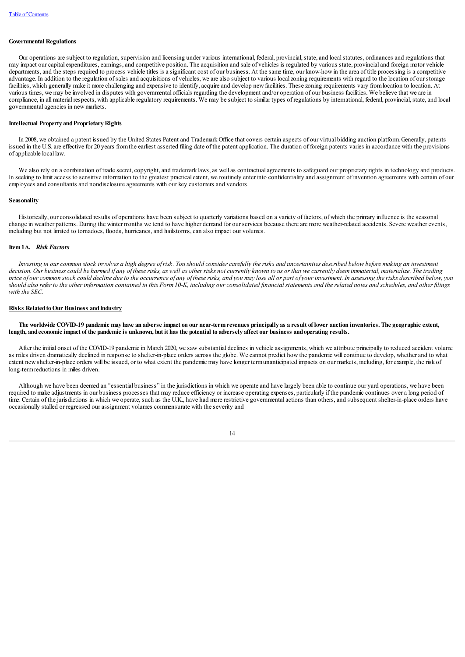### **Governmental Regulations**

Our operations are subject to regulation, supervision and licensing under various international, federal, provincial, state,and localstatutes, ordinances and regulations that may impact ourcapitalexpenditures,earnings,and competitive position. The acquisition and sale of vehicles is regulated by various state, provincialand foreign motor vehicle departments, and the steps required to process vehicle titles is a significant cost of our business. At the same time, our know-how in the area of title processing is a competitive advantage. In addition to the regulation ofsales and acquisitions of vehicles, we are also subject to various localzoning requirements with regard to the location of ourstorage facilities, which generally make it more challenging and expensive to identify, acquire and develop new facilities. These zoning requirements vary from location to location. At various times, we may be involved in disputes with governmental officials regarding the development and/or operation of our business facilities. We believe that we are in compliance, in all material respects, with applicable regulatory requirements. We may be subject to similar types of regulations by international, federal, provincial, state, and local governmentalagencies in newmarkets.

# <span id="page-15-0"></span>**Intellectual Property and Proprietary Rights**

In 2008, we obtained a patent issued by the United States Patent and TrademarkOffice that covers certain aspects of our virtual bidding auction platform. Generally, patents issued in the U.S.are effective for 20 years fromthe earliest asserted filing date of the patent application. The duration of foreign patents varies in accordance with the provisions ofapplicable local law.

We also rely on a combination of trade secret, copyright, and trademark laws, as well as contractual agreements to safeguard our proprietary rights in technology and products. In seeking to limit access to sensitive information to the greatest practical extent, we routinely enter into confidentiality and assignment of invention agreements with certain of our employees and consultants and nondisclosure agreements with our key customers and vendors.

### **Seasonality**

Historically, our consolidated results of operations have been subject to quarterly variations based on a variety of factors, of which the primary influence is the seasonal change in weather patterns. During the winter months we tend to have higher demand for our services because there are more weather-related accidents. Severe weather events, including but not limited to tornadoes, floods, hurricanes, and hailstorms, can also impact our volumes.

### <span id="page-15-1"></span>**Item1A.** *Risk Factors*

Investing in our common stock involves a high degree of risk. You should consider carefully the risks and uncertainties described below before making an investment decision. Our business could be harmed if any of these risks, as well as other risks not currently known to us or that we currently deem immaterial, materialize. The trading price of our common stock could decline due to the occurrence of any of these risks, and you may lose all or part of your investment. In assessing the risks described below, you should also refer to the other information contained in this Form 10-K, including our consolidated financial statements and the related notes and schedules, and other filings *with the SEC.*

### **Risks Related to Our Business and Industry**

The worldwide COVID-19 pandemic may have an adverse impact on our near-term revenues principally as a result of lower auction inventories. The geographic extent, length, and economic impact of the pandemic is unknown, but it has the potential to adversely affect our business and operating results.

After the initial onset of the COVID-19 pandemic in March 2020, we sawsubstantial declines in vehicle assignments, which we attribute principally to reduced accident volume as miles driven dramatically declined in response to shelter-in-place orders across the globe. We cannot predict howthe pandemic willcontinue to develop, whetherand to what extent newshelter-in-place orders will be issued, or to what extent the pandemic may have longer termunanticipated impacts on ourmarkets, including, forexample, the risk of long-termreductions in miles driven.

Although we have been deemed an "essential business" in the jurisdictions in which we operate and have largely been able to continue our yard operations, we have been required to make adjustments in our business processes that may reduce efficiency or increase operating expenses, particularly if the pandemic continues overa long period of time. Certain of the jurisdictions in which we operate, such as the U.K., have had more restrictive governmental actions than others, and subsequent shelter-in-place orders have occasionally stalled or regressed ourassignment volumes commensurate with the severity and

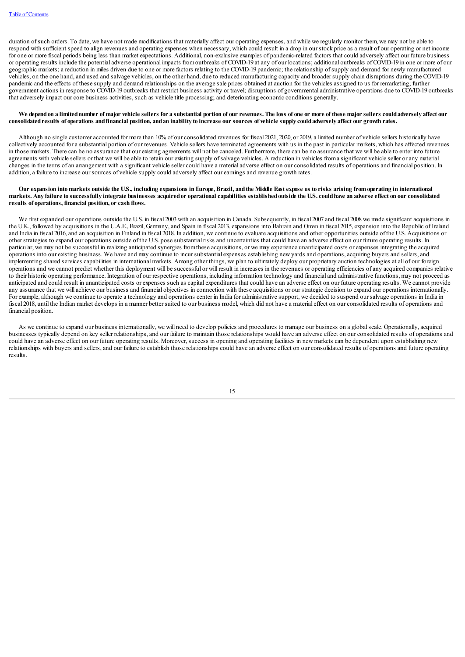duration of such orders. To date, we have not made modifications that materially affect our operating expenses, and while we regularly monitor them, we may not be able to respond with sufficient speed to align revenues and operating expenses when necessary, which could result in a drop in ourstock price as a result of our operating or net income for one ormore fiscal periods being less than market expectations. Additional, non-exclusive examples of pandemic-related factors that could adversely affect our future business or operating results include the potentialadverse operational impacts fromoutbreaks of COVID-19 at any of our locations; additional outbreaks of COVID-19 in one ormore of our geographic markets; a reduction in miles driven due to one ormore factors relating to the COVID-19 pandemic; the relationship ofsupply and demand for newly manufactured vehicles, on the one hand,and used and salvage vehicles, on the other hand, due to reduced manufacturing capacity and broadersupply chain disruptions during the COVID-19 pandemic and the effects of these supply and demand relationships on the average sale prices obtained at auction for the vehicles assigned to us for remarketing; further government actions in response to COVID-19 outbreaks that restrict business activity or travel; disruptions of governmentaladministrative operations due to COVID-19 outbreaks that adversely impact ourcore business activities, such as vehicle title processing; and deteriorating economic conditions generally.

### We depend on a limited number of major vehicle sellers for a substantial portion of our revenues. The loss of one or more of these major sellers could adversely affect our consolidated results of operations and financial position, and an inability to increase our sources of vehicle supply could adversely affect our growth rates.

Although no single customer accounted for more than 10% of our consolidated revenues for fiscal 2021, 2020, or 2019, a limited number of vehicle sellers historically have collectively accounted fora substantial portion of our revenues. Vehicle sellers have terminated agreements with us in the past in particularmarkets, which has affected revenues in those markets. There can be no assurance that ourexisting agreements will not be canceled. Furthermore, there can be no assurance that we will be able to enter into future agreements with vehicle sellers or that we will be able to retain ourexisting supply ofsalvage vehicles. A reduction in vehicles froma significant vehicle seller orany material changes in the terms ofan arrangement with a significant vehicle sellercould have a materialadverse effect on ourconsolidated results of operations and financial position. In addition, a failure to increase our sources of vehicle supply could adversely affect our earnings and revenue growth rates.

### Our expansion into markets outside the U.S., including expansions in Europe, Brazil, and the Middle East expose us to risks arising from operating in international markets. Any failure to successfully integrate businesses acquired or operational capabilities established outside the U.S. could have an adverse effect on our consolidated **results of operations, financial position, or cash flows.**

We first expanded our operations outside the U.S. in fiscal 2003 with an acquisition in Canada. Subsequently, in fiscal 2007 and fiscal 2008 we made significant acquisitions in the U.K., followed by acquisitions in the U.A.E., Brazil, Germany, and Spain in fiscal 2013, expansions into Bahrain and Oman in fiscal 2015, expansion into the Republic of Ireland and India in fiscal 2016, and an acquisition in Finland in fiscal 2018. In addition, we continue to evaluate acquisitions and other opportunities outside of the U.S. Acquisitions or other strategies to expand our operations outside of the U.S. pose substantial risks and uncertainties that could have an adverse effect on our future operating results. In particular, we may not be successful in realizing anticipated synergies fromthese acquisitions, or we may experience unanticipated costs orexpenses integrating the acquired operations into our existing business. We have and may continue to incur substantial expenses establishing new yards and operations, acquiring buyers and sellers, and implementing shared services capabilities in internationalmarkets. Among other things, we plan to ultimately deploy our proprietary auction technologies at all of our foreign operations and we cannot predict whether this deployment will be successful or will result in increases in the revenues or operating efficiencies ofany acquired companies relative to their historic operating performance. Integration of our respective operations, including information technology and financialand administrative functions, may not proceed as anticipated and could result in unanticipated costs orexpenses such as capitalexpenditures that could have an adverse effect on our future operating results. We cannot provide any assurance that we willachieve our business and financial objectives in connection with these acquisitions or ourstrategic decision to expand our operations internationally. For example, although we continue to operate a technology and operations center in India for administrative support, we decided to suspend our salvage operations in India in fiscal 2018, until the Indian market develops in a manner bettersuited to our business model, which did not have a materialeffect on ourconsolidated results of operations and financial position.

As we continue to expand our business internationally, we will need to develop policies and procedures to manage our business on a global scale. Operationally, acquired businesses typically depend on key seller relationships, and our failure to maintain those relationships would have an adverse effect on our consolidated results of operations and could have an adverse effect on our future operating results. Moreover, success in opening and operating facilities in newmarkets can be dependent upon establishing new relationships with buyers and sellers,and our failure to establish those relationships could have an adverse effect on ourconsolidated results of operations and future operating results.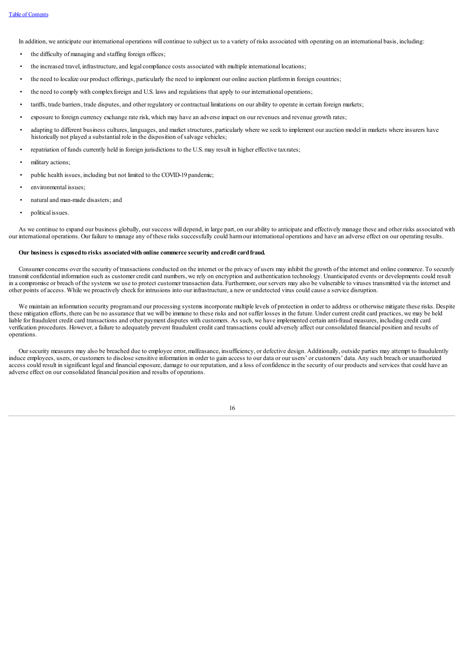In addition, we anticipate our international operations will continue to subject us to a variety of risks associated with operating on an international basis, including:

- the difficulty of managing and staffing foreign offices;
- the increased travel, infrastructure, and legal compliance costs associated with multiple international locations;
- the need to localize our product offerings, particularly the need to implement our online auction platformin foreign countries;
- the need to comply with complexforeign and U.S. laws and regulations that apply to our international operations;
- tariffs, trade barriers, trade disputes, and other regulatory or contractual limitations on our ability to operate in certain foreign markets;
- exposure to foreign currency exchange rate risk, which may have an adverse impact on our revenues and revenue growth rates;
- adapting to different business cultures, languages, and market structures, particularly where we seek to implement our auction model in markets where insurers have historically not played a substantial role in the disposition of salvage vehicles;
- repatriation of funds currently held in foreign jurisdictions to the U.S. may result in higher effective taxrates;
- military actions;
- public health issues, including but not limited to the COVID-19 pandemic;
- environmental issues;
- natural and man-made disasters; and
- political issues.

As we continue to expand our business globally, our success will depend, in large part, on our ability to anticipate and effectively manage these and other risks associated with our international operations. Our failure to manage any of these risks successfully could harmour international operations and have an adverse effect on our operating results.

# **Our business is exposedto risks associatedwith online commerce security andcreditcardfraud.**

Consumer concerns over the security of transactions conducted on the internet or the privacy of users may inhibit the growth of the internet and online commerce. To securely transmit confidential information such as customercredit card numbers, we rely on encryption and authentication technology. Unanticipated events or developments could result in a compromise or breach of the systems we use to protect customer transaction data. Furthermore, ourservers may also be vulnerable to viruses transmitted via the internet and other points ofaccess. While we proactively check for intrusions into our infrastructure,a newor undetected virus could cause a service disruption.

We maintain an information security programand our processing systems incorporate multiple levels of protection in order to address or otherwise mitigate these risks. Despite these mitigation efforts, there can be no assurance that we will be immune to these risks and not suffer losses in the future. Undercurrent credit card practices, we may be held liable for fraudulent credit card transactions and other payment disputes with customers. As such, we have implemented certain anti-fraud measures, including credit card verification procedures. However,a failure to adequately prevent fraudulent credit card transactions could adversely affect ourconsolidated financial position and results of operations.

Oursecurity measures may also be breached due to employee error, malfeasance, insufficiency, or defective design. Additionally, outside parties may attempt to fraudulently induce employees, users, orcustomers to disclose sensitive information in order to gain access to our data or our users' orcustomers' data. Any such breach or unauthorized access could result in significant legal and financial exposure, damage to our reputation, and a loss of confidence in the security of our products and services that could have an adverse effect on our consolidated financial position and results of operations.

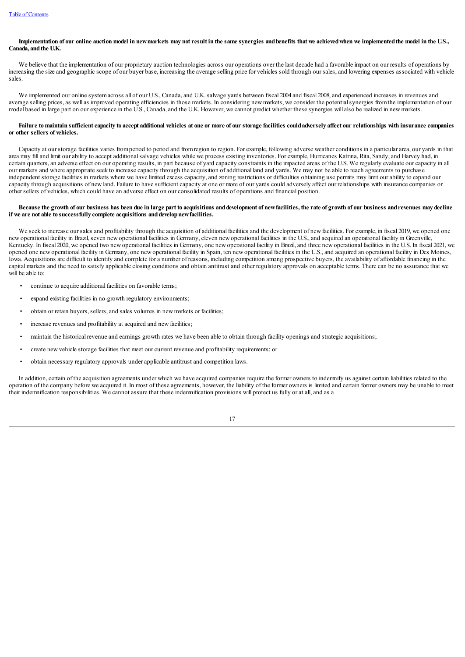# Implementation of our online auction model in new markets may not result in the same synergies and benefits that we achieved when we implemented the model in the U.S.. **Canada, andthe U.K.**

We believe that the implementation of our proprietary auction technologies across our operations over the last decade had a favorable impact on our results of operations by increasing the size and geographic scope of our buyer base, increasing the average selling price for vehicles sold through oursales,and lowering expenses associated with vehicle sales.

We implemented our online systemacross all of our U.S., Canada, and U.K. salvage yards between fiscal 2004 and fiscal 2008, and experienced increases in revenues and average selling prices, as well as improved operating efficiencies in those markets. In considering new markets, we consider the potential synergies from the implementation of our model based in large part on our experience in the U.S., Canada, and the U.K. However, we cannot predict whether these synergies will also be realized in new markets.

# Failure to maintain sufficient capacity to accept additional vehicles at one or more of our storage facilities could adversely affect our relationships with insurance companies **or other sellers of vehicles.**

Capacity at our storage facilities varies from period to period and from region to region. For example, following adverse weather conditions in a particular area, our yards in that area may filland limit ourability to accept additionalsalvage vehicles while we process existing inventories. Forexample, Hurricanes Katrina, Rita, Sandy,and Harvey had, in certain quarters, an adverse effect on our operating results, in part because of yard capacity constraints in the impacted areas of the U.S. We regularly evaluate our capacity in all ourmarkets and where appropriate seek to increase capacity through the acquisition ofadditional land and yards. We may not be able to reach agreements to purchase independent storage facilities in markets where we have limited excess capacity,and zoning restrictions or difficulties obtaining use permits may limit ourability to expand our capacity through acquisitions of newland. Failure to have sufficient capacity at one ormore of our yards could adversely affect our relationships with insurance companies or othersellers of vehicles, which could have an adverse effect on ourconsolidated results of operations and financial position.

### Because the growth of our business has been due in large part to acquisitions and development of new facilities, the rate of growth of our business and revenues may decline **if we are not able to successfully complete acquisitions anddevelopnewfacilities.**

We seek to increase our sales and profitability through the acquisition of additional facilities and the development of new facilities. For example, in fiscal 2019, we opened one new operational facility in Brazil, seven new operational facilities in Germany, eleven new operational facilities in the U.S., and acquired an operational facility in Greenville, Kentucky. In fiscal 2020, we opened two new operational facilities in Germany, one new operational facility in Brazil, and three new operational facilities in the U.S. In fiscal 2021, we opened one new operational facility in Germany, one new operational facility in Spain, ten new operational facilities in the U.S., and acquired an operational facility in Des Moines, Iowa. Acquisitions are difficult to identify and complete fora number of reasons, including competition among prospective buyers, the availability ofaffordable financing in the capitalmarkets and the need to satisfy applicable closing conditions and obtain antitrust and other regulatory approvals on acceptable terms. There can be no assurance that we will be able to:

- continue to acquire additional facilities on favorable terms;
- expand existing facilities in no-growth regulatory environments;
- obtain or retain buyers, sellers, and sales volumes in new markets or facilities;
- increase revenues and profitability at acquired and new facilities;
- maintain the historical revenue and earnings growth rates we have been able to obtain through facility openings and strategic acquisitions;
- create newvehicle storage facilities that meet ourcurrent revenue and profitability requirements; or
- obtain necessary regulatory approvals underapplicable antitrust and competition laws.

In addition, certain of the acquisition agreements under which we have acquired companies require the former owners to indemnify us against certain liabilities related to the operation of the company before we acquired it. In most of these agreements, however, the liability of the former owners is limited and certain former owners may be unable to meet their indemnification responsibilities. We cannot assure that these indemnification provisions will protect us fully orat all,and as a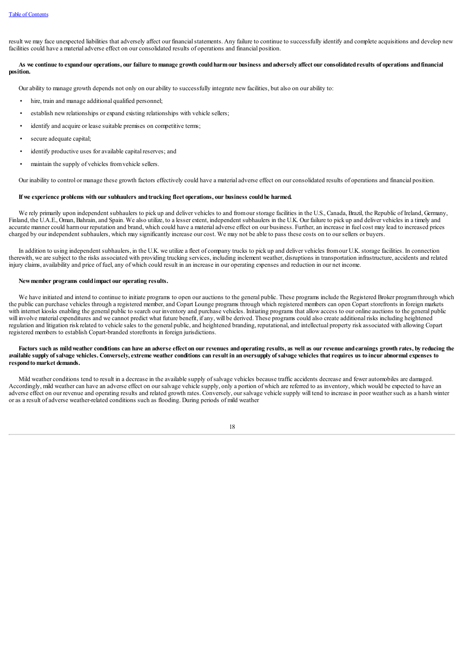result we may face unexpected liabilities that adversely affect our financial statements. Any failure to continue to successfully identify and complete acquisitions and develop new facilities could have a material adverse effect on our consolidated results of operations and financial position.

# As we continue to expand our operations, our failure to manage growth could harm our business and adversely affect our consolidated results of operations and financial **position.**

Ourability to manage growth depends not only on ourability to successfully integrate newfacilities, but also on ourability to:

- hire, train and manage additional qualified personnel;
- establish new relationships or expand existing relationships with vehicle sellers;
- identify and acquire or lease suitable premises on competitive terms;
- secure adequate capital;
- identify productive uses for available capital reserves; and
- maintain the supply of vehicles from vehicle sellers.

Our inability to control ormanage these growth factors effectively could have a materialadverse effect on ourconsolidated results of operations and financial position.

### **If we experience problems with our subhaulers andtrucking fleet operations, our business couldbe harmed.**

We rely primarily upon independent subhaulers to pick up and deliver vehicles to and from our storage facilities in the U.S., Canada, Brazil, the Republic of Ireland, Germany, Finland, the U.A.E., Oman, Bahrain, and Spain. We also utilize, to a lesser extent, independent subhaulers in the U.K. Our failure to pick up and deliver vehicles in a timely and accurate manner could harmour reputation and brand, which could have a material adverse effect on our business. Further, an increase in fuel cost may lead to increased prices charged by our independent subhaulers, which may significantly increase ourcost. We may not be able to pass these costs on to oursellers or buyers.

In addition to using independent subhaulers, in the U.K. we utilize a fleet ofcompany trucks to pick up and deliver vehicles fromour U.K. storage facilities. In connection therewith, we are subject to the risks associated with providing trucking services, including inclement weather, disruptions in transportation infrastructure,accidents and related injury claims, availability and price of fuel, any of which could result in an increase in our operating expenses and reduction in our net income.

### **Newmember programs couldimpact our operating results.**

We have initiated and intend to continue to initiate programs to open our auctions to the general public. These programs include the Registered Broker programthrough which the public can purchase vehicles through a registered member, and Copart Lounge programs through which registered members can open Copart storefronts in foreign markets with internet kiosks enabling the general public to search our inventory and purchase vehicles. Initiating programs that allow access to our online auctions to the general public will involve material expenditures and we cannot predict what future benefit, if any, will be derived. These programs could also create additional risks including heightened regulation and litigation risk related to vehicle sales to the general public, and heightened branding, reputational, and intellectual property risk associated with allowing Copart registered members to establish Copart-branded storefronts in foreign jurisdictions.

# Factors such as mild weather conditions can have an adverse effect on our revenues and operating results, as well as our revenue and earnings growth rates, by reducing the available supply of salvage vehicles. Conversely, extreme weather conditions can result in an oversupply of salvage vehicles that requires us to incur abnormal expenses to **respondto market demands.**

Mild weather conditions tend to result in a decrease in the available supply of salvage vehicles because traffic accidents decrease and fewer automobiles are damaged. Accordingly, mild weathercan have an adverse effect on oursalvage vehicle supply, only a portion of which are referred to as inventory, which would be expected to have an adverse effect on our revenue and operating results and related growth rates. Conversely, our salvage vehicle supply will tend to increase in poor weather such as a harsh winter oras a result ofadverse weather-related conditions such as flooding. During periods ofmild weather

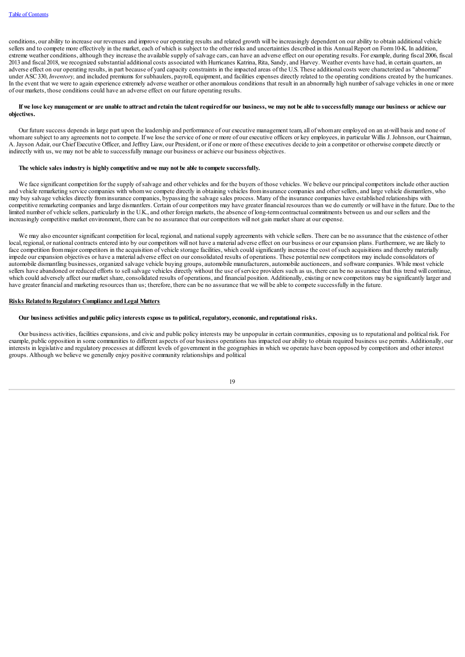conditions, ourability to increase our revenues and improve our operating results and related growth will be increasingly dependent on ourability to obtain additional vehicle sellers and to compete more effectively in the market, each of which is subject to the other risks and uncertainties described in this Annual Report on Form 10-K. In addition, extreme weather conditions, although they increase the available supply of salvage cars, can have an adverse effect on our operating results. For example, during fiscal 2006, fiscal 2013 and fiscal 2018, we recognized substantial additional costs associated with Hurricanes Katrina, Rita, Sandy, and Harvey. Weather events have had, in certain quarters, an adverse effect on our operating results, in part because of yard capacity constraints in the impacted areas of the U.S. These additionalcosts were characterized as "abnormal" under ASC 330, *Inventory*, and included premiums for subhaulers, payroll, equipment, and facilities expenses directly related to the operating conditions created by the hurricanes. In the event that we were to again experience extremely adverse weather or other anomalous conditions that result in an abnormally high number of salvage vehicles in one or more of ourmarkets, those conditions could have an adverse effect on our future operating results.

# If we lose key management or are unable to attract and retain the talent required for our business, we may not be able to successfully manage our business or achieve our **objectives.**

Our future success depends in large part upon the leadership and performance of our executive management team, all of whom are employed on an at-will basis and none of whom are subject to any agreements not to compete. If we lose the service of one or more of our executive officers or key employees, in particular Willis J. Johnson, our Chairman, A. Jayson Adair, our Chief Executive Officer,and Jeffrey Liaw, our President, or if one ormore of these executives decide to join a competitor or otherwise compete directly or indirectly with us, we may not be able to successfully manage our business orachieve our business objectives.

### **The vehicle sales industry is highly competitive andwe may not be able to compete successfully.**

We face significant competition for the supply of salvage and other vehicles and for the buyers of those vehicles. We believe our principal competitors include other auction and vehicle remarketing service companies with whom we compete directly in obtaining vehicles from insurance companies and other sellers, and large vehicle dismantlers, who may buy salvage vehicles directly frominsurance companies, bypassing the salvage sales process. Many of the insurance companies have established relationships with competitive remarketing companies and large dismantlers. Certain of our competitors may have greater financial resources than we do currently or will have in the future. Due to the limited number of vehicle sellers, particularly in the U.K., and other foreign markets, the absence of long-term contractual commitments between us and our sellers and the increasingly competitive market environment, there can be no assurance that ourcompetitors will not gain market share at ourexpense.

We may also encounter significant competition for local, regional, and national supply agreements with vehicle sellers. There can be no assurance that the existence of other local, regional, or nationalcontracts entered into by ourcompetitors will not have a materialadverse effect on our business or ourexpansion plans. Furthermore, we are likely to face competition from major competitors in the acquisition of vehicle storage facilities, which could significantly increase the cost of such acquisitions and thereby materially impede ourexpansion objectives or have a materialadverse effect on ourconsolidated results of operations. These potential newcompetitors may include consolidators of automobile dismantling businesses, organized salvage vehicle buying groups, automobile manufacturers, automobile auctioneers, and software companies. While most vehicle sellers have abandoned or reduced efforts to sell salvage vehicles directly without the use of service providers such as us, there can be no assurance that this trend will continue, which could adversely affect our market share, consolidated results of operations, and financial position. Additionally, existing or new competitors may be significantly larger and have greater financial and marketing resources than us; therefore, there can be no assurance that we will be able to compete successfully in the future.

### **Risks Related to Regulatory Compliance and Legal Matters**

### **Our business activities andpublic policy interests expose us to political,regulatory,economic, andreputational risks.**

Our business activities, facilities expansions, and civic and public policy interests may be unpopular in certain communities, exposing us to reputational and political risk. For example, public opposition in some communities to different aspects of our business operations has impacted ourability to obtain required business use permits. Additionally, our interests in legislative and regulatory processes at different levels of government in the geographies in which we operate have been opposed by competitors and other interest groups. Although we believe we generally enjoy positive community relationships and political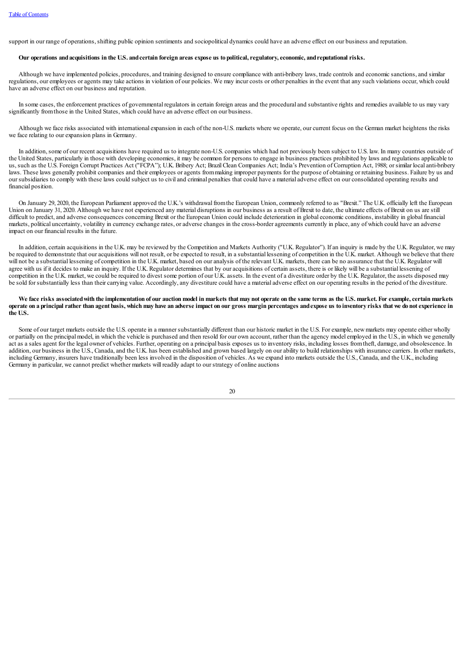support in our range of operations, shifting public opinion sentiments and sociopolitical dynamics could have an adverse effect on our business and reputation.

# Our operations and acquisitions in the U.S. and certain foreign areas expose us to political, regulatory, economic, and reputational risks.

Although we have implemented policies, procedures, and training designed to ensure compliance with anti-bribery laws, trade controls and economic sanctions, and similar regulations, ouremployees oragents may take actions in violation of our policies. We may incurcosts or other penalties in the event that any such violations occur, which could have an adverse effect on our business and reputation.

In some cases, the enforcement practices of governmental regulators in certain foreign areas and the proceduraland substantive rights and remedies available to us may vary significantly fromthose in the United States, which could have an adverse effect on our business.

Although we face risks associated with international expansion in each of the non-U.S. markets where we operate, our current focus on the German market heightens the risks we face relating to our expansion plans in Germany.

In addition, some of our recent acquisitions have required us to integrate non-U.S. companies which had not previously been subject to U.S. law. In many countries outside of the United States, particularly in those with developing economies, it may be common for persons to engage in business practices prohibited by laws and regulations applicable to us, such as the U.S. Foreign Corrupt Practices Act ("FCPA"); U.K. Bribery Act; Brazil Clean Companies Act; India's Prevention of Corruption Act, 1988; orsimilar localanti-bribery laws. These laws generally prohibit companies and their employees or agents from making improper payments for the purpose of obtaining or retaining business. Failure by us and oursubsidiaries to comply with these laws could subject us to civiland criminal penalties that could have a materialadverse effect on ourconsolidated operating results and financial position.

On January 29, 2020, the European Parliament approved the U.K.'s withdrawal fromthe European Union,commonly referred to as "Brexit." The U.K. officially left the European Union on January 31, 2020. Although we have not experienced any material disruptions in our business as a result of Brexit to date, the ultimate effects of Brexit on us are still difficult to predict, and adverse consequences concerning Brexit or the European Union could include deterioration in global economic conditions, instability in global financial markets, political uncertainty, volatility in currency exchange rates, oradverse changes in the cross-borderagreements currently in place,any of which could have an adverse impact on our financial results in the future.

In addition, certain acquisitions in the U.K. may be reviewed by the Competition and Markets Authority ("U.K. Regulator"). If an inquiry is made by the U.K. Regulator, we may be required to demonstrate that our acquisitions will not result, or be expected to result, in a substantial lessening of competition in the U.K. market. Although we believe that there will not be a substantial lessening of competition in the U.K. market, based on our analysis of the relevant U.K. markets, there can be no assurance that the U.K. Regulator will agree with us if it decides to make an inquiry. If the U.K. Regulator determines that by our acquisitions of certain assets, there is or likely will be a substantial lessening of competition in the U.K. market, we could be required to divest some portion of our U.K. assets. In the event of a divestiture order by the U.K. Regulator, the assets disposed may be sold for substantially less than their carrying value. Accordingly, any divestiture could have a material adverse effect on our operating results in the period of the divestiture.

We face risks associated with the implementation of our auction model in markets that may not operate on the same terms as the U.S. market. For example, certain markets operate on a principal rather than agent basis, which may have an adverse impact on our gross margin percentages and expose us to inventory risks that we do not experience in **the U.S.**

Some of our target markets outside the U.S. operate in a manner substantially different than our historic market in the U.S. For example, new markets may operate either wholly or partially on the principal model, in which the vehicle is purchased and then resold for our own account, rather than the agency model employed in the U.S., in which we generally act as a sales agent for the legal owner of vehicles. Further, operating on a principal basis exposes us to inventory risks, including losses fromtheft, damage,and obsolescence. In addition, our business in the U.S., Canada, and the U.K. has been established and grown based largely on our ability to build relationships with insurance carriers. In other markets, including Germany, insurers have traditionally been less involved in the disposition of vehicles. As we expand into markets outside the U.S., Canada,and the U.K., including Germany in particular, we cannot predict whether markets will readily adapt to our strategy of online auctions

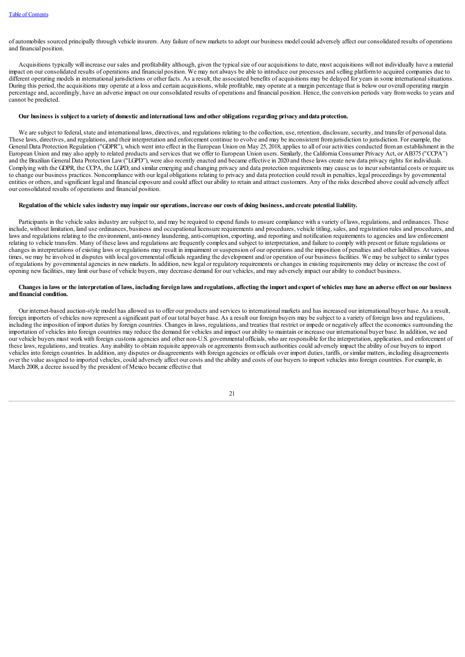ofautomobiles sourced principally through vehicle insurers. Any failure of newmarkets to adopt our business modelcould adversely affect ourconsolidated results of operations and financial position.

Acquisitions typically will increase oursales and profitability although, given the typicalsize of ouracquisitions to date, most acquisitions will not individually have a material impact on ourconsolidated results of operations and financial position. We may not always be able to introduce our processes and selling platformto acquired companies due to different operating models in international jurisdictions or other facts. As a result, the associated benefits of acquisitions may be delayed for years in some international situations. During this period, the acquisitions may operate at a loss and certain acquisitions, while profitable, may operate at a margin percentage that is below our overall operating margin percentage and,accordingly, have an adverse impact on ourconsolidated results of operations and financial position. Hence, the conversion periods vary fromweeks to years and cannot be predicted.

# Our business is subject to a variety of domestic and international laws and other obligations regarding privacy and data protection.

We are subject to federal, state and international laws, directives, and regulations relating to the collection, use, retention, disclosure, security, and transfer of personal data. These laws, directives, and regulations, and their interpretation and enforcement continue to evolve and may be inconsistent from jurisdiction to jurisdiction. For example, the General Data Protection Regulation ("GDPR"), which went into effect in the European Union on May 25, 2018, applies to all of our activities conducted from an establishment in the European Union and may also apply to related products and services that we offer to European Union users. Similarly, the California Consumer Privacy Act, or AB375 ("CCPA") and the Brazilian General Data Protection Law ("LGPD"), were also recently enacted and became effective in 2020 and these laws create new data privacy rights for individuals. Complying with the GDPR, the CCPA, the LGPD, and similar emerging and changing privacy and data protection requirements may cause us to incur substantial costs or require us to change our business practices. Noncompliance with our legal obligations relating to privacy and data protection could result in penalties, legal proceedings by governmental entities or others,and significant legaland financialexposure and could affect ourability to retain and attract customers. Any of the risks described above could adversely affect ourconsolidated results of operations and financial position.

### Regulation of the vehicle sales industry may impair our operations, increase our costs of doing business, and create potential liability.

Participants in the vehicle sales industry are subject to, and may be required to expend funds to ensure compliance with a variety of laws, regulations, and ordinances. These include, without limitation, land use ordinances, business and occupational licensure requirements and procedures, vehicle titling, sales, and registration rules and procedures, and laws and regulations relating to the environment, anti-money laundering, anti-corruption, exporting, and reporting and notification requirements to agencies and law enforcement relating to vehicle transfers. Many of these laws and regulations are frequently complexand subject to interpretation,and failure to comply with present or future regulations or changes in interpretations ofexisting laws or regulations may result in impairment orsuspension of our operations and the imposition of penalties and other liabilities. At various times, we may be involved in disputes with local governmental officials regarding the development and/or operation of our business facilities. We may be subject to similar types of regulations by governmentalagencies in newmarkets. In addition, newlegal or regulatory requirements orchanges in existing requirements may delay or increase the cost of opening newfacilities, may limit our base of vehicle buyers, may decrease demand for our vehicles,and may adversely impact ourability to conduct business.

# Changes in laws or the interpretation of laws, including foreign laws and regulations, affecting the import and export of vehicles may have an adverse effect on our business **andfinancial condition.**

Our internet-based auction-style model has allowed us to offer our products and services to international markets and has increased our international buyer base. As a result, foreign importers of vehicles nowrepresent a significant part of our total buyer base. As a result our foreign buyers may be subject to a variety of foreign laws and regulations, including the imposition of import duties by foreign countries. Changes in laws, regulations,and treaties that restrict or impede or negatively affect the economics surrounding the importation of vehicles into foreign countries may reduce the demand for vehicles and impact ourability to maintain or increase our international buyer base. In addition, we and our vehicle buyers must work with foreign customs agencies and other non-U.S. governmental officials, who are responsible for the interpretation, application, and enforcement of these laws, regulations,and treaties. Any inability to obtain requisite approvals oragreements fromsuch authorities could adversely impact the ability of our buyers to import vehicles into foreign countries. In addition,any disputes or disagreements with foreign agencies or officials over import duties, tariffs, orsimilarmatters, including disagreements over the value assigned to imported vehicles, could adversely affect our costs and the ability and costs of our buyers to import vehicles into foreign countries. For example, in March 2008,a decree issued by the president of Mexico became effective that

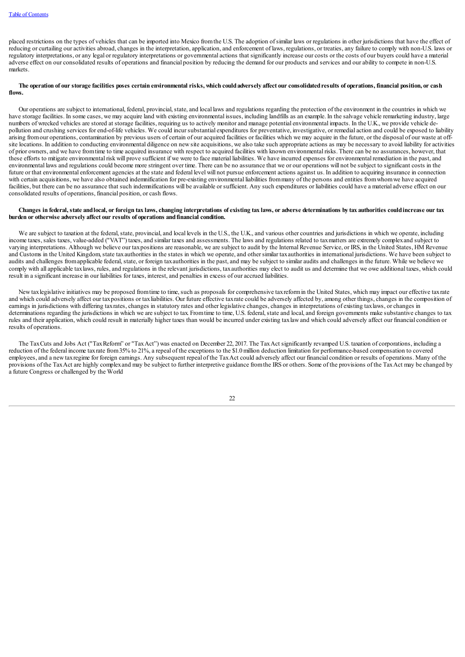placed restrictions on the types of vehicles that can be imported into Mexico fromthe U.S. The adoption ofsimilar laws or regulations in other jurisdictions that have the effect of educing or curtailing our activities abroad, changes in the interpretation, application, and enforcement of laws, regulations, or treaties, any failure to comply with non-U.S. laws or regulatory interpretations, orany legal or regulatory interpretations or governmentalactions that significantly increase ourcosts or the costs of our buyers could have a material adverse effect on ourconsolidated results of operations and financial position by reducing the demand for our products and services and ourability to compete in non-U.S. markets.

### The operation of our storage facilities poses certain environmental risks, which could adversely affect our consolidated results of operations, financial position, or cash **flows.**

Our operations are subject to international, federal, provincial, state, and local laws and regulations regarding the protection of the environment in the countries in which we have storage facilities. In some cases, we may acquire land with existing environmental issues, including landfills as an example. In the salvage vehicle remarketing industry, large numbers of wrecked vehicles are stored at storage facilities, requiring us to actively monitor and manage potential environmental impacts. In the U.K., we provide vehicle depollution and crushing services forend-of-life vehicles. We could incursubstantialexpenditures for preventative, investigative, or remedialaction and could be exposed to liability arising from our operations, contamination by previous users of certain of our acquired facilities or facilities which we may acquire in the future, or the disposal of our waste at offsite locations. In addition to conducting environmental diligence on new site acquisitions, we also take such appropriate actions as may be necessary to avoid liability for activities of prior owners,and we have fromtime to time acquired insurance with respect to acquired facilities with known environmental risks. There can be no assurances, however, that these efforts to mitigate environmental risk will prove sufficient if we were to face material liabilities. We have incurred expenses for environmental remediation in the past, and environmental laws and regulations could become more stringent over time. There can be no assurance that we or our operations will not be subject to significant costs in the future or that environmental enforcement agencies at the state and federal level will not pursue enforcement actions against us. In addition to acquiring insurance in connection with certain acquisitions, we have also obtained indemnification for pre-existing environmental liabilities from many of the persons and entities from whom we have acquired facilities, but there can be no assurance that such indemnifications will be available or sufficient. Any such expenditures or liabilities could have a material adverse effect on our consolidated results of operations, financial position, orcash flows.

### Changes in federal, state and local, or foreign tax laws, changing interpretations of existing tax laws, or adverse determinations by tax authorities could increase our tax **burden or otherwise adversely affect our results of operations andfinancial condition.**

We are subject to taxation at the federal, state, provincial, and local levels in the U.S., the U.K., and various other countries and jurisdictions in which we operate, including income taxes, sales taxes, value-added ("VAT") taxes, and similar taxes and assessments. The laws and regulations related to tax matters are extremely complex and subject to varying interpretations. Although we believe our taxpositions are reasonable, we are subject to audit by the Internal Revenue Service, or IRS, in the United States, HM Revenue and Customs in the United Kingdom, state tax authorities in the states in which we operate, and other similar tax authorities in international jurisdictions. We have been subject to audits and challenges fromapplicable federal, state, or foreign taxauthorities in the past,and may be subject to similaraudits and challenges in the future. While we believe we comply with all applicable tax laws, rules, and regulations in the relevant jurisdictions, taxauthorities may elect to audit us and determine that we owe additional taxes, which could result in a significant increase in our liabilities for taxes, interest,and penalties in excess of ouraccrued liabilities.

New tax legislative initiatives may be proposed from time to time, such as proposals for comprehensive tax reform in the United States, which may impact our effective tax rate and which could adversely affect our taxpositions or tax liabilities. Our future effective taxrate could be adversely affected by, among other things, changes in the composition of earnings in jurisdictions with differing taxrates, changes in statutory rates and other legislative changes, changes in interpretations of existing tax laws, or changes in determinations regarding the jurisdictions in which we are subject to tax. From time to time, U.S. federal, state and local, and foreign governments make substantive changes to tax rules and theirapplication, which could result in materially higher taxes than would be incurred underexisting taxlawand which could adversely affect our financialcondition or results of operations.

The TaxCuts and Jobs Act ("TaxReform" or"TaxAct") was enacted on December 22, 2017. The TaxAct significantly revamped U.S. taxation ofcorporations, including a reduction of the federal income taxrate from 35% to 21%, a repeal of the exceptions to the \$1.0 million deduction limitation for performance-based compensation to covered employees, and a new taxregime for foreign earnings. Any subsequent repeal of the TaxAct could adversely affect our financial condition or results of operations. Many of the provisions of the TaxAct are highly complexand may be subject to further interpretive guidance fromthe IRS or others. Some of the provisions of the TaxAct may be changed by a future Congress orchallenged by the World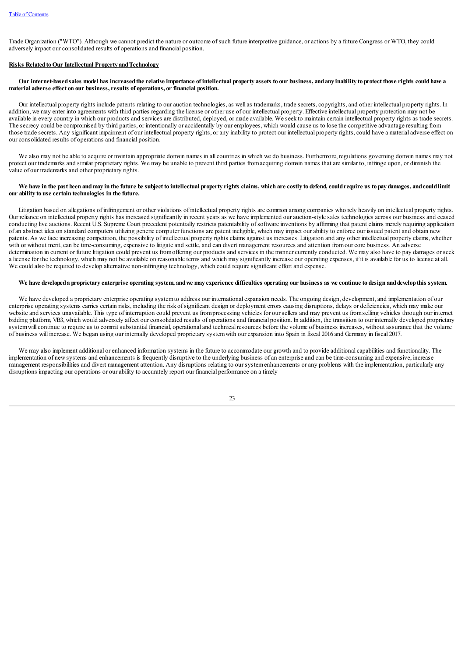Trade Organization ("WTO"). Although we cannot predict the nature or outcome ofsuch future interpretive guidance, oractions by a future Congress or WTO, they could adversely impact ourconsolidated results of operations and financial position.

# **Risks Related to Our Intellectual Property and Technology**

### Our internet-based sales model has increased the relative importance of intellectual property assets to our business, and any inability to protect those rights could have a **material adverse effect on our business,results of operations, or financial position.**

Our intellectual property rights include patents relating to our auction technologies, as well as trademarks, trade secrets, copyrights, and other intellectual property rights. In addition, we may enter into agreements with third parties regarding the license or other use of our intellectual property. Effective intellectual property protection may not be available in every country in which our products and services are distributed, deployed, ormade available. We seek to maintain certain intellectual property rights as trade secrets. The secrecy could be compromised by third parties, or intentionally oraccidentally by ouremployees, which would cause us to lose the competitive advantage resulting from those trade secrets. Any significant impairment of our intellectual property rights, or any inability to protect our intellectual property rights, could have a material adverse effect on ourconsolidated results of operations and financial position.

We also may not be able to acquire or maintain appropriate domain names in all countries in which we do business. Furthermore, regulations governing domain names may not protect our trademarks and similar proprietary rights. We may be unable to prevent third parties fromacquiring domain names that are similar to, infringe upon, or diminish the value of our trademarks and other proprietary rights.

### We have in the past been and may in the future be subject to intellectual property rights claims, which are costly to defend, could require us to pay damages, and could limit **our ability to use certain technologies in the future.**

Litigation based on allegations of infringement or other violations of intellectual property rights are common among companies who rely heavily on intellectual property rights. Our reliance on intellectual property rights has increased significantly in recent years as we have implemented ourauction-style sales technologies across our business and ceased conducting live auctions. Recent U.S. Supreme Court precedent potentially restricts patentability ofsoftware inventions by affirming that patent claims merely requiring application ofan abstract idea on standard computers utilizing generic computer functions are patent ineligible, which may impact ourability to enforce our issued patent and obtain new patents. As we face increasing competition, the possibility of intellectual property rights claims against us increases. Litigation and any other intellectual property claims, whether with or without merit, can be time-consuming, expensive to litigate and settle, and can divert management resources and attention from our core business. An adverse determination in current or future litigation could prevent us from offering our products and services in the manner currently conducted. We may also have to pay damages or seek a license for the technology, which may not be available on reasonable terms and which may significantly increase our operating expenses, if it is available for us to license at all. We could also be required to develop alternative non-infringing technology, which could require significant effort and expense.

# We have developed a proprietary enterprise operating system, and we may experience difficulties operating our business as we continue to design and develop this system.

We have developed a proprietary enterprise operating system to address our international expansion needs. The ongoing design, development, and implementation of our enterprise operating systems carries certain risks, including the risk ofsignificant design or deployment errors causing disruptions, delays or deficiencies, which may make our website and services unavailable. This type of interruption could prevent us fromprocessing vehicles for oursellers and may prevent us fromselling vehicles through our internet bidding platform, VB3, which would adversely affect our consolidated results of operations and financial position. In addition, the transition to our internally developed proprietary system will continue to require us to commit substantial financial, operational and technical resources before the volume of business increases, without assurance that the volume of business will increase. We began using our internally developed proprietary systemwith ourexpansion into Spain in fiscal 2016 and Germany in fiscal 2017.

We may also implement additional or enhanced information systems in the future to accommodate our growth and to provide additional capabilities and functionality. The implementation of newsystems and enhancements is frequently disruptive to the underlying business ofan enterprise and can be time-consuming and expensive, increase management responsibilities and divert management attention. Any disruptions relating to oursystemenhancements orany problems with the implementation, particularly any disruptions impacting our operations or ourability to accurately report our financial performance on a timely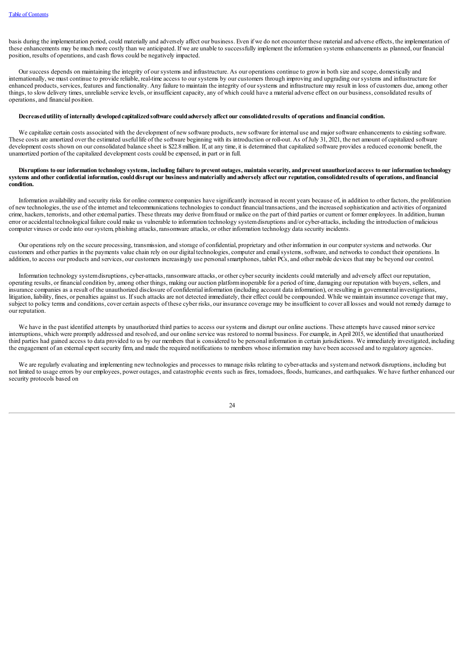basis during the implementation period,could materially and adversely affect our business. Even if we do not encounter these materialand adverse effects, the implementation of these enhancements may be much more costly than we anticipated. If we are unable to successfully implement the information systems enhancements as planned, our financial position, results of operations,and cash flows could be negatively impacted.

Oursuccess depends on maintaining the integrity of oursystems and infrastructure. As our operations continue to growin both size and scope, domestically and internationally, we must continue to provide reliable, real-time access to oursystems by ourcustomers through improving and upgrading oursystems and infrastructure for enhanced products, services, features and functionality. Any failure to maintain the integrity of oursystems and infrastructure may result in loss ofcustomers due,among other things, to slow delivery times, unreliable service levels, or insufficient capacity, any of which could have a material adverse effect on our business, consolidated results of operations,and financial position.

# Decreased utility of internally developed capitalized software could adversely affect our consolidated results of operations and financial condition.

We capitalize certain costs associated with the development of new software products, new software for internal use and major software enhancements to existing software. These costs are amortized over the estimated useful life of the software beginning with its introduction or roll-out. As of July 31, 2021, the net amount of capitalized software development costs shown on our consolidated balance sheet is \$22.8 million. If, at any time, it is determined that capitalized software provides a reduced economic benefit, the unamortized portion of the capitalized development costs could be expensed, in part or in full.

### Disruptions to our information technology systems, including failure to prevent outages, maintain security, and prevent unauthorized access to our information technology systems and other confidential information, could disrupt our business and materially and adversely affect our reputation, consolidated results of operations, and financial **condition.**

Information availability and security risks for online commerce companies have significantly increased in recent years because of, in addition to other factors, the proliferation of newtechnologies, the use of the internet and telecommunications technologies to conduct financial transactions,and the increased sophistication and activities of organized crime, hackers, terrorists, and other external parties. These threats may derive from fraud or malice on the part of third parties or current or former employees. In addition, human error or accidental technological failure could make us vulnerable to information technology system disruptions and/or cyber-attacks, including the introduction of malicious computer viruses orcode into oursystem, phishing attacks, ransomware attacks, or other information technology data security incidents.

Our operations rely on the secure processing, transmission,and storage ofconfidential, proprietary and other information in ourcomputersystems and networks. Our customers and other parties in the payments value chain rely on our digital technologies,computerand emailsystems, software,and networks to conduct their operations. In addition, to access our products and services, our customers increasingly use personal smartphones, tablet PCs, and other mobile devices that may be beyond our control.

Information technology system disruptions, cyber-attacks, ransomware attacks, or other cyber security incidents could materially and adversely affect our reputation, operating results, or financial condition by, among other things, making our auction platform inoperable for a period of time, damaging our reputation with buyers, sellers, and insurance companies as a result of the unauthorized disclosure ofconfidential information (including account data information), or resulting in governmental investigations, litigation, liability, fines, or penalties against us. Ifsuch attacks are not detected immediately, theireffect could be compounded. While we maintain insurance coverage that may, subject to policy terms and conditions, cover certain aspects of these cyber risks, our insurance coverage may be insufficient to cover all losses and would not remedy damage to our reputation.

We have in the past identified attempts by unauthorized third parties to access oursystems and disrupt our online auctions. These attempts have caused minorservice interruptions, which were promptly addressed and resolved, and our online service was restored to normal business. For example, in April 2015, we identified that unauthorized third parties had gained access to data provided to us by our members that is considered to be personal information in certain jurisdictions. We immediately investigated, including the engagement ofan externalexpert security firm,and made the required notifications to members whose information may have been accessed and to regulatory agencies.

We are regularly evaluating and implementing new technologies and processes to manage risks relating to cyber-attacks and systemand network disruptions, including but not limited to usage errors by our employees, power outages, and catastrophic events such as fires, tornadoes, floods, hurricanes, and earthquakes. We have further enhanced our security protocols based on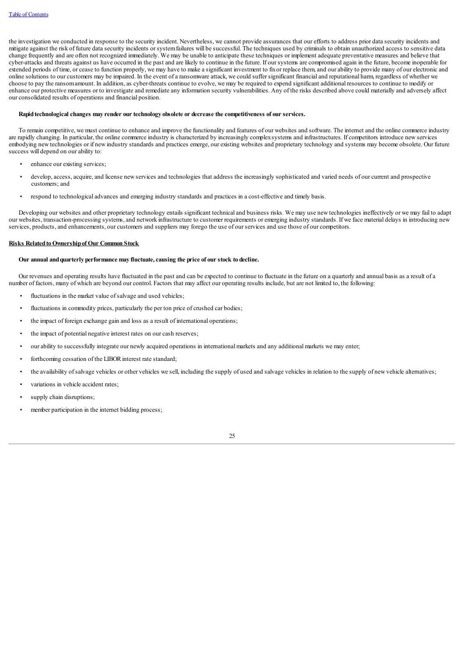the investigation we conducted in response to the security incident. Nevertheless, we cannot provide assurances that ourefforts to address prior data security incidents and mitigate against the risk of future data security incidents orsystemfailures will be successful. The techniques used by criminals to obtain unauthorized access to sensitive data change frequently and are often not recognized immediately. We may be unable to anticipate these techniques or implement adequate preventative measures and believe that cyber-attacks and threats against us have occurred in the past and are likely to continue in the future. If oursystems are compromised again in the future, become inoperable for extended periods of time, or cease to function properly, we may have to make a significant investment to fix or replace them, and our ability to provide many of our electronic and online solutions to ourcustomers may be impaired. In the event ofa ransomware attack, we could suffersignificant financialand reputational harm, regardless of whether we choose to pay the ransomamount. In addition,as cyber-threats continue to evolve, we may be required to expend significant additional resources to continue to modify or enhance our protective measures or to investigate and remediate any information security vulnerabilities. Any of the risks described above could materially and adversely affect ourconsolidated results of operations and financial position.

### **Rapidtechnological changes may render our technology obsolete or decrease the competitiveness of our services.**

To remain competitive, we must continue to enhance and improve the functionality and features of our websites and software. The internet and the online commerce industry are rapidly changing. In particular, the online commerce industry is characterized by increasingly complex systems and infrastructures. If competitors introduce new services embodying new technologies or if new industry standards and practices emerge, our existing websites and proprietary technology and systems may become obsolete. Our future success will depend on our ability to:

- enhance our existing services;
- develop,access,acquire,and license newservices and technologies that address the increasingly sophisticated and varied needs of ourcurrent and prospective customers; and
- respond to technologicaladvances and emerging industry standards and practices in a cost-effective and timely basis.

Developing our websites and other proprietary technology entails significant technical and business risks. We may use new technologies ineffectively or we may fail to adapt our websites, transaction-processing systems,and network infrastructure to customer requirements oremerging industry standards. If we face material delays in introducing new services, products, and enhancements, our customers and suppliers may forego the use of our services and use those of our competitors.

### **Risks RelatedtoOwnershipofOur Common Stock**

# **Our annual andquarterly performance may fluctuate,causing the price of our stock to decline.**

Our revenues and operating results have fluctuated in the past and can be expected to continue to fluctuate in the future on a quarterly and annual basis as a result ofa number of factors, many of which are beyond ourcontrol. Factors that may affect our operating results include, but are not limited to, the following:

- fluctuations in the market value of salvage and used vehicles;
- fluctuations in commodity prices, particularly the per ton price of crushed car bodies;
- the impact of foreign exchange gain and loss as a result of international operations;
- the impact of potential negative interest rates on our cash reserves;
- our ability to successfully integrate our newly acquired operations in international markets and any additional markets we may enter;
- forthcoming cessation of the LIBOR interest rate standard;
- the availability ofsalvage vehicles or other vehicles we sell, including the supply of used and salvage vehicles in relation to the supply of newvehicle alternatives;
- variations in vehicle accident rates;
- supply chain disruptions:
- member participation in the internet bidding process;

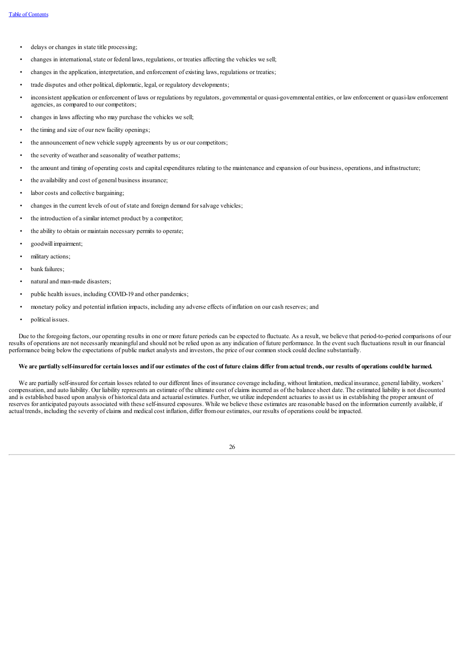- delays or changes in state title processing;
- changes in international, state or federal laws, regulations, or treaties affecting the vehicles we sell;
- changes in the application, interpretation, and enforcement of existing laws, regulations or treaties;
- trade disputes and other political, diplomatic, legal, or regulatory developments;
- inconsistent application orenforcement of laws or regulations by regulators, governmental or quasi-governmentalentities, or lawenforcement or quasi-lawenforcement agencies, as compared to our competitors;
- changes in laws affecting who may purchase the vehicles we sell;
- the timing and size of our new facility openings;
- the announcement of new vehicle supply agreements by us or our competitors;
- the severity of weather and seasonality of weather patterns;
- the amount and timing of operating costs and capital expenditures relating to the maintenance and expansion of our business, operations, and infrastructure;
- the availability and cost of general business insurance;
- labor costs and collective bargaining;
- changes in the current levels of out of state and foreign demand for salvage vehicles;
- the introduction of a similar internet product by a competitor;
- the ability to obtain or maintain necessary permits to operate;
- goodwill impairment;
- military actions;
- bank failures;
- natural and man-made disasters;
- public health issues, including COVID-19 and other pandemics;
- monetary policy and potential inflation impacts, including any adverse effects of inflation on ourcash reserves; and
- political issues.

Due to the foregoing factors, our operating results in one ormore future periods can be expected to fluctuate. As a result, we believe that period-to-period comparisons of our results of operations are not necessarily meaningfuland should not be relied upon as any indication of future performance. In the event such fluctuations result in our financial performance being belowthe expectations of public market analysts and investors, the price of ourcommon stock could decline substantially.

# We are partially self-insured for certain losses and if our estimates of the cost of future claims differ from actual trends, our results of operations could be harmed.

We are partially self-insured for certain losses related to our different lines of insurance coverage including, without limitation, medical insurance, general liability, workers' compensation,and auto liability. Our liability represents an estimate of the ultimate cost ofclaims incurred as of the balance sheet date. The estimated liability is not discounted and is established based upon analysis of historical data and actuarial estimates. Further, we utilize independent actuaries to assist us in establishing the proper amount of reserves foranticipated payouts associated with these self-insured exposures. While we believe these estimates are reasonable based on the information currently available, if actual trends, including the severity of claims and medical cost inflation, differ from our estimates, our results of operations could be impacted.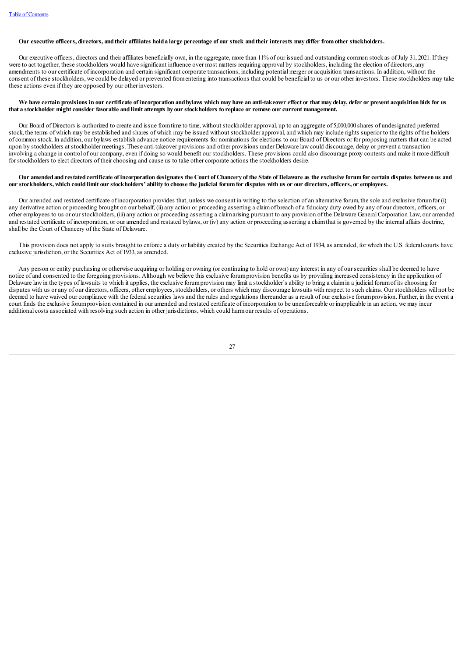# Our executive officers, directors, and their affiliates hold a large percentage of our stock and their interests may differ from other stockholders.

Ourexecutive officers, directors and theiraffiliates beneficially own, in the aggregate, more than 11% of our issued and outstanding common stock as ofJuly 31, 2021. If they were to act together, these stockholders would have significant influence over most matters requiring approval by stockholders, including the election of directors, any amendments to ourcertificate of incorporation and certain significant corporate transactions, including potentialmerger oracquisition transactions. In addition, without the consent of these stockholders, we could be delayed or prevented fromentering into transactions that could be beneficial to us or our other investors. These stockholders may take these actions even if they are opposed by our other investors.

#### We have certain provisions in our certificate of incorporation and bylaws which may have an anti-takeover effect or that may delay, defer or prevent acquisition bids for us that a stockholder might consider favorable and limit attempts by our stockholders to replace or remove our current management.

Our Board of Directors is authorized to create and issue fromtime to time, without stockholderapproval, up to an aggregate of 5,000,000 shares of undesignated preferred stock, the terms of which may be established and shares of which may be issued without stockholderapproval,and which may include rights superior to the rights of the holders ofcommon stock. In addition, our bylaws establish advance notice requirements for nominations forelections to our Board of Directors or for proposing matters that can be acted upon by stockholders at stockholder meetings. These anti-takeover provisions and other provisions under Delaware law could discourage, delay or prevent a transaction involving a change in control of ourcompany,even if doing so would benefit ourstockholders. These provisions could also discourage proxy contests and make it more difficult for stockholders to elect directors of their choosing and cause us to take other corporate actions the stockholders desire.

### Our amended and restated certificate of incorporation designates the Court of Chancery of the State of Delaware as the exclusive forum for certain disputes between us and our stockholders, which could limit our stockholders' ability to choose the judicial forum for disputes with us or our directors, officers, or employees.

Ouramended and restated certificate of incorporation provides that, unless we consent in writing to the selection ofan alternative forum, the sole and exclusive forumfor (i) any derivative action or proceeding brought on our behalf, (ii) any action or proceeding asserting a claim of breach of a fiduciary duty owed by any of our directors, officers, or otheremployees to us or ourstockholders, (iii)any action or proceeding asserting a claimarising pursuant to any provision of the Delaware General Corporation Law, ouramended and restated certificate of incorporation, or our amended and restated bylaws, or (iv) any action or proceeding asserting a claim that is governed by the internal affairs doctrine, shall be the Court of Chancery of the State of Delaware.

This provision does not apply to suits brought to enforce a duty or liability created by the Securities Exchange Act of 1934, as amended, for which the U.S. federal courts have exclusive jurisdiction, or the Securities Act of 1933, as amended.

Any person or entity purchasing or otherwise acquiring or holding or owning (or continuing to hold or own) any interest in any of our securities shall be deemed to have notice ofand consented to the foregoing provisions. Although we believe this exclusive forumprovision benefits us by providing increased consistency in the application of Delaware lawin the types of lawsuits to which it applies, the exclusive forumprovision may limit a stockholder's ability to bring a claimin a judicial forumof its choosing for disputes with us or any of our directors, officers, other employees, stockholders, or others which may discourage lawsuits with respect to such claims. Our stockholders will not be deemed to have waived our compliance with the federal securities laws and the rules and regulations thereunder as a result of our exclusive forum provision. Further, in the event a court finds the exclusive forumprovision contained in ouramended and restated certificate of incorporation to be unenforceable or inapplicable in an action, we may incur additional costs associated with resolving such action in other jurisdictions, which could harmour results of operations.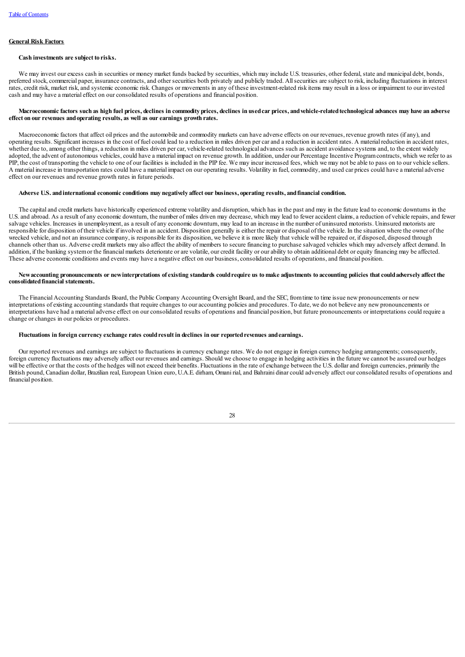### **General Risk Factors**

# **Cash investments are subject to risks.**

We may invest our excess cash in securities or money market funds backed by securities, which may include U.S. treasuries, other federal, state and municipal debt, bonds, preferred stock, commercial paper, insurance contracts, and other securities both privately and publicly traded. All securities are subject to risk, including fluctuations in interest rates, credit risk, market risk, and systemic economic risk. Changes or movements in any of these investment-related risk items may result in a loss or impairment to our invested cash and may have a materialeffect on ourconsolidated results of operations and financial position.

### Macroeconomic factors such as high fuel prices, declines in commodity prices, declines in used car prices, and vehicle-related technological advances may have an adverse **effect on our revenues andoperating results, as well as our earnings growth rates.**

Macroeconomic factors that affect oil prices and the automobile and commodity markets can have adverse effects on our revenues, revenue growth rates (if any), and operating results. Significant increases in the cost of fuelcould lead to a reduction in miles driven percarand a reduction in accident rates. A material reduction in accident rates, whether due to, among other things, a reduction in miles driven per car, vehicle-related technological advances such as accident avoidance systems and, to the extent widely adopted, the advent of autonomous vehicles, could have a material impact on revenue growth. In addition, under our Percentage Incentive Program contracts, which we refer to as PIP, the cost of transporting the vehicle to one of our facilities is included in the PIP fee. We may incur increased fees, which we may not be able to pass on to our vehicle sellers. A material increase in transportation rates could have a material impact on our operating results. Volatility in fuel,commodity,and used car prices could have a materialadverse effect on our revenues and revenue growth rates in future periods.

# Adverse U.S. and international economic conditions may negatively affect our business, operating results, and financial condition.

The capitaland credit markets have historically experienced extreme volatility and disruption, which has in the past and may in the future lead to economic downturns in the U.S. and abroad. As a result of any economic downturn, the number of miles driven may decrease, which may lead to fewer accident claims, a reduction of vehicle repairs, and fewer salvage vehicles. Increases in unemployment, as a result of any economic downturn, may lead to an increase in the number of uninsured motorists. Uninsured motorists are responsible for disposition of their vehicle if involved in an accident. Disposition generally is either the repair or disposal of the vehicle. In the situation where the owner of the wrecked vehicle, and not an insurance company, is responsible for its disposition, we believe it is more likely that vehicle will be repaired or, if disposed, disposed through channels other than us. Adverse credit markets may also affect the ability of members to secure financing to purchase salvaged vehicles which may adversely affect demand. In addition, if the banking system or the financial markets deteriorate or are volatile, our credit facility or our ability to obtain additional debt or equity financing may be affected. These adverse economic conditions and events may have a negative effect on our business, consolidated results of operations, and financial position.

### New accounting pronouncements or new interpretations of existing standards could require us to make adjustments to accounting policies that could adversely affect the **consolidatedfinancial statements.**

The Financial Accounting Standards Board, the Public Company Accounting Oversight Board, and the SEC, from time to time issue new pronouncements or new interpretations ofexisting accounting standards that require changes to ouraccounting policies and procedures. To date, we do not believe any newpronouncements or interpretations have had a materialadverse effect on ourconsolidated results of operations and financial position, but future pronouncements or interpretations could require a change orchanges in our policies or procedures.

### **Fluctuations in foreign currency exchange rates couldresult in declines in our reportedrevenues andearnings.**

Our reported revenues and earnings are subject to fluctuations in currency exchange rates. We do not engage in foreign currency hedging arrangements; consequently, foreign currency fluctuations may adversely affect our revenues and earnings. Should we choose to engage in hedging activities in the future we cannot be assured our hedges will be effective or that the costs of the hedges will not exceed their benefits. Fluctuations in the rate of exchange between the U.S. dollar and foreign currencies, primarily the British pound, Canadian dollar, Brazilian real, European Union euro, U.A.E. dirham, Omani rial,and Bahraini dinarcould adversely affect ourconsolidated results of operations and financial position.

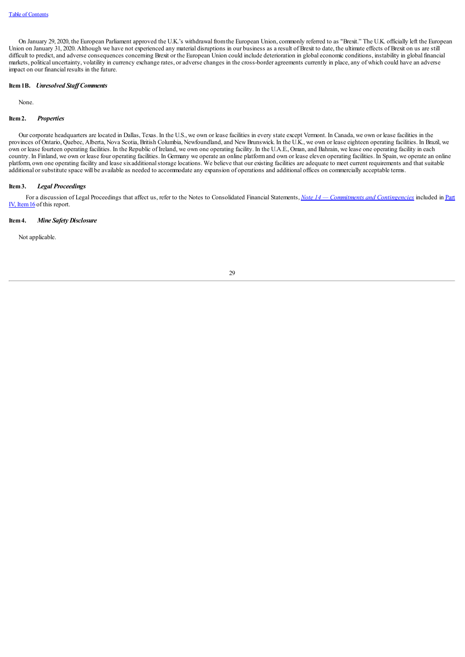On January 29, 2020, the European Parliament approved the U.K.'s withdrawal fromthe European Union,commonly referred to as "Brexit." The U.K. officially left the European Union on January 31, 2020. Although we have not experienced any material disruptions in our business as a result of Brexit to date, the ultimate effects of Brexit on us are still difficult to predict, and adverse consequences concerning Brexit or the European Union could include deterioration in global economic conditions, instability in global financial markets, political uncertainty, volatility in currency exchange rates, oradverse changes in the cross-borderagreements currently in place,any of which could have an adverse impact on our financial results in the future.

### <span id="page-30-0"></span>**Item1B.** *Unresolved Staf Comments*

None.

# <span id="page-30-1"></span>**Item2.** *Properties*

Ourcorporate headquarters are located in Dallas, Texas. In the U.S., we own or lease facilities in every state except Vermont. In Canada, we own or lease facilities in the provinces of Ontario, Quebec, Alberta, Nova Scotia, British Columbia, Newfoundland,and NewBrunswick. In the U.K., we own or lease eighteen operating facilities. In Brazil, we own or lease fourteen operating facilities. In the Republic of Ireland, we own one operating facility. In the U.A.E., Oman,and Bahrain, we lease one operating facility in each country. In Finland, we own or lease four operating facilities. In Germany we operate an online platformand own or lease eleven operating facilities. In Spain, we operate an online platform, own one operating facility and lease six additional storage locations. We believe that our existing facilities are adequate to meet current requirements and that suitable additional orsubstitute space will be available as needed to accommodate any expansion of operations and additional offices on commercially acceptable terms.

### <span id="page-30-2"></span>**Item3.** *Legal Proceedings*

Fora discussion of Legal Proceedings that affect us, refer to the Notes to Consolidated Financial Statements, *Note 14 — Commitments and Contingencies* included in Part IV, Item 16 of this report.

# **Item4.** *Mine Safety Disclosure*

<span id="page-30-3"></span>Not applicable.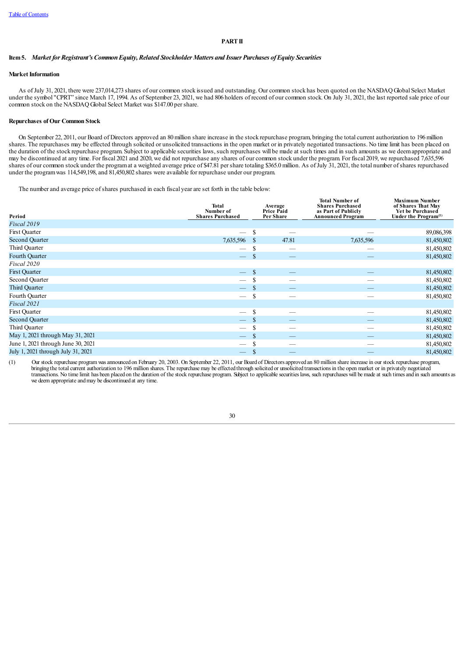# **PARTII**

# <span id="page-31-0"></span>**Item5.** *Market for Registrant's CommonEquity, Related StockholderMatters and Issuer Purchases ofEquity Securities*

# **Market Information**

As ofJuly 31, 2021, there were 237,014,273 shares of ourcommon stock issued and outstanding. Ourcommon stock has been quoted on the NASDAQGlobal Select Market under the symbol "CPRT" since March 17, 1994. As of September 23, 2021, we had 806 holders of record of our common stock. On July 31, 2021, the last reported sale price of our common stock on the NASDAQGlobal Select Market was \$147.00 pershare.

### **Repurchases ofOur Common Stock**

On September 22, 2011, our Board of Directors approved an 80million share increase in the stock repurchase program, bringing the totalcurrent authorization to 196million shares. The repurchases may be effected through solicited or unsolicited transactions in the open market or in privately negotiated transactions. No time limit has been placed on the duration of the stock repurchase program. Subject to applicable securities laws, such repurchases will be made at such times and in such amounts as we deem appropriate and may be discontinued at any time. For fiscal 2021 and 2020, we did not repurchase any shares of ourcommon stock under the program. For fiscal 2019, we repurchased 7,635,596 shares of our common stock under the programat a weighted average price of \$47.81 per share totaling \$365.0 million. As of July 31, 2021, the total number of shares repurchased under the programwas 114,549,198,and 81,450,802 shares were available for repurchase under our program.

The number and average price of shares purchased in each fiscal year are set forth in the table below:

| Period                             | <b>Total</b><br>Number of<br><b>Shares Purchased</b> | Average<br>Price Paid<br>Per Share |                               | <b>Total Number of</b><br><b>Shares Purchased</b><br>as Part of Publicly<br><b>Announced Program</b> | <b>Maximum Number</b><br>of Shares That May<br>Yet be Purchased<br>Under the Program <sup>(1)</sup> |  |
|------------------------------------|------------------------------------------------------|------------------------------------|-------------------------------|------------------------------------------------------------------------------------------------------|-----------------------------------------------------------------------------------------------------|--|
| Fiscal 2019                        |                                                      |                                    |                               |                                                                                                      |                                                                                                     |  |
| First Quarter                      |                                                      | S                                  |                               |                                                                                                      | 89,086,398                                                                                          |  |
| <b>Second Quarter</b>              | 7,635,596                                            | -S                                 | 47.81                         | 7,635,596                                                                                            | 81,450,802                                                                                          |  |
| Third Quarter                      | $\hspace{0.1mm}-\hspace{0.1mm}$                      | S                                  |                               |                                                                                                      | 81,450,802                                                                                          |  |
| Fourth Quarter                     | $\overline{\phantom{m}}$                             | <b>S</b>                           |                               |                                                                                                      | 81,450,802                                                                                          |  |
| Fiscal 2020                        |                                                      |                                    |                               |                                                                                                      |                                                                                                     |  |
| <b>First Quarter</b>               | $\qquad \qquad -$                                    | $\mathcal{S}$                      |                               |                                                                                                      | 81,450,802                                                                                          |  |
| Second Quarter                     | $\overline{\phantom{m}}$                             | S                                  |                               |                                                                                                      | 81,450,802                                                                                          |  |
| Third Quarter                      | $\qquad \qquad -$                                    | \$.                                |                               |                                                                                                      | 81,450,802                                                                                          |  |
| Fourth Quarter                     | $\overline{\phantom{m}}$                             | S                                  |                               |                                                                                                      | 81,450,802                                                                                          |  |
| Fiscal 2021                        |                                                      |                                    |                               |                                                                                                      |                                                                                                     |  |
| First Quarter                      | $\overline{\phantom{a}}$                             | \$                                 | $\overbrace{\phantom{aaaaa}}$ | __                                                                                                   | 81,450,802                                                                                          |  |
| <b>Second Quarter</b>              | $\frac{1}{2}$                                        |                                    |                               |                                                                                                      | 81,450,802                                                                                          |  |
| Third Quarter                      | $\overline{\phantom{m}}$                             | \$.                                |                               |                                                                                                      | 81,450,802                                                                                          |  |
| May 1, 2021 through May 31, 2021   | $\overline{\phantom{0}}$                             | -S                                 |                               |                                                                                                      | 81,450,802                                                                                          |  |
| June 1, 2021 through June 30, 2021 |                                                      | S                                  |                               |                                                                                                      | 81,450,802                                                                                          |  |
| July 1, 2021 through July 31, 2021 | $\frac{1}{2}$                                        | S                                  |                               |                                                                                                      | 81,450,802                                                                                          |  |
|                                    |                                                      |                                    |                               |                                                                                                      |                                                                                                     |  |

(1) Our stock repurchase program was announced on February 20, 2003. On September 22, 2011, our Board of Directors approved an 80 million share increase in our stock repurchase program, bringing the total current authoriza transactions. No time limit has been placed on the duration of the stock repurchase program. Subject to applicable securities laws, such repurchases will be made at such times and in such amounts as transactions. No time l we deem appropriate and may be discontinued at any time.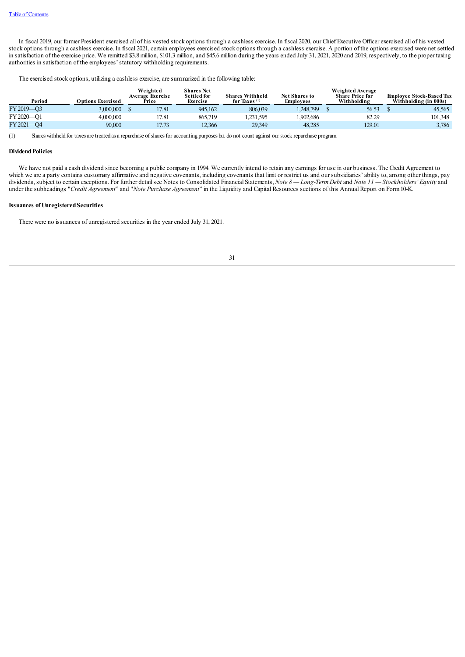In fiscal 2019, our former President exercised all of his vested stock options through a cashless exercise. In fiscal 2020, our Chief Executive Officerexercised all of his vested stock options through a cashless exercise. In fiscal 2021, certain employees exercised stock options through a cashless exercise. A portion of the options exercised were net settled in satisfaction of the exercise price. We remitted \$3.8 million, \$101.3 million, and \$45.6 million during the years ended July 31, 2021, 2020 and 2019, respectively, to the proper taxing authorities in satisfaction of the employees'statutory withholding requirements.

The exercised stock options, utilizing a cashless exercise, are summarized in the following table:

| Period       | Options Exercised | Weighted<br>Average Exercise<br>Price |       | <b>Shares Net</b><br><b>Settled for</b><br>Exercise | <b>Shares Withheld</b><br>for Taxes <sup>(1)</sup> | <b>Net Shares to</b><br><b>Employees</b> | <b>Weighted Average</b><br><b>Share Price for</b><br>Withholding | <b>Employee Stock-Based Tax</b><br>Withholding (in 000s) |         |  |
|--------------|-------------------|---------------------------------------|-------|-----------------------------------------------------|----------------------------------------------------|------------------------------------------|------------------------------------------------------------------|----------------------------------------------------------|---------|--|
| FY 2019 - 03 | 3.000.000         |                                       | 17.81 | 945.162                                             | 806,039                                            | .248.799                                 | 56.53                                                            |                                                          | 45.565  |  |
| FY 2020-O1   | 4,000,000         |                                       | 17.81 | 865,719                                             | .231.595                                           | .902.686                                 | 82.29                                                            |                                                          | 101.348 |  |
| FY 2021-04   | 90,000            |                                       | 17.73 | 2.366                                               | 29,349                                             | 48,285                                   | 129.01                                                           |                                                          | 3,786   |  |

(1) Shareswithheld for taxesaretreated asarepurchase of sharesfor accounting purposes but do not count against our stock repurchase program.

# **DividendPolicies**

We have not paid a cash dividend since becoming a public company in 1994. We currently intend to retain any earnings for use in our business. The Credit Agreement to which we are a party contains customary affirmative and negative covenants, including covenants that limit or restrict us and our subsidiaries' ability to, among other things, pay dividends, subject to certain exceptions. For further detail see Notes to Consolidated Financial Statements, Note 8 — Long-Term Debt and Note 11 — Stockholders' Equity and under the subheadings "*Credit Agreement*" and "*Note Purchase Agreement*" in the Liquidity and Capital Resources sections of this Annual Report on Form10-K*.*

### **Issuances of UnregisteredSecurities**

There were no issuances of unregistered securities in the yearended July 31, 2021.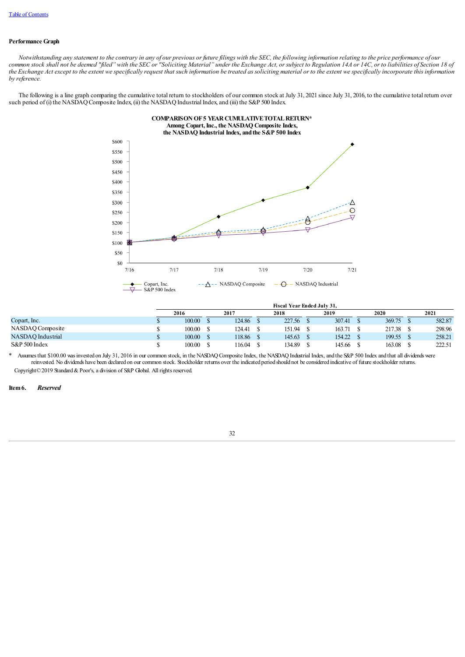# **Performance Graph**

Notwithstanding any statement to the contrary in any of our previous or future filings with the SEC, the following information relating to the price performance of our common stock shall not be deemed "filed" with the SEC or "Soliciting Material" under the Exchange Act, or subject to Regulation 14A or 14C, or to liabilities of Section 18 of the Exchange Act except to the extent we specifically request that such information be treated as soliciting material or to the extent we specifically incorporate this information *by reference.*

The following is a line graph comparing the cumulative total return to stockholders of our common stock at July 31, 2021 since July 31, 2016, to the cumulative total return over such period of (i) the NASDAQ Composite Index, (ii) the NASDAQ Industrial Index, and (iii) the S&P 500 Index.



|                   | <b>Fiscal Year Ended July 31.</b> |  |        |  |        |  |        |  |        |  |        |
|-------------------|-----------------------------------|--|--------|--|--------|--|--------|--|--------|--|--------|
|                   | 2016                              |  | 2017   |  | 2018   |  | 2019   |  | 2020   |  | 2021   |
| Copart, Inc.      | 100.00                            |  | 124.86 |  | 227.56 |  | 307.41 |  | 369.75 |  | 582.87 |
| NASDAO Composite  | 100.00                            |  | 124.41 |  | 151.94 |  | 163.71 |  | 217.38 |  | 298.96 |
| NASDAO Industrial | 100.00                            |  | 118.86 |  | 145.63 |  | 154.22 |  | 199.55 |  | 258.21 |
| S&P 500 Index     | 100.00                            |  | 116.04 |  | 134.89 |  | 145.66 |  | 163.08 |  | 222.51 |

32

Assumes that \$100.00 was invested on July 31, 2016 in our common stock, in the NASDAQ Composite Index, the NASDAQ Industrial Index, and the S&P 500 Index and that all dividends were reinvested. No dividends have been declared on our common stock. Stockholder returns over theindicated period should not beconsidered indicative of futurestockholder returns. Copyright© 2019 Standard & Poor's, a division of S&P Global. All rights reserved.

### <span id="page-33-0"></span>**Item6.** *Reserved*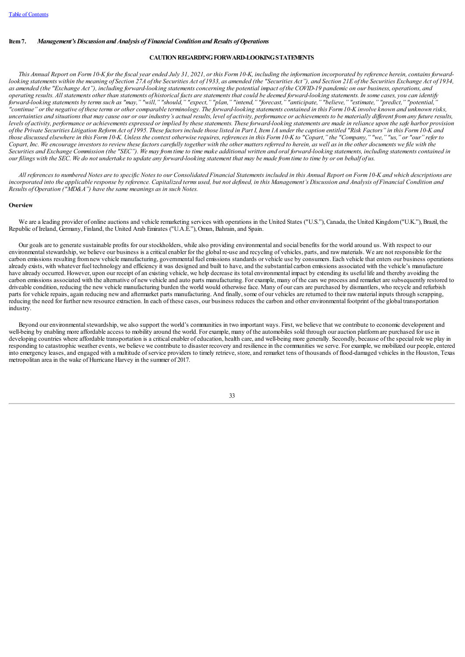### **Item7.** *Management'sDiscussion and Analysis ofFinancial Condition and Results ofOperations*

# **CAUTIONREGARDINGFORWARD-LOOKINGSTATEMENTS**

This Annual Report on Form 10-K for the fiscal year ended July 31, 2021, or this Form 10-K, including the information incorporated by reference herein, contains forwardlooking statements within the meaning of Section 27A of the Securities Act of 1933, as amended (the "Securities Act"), and Section 21E of the Securities Exchange Act of 1934, as amended (the "Exchange Act"), including forward-looking statements concerning the potential impact of the COVID-19 pandemic on our business, operations, and operating results. All statements other than statements of historical facts are statements that could be deemed forward-looking statements. In some cases, you can identify<br>forward-looking statements by terms such as "may," 'forward-looking statements by terms such as "may," "will," "should," "expect," "plan," "intend," "forecast," "anticipate," "believe," "estimate," "continue" or the negative of these terms or other comparable terminology. The forward-looking statements contained in this Form 10-K involve known and unknown risks, uncertainties and situations that may cause our or our industry's actual results, level of activity, performance or achievements to be materially different from any future results, levels of activity, performance or achievements expressed or implied by these statements. These forward-looking statements are made in reliance upon the safe harbor provision of the Private Securities Litigation Reform Act of 1995. These factors include those listed in Part I, Item 1A under the caption entitled "Risk Factors" in this Form 10-K and those discussed elsewhere in this Form 10-K. Unless the context otherwise requires, references in this Form 10-K to "Copart," the "Company," "we," "us," or "our" refer to Copart, Inc. We encourage investors to review these factors carefully together with the other matters referred to herein, as well as in the other documents we file with the Securities and Exchange Commission (the "SEC"). We may from time to time make additional written and oral forward-looking statements, including statements contained in our filings with the SEC. We do not undertake to update any forward-looking statement that may be made from time to time by or on behalf of us.

All references to numbered Notes are to specific Notes to our Consolidated Financial Statements included in this Annual Report on Form 10-K and which descriptions are incorporated into the applicable response by reference. Capitalized terms used, but not defined, in this Management's Discussion and Analysis of Financial Condition and *Results ofOperation ("MD&A") have the same meanings as in such Notes.*

### **Overview**

We are a leading provider of online auctions and vehicle remarketing services with operations in the United States ("U.S."), Canada, the United Kingdom ("U.K."), Brazil, the Republic of Ireland, Germany, Finland, the United Arab Emirates ("U.A.E."), Oman, Bahrain, and Spain.

Our goals are to generate sustainable profits for ourstockholders, while also providing environmentaland social benefits for the world around us. With respect to our environmental stewardship, we believe our business is a critical enabler for the global re-use and recycling of vehicles, parts, and raw materials. We are not responsible for the carbon emissions resulting fromnewvehicle manufacturing, governmental fuelemissions standards or vehicle use by consumers. Each vehicle that enters our business operations already exists, with whatever fuel technology and efficiency it was designed and built to have, and the substantial carbon emissions associated with the vehicle's manufacture have already occurred. However, upon our receipt of an existing vehicle, we help decrease its total environmental impact by extending its useful life and thereby avoiding the carbon emissions associated with the alternative of newvehicle and auto parts manufacturing. Forexample, many of the cars we process and remarket are subsequently restored to driveable condition, reducing the newvehicle manufacturing burden the world would otherwise face. Many of ourcars are purchased by dismantlers, who recycle and refurbish parts for vehicle repairs,again reducing newand aftermarket parts manufacturing. And finally, some of our vehicles are returned to their rawmaterial inputs through scrapping, reducing the need for further newresource extraction. In each of these cases, our business reduces the carbon and otherenvironmental footprint of the global transportation industry.

Beyond our environmental stewardship, we also support the world's communities in two important ways. First, we believe that we contribute to economic development and well-being by enabling more affordable access to mobility around the world. For example, many of the automobiles sold through our auction platformare purchased for use in developing countries where affordable transportation is a critical enabler of education, health care, and well-being more generally. Secondly, because of the special role we play in responding to catastrophic weather events, we believe we contribute to disaster recovery and resilience in the communities we serve. For example, we mobilized our people, entered into emergency leases, and engaged with a multitude of service providers to timely retrieve, store, and remarket tens of thousands of flood-damaged vehicles in the Houston, Texas metropolitan area in the wake of Hurricane Harvey in the summer of 2017.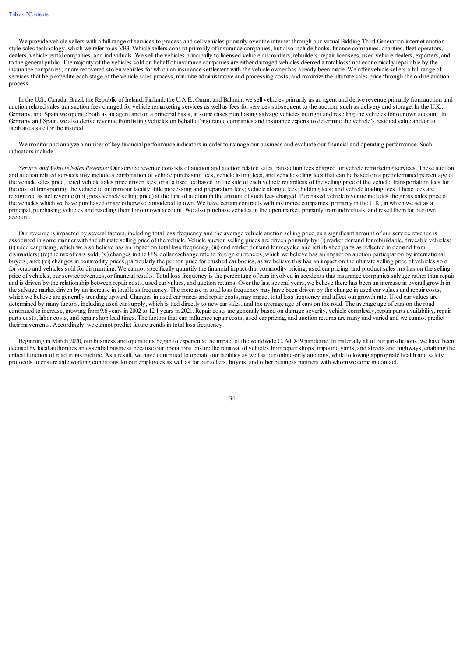We provide vehicle sellers with a full range of services to process and sell vehicles primarily over the internet through our Virtual Bidding Third Generation internet auctionstyle sales technology, which we refer to as VB3. Vehicle sellers consist primarily of insurance companies, but also include banks, finance companies, charities, fleet operators, dealers, vehicle rental companies, and individuals. We sell the vehicles principally to licensed vehicle dismantlers, repair licensees, used vehicle dealers, exporters, and to the general public. The majority of the vehicles sold on behalf of insurance companies are either damaged vehicles deemed a total loss; not economically repairable by the insurance companies; orare recovered stolen vehicles for which an insurance settlement with the vehicle owner has already been made. We offer vehicle sellers a full range of services that help expedite each stage of the vehicle sales process, minimize administrative and processing costs, and maximize the ultimate sales price through the online auction process.

In the U.S., Canada, Brazil, the Republic of Ireland, Finland, the U.A.E., Oman, and Bahrain, we sell vehicles primarily as an agent and derive revenue primarily from auction and auction related sales transaction fees charged for vehicle remarketing services as wellas fees forservices subsequent to the auction, such as delivery and storage. In the U.K., Germany, and Spain we operate both as an agent and on a principal basis, in some cases purchasing salvage vehicles outright and reselling the vehicles for our own account. In Germany and Spain, we also derive revenue fromlisting vehicles on behalf of insurance companies and insurance experts to determine the vehicle's residual value and/or to facilitate a sale for the insured.

We monitor and analyze a number of key financial performance indicators in order to manage our business and evaluate our financial and operating performance. Such indicators include:

*Service and Vehicle Sales Revenue:* Ourservice revenue consists ofauction and auction related sales transaction fees charged for vehicle remarketing services. These auction and auction related services may include a combination of vehicle purchasing fees, vehicle listing fees, and vehicle selling fees that can be based on a predetermined percentage of the vehicle sales price, tiered vehicle sales price driven fees, or at a fixed fee based on the sale of each vehicle regardless of the selling price of the vehicle; transportation fees for the cost of transporting the vehicle to or from our facility; title processing and preparation fees; vehicle storage fees; bidding fees; and vehicle loading fees. These fees are recognized as net revenue (not gross vehicle selling price) at the time of auction in the amount of such fees charged. Purchased vehicle revenue includes the gross sales price of the vehicles which we have purchased or are otherwise considered to own. We have certain contracts with insurance companies, primarily in the U.K., in which we act as a principal, purchasing vehicles and reselling themfor our own account. We also purchase vehicles in the open market, primarily fromindividuals,and resell themfor our own account.

Our revenue is impacted by several factors, including total loss frequency and the average vehicle auction selling price, as a significant amount of our service revenue is associated in some manner with the ultimate selling price of the vehicle. Vehicle auction selling prices are driven primarily by: (i) market demand for rebuildable, driveable vehicles; (ii) used car pricing, which we also believe has an impact on total loss frequency; (iii)end market demand for recycled and refurbished parts as reflected in demand from dismantlers; (iv) the mixof cars sold; (v) changes in the U.S. dollar exchange rate to foreign currencies, which we believe has an impact on auction participation by international buyers; and; (vi) changes in commodity prices, particularly the per ton price for crushed car bodies, as we believe this has an impact on the ultimate selling price of vehicles sold for scrap and vehicles sold for dismantling. We cannot specifically quantify the financial impact that commodity pricing, used car pricing, and product sales mix has on the selling price of vehicles, our service revenues, or financial results. Total loss frequency is the percentage of cars involved in accidents that insurance companies salvage rather than repair and is driven by the relationship between repair costs, used car values, and auction returns. Over the last several years, we believe there has been an increase in overall growth in the salvage market driven by an increase in total loss frequency. The increase in total loss frequency may have been driven by the change in used car values and repair costs, which we believe are generally trending upward. Changes in used car prices and repair costs, may impact total loss frequency and affect our growth rate. Used car values are determined by many factors, including used car supply, which is tied directly to new car sales, and the average age of cars on the road. The average age of cars on the road continued to increase, growing from 9.6 years in 2002 to 12.1 years in 2021. Repair costs are generally based on damage severity, vehicle complexity, repair parts availability, repair parts costs, laborcosts,and repairshop lead times. The factors that can influence repaircosts, used car pricing,and auction returns are many and varied and we cannot predict their movements. Accordingly, we cannot predict future trends in total loss frequency.

Beginning in March 2020, our business and operations began to experience the impact of the worldwide COVID-19 pandemic. In materially all of our jurisdictions, we have been deemed by local authorities an essential business because our operations ensure the removal of vehicles from repair shops, impound yards, and streets and highways, enabling the critical function of road infrastructure. As a result, we have continued to operate our facilities as wellas our online-only auctions, while following appropriate health and safety protocols to ensure safe working conditions for ouremployees as wellas for oursellers, buyers,and other business partners with whomwe come in contact.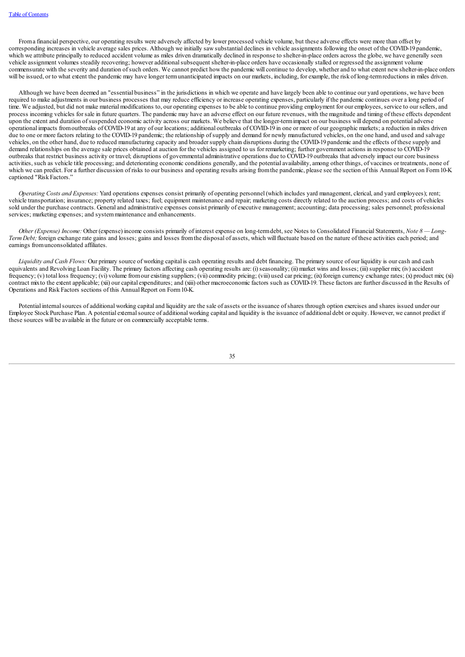Froma financial perspective, our operating results were adversely affected by lower processed vehicle volume, but these adverse effects were more than offset by corresponding increases in vehicle average sales prices. Although we initially sawsubstantial declines in vehicle assignments following the onset of the COVID-19 pandemic, which we attribute principally to reduced accident volume as miles driven dramatically declined in response to shelter-in-place orders across the globe, we have generally seen vehicle assignment volumes steadily recovering; howeveradditionalsubsequent shelter-in-place orders have occasionally stalled or regressed the assignment volume commensurate with the severity and duration of such orders. We cannot predict how the pandemic will continue to develop, whether and to what extent new shelter-in-place orders will be issued, or to what extent the pandemic may have longer termunanticipated impacts on our markets, including, for example, the risk of long-term reductions in miles driven.

Although we have been deemed an "essential business" in the jurisdictions in which we operate and have largely been able to continue our vard operations, we have been required to make adjustments in our business processes that may reduce efficiency or increase operating expenses, particularly if the pandemic continues overa long period of time. We adjusted, but did not make material modifications to, our operating expenses to be able to continue providing employment for our employees, service to our sellers, and process incoming vehicles forsale in future quarters. The pandemic may have an adverse effect on our future revenues, with the magnitude and timing of these effects dependent upon the extent and duration of suspended economic activity across our markets. We believe that the longer-term impact on our business will depend on potential adverse operational impacts fromoutbreaks of COVID-19 at any of our locations; additional outbreaks of COVID-19 in one ormore of our geographic markets; a reduction in miles driven due to one or more factors relating to the COVID-19 pandemic; the relationship of supply and demand for newly manufactured vehicles, on the one hand, and used and salvage vehicles, on the other hand, due to reduced manufacturing capacity and broadersupply chain disruptions during the COVID-19 pandemic and the effects of these supply and demand relationships on the average sale prices obtained at auction for the vehicles assigned to us for remarketing; further government actions in response to COVID-19 outbreaks that restrict business activity or travel; disruptions of governmentaladministrative operations due to COVID-19 outbreaks that adversely impact ourcore business activities, such as vehicle title processing; and deteriorating economic conditions generally, and the potential availability, among other things, of vaccines or treatments, none of which we can predict. For a further discussion of risks to our business and operating results arising from the pandemic, please see the section of this Annual Report on Form 10-K captioned "Risk Factors."

*Operating Costs and Expenses:* Yard operations expenses consist primarily of operating personnel (which includes yard management,clerical,and yard employees); rent; vehicle transportation; insurance; property related taxes; fuel; equipment maintenance and repair; marketing costs directly related to the auction process; and costs of vehicles sold under the purchase contracts. General and administrative expenses consist primarily of executive management; accounting; data processing; sales personnel; professional services; marketing expenses; and systemmaintenance and enhancements.

*Other (Expense) Income:* Other (expense) income consists primarily of interest expense on long-termdebt, see Notes to Consolidated Financial Statements, *Note 8 — Long-*Term Debt; foreign exchange rate gains and losses; gains and losses from the disposal of assets, which will fluctuate based on the nature of these activities each period; and earnings fromunconsolidated affiliates.

*Liquidity and Cash Flows:* Our primary source of working capital is cash operating results and debt financing. The primary source of our liquidity is ourcash and cash equivalents and Revolving Loan Facility. The primary factors affecting cash operating results are: (i) seasonality; (ii) market wins and losses; (iii) supplier mix; (iv) accident frequency; (v) total loss frequency; (vi) volume from our existing suppliers; (vii) commodity pricing; (viii) used car pricing; (ix) foreign currency exchange rates; (x) product mix; (xi) contract mix to the extent applicable; (xii) our capital expenditures; and (xiii) other macroeconomic factors such as COVID-19. These factors are further discussed in the Results of Operations and Risk Factors sections of this Annual Report on Form10-K.

Potential internal sources of additional working capital and liquidity are the sale of assets or the issuance of shares through option exercises and shares issued under our Employee Stock Purchase Plan. A potential external source of additional working capital and liquidity is the issuance of additional debt or equity. However, we cannot predict if these sources will be available in the future or on commercially acceptable terms.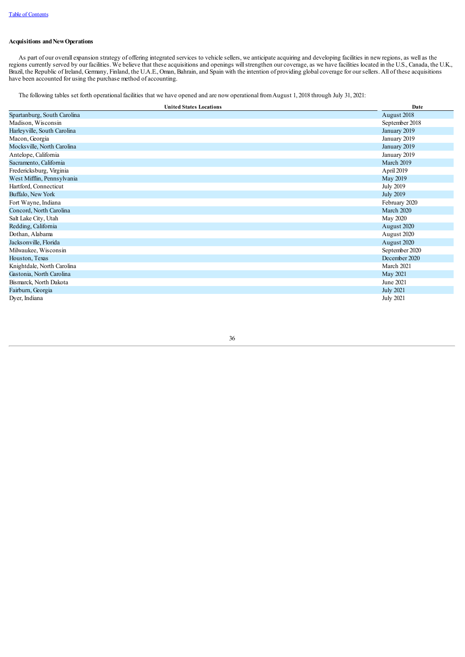# **Acquisitions andNewOperations**

As part of our overall expansion strategy of offering integrated services to vehicle sellers, we anticipate acquiring and developing facilities in new regions, as well as the regions currently served by our facilities. We believe that these acquisitions and openings will strengthen our coverage, as we have facilities located in the U.S., Canada, the U.K., Brazil, the Republic of Ireland, Germany, Finland, the U.A.E., Oman, Bahrain,and Spain with the intention of providing globalcoverage for oursellers. All of these acquisitions have been accounted for using the purchase method of accounting.

The following tables set forth operational facilities that we have opened and are nowoperational fromAugust 1, 2018 through July 31, 2021:

| <b>United States Locations</b> | Date             |
|--------------------------------|------------------|
| Spartanburg, South Carolina    | August 2018      |
| Madison, Wisconsin             | September 2018   |
| Harleyville, South Carolina    | January 2019     |
| Macon, Georgia                 | January 2019     |
| Mocksville, North Carolina     | January 2019     |
| Antelope, California           | January 2019     |
| Sacramento, California         | March 2019       |
| Fredericksburg, Virginia       | April 2019       |
| West Mifflin, Pennsylvania     | May 2019         |
| Hartford, Connecticut          | <b>July 2019</b> |
| Buffalo, New York              | <b>July 2019</b> |
| Fort Wayne, Indiana            | February 2020    |
| Concord, North Carolina        | March 2020       |
| Salt Lake City, Utah           | May 2020         |
| Redding, California            | August 2020      |
| Dothan, Alabama                | August 2020      |
| Jacksonville, Florida          | August 2020      |
| Milwaukee, Wisconsin           | September 2020   |
| Houston, Texas                 | December 2020    |
| Knightdale, North Carolina     | March 2021       |
| Gastonia, North Carolina       | May 2021         |
| Bismarck, North Dakota         | June 2021        |
| Fairburn, Georgia              | <b>July 2021</b> |
| Dyer, Indiana                  | <b>July 2021</b> |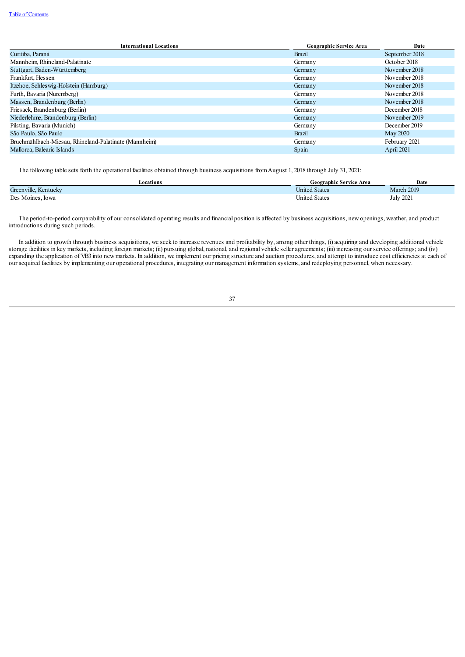| <b>International Locations</b>                        | Geographic Service Area | Date           |
|-------------------------------------------------------|-------------------------|----------------|
| Curitiba, Paraná                                      | <b>Brazil</b>           | September 2018 |
| Mannheim, Rhineland-Palatinate                        | Germany                 | October 2018   |
| Stuttgart, Baden-Württemberg                          | Germany                 | November 2018  |
| Frankfurt, Hessen                                     | Germany                 | November 2018  |
| Itzehoe, Schleswig-Holstein (Hamburg)                 | Germany                 | November 2018  |
| Furth, Bavaria (Nuremberg)                            | Germany                 | November 2018  |
| Massen, Brandenburg (Berlin)                          | Germany                 | November 2018  |
| Friesack, Brandenburg (Berlin)                        | Germany                 | December 2018  |
| Niederlehme, Brandenburg (Berlin)                     | Germany                 | November 2019  |
| Pilsting, Bavaria (Munich)                            | Germany                 | December 2019  |
| São Paulo, São Paulo                                  | <b>Brazil</b>           | May 2020       |
| Bruchmühlbach-Miesau, Rhineland-Palatinate (Mannheim) | Germany                 | February 2021  |
| Mallorca, Balearic Islands                            | Spain                   | April 2021     |

The following table sets forth the operational facilities obtained through business acquisitions fromAugust 1, 2018 through July 31, 2021:

| Locations            | Geographic Service Area    | Date             |
|----------------------|----------------------------|------------------|
| Greenville, Kentucky | <b>United States</b>       | March 2019       |
| Des Moines, Iowa     | <sup>I</sup> Jnited States | <b>July 2021</b> |

The period-to-period comparability of our consolidated operating results and financial position is affected by business acquisitions, new openings, weather, and product introductions during such periods.

In addition to growth through business acquisitions, we seek to increase revenues and profitability by, among other things, (i) acquiring and developing additional vehicle storage facilities in key markets, including foreign markets; (ii) pursuing global, national, and regional vehicle seller agreements; (iii) increasing our service offerings; and (iv) expanding the application of VB3 into new markets. In addition, we implement our pricing structure and auction procedures, and attempt to introduce cost efficiencies at each of ouracquired facilities by implementing our operational procedures, integrating ourmanagement information systems,and redeploying personnel, when necessary.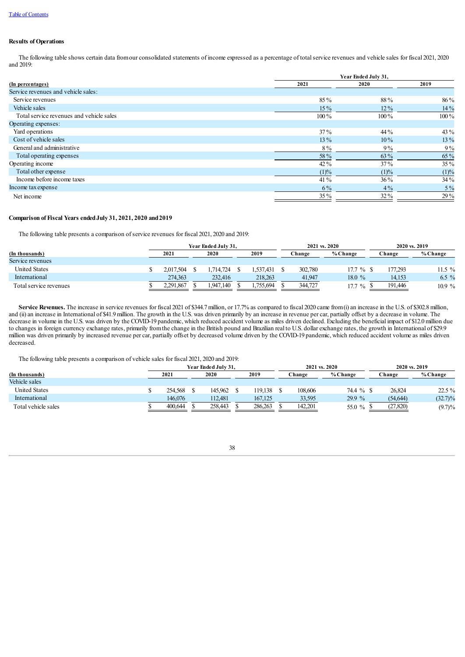# **Results** of Operations

The following table shows certain data fromourconsolidated statements of income expressed as a percentage of totalservice revenues and vehicle sales for fiscal 2021, 2020 and 2019:

|                                          | Year Ended July 31, |         |         |  |  |  |  |  |  |  |
|------------------------------------------|---------------------|---------|---------|--|--|--|--|--|--|--|
| (In percentages)                         | 2021                | 2020    | 2019    |  |  |  |  |  |  |  |
| Service revenues and vehicle sales:      |                     |         |         |  |  |  |  |  |  |  |
| Service revenues                         | 85%                 | 88%     | $86\%$  |  |  |  |  |  |  |  |
| Vehicle sales                            | $15\%$              | $12\%$  | 14%     |  |  |  |  |  |  |  |
| Total service revenues and vehicle sales | $100\%$             | $100\%$ | $100\%$ |  |  |  |  |  |  |  |
| Operating expenses:                      |                     |         |         |  |  |  |  |  |  |  |
| Yard operations                          | $37\%$              | $44\%$  | 43 %    |  |  |  |  |  |  |  |
| Cost of vehicle sales                    | $13\%$              | $10\%$  | $13\%$  |  |  |  |  |  |  |  |
| General and administrative               | 8%                  | $9\%$   | $9\%$   |  |  |  |  |  |  |  |
| Total operating expenses                 | 58 %                | 63 %    | 65 %    |  |  |  |  |  |  |  |
| Operating income                         | 42 %                | $37\%$  | $35\%$  |  |  |  |  |  |  |  |
| Total other expense                      | (1)%                | $(1)\%$ | (1)%    |  |  |  |  |  |  |  |
| Income before income taxes               | 41 $\%$             | $36\%$  | 34%     |  |  |  |  |  |  |  |
| Income tax expense                       | $6\%$               | $4\%$   | $5\%$   |  |  |  |  |  |  |  |
| Net income                               | $35\%$              | $32\%$  | 29 %    |  |  |  |  |  |  |  |

# **Comparison of Fiscal Years endedJuly 31, 2021, 2020 and2019**

The following table presents a comparison of service revenues for fiscal 2021, 2020 and 2019:

|                        |           | Year Ended July 31. |          | 2021 vs. 2020 |           |         | 2020 vs. 2019 |
|------------------------|-----------|---------------------|----------|---------------|-----------|---------|---------------|
| (In thousands)         | 2021      | 2020                | 2019     | $\cap$ hange  | %Change   | `hange  | % Change      |
| Service revenues       |           |                     |          |               |           |         |               |
| <b>United States</b>   | 2.017.504 | .714.724            | .537.431 | 302,780       | 17.7 $\%$ | 177.293 | 11.5 $%$      |
| International          | 274.363   | 232,416             | 218,263  | 41.947        | 18.0 $\%$ | 14,153  | 6.5 $\%$      |
| Total service revenues | 2.291.867 | 1.947.140           | .755.694 | 344,727       | $17.7\%$  | 191,446 | $10.9 \%$     |

Service Revenues. The increase in service revenues for fiscal 2021 of \$344.7 million, or 17.7% as compared to fiscal 2020 came from (i) an increase in the U.S. of \$302.8 million, and (ii) an increase in International of \$41.9 million. The growth in the U.S. was driven primarily by an increase in revenue per car, partially offset by a decrease in volume. The decrease in volume in the U.S. was driven by the COVID-19 pandemic, which reduced accident volume as miles driven declined. Excluding the beneficial impact of \$12.0 million due to changes in foreign currency exchange rates, primarily from the change in the British pound and Brazilian real to U.S. dollar exchange rates, the growth in International of \$29.9 million was driven primarily by increased revenue percar, partially offset by decreased volume driven by the COVID-19 pandemic, which reduced accident volume as miles driven decreased.

The following table presents a comparison of vehicle sales for fiscal 2021, 2020 and 2019:

|                      | Year Ended July 31. |  |         |  |         |  |         | 2021 vs. 2020 | 2020 vs. 2019 |            |  |
|----------------------|---------------------|--|---------|--|---------|--|---------|---------------|---------------|------------|--|
| (In thousands)       | 2021                |  | 2020    |  | 2019    |  | `hange  | % Change      | <b>Change</b> | % Change   |  |
| Vehicle sales        |                     |  |         |  |         |  |         |               |               |            |  |
| <b>United States</b> | 254.568             |  | 145.962 |  | 119.138 |  | 108.606 | 74.4 % \$     | 26.824        | $22.5\%$   |  |
| International        | 146,076             |  | 12.481  |  | 167,125 |  | 33.595  | $29.9\%$      | (54, 644)     | $(32.7)\%$ |  |
| Total vehicle sales  | 400.644             |  | 258.443 |  | 286.263 |  | 142.201 | 55.0 %        | (27, 820)     | $(9.7)\%$  |  |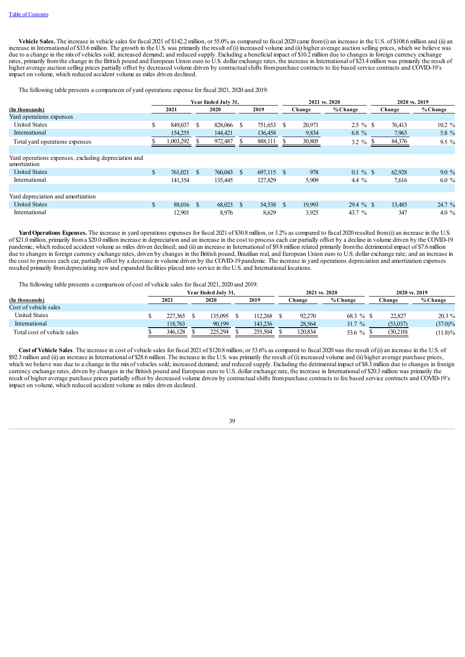**Vehicle Sales.** The increase in vehicle sales for fiscal 2021 of \$142.2 million, or 55.0% as compared to fiscal 2020 came from (i) an increase in the U.S. of \$108.6 million and (ii) an increase in International of \$33.6 million. The growth in the U.S. was primarily the result of (i) increased volume and (ii) higher average auction selling prices, which we believe was due to a change in the mixof vehicles sold; increased demand; and reduced supply. Excluding a beneficial impact of \$10.2 million due to changes in foreign currency exchange rates, primarily from the change in the British pound and European Union euro to U.S. dollar exchange rates, the increase in International of \$23.4 million was primarily the result of higher average auction selling prices partially offset by decreased volume driven by contractual shifts from purchase contracts to fee based service contracts and COVID-19's impact on volume, which reduced accident volume as miles driven declined.

The following table presents a comparison of yard operations expense for fiscal 2021, 2020 and 2019:

|                                                                      | Year Ended July 31, |    |            |      |            |        | 2021 vs. 2020 |                     | 2020 vs. 2019 |           |  |
|----------------------------------------------------------------------|---------------------|----|------------|------|------------|--------|---------------|---------------------|---------------|-----------|--|
| (In thousands)                                                       | 2021                |    | 2020       | 2019 |            | Change |               | $%$ Change          | Change        | % Change  |  |
| Yard operations expenses                                             |                     |    |            |      |            |        |               |                     |               |           |  |
| <b>United States</b>                                                 | \$<br>849,037       | S  | 828,066 \$ |      | 751,653 \$ |        | 20,971        | $2.5 \%$ \$         | 76,413        | $10.2 \%$ |  |
| International                                                        | 154,255             |    | 144,421    |      | 136,458    |        | 9,834         | 6.8 $%$             | 7,963         | 5.8 %     |  |
| Total yard operations expenses                                       | 1,003,292           |    | 972,487    |      | 888,111    |        | 30,805        | 3.2 % $\frac{\$}{}$ | 84,376        | $9.5 \%$  |  |
|                                                                      |                     |    |            |      |            |        |               |                     |               |           |  |
| Yard operations expenses, excluding depreciation and<br>amortization |                     |    |            |      |            |        |               |                     |               |           |  |
| <b>United States</b>                                                 | \$<br>761,021       | -S | 760,043 \$ |      | 697,115 \$ |        | 978           | $0.1 \%$ \$         | 62.928        | $9.0\%$   |  |
| International                                                        | 141,354             |    | 135,445    |      | 127,829    |        | 5,909         | 4.4 $%$             | 7,616         | 6.0 $%$   |  |
|                                                                      |                     |    |            |      |            |        |               |                     |               |           |  |
| Yard depreciation and amortization                                   |                     |    |            |      |            |        |               |                     |               |           |  |
| <b>United States</b>                                                 | \$<br>88,016 \$     |    | 68,023 \$  |      | 54,538 \$  |        | 19.993        | $29.4 \%$ \$        | 13.485        | $24.7\%$  |  |
| International                                                        | 12,901              |    | 8,976      |      | 8,629      |        | 3,925         | 43.7 $\%$           | 347           | 4.0 $\%$  |  |

Yard Operations Expenses. The increase in yard operations expenses for fiscal 2021 of \$30.8 million, or 3.2% as compared to fiscal 2020 resulted from (i) an increase in the U.S. of \$21.0million, primarily froma \$20.0million increase in depreciation and an increase in the cost to process each car partially offset by a decline in volume driven by the COVID-19 pandemic, which reduced accident volume as miles driven declined; and (ii) an increase in International of \$9.8 million related primarily from the detrimental impact of \$7.6 million due to changes in foreign currency exchange rates, driven by changes in the British pound, Brazilian real,and European Union euro to U.S. dollarexchange rate; and an increase in the cost to process each car, partially offset by a decrease in volume driven by the COVID-19 pandemic. The increase in yard operations depreciation and amortization expenses resulted primarily fromdepreciating newand expanded facilities placed into service in the U.S.and International locations.

The following table presents a comparison of cost of vehicle sales for fiscal 2021, 2020 and 2019:

|                             | Year Ended July 31. |  |             |  |         |  |         | 2021 vs. 2020 | 2020 vs. 2019 |            |
|-----------------------------|---------------------|--|-------------|--|---------|--|---------|---------------|---------------|------------|
| (In thousands)              | 2021                |  | <b>2020</b> |  | 2019    |  | Change  | % Change      | Change        | % Change   |
| Cost of vehicle sales       |                     |  |             |  |         |  |         |               |               |            |
| <b>United States</b>        | 227,365             |  | 135.095     |  | 112.268 |  | 92,270  | 68.3 % \$     | 22,827        | $20.3\%$   |
| International               | 118.763             |  | 90.199      |  | 143.236 |  | 28.564  | $31.7 \%$     | (53,037)      | $(37.0)\%$ |
| Total cost of vehicle sales | 346,128             |  | 225,294     |  | 255,504 |  | 120,834 | 53.6 %        | (30,210)      | $(11.8)\%$ |

**Cost of Vehicle Sales**. The increase in cost of vehicle sales for fiscal 2021 of \$120.8million, or 53.6% as compared to fiscal 2020was the result of (i)an increase in the U.S. of \$92.3 million and (ii) an increase in International of \$28.6 million. The increase in the U.S. was primarily the result of (i) increased volume and (ii) higher average purchase prices, which we believe was due to a change in the mix of vehicles sold; increased demand; and reduced supply. Excluding the detrimental impact of \$8.3 million due to changes in foreign currency exchange rates, driven by changes in the British pound and European euro to U.S. dollarexchange rate, the increase in International of \$20.3million was primarily the result of higheraverage purchase prices partially offset by decreased volume driven by contractualshifts frompurchase contracts to fee based service contracts and COVID-19's impact on volume, which reduced accident volume as miles driven declined.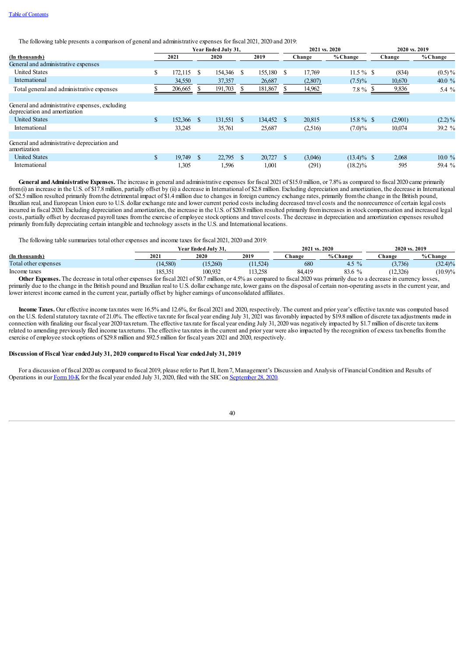The following table presents a comparison of generaland administrative expenses for fiscal 2021, 2020 and 2019:

|                                                                                 |              |            |      | Year Ended July 31, |            |    | 2021 vs. 2020 |               | 2020 vs. 2019 |            |  |
|---------------------------------------------------------------------------------|--------------|------------|------|---------------------|------------|----|---------------|---------------|---------------|------------|--|
| (In thousands)                                                                  |              | 2021       |      | 2020                | 2019       |    | Change        | % Change      | Change        | $%$ Change |  |
| General and administrative expenses                                             |              |            |      |                     |            |    |               |               |               |            |  |
| <b>United States</b>                                                            | \$           | 172.115    | -S   | 154,346 \$          | 155,180    | -S | 17.769        | $11.5 \%$ \$  | (834)         | $(0.5)\%$  |  |
| International                                                                   |              | 34,550     |      | 37,357              | 26,687     |    | (2,807)       | $(7.5)\%$     | 10,670        | 40.0 $\%$  |  |
| Total general and administrative expenses                                       |              | 206,665    |      | 191,703             | 181,867    |    | 14,962        | 7.8%          | 9,836         | 5.4 $%$    |  |
|                                                                                 |              |            |      |                     |            |    |               |               |               |            |  |
| General and administrative expenses, excluding<br>depreciation and amortization |              |            |      |                     |            |    |               |               |               |            |  |
| <b>United States</b>                                                            | $\mathbb{S}$ | 152,366 \$ |      | $131,551$ \$        | 134,452 \$ |    | 20,815        | $15.8\%$ \$   | (2,901)       | $(2.2)\%$  |  |
| International                                                                   |              | 33,245     |      | 35,761              | 25,687     |    | (2,516)       | $(7.0)\%$     | 10,074        | 39.2 $%$   |  |
|                                                                                 |              |            |      |                     |            |    |               |               |               |            |  |
| General and administrative depreciation and<br>amortization                     |              |            |      |                     |            |    |               |               |               |            |  |
| <b>United States</b>                                                            | \$           | 19,749     | - \$ | 22.795 \$           | 20.727 \$  |    | (3,046)       | $(13.4)\%$ \$ | 2,068         | $10.0 \%$  |  |
| International                                                                   |              | 1,305      |      | 1,596               | 1,001      |    | (291)         | $(18.2)\%$    | 595           | 59.4 %     |  |

General and Administrative Expenses. The increase in general and administrative expenses for fiscal 2021 of \$15.0 million, or 7.8% as compared to fiscal 2020 came primarily from(i) an increase in the U.S. of \$17.8 million, partially offset by (ii) a decrease in International of \$2.8 million. Excluding depreciation and amortization, the decrease in International of \$2.5million resulted primarily fromthe detrimental impact of \$1.4million due to changes in foreign currency exchange rates, primarily fromthe change in the British pound, Brazilian real, and European Union euro to U.S. dollar exchange rate and lower current period costs including decreased travel costs and the nonrecurrence of certain legal costs incurred in fiscal 2020. Excluding depreciation and amortization, the increase in the U.S. of \$20.8 million resulted primarily from increases in stock compensation and increased legal costs, partially offset by decreased payroll taxes fromthe exercise ofemployee stock options and travelcosts. The decrease in depreciation and amortization expenses resulted primarily fromfully depreciating certain intangible and technology assets in the U.S.and International locations.

The following table summarizes total other expenses and income taxes for fiscal 2021, 2020 and 2019:

|                      |          | Year Ended July 31. |           | 2021 vs. 2020 |           | 2020 vs. 2019 |            |  |
|----------------------|----------|---------------------|-----------|---------------|-----------|---------------|------------|--|
| (In thousands)       | 2021     | 2020                | 2019      | `hange        | ∕o Change | Change        | % Change   |  |
| Total other expenses | (14,580) | (15,260)            | (11, 524) | 680           | $5\%$     | (3,736)       | $(32.4)\%$ |  |
| Income taxes         | 185.351  | 100.932             | '13.258   | 84.419        | 83.6 %    | (12.326)      | $(10.9)\%$ |  |

Other Expenses. The decrease in total other expenses for fiscal 2021 of \$0.7 million, or 4.5% as compared to fiscal 2020 was primarily due to a decrease in currency losses, primarily due to the change in the British pound and Brazilian real to U.S. dollar exchange rate, lower gains on the disposal of certain non-operating assets in the current year, and lower interest income earned in the current year, partially offset by higherearnings of unconsolidated affiliates.

**Income Taxes.** Oureffective income taxrates were 16.5% and 12.6%, for fiscal 2021 and 2020, respectively. The current and prior year's effective taxrate was computed based on the U.S. federal statutory taxrate of 21.0%. The effective taxrate for fiscal year ending July 31, 2021 was favorably impacted by \$19.8 million of discrete taxadjustments made in connection with finalizing our fiscal year 2020 taxreturn. The effective taxrate for fiscal yearending July 31, 2020was negatively impacted by \$1.7million of discrete taxitems related to amending previously filed income taxreturns. The effective taxrates in the current and prior year were also impacted by the recognition of excess tax benefits from the exercise ofemployee stock options of \$29.8million and \$92.5million for fiscal years 2021 and 2020, respectively.

# **Discussion of Fiscal Year endedJuly 31, 2020 comparedto Fiscal Year endedJuly 31, 2019**

Fora discussion of fiscal 2020 as compared to fiscal 2019, please refer to Part II, Item7, Management's Discussion and Analysis of Financial Condition and Results of Operations in our Form 10-K for the fiscal year ended July 31, 2020, filed with the SEC on [September](https://www.sec.gov/ix?doc=/Archives/edgar/data/900075/000090007520000021/cprt-20200731.htm) 28, 2020.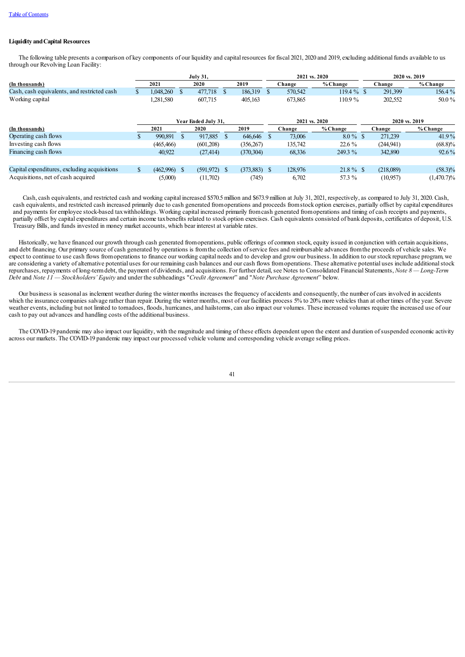# **Liquidity andCapital Resources**

The following table presents a comparison of key components of our liquidity and capital resources for fiscal 2021, 2020 and 2019, excluding additional funds available to us through our Revolving Loan Facility:

|                                              | <b>July 31,</b> |    |                     |  |                |          |         | 2021 vs. 2020 |            | 2020 vs. 2019 |  |
|----------------------------------------------|-----------------|----|---------------------|--|----------------|----------|---------|---------------|------------|---------------|--|
| (In thousands)                               | 2021            |    | 2020                |  | 2019           |          | Change  | % Change      | Change     | % Change      |  |
| Cash, cash equivalents, and restricted cash  | 1.048.260       |    | 477,718             |  | 186,319        | <b>S</b> | 570,542 | $119.4\%$ \$  | 291,399    | 156.4 %       |  |
| Working capital                              | 1,281,580       |    | 607,715             |  | 405,163        |          | 673,865 | $110.9\%$     | 202,552    | 50.0 %        |  |
|                                              |                 |    | Year Ended July 31. |  |                |          |         | 2021 vs. 2020 |            | 2020 vs. 2019 |  |
| (In thousands)                               | 2021            |    | 2020                |  | 2019           |          | Change  | % Change      | Change     | % Change      |  |
| Operating cash flows                         | 990.891         |    | 917,885 \$          |  | 646,646        | -S       | 73,006  | $8.0\%$ \$    | 271.239    | $41.9\%$      |  |
| Investing cash flows                         | (465, 466)      |    | (601, 208)          |  | (356, 267)     |          | 135,742 | $22.6\%$      | (244, 941) | $(68.8)\%$    |  |
| Financing cash flows                         | 40.922          |    | (27, 414)           |  | (370, 304)     |          | 68,336  | 249.3 %       | 342,890    | $92.6\%$      |  |
|                                              |                 |    |                     |  |                |          |         |               |            |               |  |
| Capital expenditures, excluding acquisitions | (462.996)       | -S | $(591, 972)$ \$     |  | $(373,883)$ \$ |          | 128,976 | $21.8\%$ \$   | (218,089)  | $(58.3)\%$    |  |
| Acquisitions, net of cash acquired           | (5,000)         |    | (11,702)            |  | (745)          |          | 6,702   | 57.3 %        | (10.957)   | $(1,470.7)\%$ |  |

Cash,cash equivalents,and restricted cash and working capital increased \$570.5million and \$673.9million at July 31, 2021, respectively,as compared to July 31, 2020. Cash, cash equivalents, and restricted cash increased primarily due to cash generated from operations and proceeds from stock option exercises, partially offset by capital expenditures and payments foremployee stock-based taxwithholdings. Working capital increased primarily fromcash generated fromoperations and timing ofcash receipts and payments, partially offset by capital expenditures and certain income tax benefits related to stock option exercises. Cash equivalents consisted of bank deposits, certificates of deposit, U.S. Treasury Bills,and funds invested in money market accounts, which bear interest at variable rates.

Historically, we have financed our growth through cash generated from operations, public offerings of common stock, equity issued in conjunction with certain acquisitions, and debt financing. Our primary source ofcash generated by operations is fromthe collection ofservice fees and reimbursable advances fromthe proceeds of vehicle sales. We expect to continue to use cash flows fromoperations to finance our working capital needs and to develop and growour business. In addition to ourstock repurchase program, we are considering a variety of alternative potential uses for our remaining cash balances and our cash flows from operations. These alternative potential uses include additional stock repurchases, repayments of long-termdebt, the payment of dividends,and acquisitions. For further detail, see Notes to Consolidated Financial Statements, *Note 8 — Long-Term Debt* and *Note 11 — Stockholders' Equity* and under the subheadings "*Credit Agreement*" and "*Note Purchase Agreement*" below.

Our business is seasonal as inclement weather during the winter months increases the frequency of accidents and consequently, the number of cars involved in accidents which the insurance companies salvage rather than repair. During the winter months, most of our facilities process 5% to 20% more vehicles than at other times of the year. Severe weather events, including but not limited to tornadoes, floods, hurricanes, and hailstorms, can also impact our volumes. These increased volumes require the increased use of our cash to pay out advances and handling costs of the additional business.

The COVID-19 pandemic may also impact our liquidity, with the magnitude and timing of these effects dependent upon the extent and duration ofsuspended economic activity across ourmarkets. The COVID-19 pandemic may impact our processed vehicle volume and corresponding vehicle average selling prices.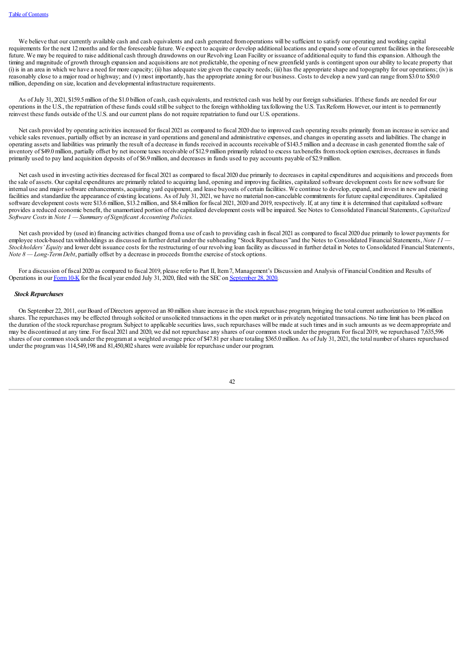We believe that our currently available cash and cash equivalents and cash generated from operations will be sufficient to satisfy our operating and working capital requirements for the next 12months and for the foreseeable future. We expect to acquire or develop additional locations and expand some of ourcurrent facilities in the foreseeable future. We may be required to raise additional cash through drawdowns on our Revolving Loan Facility or issuance of additional equity to fund this expansion. Although the timing and magnitude of growth through expansion and acquisitions are not predictable, the opening of newgreenfield yards is contingent upon ourability to locate property that (i) is in an area in which we have a need formore capacity; (ii) has adequate size given the capacity needs; (iii) has the appropriate shape and topography for our operations; (iv) is reasonably close to a major road or highway; and (v) most importantly, has the appropriate zoning for our business. Costs to develop a new yard can range from \$3.0 to \$50.0 million, depending on size, location and developmental infrastructure requirements.

As of July 31, 2021, \$159.5 million of the \$1.0 billion of cash, cash equivalents, and restricted cash was held by our foreign subsidiaries. If these funds are needed for our operations in the U.S., the repatriation of these funds could still be subject to the foreign withholding taxfollowing the U.S. TaxReform. However, our intent is to permanently reinvest these funds outside of the U.S.and ourcurrent plans do not require repatriation to fund our U.S. operations.

Net cash provided by operating activities increased for fiscal 2021 as compared to fiscal 2020 due to improved cash operating results primarily from an increase in service and vehicle sales revenues, partially offset by an increase in yard operations and generaland administrative expenses,and changes in operating assets and liabilities. The change in operating assets and liabilities was primarily the result ofa decrease in funds received in accounts receivable of \$143.5million and a decrease in cash generated fromthe sale of inventory of \$49.0million, partially offset by net income taxes receivable of \$12.9million primarily related to excess taxbenefits fromstock option exercises, decreases in funds primarily used to pay land acquisition deposits of of \$6.9million,and decreases in funds used to pay accounts payable of \$2.9million.

Net cash used in investing activities decreased for fiscal 2021 as compared to fiscal 2020 due primarily to decreases in capital expenditures and acquisitions and proceeds from the sale of assets. Our capital expenditures are primarily related to acquiring land, opening and improving facilities, capitalized software development costs for new software for internal use and major software enhancements, acquiring yard equipment, and lease buyouts of certain facilities. We continue to develop, expand, and invest in new and existing facilities and standardize the appearance of existing locations. As of July 31, 2021, we have no material non-cancelable commitments for future capital expenditures. Capitalized software development costs were \$13.6 million, \$13.2 million, and \$8.4 million for fiscal 2021, 2020 and 2019, respectively. If, at any time it is determined that capitalized software provides a reduced economic benefit, the unamortized portion of the capitalized development costs will be impaired. See Notes to Consolidated Financial Statements, *Capitalized Software Costs* in *Note 1 — Summary of Significant Accounting Policies.*

Net cash provided by (used in) financing activities changed froma use ofcash to providing cash in fiscal 2021 as compared to fiscal 2020 due primarily to lower payments for employee stock-based taxwithholdings as discussed in further detail under the subheading "Stock Repurchases"and the Notes to Consolidated Financial Statements, *Note 11 — Stockholders' Equity* and lower debt issuance costs for the restructuring of our revolving loan facility as discussed in further detail in Notes to Consolidated Financial Statements, *Note* 8 — *Long-Term Debt*, partially offset by a decrease in proceeds from the exercise of stock options.

Fora discussion of fiscal 2020 as compared to fiscal 2019, please refer to Part II, Item7, Management's Discussion and Analysis of Financial Condition and Results of Operations in our Form 10-K for the fiscal year ended July 31, 2020, filed with the SEC on [September](https://www.sec.gov/ix?doc=/Archives/edgar/data/900075/000090007520000021/cprt-20200731.htm) 28, 2020.

### *Stock Repurchases*

On September 22, 2011, our Board of Directors approved an 80million share increase in the stock repurchase program, bringing the totalcurrent authorization to 196million shares. The repurchases may be effected through solicited or unsolicited transactions in the open market or in privately negotiated transactions. No time limit has been placed on the duration of the stock repurchase program. Subject to applicable securities laws, such repurchases will be made at such times and in such amounts as we deem appropriate and may be discontinued at any time. For fiscal 2021 and 2020, we did not repurchase any shares of ourcommon stock under the program. For fiscal 2019, we repurchased 7,635,596 shares of our common stock under the programat a weighted average price of \$47.81 per share totaling \$365.0 million. As of July 31, 2021, the total number of shares repurchased under the programwas 114,549,198 and 81,450,802 shares were available for repurchase under our program.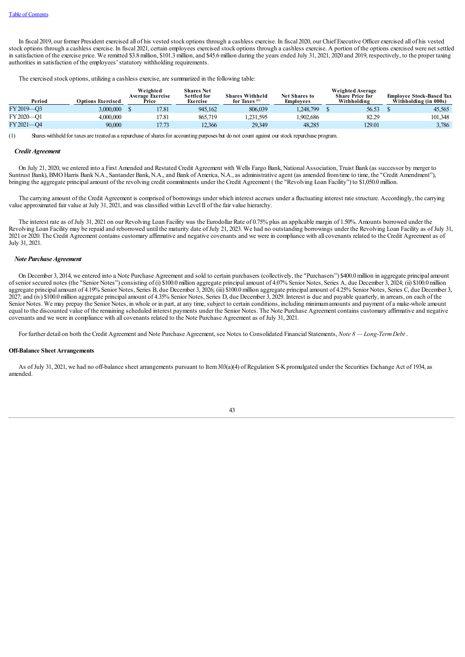In fiscal 2019, our former President exercised all of his vested stock options through a cashless exercise. In fiscal 2020, our Chief Executive Officerexercised all of his vested stock options through a cashless exercise. In fiscal 2021, certain employees exercised stock options through a cashless exercise. A portion of the options exercised were net settled in satisfaction of the exercise price. We remitted \$3.8 million, \$101.3 million, and \$45.6 million during the years ended July 31, 2021, 2020 and 2019, respectively, to the proper taxing authorities in satisfaction of the employees'statutory withholding requirements.

The exercised stock options, utilizing a cashless exercise, are summarized in the following table:

| Period     | Options Exercised | Weighted<br><b>Shares Net</b><br><b>Settled for</b><br>Average Exercise<br>Exercise<br>Price |       | <b>Shares Withheld</b><br>for Taxes $(1)$ | <b>Net Shares to</b><br><b>Employees</b> | <b>Weighted Average</b><br><b>Share Price for</b><br>Withholding | <b>Employee Stock-Based Tax</b><br>Withholding (in 000s) |  |         |
|------------|-------------------|----------------------------------------------------------------------------------------------|-------|-------------------------------------------|------------------------------------------|------------------------------------------------------------------|----------------------------------------------------------|--|---------|
| FY 2019-03 | 3,000,000         |                                                                                              | 17.81 | 945,162                                   | 806.039                                  | .248.799                                                         | 56.53                                                    |  | 45.565  |
| FY 2020-O1 | 4.000.000         |                                                                                              | 17.81 | 865,719                                   | .231.595                                 | .902.686                                                         | 82.29                                                    |  | 101.348 |
| FY 2021-04 | 90,000            |                                                                                              | 17.73 | 12.366                                    | 29.349                                   | 48,285                                                           | 129.01                                                   |  | 3,786   |

(1) Shareswithheld for taxesaretreated asarepurchase of sharesfor accounting purposes but do not count against our stock repurchase program.

### *Credit Agreement*

On July 21, 2020, we entered into a First Amended and Restated Credit Agreement with Wells Fargo Bank, National Association, Truist Bank (as successor by merger to Suntrust Bank), BMO Harris Bank N.A., Santander Bank, N.A., and Bank of America, N.A., as administrative agent (as amended from time to time, the "Credit Amendment"), bringing the aggregate principalamount of the revolving credit commitments under the Credit Agreement ( the "Revolving Loan Facility") to \$1,050.0million.

The carrying amount of the Credit Agreement is comprised of borrowings under which interest accrues undera fluctuating interest rate structure. Accordingly, the carrying value approximated fair value at July 31, 2021, and was classified within Level II of the fair value hierarchy.

The interest rate as ofJuly 31, 2021 on our Revolving Loan Facility was the Eurodollar Rate of 0.75% plus an applicable margin of 1.50%. Amounts borrowed under the Revolving Loan Facility may be repaid and reborrowed until the maturity date of July 21, 2023. We had no outstanding borrowings under the Revolving Loan Facility as of July 31, 2021 or 2020. The Credit Agreement contains customary affirmative and negative covenants and we were in compliance with allcovenants related to the Credit Agreement as of July 31, 2021.

## *Note Purchase Agreement*

On December 3, 2014, we entered into a Note Purchase Agreement and sold to certain purchasers (collectively, the "Purchasers") \$400.0million in aggregate principalamount of senior secured notes (the "Senior Notes") consisting of (i) \$100.0 million aggregate principal amount of 4.07% Senior Notes, Series A, due December 3, 2024; (ii) \$100.0 million aggregate principal amount of 4.19% Senior Notes, Series B, due December 3, 2026; (iii) \$100.0 million aggregate principal amount of 4.25% Senior Notes, Series C, due December 3, 2027; and (iv) \$100.0million aggregate principalamount of 4.35% Senior Notes, Series D, due December 3, 2029. Interest is due and payable quarterly, in arrears, on each of the Senior Notes. We may prepay the Senior Notes, in whole or in part, at any time, subject to certain conditions, including minimum amounts and payment of a make-whole amount equal to the discounted value of the remaining scheduled interest payments under the Senior Notes. The Note Purchase Agreement contains customary affirmative and negative covenants and we were in compliance with allcovenants related to the Note Purchase Agreement as ofJuly 31, 2021.

For further detail on both the Credit Agreement and Note Purchase Agreement, see Notes to Consolidated Financial Statements, *Note 8 — Long-TermDebt* .

#### **Off-Balance Sheet Arrangements**

As of July 31, 2021, we had no off-balance sheet arrangements pursuant to Item 303(a)(4) of Regulation S-K promulgated under the Securities Exchange Act of 1934, as amended.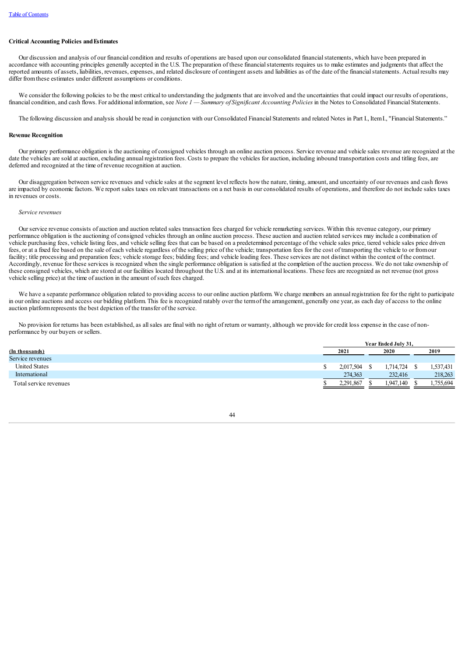# **Critical Accounting Policies andEstimates**

Our discussion and analysis of our financialcondition and results of operations are based upon ourconsolidated financialstatements, which have been prepared in accordance with accounting principles generally accepted in the U.S. The preparation of these financialstatements requires us to make estimates and judgments that affect the reported amounts of assets, liabilities, revenues, expenses, and related disclosure of contingent assets and liabilities as of the date of the financial statements. Actual results may differ from these estimates under different assumptions or conditions.

We consider the following policies to be the most critical to understanding the judgments that are involved and the uncertainties that could impact our results of operations, financialcondition,and cash flows. Foradditional information, see *Note 1 — Summary of Significant Accounting Policies* in the Notes to Consolidated Financial Statements.

The following discussion and analysis should be read in conjunction with our Consolidated Financial Statements and related Notes in Part I., Item I., "Financial Statements."

#### **Revenue Recognition**

Our primary performance obligation is the auctioning ofconsigned vehicles through an online auction process. Service revenue and vehicle sales revenue are recognized at the date the vehicles are sold at auction, excluding annual registration fees. Costs to prepare the vehicles for auction, including inbound transportation costs and titling fees, are deferred and recognized at the time of revenue recognition at auction.

Our disaggregation between service revenues and vehicle sales at the segment level reflects howthe nature, timing,amount,and uncertainty of our revenues and cash flows are impacted by economic factors. We report sales taxes on relevant transactions on a net basis in our consolidated results of operations, and therefore do not include sales taxes in revenues orcosts.

### *Service revenues*

Ourservice revenue consists ofauction and auction related sales transaction fees charged for vehicle remarketing services. Within this revenue category, our primary performance obligation is the auctioning ofconsigned vehicles through an online auction process. These auction and auction related services may include a combination of vehicle purchasing fees, vehicle listing fees,and vehicle selling fees that can be based on a predetermined percentage of the vehicle sales price, tiered vehicle sales price driven fees, or at a fixed fee based on the sale of each vehicle regardless of the selling price of the vehicle; transportation fees for the cost of transporting the vehicle to or from our facility; title processing and preparation fees; vehicle storage fees; bidding fees; and vehicle loading fees. These services are not distinct within the context of the contract. Accordingly, revenue for these services is recognized when the single performance obligation is satisfied at the completion of the auction process. We do not take ownership of these consigned vehicles, which are stored at our facilities located throughout the U.S.and at its international locations. These fees are recognized as net revenue (not gross vehicle selling price) at the time of auction in the amount of such fees charged.

We have a separate performance obligation related to providing access to our online auction platform. We charge members an annual registration fee for the right to participate in our online auctions and access our bidding platform. This fee is recognized ratably over the term of the arrangement, generally one year, as each day of access to the online auction platformrepresents the best depiction of the transfer of the service.

No provision for returns has been established, as all sales are final with no right of return or warranty, although we provide for credit loss expense in the case of nonperformance by our buyers orsellers.

|                        |           | Year Ended July 31, |           |  |  |
|------------------------|-----------|---------------------|-----------|--|--|
| (In thousands)         | 2021      | 2020                | 2019      |  |  |
| Service revenues       |           |                     |           |  |  |
| <b>United States</b>   | 2,017,504 | 1,714,724           | 1,537,431 |  |  |
| International          | 274,363   | 232,416             | 218,263   |  |  |
| Total service revenues | 2,291,867 | 1,947,140           | 1,755,694 |  |  |

# $\overline{44}$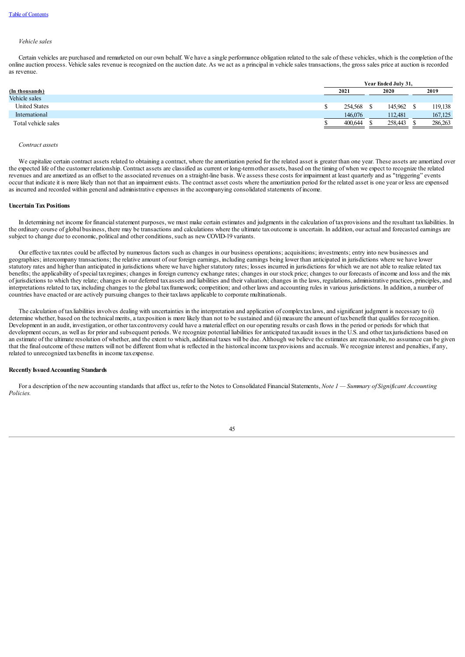### *Vehicle sales*

Certain vehicles are purchased and remarketed on our own behalf. We have a single performance obligation related to the sale of these vehicles, which is the completion of the online auction process. Vehicle sales revenue is recognized on the auction date. As we act as a principal in vehicle sales transactions, the gross sales price at auction is recorded as revenue.

|                      | Year Ended July 31, |         |  |         |
|----------------------|---------------------|---------|--|---------|
| (In thousands)       | 2021                | 2020    |  | 2019    |
| Vehicle sales        |                     |         |  |         |
| <b>United States</b> | 254,568             | 145.962 |  | 119,138 |
| International        | 146,076             | 112,481 |  | 167,125 |
| Total vehicle sales  | 400.644             | 258,443 |  | 286,263 |

### *Contract assets*

We capitalize certain contract assets related to obtaining a contract, where the amortization period for the related asset is greater than one year. These assets are amortized over the expected life of the customer relationship. Contract assets are classified as current or long-termotherassets, based on the timing of when we expect to recognize the related revenues and are amortized as an offset to the associated revenues on a straight-line basis. We assess these costs for impairment at least quarterly and as "triggering" events occur that indicate it is more likely than not that an impairment exists. The contract asset costs where the amortization period for the related asset is one year or less are expensed as incurred and recorded within generaland administrative expenses in the accompanying consolidated statements of income.

### **Uncertain Tax Positions**

In determining net income for financial statement purposes, we must make certain estimates and judgments in the calculation of tax provisions and the resultant tax liabilities. In the ordinary course of global business, there may be transactions and calculations where the ultimate taxoutcome is uncertain. In addition, ouractualand forecasted earnings are subject to change due to economic, politicaland otherconditions, such as newCOVID-19 variants.

Oureffective taxrates could be affected by numerous factors such as changes in our business operations; acquisitions; investments; entry into newbusinesses and geographies; intercompany transactions; the relative amount of our foreign earnings, including earnings being lower than anticipated in jurisdictions where we have lower statutory rates and higher than anticipated in jurisdictions where we have higher statutory rates; losses incurred in jurisdictions for which we are not able to realize related tax benefits; the applicability of special tax regimes; changes in foreign currency exchange rates; changes in our stock price; changes to our forecasts of income and loss and the mix of jurisdictions to which they relate; changes in our deferred taxassets and liabilities and their valuation; changes in the laws, regulations,administrative practices, principles,and interpretations related to tax, including changes to the global taxframework; competition; and other laws and accounting rules in various jurisdictions. In addition,a number of countries have enacted orare actively pursuing changes to their taxlaws applicable to corporate multinationals.

The calculation of tax liabilities involves dealing with uncertainties in the interpretation and application of complextax laws, and significant judgment is necessary to (i) determine whether, based on the technical merits, a tax position is more likely than not to be sustained and (ii) measure the amount of tax benefit that qualifies for recognition. Development in an audit, investigation, or other taxcontroversy could have a materialeffect on our operating results orcash flows in the period or periods for which that development occurs, as well as for prior and subsequent periods. We recognize potential liabilities for anticipated tax audit issues in the U.S. and other tax jurisdictions based on an estimate of the ultimate resolution of whether, and the extent to which, additional taxes will be due. Although we believe the estimates are reasonable, no assurance can be given that the final outcome of these matters will not be different fromwhat is reflected in the historical income taxprovisions and accruals. We recognize interest and penalties, ifany, related to unrecognized taxbenefits in income taxexpense.

### **Recently IssuedAccounting Standards**

Fora description of the newaccounting standards that affect us, refer to the Notes to Consolidated Financial Statements, *Note 1 — Summary of Significant Accounting Policies.*

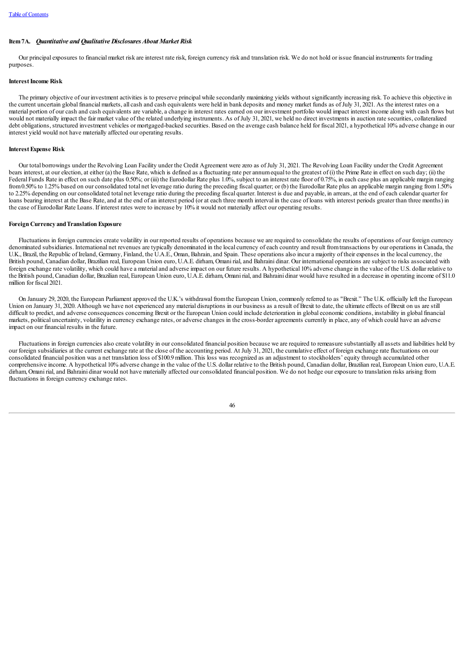# **Item7A.** *Quantitative and Qualitative Disclosures About Market Risk*

Our principalexposures to financialmarket risk are interest rate risk, foreign currency risk and translation risk. We do not hold or issue financial instruments for trading purposes.

## **Interest Income Risk**

The primary objective of our investment activities is to preserve principal while secondarily maximizing yields without significantly increasing risk. To achieve this objective in the current uncertain global financial markets, all cash and cash equivalents were held in bank deposits and money market funds as of July 31, 2021. As the interest rates on a material portion of our cash and cash equivalents are variable, a change in interest rates earned on our investment portfolio would impact interest income along with cash flows but would not materially impact the fair market value of the related underlying instruments. As of July 31, 2021, we held no direct investments in auction rate securities, collateralized debt obligations, structured investment vehicles or mortgaged-backed securities. Based on the average cash balance held for fiscal 2021, a hypothetical 10% adverse change in our interest yield would not have materially affected our operating results.

# **Interest Expense Risk**

Our total borrowings under the Revolving Loan Facility under the Credit Agreement were zero as ofJuly 31, 2021. The Revolving Loan Facility under the Credit Agreement bears interest, at our election, at either (a) the Base Rate, which is defined as a fluctuating rate per annumequal to the greatest of (i) the Prime Rate in effect on such day; (ii) the Federal Funds Rate in effect on such date plus 0.50%; or (iii) the Eurodollar Rate plus 1.0%, subject to an interest rate floor of 0.75%, in each case plus an applicable margin ranging from 0.50% to 1.25% based on our consolidated total net leverage ratio during the preceding fiscal quarter; or (b) the Eurodollar Rate plus an applicable margin ranging from 1.50% to 2.25% depending on our consolidated total net leverage ratio during the preceding fiscal quarter. Interest is due and payable, in arrears, at the end of each calendar quarter for loans bearing interest at the Base Rate, and at the end of an interest period (or at each three month interval in the case of loans with interest periods greater than three months) in the case of Eurodollar Rate Loans. If interest rates were to increase by 10% it would not materially affect our operating results.

#### **Foreign Currency andTranslation Exposure**

Fluctuations in foreign currencies create volatility in our reported results of operations because we are required to consolidate the results of operations of our foreign currency denominated subsidiaries. International net revenues are typically denominated in the local currency of each country and result from transactions by our operations in Canada, the U.K., Brazil, the Republic of Ireland, Germany, Finland, the U.A.E., Oman, Bahrain, and Spain. These operations also incur a majority of their expenses in the local currency, the British pound, Canadian dollar, Brazilian real, European Union euro, U.A.E. dirham, Omani rial,and Bahraini dinar. Our international operations are subject to risks associated with foreign exchange rate volatility, which could have a materialand adverse impact on our future results. A hypothetical 10% adverse change in the value of the U.S. dollar relative to the British pound, Canadian dollar, Brazilian real, European Union euro, U.A.E. dirham, Omani rial, and Bahraini dinar would have resulted in a decrease in operating income of \$11.0 million for fiscal 2021.

On January 29, 2020, the European Parliament approved the U.K.'s withdrawal fromthe European Union,commonly referred to as "Brexit." The U.K. officially left the European Union on January 31, 2020. Although we have not experienced any material disruptions in our business as a result of Brexit to date, the ultimate effects of Brexit on us are still difficult to predict, and adverse consequences concerning Brexit or the European Union could include deterioration in global economic conditions, instability in global financial markets, political uncertainty, volatility in currency exchange rates, oradverse changes in the cross-borderagreements currently in place,any of which could have an adverse impact on our financial results in the future.

Fluctuations in foreign currencies also create volatility in our consolidated financial position because we are required to remeasure substantially all assets and liabilities held by our foreign subsidiaries at the current exchange rate at the close of the accounting period. At July 31, 2021, the cumulative effect of foreign exchange rate fluctuations on our consolidated financial position was a net translation loss of \$100.9million. This loss was recognized as an adjustment to stockholders'equity through accumulated other comprehensive income. A hypothetical 10% adverse change in the value of the U.S. dollar relative to the British pound, Canadian dollar, Brazilian real, European Union euro, U.A.E. dirham, Omani rial, and Bahraini dinar would not have materially affected our consolidated financial position. We do not hedge our exposure to translation risks arising from fluctuations in foreign currency exchange rates.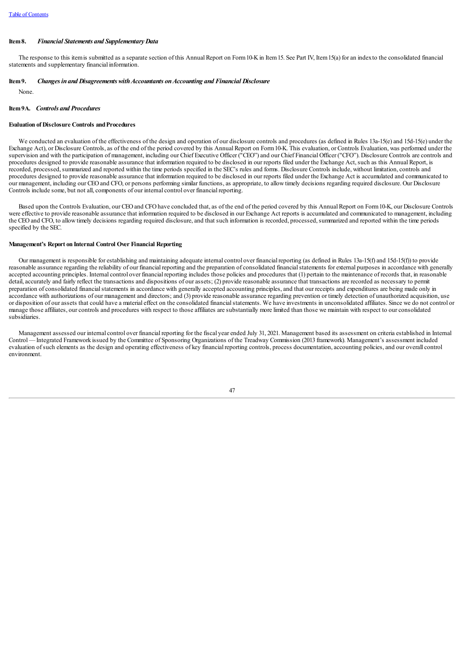### **Item8.** *Financial Statements and Supplementary Data*

The response to this item is submitted as a separate section of this Annual Report on Form 10-K in Item 15. See Part IV, Item 15(a) for an index to the consolidated financial statements and supplementary financial information.

## **Item9.** *Changesin and Disagreements withAccountants onAccounting and Financial Disclosure*

None.

# **Item9A.** *Controls and Procedures*

# **Evaluation of Disclosure Controls and Procedures**

We conducted an evaluation of the effectiveness of the design and operation of our disclosure controls and procedures (as defined in Rules 13a-15(e) and 15d-15(e) under the Exchange Act), or Disclosure Controls, as of the end of the period covered by this Annual Report on Form 10-K. This evaluation, or Controls Evaluation, was performed under the supervision and with the participation of management, including our Chief Executive Officer ("CEO") and our Chief Financial Officer ("CFO"). Disclosure Controls are controls and procedures designed to provide reasonable assurance that information required to be disclosed in our reports filed under the Exchange Act, such as this Annual Report, is recorded, processed, summarized and reported within the time periods specified in the SEC's rules and forms. Disclosure Controls include, without limitation,controls and procedures designed to provide reasonable assurance that information required to be disclosed in our reports filed under the Exchange Act is accumulated and communicated to ourmanagement, including our CEOand CFO, or persons performing similar functions,as appropriate, to allowtimely decisions regarding required disclosure. Our Disclosure Controls include some, but not all, components of our internal control over financial reporting.

Based upon the Controls Evaluation, our CEO and CFO have concluded that, as of the end of the period covered by this Annual Report on Form 10-K, our Disclosure Controls were effective to provide reasonable assurance that information required to be disclosed in our Exchange Act reports is accumulated and communicated to management, including the CEO and CFO, to allow timely decisions regarding required disclosure, and that such information is recorded, processed, summarized and reported within the time periods specified by the SEC.

## **Management's Report on Internal Control Over Financial Reporting**

Our management is responsible for establishing and maintaining adequate internal control over financial reporting (as defined in Rules 13a-15(f) and 15d-15(f)) to provide reasonable assurance regarding the reliability of our financial reporting and the preparation of consolidated financial statements for external purposes in accordance with generally accepted accounting principles. Internal control over financial reporting includes those policies and procedures that (1) pertain to the maintenance of records that, in reasonable detail,accurately and fairly reflect the transactions and dispositions of ourassets; (2) provide reasonable assurance that transactions are recorded as necessary to permit preparation of consolidated financial statements in accordance with generally accepted accounting principles, and that our receipts and expenditures are being made only in accordance with authorizations of ourmanagement and directors; and (3) provide reasonable assurance regarding prevention or timely detection of unauthorized acquisition, use or disposition of ourassets that could have a materialeffect on the consolidated financialstatements. We have investments in unconsolidated affiliates. Since we do not control or manage those affiliates, ourcontrols and procedures with respect to those affiliates are substantially more limited than those we maintain with respect to ourconsolidated subsidiaries.

Management assessed our internalcontrol over financial reporting for the fiscal yearended July 31, 2021. Management based its assessment on criteria established in Internal Control — Integrated Framework issued by the Committee of Sponsoring Organizations of the Treadway Commission (2013 framework). Management's assessment included evaluation of such elements as the design and operating effectiveness of key financial reporting controls, process documentation, accounting policies, and our overall control environment.

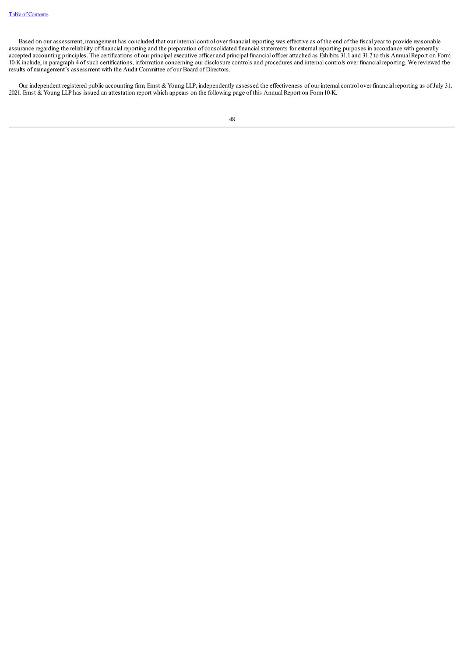Based on ourassessment, management has concluded that our internalcontrol over financial reporting was effective as of the end of the fiscal year to provide reasonable assurance regarding the reliability of financial reporting and the preparation ofconsolidated financialstatements forexternal reporting purposes in accordance with generally accepted accounting principles. The certifications of our principal executive officer and principal financial officer attached as Exhibits 31.1 and 31.2 to this Annual Report on Form 10-K include, in paragraph 4 of such certifications, information concerning our disclosure controls and procedures and internal controls over financial reporting. We reviewed the results ofmanagement's assessment with the Audit Committee of our Board of Directors.

Our independent registered public accounting firm, Ernst & Young LLP, independently assessed the effectiveness of our internal control over financial reporting as of July 31, 2021. Ernst &Young LLP has issued an attestation report which appears on the following page of this Annual Report on Form10-K.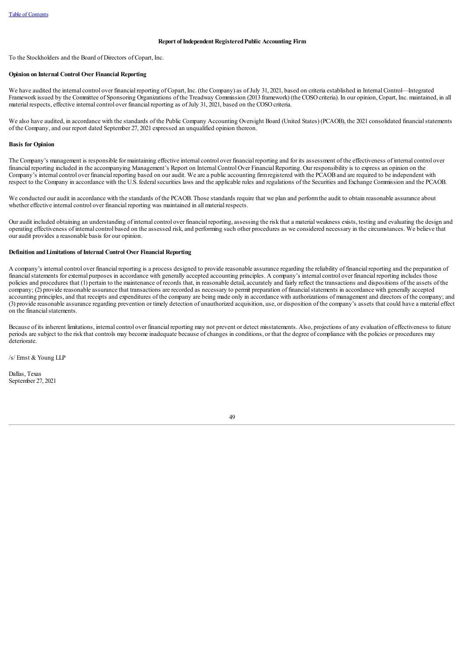# **Report ofIndependent RegisteredPublic Accounting Firm**

To the Stockholders and the Board of Directors of Copart, Inc.

# **Opinion on Internal Control Over Financial Reporting**

We have audited the internal control over financial reporting of Copart, Inc. (the Company) as of July 31, 2021, based on criteria established in Internal Control—Integrated Framework issued by the Committee of Sponsoring Organizations of the Treadway Commission (2013 framework) (the COSO criteria). In our opinion, Copart, Inc. maintained, in all material respects, effective internal control over financial reporting as of July 31, 2021, based on the COSO criteria.

We also have audited, in accordance with the standards of the Public Company Accounting Oversight Board (United States) (PCAOB), the 2021 consolidated financial statements of the Company,and our report dated September 27, 2021 expressed an unqualified opinion thereon.

### **Basis for Opinion**

The Company's management is responsible for maintaining effective internal control over financial reporting and for its assessment of the effectiveness of internal control over financial reporting included in the accompanying Management's Report on Internal ControlOver Financial Reporting. Our responsibility is to express an opinion on the Company's internalcontrol over financial reporting based on ouraudit. We are a public accounting firmregistered with the PCAOBand are required to be independent with respect to the Company in accordance with the U.S. federalsecurities laws and the applicable rules and regulations of the Securities and Exchange Commission and the PCAOB.

We conducted our audit in accordance with the standards of the PCAOB. Those standards require that we plan and perform the audit to obtain reasonable assurance about whether effective internal control over financial reporting was maintained in all material respects.

Our audit included obtaining an understanding of internal control over financial reporting, assessing the risk that a material weakness exists, testing and evaluating the design and operating effectiveness of internalcontrol based on the assessed risk,and performing such other procedures as we considered necessary in the circumstances. We believe that ouraudit provides a reasonable basis for our opinion.

# **Definition andLimitations ofInternal Control Over Financial Reporting**

A company's internalcontrol over financial reporting is a process designed to provide reasonable assurance regarding the reliability of financial reporting and the preparation of financial statements for external purposes in accordance with generally accepted accounting principles. A company's internal control over financial reporting includes those policies and procedures that (1) pertain to the maintenance of records that, in reasonable detail, accurately and fairly reflect the transactions and dispositions of the assets of the company; (2) provide reasonable assurance that transactions are recorded as necessary to permit preparation of financial statements in accordance with generally accepted accounting principles, and that receipts and expenditures of the company are being made only in accordance with authorizations of management and directors of the company; and (3) provide reasonable assurance regarding prevention or timely detection of unauthorized acquisition, use, or disposition of the company's assets that could have a materialeffect on the financial statements.

Because of its inherent limitations, internal control over financial reporting may not prevent or detect misstatements. Also, projections of any evaluation of effectiveness to future periods are subject to the risk that controls may become inadequate because ofchanges in conditions, or that the degree ofcompliance with the policies or procedures may deteriorate.

/s/ Ernst & Young LLP

Dallas, Texas September 27, 2021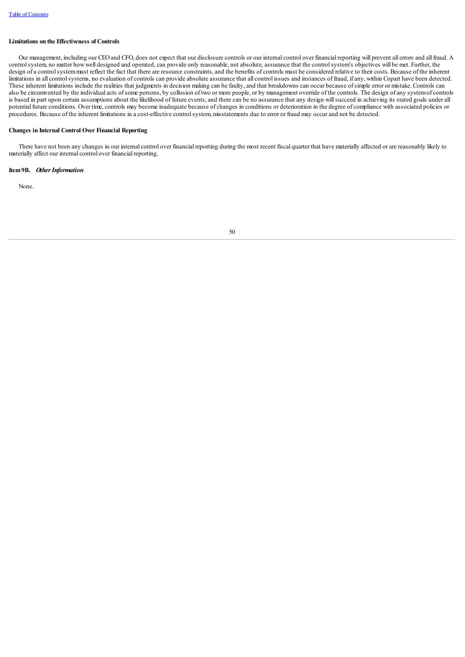# **Limitations on the Effectiveness of Controls**

Ourmanagement, including our CEOand CFO, does not expect that our disclosure controls or our internalcontrol over financial reporting will prevent allerrors and all fraud. A control system, no matter how well designed and operated, can provide only reasonable, not absolute, assurance that the control system's objectives will be met. Further, the design of a control systemmust reflect the fact that there are resource constraints, and the benefits of controls must be considered relative to their costs. Because of the inherent limitations in all control systems, no evaluation of controls can provide absolute assurance that all control issues and instances of fraud, if any, within Copart have been detected. These inherent limitations include the realities that judgments in decision making can be faulty, and that breakdowns can occur because of simple error or mistake. Controls can also be circumvented by the individual acts of some persons, by collusion of two or more people, or by management override of the controls. The design of any system of controls is based in part upon certain assumptions about the likelihood of future events, and there can be no assurance that any design will succeed in achieving its stated goals under all potential future conditions. Over time, controls may become inadequate because of changes in conditions or deterioration in the degree of compliance with associated policies or procedures. Because of the inherent limitations in a cost-effective controlsystem, misstatements due to error or fraud may occurand not be detected.

# **Changes in Internal Control Over Financial Reporting**

There have not been any changes in our internal control over financial reporting during the most recent fiscal quarter that have materially affected or are reasonably likely to materially affect our internal control over financial reporting.

### **Item9B.** *OtherInformation*

None.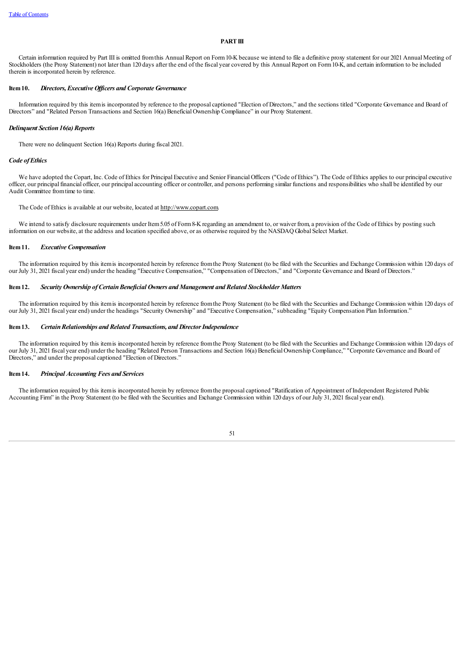## **PARTIII**

Certain information required by Part III is omitted from this Annual Report on Form 10-K because we intend to file a definitive proxy statement for our 2021 Annual Meeting of Stockholders (the Proxy Statement) not later than 120 days after the end of the fiscal year covered by this Annual Report on Form 10-K, and certain information to be included therein is incorporated herein by reference.

### **Item10.** *Directors, Executive Of icers and Corporate Governance*

Information required by this itemis incorporated by reference to the proposalcaptioned "Election of Directors," and the sections titled "Corporate Governance and Board of Directors" and "Related Person Transactions and Section 16(a) BeneficialOwnership Compliance" in our Proxy Statement.

### *Delinquent Section 16(a) Reports*

There were no delinquent Section 16(a) Reports during fiscal 2021.

#### *Code ofEthics*

We have adopted the Copart, Inc. Code of Ethics for Principal Executive and Senior Financial Officers ("Code of Ethics"). The Code of Ethics applies to our principal executive officer, our principal financial officer, our principalaccounting officer orcontroller,and persons performing similar functions and responsibilities who shall be identified by our Audit Committee fromtime to time.

# The Code of Ethics is available at our website, located at http://www.copart.com

We intend to satisfy disclosure requirements under Item 5.05 of Form 8-K regarding an amendment to, or waiver from, a provision of the Code of Ethics by posting such information on our website, at the address and location specified above, or as otherwise required by the NASDAQ Global Select Market.

### **Item11.** *Executive Compensation*

The information required by this itemis incorporated herein by reference fromthe Proxy Statement (to be filed with the Securities and Exchange Commission within 120 days of ourJuly 31, 2021 fiscal yearend) under the heading "Executive Compensation," "Compensation of Directors," and "Corporate Governance and Board of Directors."

# **Item12.** *Security Ownership ofCertainBeneficial Owners and Management and Related StockholderMatters*

The information required by this item is incorporated herein by reference from the Proxy Statement (to be filed with the Securities and Exchange Commission within 120 days of ourJuly 31, 2021 fiscal yearend) under the headings "Security Ownership" and "Executive Compensation," subheading "Equity Compensation Plan Information."

## **Item13.** *CertainRelationships and Related Transactions, and DirectorIndependence*

The information required by this item is incorporated herein by reference from the Proxy Statement (to be filed with the Securities and Exchange Commission within 120 days of ourJuly 31, 2021 fiscal yearend) under the heading "Related Person Transactions and Section 16(a) BeneficialOwnership Compliance," "Corporate Governance and Board of Directors," and under the proposal captioned "Election of Directors."

## **Item14.** *Principal Accounting Fees and Services*

The information required by this item is incorporated herein by reference from the proposal captioned "Ratification of Appointment of Independent Registered Public Accounting Firm" in the Proxy Statement (to be filed with the Securities and Exchange Commission within 120 days of ourJuly 31, 2021 fiscal yearend).

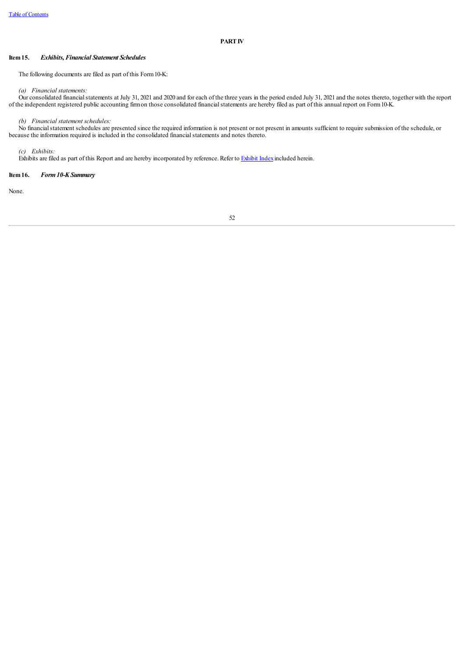# **PARTIV**

# **Item15.** *Exhibits, Financial Statement Schedules*

The following documents are filed as part of this Form10-K:

# *(a) Financial statements:*

Ourconsolidated financialstatements at July 31, 2021 and 2020 and foreach of the three years in the period ended July 31, 2021 and the notes thereto, together with the report of the independent registered public accounting firmon those consolidated financialstatements are hereby filed as part of this annual report on Form10-K.

# *(b) Financial statement schedules:*

No financialstatement schedules are presented since the required information is not present or not present in amounts sufficient to require submission of the schedule, or because the information required is included in the consolidated financialstatements and notes thereto.

# *(c) Exhibits:*

[Exhibit](#page-53-0)s are filed as part of this Report and are hereby incorporated by reference. Refer to **Exhibit Index** included herein.

# **Item16.** *Form10-K Summary*

<span id="page-53-0"></span>None.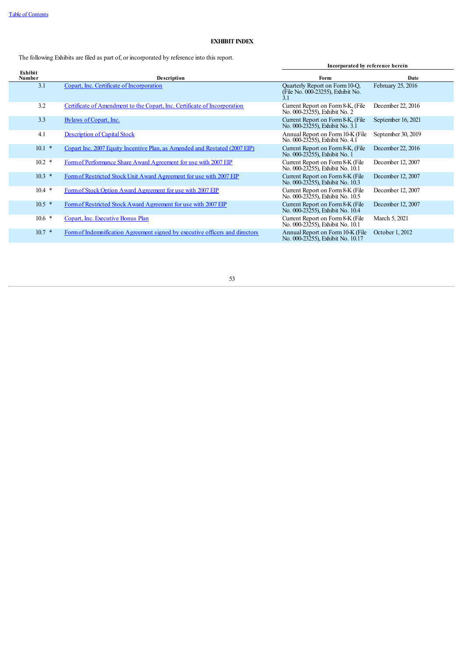# **EXHIBIT INDEX**

The following Exhibits are filed as part of, or incorporated by reference into this report.

|                          | The following Extribute are filed to pure of, or incorporated by reference like this report. | Incorporated by reference herein                                           |                    |  |  |  |
|--------------------------|----------------------------------------------------------------------------------------------|----------------------------------------------------------------------------|--------------------|--|--|--|
|                          |                                                                                              |                                                                            |                    |  |  |  |
| Exhibit<br><b>Number</b> | Description                                                                                  | Form                                                                       | Date               |  |  |  |
| 3.1                      | Copart, Inc. Certificate of Incorporation                                                    | Quarterly Report on Form 10-Q.<br>(File No. 000-23255), Exhibit No.<br>3.1 | February 25, 2016  |  |  |  |
| 3.2                      | Certificate of Amendment to the Copart, Inc. Certificate of Incorporation                    | Current Report on Form 8-K, (File<br>No. 000-23255), Exhibit No. 2         | December 22, 2016  |  |  |  |
| 3.3                      | Bylaws of Copart, Inc.                                                                       | Current Report on Form 8-K, (File<br>No. 000-23255), Exhibit No. 3.1       | September 16, 2021 |  |  |  |
| 4.1                      | <b>Description of Capital Stock</b>                                                          | Annual Report on Form 10-K (File<br>No. 000-23255), Exhibit No. 4.1        | September 30, 2019 |  |  |  |
| $10.1$ *                 | Copart Inc. 2007 Equity Incentive Plan, as Amended and Restated (2007 EIP)                   | Current Report on Form 8-K, (File<br>No. 000-23255), Exhibit No. 1         | December 22, 2016  |  |  |  |
| $10.2$ *                 | Form of Performance Share Award Agreement for use with 2007 EIP                              | Current Report on Form 8-K (File<br>No. 000-23255), Exhibit No. 10.1       | December 12, 2007  |  |  |  |
| $10.3$ *                 | Form of Restricted Stock Unit Award Agreement for use with 2007 EIP                          | Current Report on Form 8-K (File<br>No. 000-23255), Exhibit No. 10.3       | December 12, 2007  |  |  |  |
| $10.4$ *                 | Form of Stock Option Award Agreement for use with 2007 EIP                                   | Current Report on Form 8-K (File<br>No. 000-23255), Exhibit No. 10.5       | December 12, 2007  |  |  |  |
| $10.5$ *                 | Form of Restricted Stock Award Agreement for use with 2007 EIP                               | Current Report on Form 8-K (File<br>No. 000-23255), Exhibit No. 10.4       | December 12, 2007  |  |  |  |
| $10.6*$                  | Copart, Inc. Executive Bonus Plan                                                            | Current Report on Form 8-K (File<br>No. 000-23255), Exhibit No. 10.1       | March 5, 2021      |  |  |  |
| $10.7*$                  | Form of Indemnification Agreement signed by executive officers and directors                 | Annual Report on Form 10-K (File<br>No. 000-23255), Exhibit No. 10.17      | October 1, 2012    |  |  |  |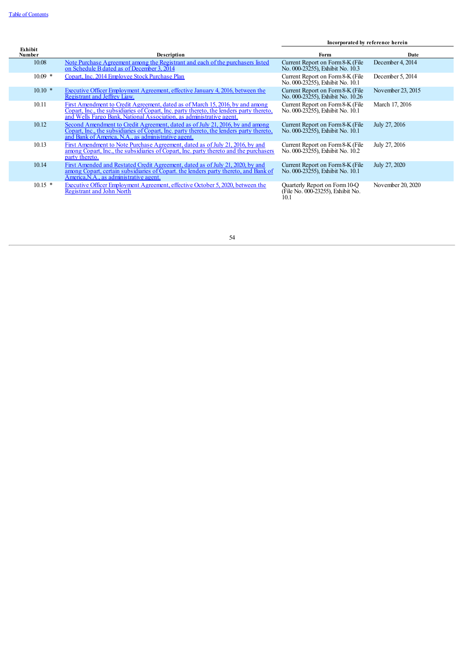**Incorporated by reference herein**

| Exhibit<br><b>Number</b> | Description                                                                                                                                                                                                                                       | Form                                                                       | Date              |
|--------------------------|---------------------------------------------------------------------------------------------------------------------------------------------------------------------------------------------------------------------------------------------------|----------------------------------------------------------------------------|-------------------|
| 10.08                    | Note Purchase Agreement among the Registrant and each of the purchasers listed<br>on Schedule B dated as of December 3, 2014                                                                                                                      | Current Report on Form 8-K (File<br>No. 000-23255), Exhibit No. 10.3       | December 4, 2014  |
| $10.09$ *                | Copart, Inc. 2014 Employee Stock Purchase Plan                                                                                                                                                                                                    | Current Report on Form 8-K (File<br>No. 000-23255), Exhibit No. 10.1       | December 5, 2014  |
| $10.10*$                 | Executive Officer Employment Agreement, effective January 4, 2016, between the<br>Registrant and Jeffrey Liaw.                                                                                                                                    | Current Report on Form 8-K (File<br>No. 000-23255), Exhibit No. 10.26      | November 23, 2015 |
| 10.11                    | First Amendment to Credit Agreement, dated as of March 15, 2016, by and among<br>Copart, Inc., the subsidiaries of Copart, Inc. party thereto, the lenders party thereto,<br>and Wells Fargo Bank, National Association, as administrative agent. | Current Report on Form 8-K (File<br>No. 000-23255), Exhibit No. 10.1       | March 17, 2016    |
| 10.12                    | Second Amendment to Credit Agreement, dated as of July 21, 2016, by and among<br>Copart, Inc., the subsidiaries of Copart, Inc. party thereto, the lenders party thereto,<br>and Bank of America, N.A., as administrative agent.                  | Current Report on Form 8-K (File<br>No. 000-23255), Exhibit No. 10.1       | July 27, 2016     |
| 10.13                    | First Amendment to Note Purchase Agreement, dated as of July 21, 2016, by and<br>among Copart, Inc., the subsidiaries of Copart, Inc. party thereto and the purchasers<br>party thereto.                                                          | Current Report on Form 8-K (File<br>No. 000-23255), Exhibit No. 10.2       | July 27, 2016     |
| 10.14                    | First Amended and Restated Credit Agreement, dated as of July 21, 2020, by and<br>among Copart, certain subsidiaries of Copart, the lenders party thereto, and Bank of<br>America, N.A., as administrative agent.                                 | Current Report on Form 8-K (File<br>No. 000-23255), Exhibit No. 10.1       | July 27, 2020     |
| $10.15$ *                | Executive Officer Employment Agreement, effective October 5, 2020, between the<br><b>Registrant and John North</b>                                                                                                                                | Quarterly Report on Form 10-Q<br>(File No. 000-23255), Exhibit No.<br>10.1 | November 20, 2020 |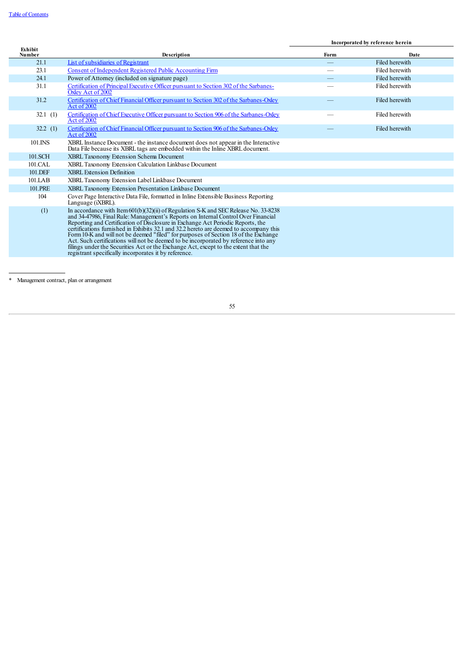|                          |                                                                                                                                                                                                                                                                                                                                                                                                                                                                                                                                                                                                                                                                                         | Incorporated by reference herein |                |  |
|--------------------------|-----------------------------------------------------------------------------------------------------------------------------------------------------------------------------------------------------------------------------------------------------------------------------------------------------------------------------------------------------------------------------------------------------------------------------------------------------------------------------------------------------------------------------------------------------------------------------------------------------------------------------------------------------------------------------------------|----------------------------------|----------------|--|
| Exhibit<br><b>Number</b> | Description                                                                                                                                                                                                                                                                                                                                                                                                                                                                                                                                                                                                                                                                             | Form                             | Date           |  |
| 21.1                     | List of subsidiaries of Registrant                                                                                                                                                                                                                                                                                                                                                                                                                                                                                                                                                                                                                                                      |                                  | Filed herewith |  |
| 23.1                     | <b>Consent of Independent Registered Public Accounting Firm</b>                                                                                                                                                                                                                                                                                                                                                                                                                                                                                                                                                                                                                         |                                  | Filed herewith |  |
| 24.1                     | Power of Attorney (included on signature page)                                                                                                                                                                                                                                                                                                                                                                                                                                                                                                                                                                                                                                          |                                  | Filed herewith |  |
| 31.1                     | Certification of Principal Executive Officer pursuant to Section 302 of the Sarbanes-<br>Oxlev Act of 2002                                                                                                                                                                                                                                                                                                                                                                                                                                                                                                                                                                              |                                  | Filed herewith |  |
| 31.2                     | Certification of Chief Financial Officer pursuant to Section 302 of the Sarbanes-Oxley<br>Act of 2002                                                                                                                                                                                                                                                                                                                                                                                                                                                                                                                                                                                   |                                  | Filed herewith |  |
| 32.1(1)                  | Certification of Chief Executive Officer pursuant to Section 906 of the Sarbanes-Oxley<br>Act of 2002                                                                                                                                                                                                                                                                                                                                                                                                                                                                                                                                                                                   |                                  | Filed herewith |  |
| 32.2(1)                  | Certification of Chief Financial Officer pursuant to Section 906 of the Sarbanes-Oxley<br>Act of 2002                                                                                                                                                                                                                                                                                                                                                                                                                                                                                                                                                                                   |                                  | Filed herewith |  |
| 101.INS                  | XBRL Instance Document - the instance document does not appear in the Interactive<br>Data File because its XBRL tags are embedded within the Inline XBRL document.                                                                                                                                                                                                                                                                                                                                                                                                                                                                                                                      |                                  |                |  |
| 101.SCH                  | XBRL Taxonomy Extension Schema Document                                                                                                                                                                                                                                                                                                                                                                                                                                                                                                                                                                                                                                                 |                                  |                |  |
| 101.CAL                  | XBRL Taxonomy Extension Calculation Linkbase Document                                                                                                                                                                                                                                                                                                                                                                                                                                                                                                                                                                                                                                   |                                  |                |  |
| 101.DEF                  | <b>XBRL</b> Extension Definition                                                                                                                                                                                                                                                                                                                                                                                                                                                                                                                                                                                                                                                        |                                  |                |  |
| 101.IAB                  | XBRL Taxonomy Extension Label Linkbase Document                                                                                                                                                                                                                                                                                                                                                                                                                                                                                                                                                                                                                                         |                                  |                |  |
| 101.PRE                  | XBRL Taxonomy Extension Presentation Linkbase Document                                                                                                                                                                                                                                                                                                                                                                                                                                                                                                                                                                                                                                  |                                  |                |  |
| 104                      | Cover Page Interactive Data File, formatted in Inline Extensible Business Reporting<br>Language ( <i>iXBRL</i> ).                                                                                                                                                                                                                                                                                                                                                                                                                                                                                                                                                                       |                                  |                |  |
| (1)                      | In accordance with Item $601(b)(32)(ii)$ of Regulation S-K and SEC Release No. 33-8238<br>and 34-47986, Final Rule: Management's Reports on Internal Control Over Financial<br>Reporting and Certification of Disclosure in Exchange Act Periodic Reports, the<br>certifications furnished in Exhibits 32.1 and 32.2 hereto are deemed to accompany this<br>Form 10-K and will not be deemed "filed" for purposes of Section 18 of the Exchange<br>Act. Such certifications will not be deemed to be incorporated by reference into any<br>filings under the Securities Act or the Exchange Act, except to the extent that the<br>registrant specifically incorporates it by reference. |                                  |                |  |

\* Management contract, plan or arrangement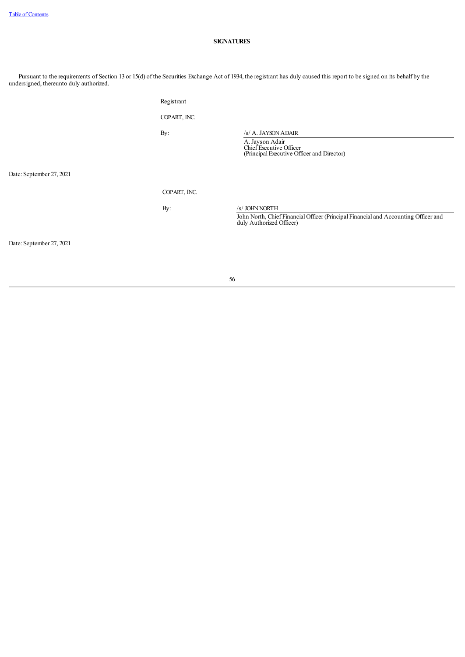# **SIGNATURES**

Pursuant to the requirements of Section 13 or 15(d) of the Securities Exchange Act of 1934, the registrant has duly caused this report to be signed on its behalf by the undersigned, thereunto duly authorized.

|                          | Registrant   |                                                                                                                                |
|--------------------------|--------------|--------------------------------------------------------------------------------------------------------------------------------|
|                          | COPART, INC. |                                                                                                                                |
|                          | By:          | /s/ A. JAYSON ADAIR<br>A. Jayson Adair<br>Chief Executive Officer<br>(Principal Executive Officer and Director)                |
| Date: September 27, 2021 |              |                                                                                                                                |
|                          | COPART, INC. |                                                                                                                                |
|                          | By:          | /s/ JOHN NORTH<br>John North, Chief Financial Officer (Principal Financial and Accounting Officer and duly Authorized Officer) |
| Date: September 27, 2021 |              |                                                                                                                                |
|                          |              |                                                                                                                                |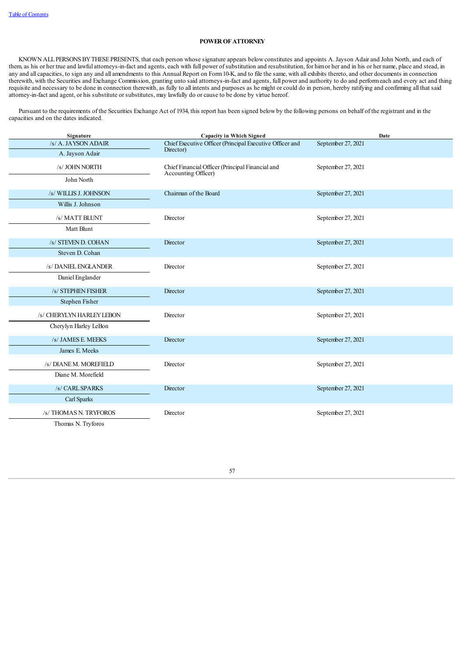# **POWEROFATTORNEY**

KNOWN ALL PERSONS BY THESE PRESENTS, that each person whose signature appears below constitutes and appoints A. Jayson Adair and John North, and each of them, as his or her true and lawful attorneys-in-fact and agents, each with full power of substitution and resubstitution, for himor her and in his or her name, place and stead, in any and all capacities, to sign any and all amendments to this Annual Report on Form 10-K, and to file the same, with all exhibits thereto, and other documents in connection therewith, with the Securities and Exchange Commission, granting unto said attorneys-in-fact and agents, full powerand authority to do and performeach and every act and thing requisite and necessary to be done in connection therewith,as fully to all intents and purposes as he might orcould do in person, hereby ratifying and confirming all that said attorney-in-fact and agent, or his substitute orsubstitutes, may lawfully do orcause to be done by virtue hereof.

Pursuant to the requirements of the Securities Exchange Act of 1934, this report has been signed below by the following persons on behalf of the registrant and in the capacities and on the dates indicated.

| Signature                 | <b>Capacity in Which Signed</b>                                         | Date               |
|---------------------------|-------------------------------------------------------------------------|--------------------|
| /s/ A. JAYSON ADAIR       | Chief Executive Officer (Principal Executive Officer and                | September 27, 2021 |
| A. Jayson Adair           | Director)                                                               |                    |
| /s/ JOHN NORTH            | Chief Financial Officer (Principal Financial and<br>Accounting Officer) | September 27, 2021 |
| John North                |                                                                         |                    |
| /s/ WILLIS J. JOHNSON     | Chairman of the Board                                                   | September 27, 2021 |
| Willis J. Johnson         |                                                                         |                    |
| /s/ MATT BLUNT            | Director                                                                | September 27, 2021 |
| Matt Blunt                |                                                                         |                    |
| /s/ STEVEN D. COHAN       | Director                                                                | September 27, 2021 |
| Steven D. Cohan           |                                                                         |                    |
| /s/ DANIEL ENGLANDER      | Director                                                                | September 27, 2021 |
| Daniel Englander          |                                                                         |                    |
| /s/ STEPHEN FISHER        | Director                                                                | September 27, 2021 |
| Stephen Fisher            |                                                                         |                    |
| /s/ CHERYLYN HARLEY LEBON | Director                                                                | September 27, 2021 |
| Cherylyn Harley LeBon     |                                                                         |                    |
| /s/ JAMES E. MEEKS        | Director                                                                | September 27, 2021 |
| James E. Meeks            |                                                                         |                    |
| /s/ DIANE M. MOREFIELD    | Director                                                                | September 27, 2021 |
| Diane M. Morefield        |                                                                         |                    |
| /s/ CARL SPARKS           | Director                                                                | September 27, 2021 |
| Carl Sparks               |                                                                         |                    |
| /s/ THOMAS N. TRYFOROS    | Director                                                                | September 27, 2021 |
| Thomas N. Tryforos        |                                                                         |                    |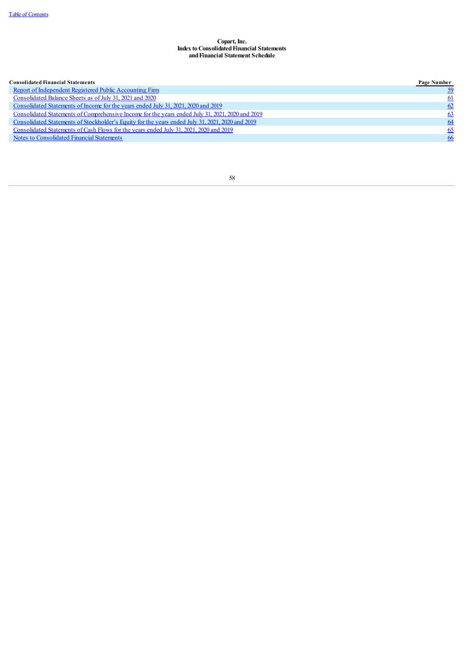### **Copart, Inc. Index toConsolidatedFinancial Statements andFinancial Statement Schedule**

| <b>Consolidated Financial Statements</b>                                                         | Page Number |
|--------------------------------------------------------------------------------------------------|-------------|
| Report of Independent Registered Public Accounting Firm                                          |             |
| Consolidated Balance Sheets as of July 31, 2021 and 2020                                         | <u>61</u>   |
| Consolidated Statements of Income for the years ended July 31, 2021, 2020 and 2019               | 62          |
| Consolidated Statements of Comprehensive Income for the years ended July 31, 2021, 2020 and 2019 | 63          |
| Consolidated Statements of Stockholder's Equity for the years ended July 31, 2021, 2020 and 2019 | -64         |
| Consolidated Statements of Cash Flows for the years ended July 31, 2021, 2020 and 2019           | 65          |
| Notes to Consolidated Financial Statements                                                       | -66         |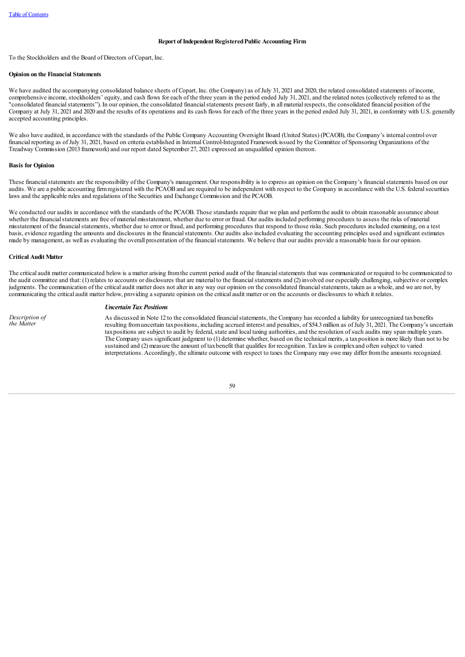## **Report ofIndependent RegisteredPublic Accounting Firm**

To the Stockholders and the Board of Directors of Copart, Inc.

## **Opinion on the Financial Statements**

We have audited the accompanying consolidated balance sheets of Copart, Inc. (the Company) as of July 31, 2021 and 2020, the related consolidated statements of income, comprehensive income, stockholders' equity, and cash flows for each of the three years in the period ended July 31, 2021, and the related notes (collectively referred to as the "consolidated financialstatements"). In our opinion, the consolidated financialstatements present fairly, in allmaterial respects, the consolidated financial position of the Company at July 31, 2021 and 2020 and the results of its operations and its cash flows foreach of the three years in the period ended July 31, 2021, in conformity with U.S. generally accepted accounting principles.

We also have audited, in accordance with the standards of the Public Company Accounting Oversight Board (United States) (PCAOB), the Company's internal control over financial reporting as ofJuly 31, 2021, based on criteria established in Internal Control-Integrated Framework issued by the Committee of Sponsoring Organizations of the Treadway Commission (2013 framework) and our report dated September 27, 2021 expressed an unqualified opinion thereon.

# **Basis for Opinion**

These financial statements are the responsibility of the Company's management. Our responsibility is to express an opinion on the Company's financial statements based on our audits. We are a public accounting firm registered with the PCAOB and are required to be independent with respect to the Company in accordance with the U.S. federal securities laws and the applicable rules and regulations of the Securities and Exchange Commission and the PCAOB.

We conducted our audits in accordance with the standards of the PCAOB. Those standards require that we plan and perform the audit to obtain reasonable assurance about whether the financial statements are free of material misstatement, whether due to error or fraud. Our audits included performing procedures to assess the risks of material misstatement of the financialstatements, whether due to error or fraud,and performing procedures that respond to those risks. Such procedures included examining, on a test basis,evidence regarding the amounts and disclosures in the financialstatements. Ouraudits also included evaluating the accounting principles used and significant estimates made by management, as well as evaluating the overall presentation of the financial statements. We believe that our audits provide a reasonable basis for our opinion.

#### **Critical Audit Matter**

The critical audit matter communicated below is a matter arising from the current period audit of the financial statements that was communicated or required to be communicated to the audit committee and that: (1) relates to accounts or disclosures that are material to the financialstatements and (2) involved ourespecially challenging, subjective orcomplex judgments. The communication of the critical audit matter does not alter in any way our opinion on the consolidated financial statements, taken as a whole, and we are not, by communicating the criticalaudit matter below, providing a separate opinion on the criticalaudit matter or on the accounts or disclosures to which it relates.

### *UncertainTax Positions*

*Description of the Matter*

As discussed in Note 12 to the consolidated financial statements, the Company has recorded a liability for unrecognized tax benefits resulting from uncertain taxpositions, including accrued interest and penalties, of \$54.3 million as of July 31, 2021. The Company's uncertain tax positions are subject to audit by federal, state and local taxing authorities, and the resolution of such audits may span multiple years. The Company uses significant judgment to (1) determine whether, based on the technical merits, a tax position is more likely than not to be sustained and (2)measure the amount of taxbenefit that qualifies for recognition. Taxlawis complexand often subject to varied interpretations. Accordingly, the ultimate outcome with respect to taxes the Company may owe may differ fromthe amounts recognized.

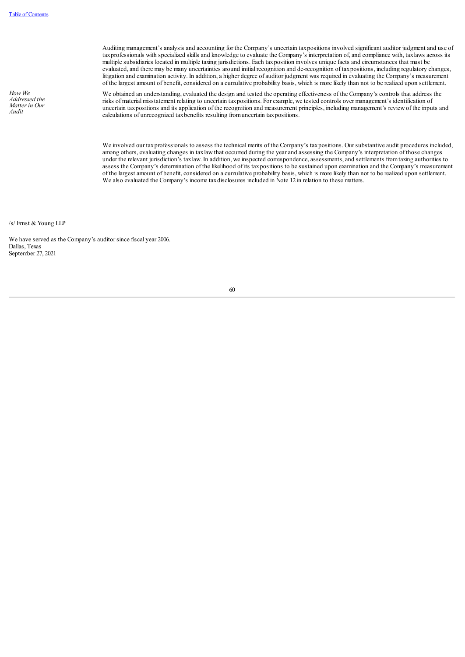*How We Addressed the Matter in Our Audit*

Auditing management's analysis and accounting for the Company's uncertain taxpositions involved significant auditor judgment and use of taxprofessionals with specialized skills and knowledge to evaluate the Company's interpretation of,and compliance with, taxlaws across its multiple subsidiaries located in multiple taxing jurisdictions. Each taxposition involves unique facts and circumstances that must be evaluated,and there may be many uncertainties around initial recognition and de-recognition of taxpositions, including regulatory changes, litigation and examination activity. In addition, a higher degree of auditor judgment was required in evaluating the Company's measurement of the largest amount of benefit,considered on a cumulative probability basis, which is more likely than not to be realized upon settlement.

We obtained an understanding, evaluated the design and tested the operating effectiveness of the Company's controls that address the risks of material misstatement relating to uncertain taxpositions. For example, we tested controls over management's identification of uncertain taxpositions and its application of the recognition and measurement principles, including management's reviewof the inputs and calculations of unrecognized taxbenefits resulting fromuncertain taxpositions.

We involved our taxprofessionals to assess the technical merits of the Company's taxpositions. Our substantive audit procedures included, among others, evaluating changes in tax law that occurred during the year and assessing the Company's interpretation of those changes under the relevant jurisdiction's tax law. In addition, we inspected correspondence, assessments, and settlements from taxing authorities to assess the Company's determination of the likelihood of its taxpositions to be sustained upon examination and the Company's measurement of the largest amount of benefit,considered on a cumulative probability basis, which is more likely than not to be realized upon settlement. We also evaluated the Company's income taxdisclosures included in Note 12 in relation to these matters.

/s/ Ernst & Young LLP

We have served as the Company's auditor since fiscal year 2006. Dallas, Texas September 27, 2021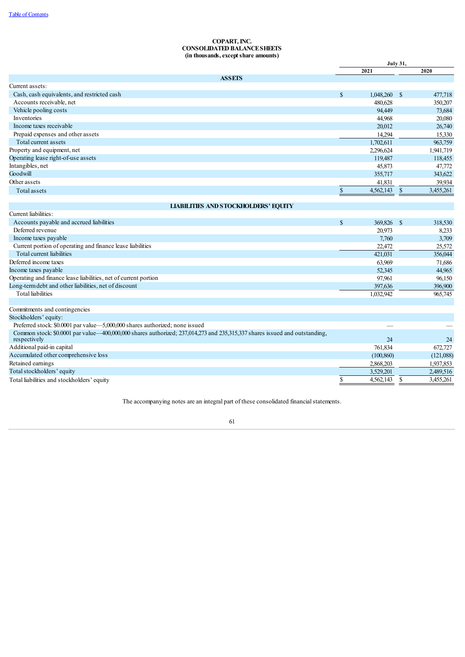Total liabilities and stockholders' equity

# **COPART, INC. CONSOLIDATED BALANCE SHEETS (in thousands,exceptshare amounts)**

|                                             |                              | <b>July 31,</b> |           |  |
|---------------------------------------------|------------------------------|-----------------|-----------|--|
|                                             | 2021                         |                 | 2020      |  |
| <b>ASSETS</b>                               |                              |                 |           |  |
| Current assets:                             |                              |                 |           |  |
| Cash, cash equivalents, and restricted cash | $\mathbb{S}$<br>1,048,260 \$ |                 | 477,718   |  |
| Accounts receivable, net                    | 480,628                      |                 | 350,207   |  |
| Vehicle pooling costs                       | 94,449                       |                 | 73,684    |  |
| Inventories                                 | 44,968                       |                 | 20,080    |  |
| Income taxes receivable                     | 20,012                       |                 | 26,740    |  |
| Prepaid expenses and other assets           | 14,294                       |                 | 15,330    |  |
| Total current assets                        | 1,702,611                    |                 | 963,759   |  |
| Property and equipment, net                 | 2,296,624                    |                 | 1,941,719 |  |
| Operating lease right-of-use assets         | 119,487                      |                 | 118,455   |  |
| Intangibles, net                            | 45,873                       |                 | 47,772    |  |
| Goodwill                                    | 355,717                      |                 | 343,622   |  |
| Other assets                                | 41,831                       |                 | 39,934    |  |
| Total assets                                | 4,562,143                    | -S              | 3,455,261 |  |
| <b>LIABILITIES AND STOCKHOLDERS' EQUITY</b> |                              |                 |           |  |
| Current liabilities:                        |                              |                 |           |  |
| Accounts payable and accrued liabilities    | $\mathbb{S}$<br>369,826 \$   |                 | 318,530   |  |
| Deferred revenue                            | 20,973                       |                 | 8,233     |  |

| Income taxes payable                                                                                                                       | 7,760      | 3,709           |
|--------------------------------------------------------------------------------------------------------------------------------------------|------------|-----------------|
| Current portion of operating and finance lease liabilities                                                                                 | 22,472     | 25,572          |
| Total current liabilities                                                                                                                  | 421,031    | 356,044         |
| Deferred income taxes                                                                                                                      | 63,969     | 71,686          |
| Income taxes payable                                                                                                                       | 52,345     | 44,965          |
| Operating and finance lease liabilities, net of current portion                                                                            | 97,961     | 96,150          |
| Long-term debt and other liabilities, net of discount                                                                                      | 397,636    | 396,900         |
| Total liabilities                                                                                                                          | 1,032,942  | 965,745         |
|                                                                                                                                            |            |                 |
| Commitments and contingencies                                                                                                              |            |                 |
| Stockholders' equity:                                                                                                                      |            |                 |
| Preferred stock: \$0.0001 par value—5,000,000 shares authorized; none issued                                                               |            |                 |
| Common stock: \$0.0001 par value—400,000,000 shares authorized; 237,014,273 and 235,315,337 shares issued and outstanding,<br>respectively | 24         | 24              |
| Additional paid-in capital                                                                                                                 | 761,834    | 672,727         |
| Accumulated other comprehensive loss                                                                                                       | (100, 860) | (121,088)       |
| Retained earnings                                                                                                                          | 2,868,203  | 1,937,853       |
| Total stockholders' equity                                                                                                                 | 3,529,201  | 2,489,516       |
| Total liabilities and stockholders' equity                                                                                                 | 4,562,143  | -S<br>3,455,261 |

The accompanying notes are an integral part of these consolidated financial statements.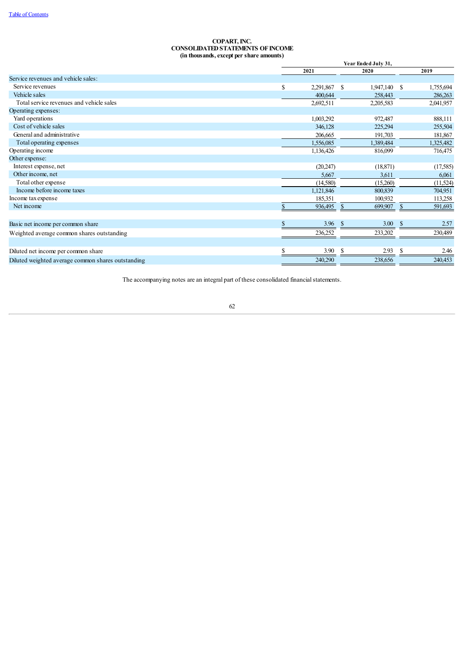## **COPART, INC. CONSOLIDATEDSTATEMENTS OFINCOME (in thousands,except per share amounts)**

|                                                    |      | Year Ended July 31, |                      |    |           |
|----------------------------------------------------|------|---------------------|----------------------|----|-----------|
|                                                    | 2021 |                     | 2020                 |    | 2019      |
| Service revenues and vehicle sales:                |      |                     |                      |    |           |
| Service revenues                                   | \$   | 2,291,867           | 1,947,140 \$<br>S.   |    | 1,755,694 |
| Vehicle sales                                      |      | 400,644             | 258,443              |    | 286,263   |
| Total service revenues and vehicle sales           |      | 2,692,511           | 2,205,583            |    | 2,041,957 |
| Operating expenses:                                |      |                     |                      |    |           |
| Yard operations                                    |      | 1,003,292           | 972,487              |    | 888,111   |
| Cost of vehicle sales                              |      | 346,128             | 225,294              |    | 255,504   |
| General and administrative                         |      | 206,665             | 191,703              |    | 181,867   |
| Total operating expenses                           |      | 1,556,085           | 1,389,484            |    | 1,325,482 |
| Operating income                                   |      | 1,136,426           | 816,099              |    | 716,475   |
| Other expense:                                     |      |                     |                      |    |           |
| Interest expense, net                              |      | (20, 247)           | (18, 871)            |    | (17, 585) |
| Other income, net                                  |      | 5,667               | 3,611                |    | 6,061     |
| Total other expense                                |      | (14,580)            | (15,260)             |    | (11, 524) |
| Income before income taxes                         |      | 1,121,846           | 800,839              |    | 704,951   |
| Income tax expense                                 |      | 185,351             | 100,932              |    | 113,258   |
| Net income                                         |      | 936,495             | 699,907              |    | 591,693   |
|                                                    |      |                     |                      |    |           |
| Basic net income per common share                  |      | 3.96                | 3.00                 |    | 2.57      |
| Weighted average common shares outstanding         |      | 236,252             | 233,202              |    | 230,489   |
|                                                    |      |                     |                      |    |           |
| Diluted net income per common share                |      | 3.90                | 2.93<br>$\mathbb{S}$ | -S | 2.46      |
| Diluted weighted average common shares outstanding |      | 240,290             | 238,656              |    | 240,453   |

<span id="page-63-0"></span>The accompanying notes are an integral part of these consolidated financial statements.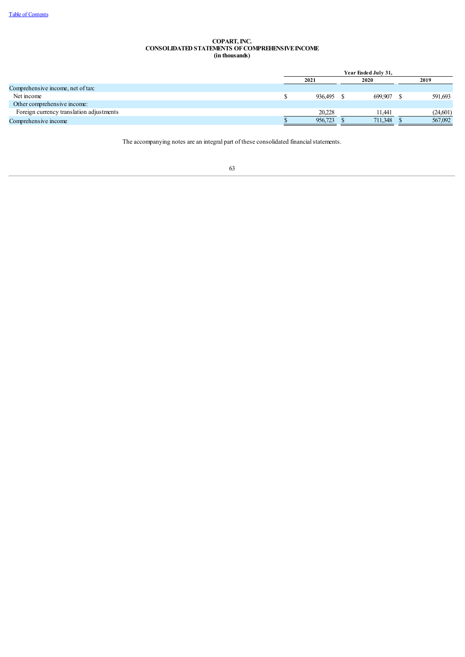### **COPART, INC. CONSOLIDATED STATEMENTS OF COMPREHENSIVE INCOME (in thousands)**

<span id="page-64-0"></span>

|                                          | Year Ended July 31. |  |         |  |          |
|------------------------------------------|---------------------|--|---------|--|----------|
|                                          | 2021                |  | 2020    |  | 2019     |
| Comprehensive income, net of tax.        |                     |  |         |  |          |
| Net income                               | 936.495             |  | 699.907 |  | 591,693  |
| Other comprehensive income:              |                     |  |         |  |          |
| Foreign currency translation adjustments | 20.228              |  | 11.441  |  | (24,601) |
| Comprehensive income                     | 956,723             |  | 711,348 |  | 567,092  |

The accompanying notes are an integral part of these consolidated financial statements.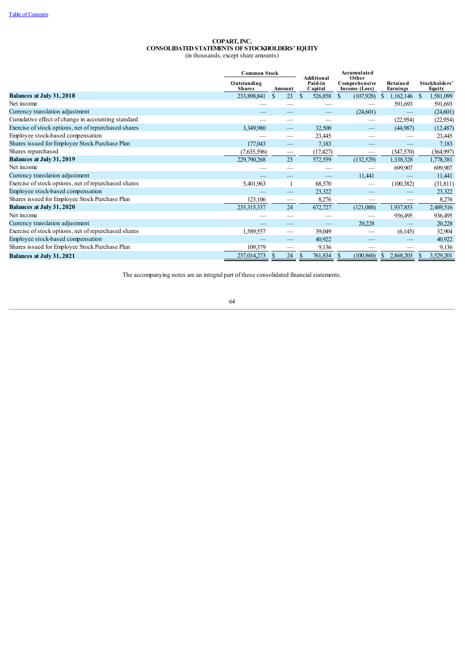## **COPART, INC. CONSOLIDATEDSTATEMENTS OFSTOCKHOLDERS' EQUITY** (in thousands,except share amounts)

|                                                      | <b>Common Stock</b>          |        |                                 | Accumulated                      |                                         |                      |                         |
|------------------------------------------------------|------------------------------|--------|---------------------------------|----------------------------------|-----------------------------------------|----------------------|-------------------------|
|                                                      | Outstanding<br><b>Shares</b> | Amount |                                 | Additional<br>Paid-in<br>Capital | Other<br>Comprehensive<br>Income (Loss) | Retained<br>Earnings | Stockholders'<br>Equity |
| Balances at July 31, 2018                            | 233,898,841                  | \$     | 23                              | 526,858<br><sup>\$</sup>         | <sup>\$</sup><br>(107, 928)             | 1,162,146            | 1,581,099<br>S.         |
| Net income                                           |                              |        |                                 |                                  |                                         | 591,693              | 591,693                 |
| Currency translation adjustment                      |                              |        |                                 |                                  | (24,601)                                |                      | (24,601)                |
| Cumulative effect of change in accounting standard   |                              |        |                                 |                                  |                                         | (22, 954)            | (22, 954)               |
| Exercise of stock options, net of repurchased shares | 3,349,980                    |        |                                 | 32,500                           |                                         | (44,987)             | (12, 487)               |
| Employee stock-based compensation                    |                              |        |                                 | 23,445                           |                                         |                      | 23,445                  |
| Shares issued for Employee Stock Purchase Plan       | 177,043                      |        |                                 | 7,183                            |                                         |                      | 7,183                   |
| Shares repurchased                                   | (7,635,596)                  |        | $\hspace{0.1mm}-\hspace{0.1mm}$ | (17, 427)                        |                                         | (347,570)            | (364,997)               |
| Balances at July 31, 2019                            | 229,790,268                  |        | 23                              | 572,559                          | (132, 529)                              | 1,338,328            | 1,778,381               |
| Net income                                           |                              |        |                                 |                                  |                                         | 699,907              | 699,907                 |
| Currency translation adjustment                      |                              |        |                                 |                                  | 11,441                                  |                      | 11,441                  |
| Exercise of stock options, net of repurchased shares | 5,401,963                    |        |                                 | 68,570                           |                                         | (100, 382)           | (31, 811)               |
| Employee stock-based compensation                    |                              |        |                                 | 23,322                           |                                         |                      | 23,322                  |
| Shares issued for Employee Stock Purchase Plan       | 123,106                      |        |                                 | 8,276                            |                                         |                      | 8,276                   |
| <b>Balances at July 31, 2020</b>                     | 235, 315, 337                |        | 24                              | 672,727                          | (121,088)                               | 1,937,853            | 2,489,516               |
| Net income                                           |                              |        |                                 |                                  |                                         | 936,495              | 936,495                 |
| Currency translation adjustment                      |                              |        |                                 |                                  | 20,228                                  |                      | 20,228                  |
| Exercise of stock options, net of repurchased shares | 1,589,557                    |        |                                 | 39,049                           |                                         | (6,145)              | 32,904                  |
| Employee stock-based compensation                    |                              |        |                                 | 40,922                           |                                         |                      | 40,922                  |
| Shares issued for Employee Stock Purchase Plan       | 109,379                      |        |                                 | 9,136                            |                                         |                      | 9,136                   |
| Balances at July 31, 2021                            | 237,014,273                  | S      | 24                              | 761,834<br>S.                    | (100, 860)<br>\$                        | 2,868,203<br>S       | 3,529,201               |

The accompanying notes are an integral part of these consolidated financial statements.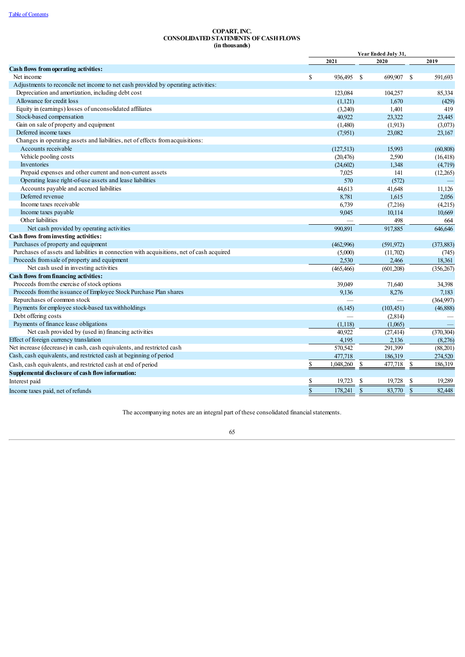### **COPART, INC. CONSOLIDATEDSTATEMENTS OFCASHFLOWS (in thousands)**

|                                                                                           | Year Ended July 31, |                        |              |            |
|-------------------------------------------------------------------------------------------|---------------------|------------------------|--------------|------------|
|                                                                                           | 2021                | 2020                   |              | 2019       |
| Cash flows from operating activities:                                                     |                     |                        |              |            |
| Net income                                                                                | \$<br>936,495       | 699,907 \$<br>- \$     |              | 591,693    |
| Adjustments to reconcile net income to net cash provided by operating activities:         |                     |                        |              |            |
| Depreciation and amortization, including debt cost                                        | 123,084             | 104,257                |              | 85,334     |
| Allowance for credit loss                                                                 | (1, 121)            | 1,670                  |              | (429)      |
| Equity in (earnings) losses of unconsolidated affiliates                                  | (3,240)             | 1,401                  |              | 419        |
| Stock-based compensation                                                                  | 40,922              | 23,322                 |              | 23,445     |
| Gain on sale of property and equipment                                                    | (1,480)             | (1,913)                |              | (3,073)    |
| Deferred income taxes                                                                     | (7,951)             | 23,082                 |              | 23,167     |
| Changes in operating assets and liabilities, net of effects from acquisitions:            |                     |                        |              |            |
| Accounts receivable                                                                       | (127, 513)          | 15,993                 |              | (60, 808)  |
| Vehicle pooling costs                                                                     | (20, 476)           | 2,590                  |              | (16, 418)  |
| Inventories                                                                               | (24, 602)           | 1,348                  |              | (4,719)    |
| Prepaid expenses and other current and non-current assets                                 | 7,025               | 141                    |              | (12,265)   |
| Operating lease right-of-use assets and lease liabilities                                 | 570                 | (572)                  |              |            |
| Accounts payable and accrued liabilities                                                  | 44,613              | 41,648                 |              | 11,126     |
| Deferred revenue                                                                          | 8,781               | 1,615                  |              | 2,056      |
| Income taxes receivable                                                                   | 6,739               | (7,216)                |              | (4,215)    |
| Income taxes payable                                                                      | 9,045               | 10,114                 |              | 10,669     |
| Other liabilities                                                                         |                     | 498                    |              | 664        |
| Net cash provided by operating activities                                                 | 990.891             | 917,885                |              | 646,646    |
| Cash flows from investing activities:                                                     |                     |                        |              |            |
| Purchases of property and equipment                                                       | (462,996)           | (591, 972)             |              | (373, 883) |
| Purchases of assets and liabilities in connection with acquisitions, net of cash acquired | (5,000)             | (11,702)               |              | (745)      |
| Proceeds from sale of property and equipment                                              | 2.530               | 2,466                  |              | 18,361     |
| Net cash used in investing activities                                                     | (465, 466)          | (601, 208)             |              | (356, 267) |
| Cash flows from financing activities:                                                     |                     |                        |              |            |
| Proceeds from the exercise of stock options                                               | 39,049              | 71,640                 |              | 34,398     |
| Proceeds from the issuance of Employee Stock Purchase Plan shares                         | 9.136               | 8,276                  |              | 7,183      |
| Repurchases of common stock                                                               |                     |                        |              | (364,997)  |
| Payments for employee stock-based tax withholdings                                        | (6, 145)            | (103, 451)             |              | (46,888)   |
| Debt offering costs                                                                       |                     | (2,814)                |              |            |
| Payments of finance lease obligations                                                     | (1,118)             | (1,065)                |              |            |
| Net cash provided by (used in) financing activities                                       | 40,922              | (27, 414)              |              | (370, 304) |
| Effect of foreign currency translation                                                    | 4,195               | 2,136                  |              | (8,276)    |
| Net increase (decrease) in cash, cash equivalents, and restricted cash                    | 570,542             | 291,399                |              | (88,201)   |
| Cash, cash equivalents, and restricted cash at beginning of period                        | 477,718             | 186,319                |              | 274,520    |
| Cash, cash equivalents, and restricted cash at end of period                              | \$<br>1,048,260     | \$<br>477,718          | \$           | 186,319    |
| Supplemental disclosure of cash flow information:                                         |                     |                        |              |            |
| Interest paid                                                                             | \$<br>19,723        | 19,728                 |              | 19,289     |
|                                                                                           | \$<br>178,241       | $\mathbb{S}$<br>83,770 | $\mathbb{S}$ | 82,448     |
| Income taxes paid, net of refunds                                                         |                     |                        |              |            |

The accompanying notes are an integral part of these consolidated financial statements.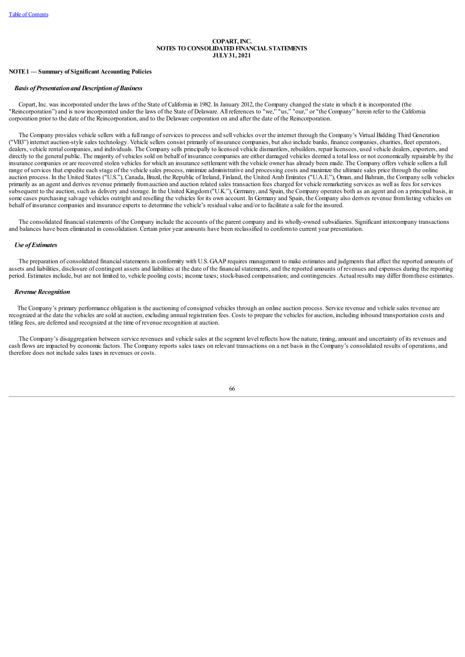### **COPART, INC. NOTES TO CONSOLIDATED FINANCIAL STATEMENTS JULY31, 2021**

### **NOTE1 — Summary of Significant Accounting Policies**

### *Basis of Presentation and Description ofBusiness*

Copart, Inc. was incorporated under the laws of the State of California in 1982. In January 2012, the Company changed the state in which it is incorporated (the "Reincorporation") and is now incorporated under the laws of the State of Delaware. All references to "we," "us," "our," or "the Company" herein refer to the California corporation prior to the date of the Reincorporation,and to the Delaware corporation on and after the date of the Reincorporation.

The Company provides vehicle sellers with a full range of services to process and sell vehicles over the internet through the Company's Virtual Bidding Third Generation ("VB3") internet auction-style sales technology. Vehicle sellers consist primarily of insurance companies, but also include banks, finance companies,charities, fleet operators, dealers, vehicle rental companies, and individuals. The Company sells principally to licensed vehicle dismantlers, rebuilders, repair licensees, used vehicle dealers, exporters, and directly to the general public. The majority of vehicles sold on behalf of insurance companies are either damaged vehicles deemed a total loss or not economically repairable by the insurance companies orare recovered stolen vehicles for which an insurance settlement with the vehicle owner has already been made. The Company offers vehicle sellers a full range ofservices that expedite each stage of the vehicle sales process, minimize administrative and processing costs and maximize the ultimate sales price through the online auction process. In the United States ("U.S."), Canada, Brazil, the Republic of Ireland, Finland, the United Arab Emirates ("U.A.E."), Oman,and Bahrain, the Company sells vehicles primarily as an agent and derives revenue primarily from auction and auction related sales transaction fees charged for vehicle remarketing services as well as fees for services subsequent to the auction, such as delivery and storage. In the United Kingdom ("U.K."), Germany, and Spain, the Company operates both as an agent and on a principal basis, in some cases purchasing salvage vehicles outright and reselling the vehicles for its own account. In Germany and Spain, the Company also derives revenue from listing vehicles on behalf of insurance companies and insurance experts to determine the vehicle's residual value and/or to facilitate a sale for the insured.

The consolidated financialstatements of the Company include the accounts of the parent company and its wholly-owned subsidiaries. Significant intercompany transactions and balances have been eliminated in consolidation. Certain prior yearamounts have been reclassified to conformto current year presentation.

### *Use ofEstimates*

The preparation of consolidated financial statements in conformity with U.S. GAAP requires management to make estimates and judgments that affect the reported amounts of assets and liabilities, disclosure of contingent assets and liabilities at the date of the financial statements, and the reported amounts of revenues and expenses during the reporting period. Estimates include, but are not limited to, vehicle pooling costs; income taxes; stock-based compensation; and contingencies. Actual results may differ fromthese estimates.

### *Revenue Recognition*

The Company's primary performance obligation is the auctioning of consigned vehicles through an online auction process. Service revenue and vehicle sales revenue are recognized at the date the vehicles are sold at auction, excluding annual registration fees. Costs to prepare the vehicles for auction, including inbound transportation costs and titling fees,are deferred and recognized at the time of revenue recognition at auction.

The Company's disaggregation between service revenues and vehicle sales at the segment level reflects how the nature, timing, amount and uncertainty of its revenues and cash flows are impacted by economic factors. The Company reports sales taxes on relevant transactions on a net basis in the Company's consolidated results of operations,and therefore does not include sales taxes in revenues or costs.

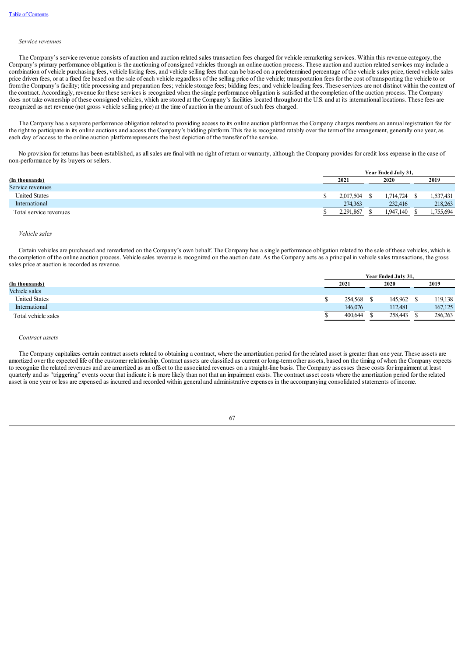#### *Service revenues*

The Company's service revenue consists ofauction and auction related sales transaction fees charged for vehicle remarketing services. Within this revenue category, the Company's primary performance obligation is the auctioning ofconsigned vehicles through an online auction process. These auction and auction related services may include a combination of vehicle purchasing fees, vehicle listing fees, and vehicle selling fees that can be based on a predetermined percentage of the vehicle sales price, tiered vehicle sales price driven fees, or at a fixed fee based on the sale of each vehicle regardless of the selling price of the vehicle; transportation fees for the cost of transporting the vehicle to or from the Company's facility; title processing and preparation fees; vehicle storage fees; bidding fees; and vehicle loading fees. These services are not distinct within the context of the contract. Accordingly, revenue for these services is recognized when the single performance obligation is satisfied at the completion of the auction process. The Company does not take ownership of these consigned vehicles, which are stored at the Company's facilities located throughout the U.S. and at its international locations. These fees are recognized as net revenue (not gross vehicle selling price) at the time of auction in the amount of such fees charged.

The Company has a separate performance obligation related to providing access to its online auction platformas the Company charges members an annual registration fee for the right to participate in its online auctions and access the Company's bidding platform. This fee is recognized ratably over the termof the arrangement, generally one year,as each day of access to the online auction platform represents the best depiction of the transfer of the service.

No provision for returns has been established, as all sales are final with no right of return or warranty, although the Company provides for credit loss expense in the case of non-performance by its buyers orsellers.

|                        | Year Ended July 31, |           |  |           |  |           |  |
|------------------------|---------------------|-----------|--|-----------|--|-----------|--|
| (In thousands)         |                     | 2021      |  | 2020      |  | 2019      |  |
| Service revenues       |                     |           |  |           |  |           |  |
| <b>United States</b>   |                     | 2,017,504 |  | 1.714.724 |  | 1,537,431 |  |
| International          |                     | 274,363   |  | 232,416   |  | 218,263   |  |
| Total service revenues |                     | 2,291,867 |  | 1,947,140 |  | 1.755.694 |  |
|                        |                     |           |  |           |  |           |  |

### *Vehicle sales*

Certain vehicles are purchased and remarketed on the Company's own behalf. The Company has a single performance obligation related to the sale of these vehicles, which is the completion of the online auction process. Vehicle sales revenue is recognized on the auction date. As the Company acts as a principal in vehicle sales transactions, the gross sales price at auction is recorded as revenue.

|                      | Year Ended July 31. |  |         |  |         |
|----------------------|---------------------|--|---------|--|---------|
| (In thousands)       | 2021                |  | 2020    |  | 2019    |
| Vehicle sales        |                     |  |         |  |         |
| <b>United States</b> | 254,568             |  | 145.962 |  | 119,138 |
| International        | 146,076             |  | 112.481 |  | 167,125 |
| Total vehicle sales  | 400,644             |  | 258,443 |  | 286,263 |

#### *Contract assets*

The Company capitalizes certain contract assets related to obtaining a contract, where the amortization period for the related asset is greater than one year. These assets are amortized over the expected life of the customer relationship. Contract assets are classified as current or long-termotherassets, based on the timing of when the Company expects to recognize the related revenues and are amortized as an offset to the associated revenues on a straight-line basis. The Company assesses these costs for impairment at least quarterly and as "triggering" events occur that indicate it is more likely than not that an impairment exists. The contract asset costs where the amortization period for the related asset is one year or less are expensed as incurred and recorded within generaland administrative expenses in the accompanying consolidated statements of income.

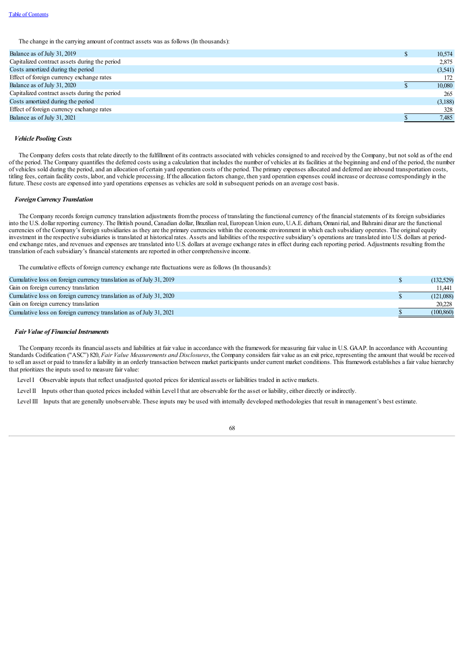The change in the carrying amount of contract assets was as follows (In thousands):

| Balance as of July 31, 2019                   | 10.574   |
|-----------------------------------------------|----------|
| Capitalized contract assets during the period | 2,875    |
| Costs amortized during the period             | (3, 541) |
| Effect of foreign currency exchange rates     | 172      |
| Balance as of July 31, 2020                   | 10.080   |
| Capitalized contract assets during the period | 265      |
| Costs amortized during the period             | (3,188)  |
| Effect of foreign currency exchange rates     | 328      |
| Balance as of July 31, 2021                   | 7.485    |
|                                               |          |

## *Vehicle Pooling Costs*

The Company defers costs that relate directly to the fulfillment of its contracts associated with vehicles consigned to and received by the Company, but not sold as of the end of the period. The Company quantifies the deferred costs using a calculation that includes the number of vehicles at its facilities at the beginning and end of the period, the number of vehicles sold during the period, and an allocation of certain yard operation costs of the period. The primary expenses allocated and deferred are inbound transportation costs, titling fees,certain facility costs, labor,and vehicle processing. If the allocation factors change, then yard operation expenses could increase or decrease correspondingly in the future. These costs are expensed into yard operations expenses as vehicles are sold in subsequent periods on an average cost basis.

# *ForeignCurrency Translation*

The Company records foreign currency translation adjustments from the process of translating the functional currency of the financial statements of its foreign subsidiaries into the U.S. dollar reporting currency. The British pound, Canadian dollar, Brazilian real, European Union euro, U.A.E. dirham, Omani rial,and Bahraini dinarare the functional currencies of the Company's foreign subsidiaries as they are the primary currencies within the economic environment in which each subsidiary operates. The originalequity investment in the respective subsidiaries is translated at historical rates. Assets and liabilities of the respective subsidiary's operations are translated into U.S. dollars at periodend exchange rates, and revenues and expenses are translated into U.S. dollars at average exchange rates in effect during each reporting period. Adjustments resulting from the translation of each subsidiary's financial statements are reported in other comprehensive income.

The cumulative effects of foreign currency exchange rate fluctuations were as follows (In thousands):

| Cumulative loss on foreign currency translation as of July 31, 2019 | (132, 529) |
|---------------------------------------------------------------------|------------|
| Gain on foreign currency translation                                | 11.441     |
| Cumulative loss on foreign currency translation as of July 31, 2020 | (121,088)  |
| Gain on foreign currency translation                                | 20.228     |
| Cumulative loss on foreign currency translation as of July 31, 2021 | (100.860)  |

### *Fair Value ofFinancial Instruments*

The Company records its financial assets and liabilities at fair value in accordance with the framework for measuring fair value in U.S. GAAP. In accordance with Accounting Standards Codification ("ASC") 820, *Fair Value Measurements and Disclosures*, the Company considers fair value as an exit price, representing the amount that would be received to sell an asset or paid to transfer a liability in an orderly transaction between market participants under current market conditions. This framework establishes a fair value hierarchy that prioritizes the inputs used to measure fair value:

Level I Observable inputs that reflect unadjusted quoted prices for identicalassets or liabilities traded in active markets.

Level II Inputs other than quoted prices included within Level I that are observable for the asset or liability,either directly or indirectly.

Level III Inputs that are generally unobservable. These inputs may be used with internally developed methodologies that result in management's best estimate.

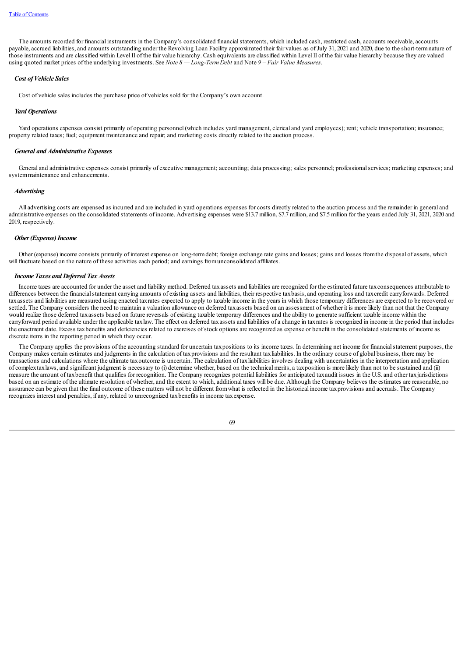The amounts recorded for financial instruments in the Company's consolidated financial statements, which included cash, restricted cash, accounts receivable, accounts payable, accrued liabilities, and amounts outstanding under the Revolving Loan Facility approximated their fair values as of July 31, 2021 and 2020, due to the short-term nature of those instruments and are classified within Level II of the fair value hierarchy. Cash equivalents are classified within Level II of the fair value hierarchy because they are valued using quoted market prices of the underlying investments. See *Note 8 — Long-TermDebt* and Note *9 – Fair Value Measures*.

### *Cost ofVehicle Sales*

Cost of vehicle sales includes the purchase price of vehicles sold for the Company's own account.

## *Yard Operations*

Yard operations expenses consist primarily of operating personnel (which includes yard management, clerical and yard employees); rent; vehicle transportation; insurance; property related taxes; fuel; equipment maintenance and repair; and marketing costs directly related to the auction process.

### *General and Administrative Expenses*

General and administrative expenses consist primarily of executive management; accounting; data processing; sales personnel; professional services; marketing expenses; and systemmaintenance and enhancements.

# *Advertising*

Alladvertising costs are expensed as incurred and are included in yard operations expenses forcosts directly related to the auction process and the remainder in generaland administrative expenses on the consolidated statements of income. Advertising expenses were \$13.7 million, \$7.7 million, and \$7.5 million for the years ended July 31, 2021, 2020 and 2019, respectively.

### *Other(Expense)Income*

Other (expense) income consists primarily of interest expense on long-termdebt; foreign exchange rate gains and losses; gains and losses fromthe disposal ofassets, which will fluctuate based on the nature of these activities each period; and earnings fromunconsolidated affiliates.

### *Income Taxes and Deferred Tax Assets*

Income taxes are accounted for under the asset and liability method. Deferred taxassets and liabilities are recognized for the estimated future taxconsequences attributable to differences between the financial statement carrying amounts of existing assets and liabilities, their respective taxbasis, and operating loss and tax credit carryforwards. Deferred taxassets and liabilities are measured using enacted taxrates expected to apply to taxable income in the years in which those temporary differences are expected to be recovered or settled. The Company considers the need to maintain a valuation allowance on deferred taxassets based on an assessment of whether it is more likely than not that the Company would realize those deferred taxassets based on future reversals ofexisting taxable temporary differences and the ability to generate sufficient taxable income within the carryforward period available under the applicable taxlaw. The effect on deferred taxassets and liabilities ofa change in taxrates is recognized in income in the period that includes the enactment date. Excess taxbenefits and deficiencies related to exercises ofstock options are recognized as expense or benefit in the consolidated statements of income as discrete items in the reporting period in which they occur.

The Company applies the provisions of the accounting standard for uncertain taxpositions to its income taxes. In determining net income for financialstatement purposes, the Company makes certain estimates and judgments in the calculation of taxprovisions and the resultant taxliabilities. In the ordinary course of global business, there may be transactions and calculations where the ultimate taxoutcome is uncertain. The calculation of taxliabilities involves dealing with uncertainties in the interpretation and application ofcomplextaxlaws,and significant judgment is necessary to (i) determine whether, based on the technicalmerits,a taxposition is more likely than not to be sustained and (ii) measure the amount of tax benefit that qualifies for recognition. The Company recognizes potential liabilities for anticipated tax audit issues in the U.S. and other tax jurisdictions based on an estimate of the ultimate resolution of whether, and the extent to which, additional taxes will be due. Although the Company believes the estimates are reasonable, no assurance can be given that the final outcome of these matters will not be different fromwhat is reflected in the historical income taxprovisions and accruals. The Company recognizes interest and penalties, if any, related to unrecognized tax benefits in income tax expense.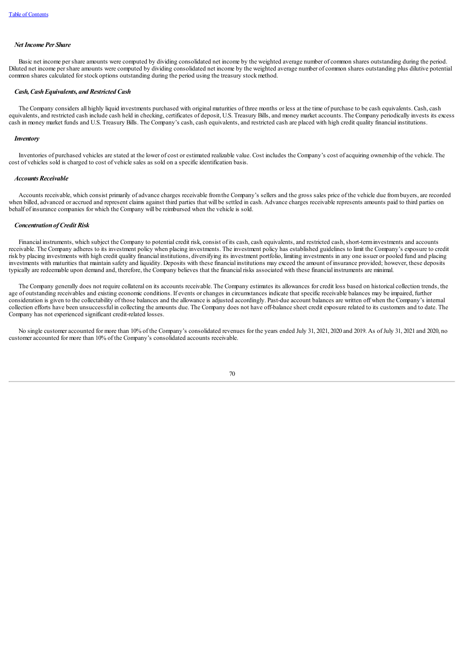#### *Net Income Per Share*

Basic net income per share amounts were computed by dividing consolidated net income by the weighted average number of common shares outstanding during the period. Diluted net income pershare amounts were computed by dividing consolidated net income by the weighted average number ofcommon shares outstanding plus dilutive potential common shares calculated for stock options outstanding during the period using the treasury stock method.

# *Cash, CashEquivalents, and Restricted Cash*

The Company considers all highly liquid investments purchased with original maturities of three months or less at the time of purchase to be cash equivalents. Cash, cash equivalents, and restricted cash include cash held in checking, certificates of deposit, U.S. Treasury Bills, and money market accounts. The Company periodically invests its excess cash in money market funds and U.S. Treasury Bills. The Company's cash,cash equivalents,and restricted cash are placed with high credit quality financial institutions.

#### *Inventory*

Inventories of purchased vehicles are stated at the lower ofcost orestimated realizable value. Cost includes the Company's cost ofacquiring ownership of the vehicle. The cost of vehicles sold is charged to cost of vehicle sales as sold on a specific identification basis.

# *Accounts Receivable*

Accounts receivable, which consist primarily of advance charges receivable from the Company's sellers and the gross sales price of the vehicle due from buyers, are recorded when billed, advanced or accrued and represent claims against third parties that will be settled in cash. Advance charges receivable represents amounts paid to third parties on behalf of insurance companies for which the Company will be reimbursed when the vehicle is sold.

# *Concentration ofCredit Risk*

Financial instruments, which subject the Company to potential credit risk, consist of its cash, cash equivalents, and restricted cash, short-term investments and accounts receivable. The Company adheres to its investment policy when placing investments. The investment policy has established guidelines to limit the Company's exposure to credit risk by placing investments with high credit quality financial institutions, diversifying its investment portfolio, limiting investments in any one issuer or pooled fund and placing investments with maturities that maintain safety and liquidity. Deposits with these financial institutions may exceed the amount of insurance provided; however, these deposits typically are redeemable upon demand and, therefore, the Company believes that the financial risks associated with these financial instruments are minimal.

The Company generally does not require collateral on its accounts receivable. The Company estimates its allowances for credit loss based on historical collection trends, the age of outstanding receivables and existing economic conditions. If events or changes in circumstances indicate that specific receivable balances may be impaired, further consideration is given to the collectability of those balances and the allowance is adjusted accordingly. Past-due account balances are written off when the Company's internal collection efforts have been unsuccessful in collecting the amounts due. The Company does not have off-balance sheet credit exposure related to its customers and to date. The Company has not experienced significant credit-related losses.

No single customer accounted for more than 10% of the Company's consolidated revenues for the years ended July 31, 2021, 2020 and 2019. As of July 31, 2021 and 2020, no customeraccounted formore than 10% of the Company's consolidated accounts receivable.

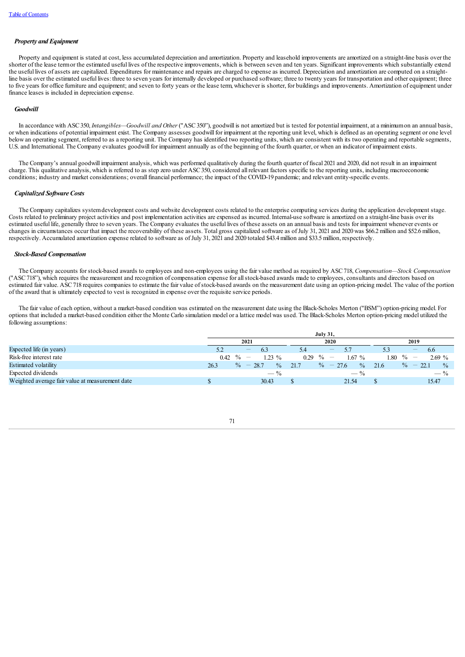#### *Property and Equipment*

Property and equipment is stated at cost, less accumulated depreciation and amortization. Property and leasehold improvements are amortized on a straight-line basis over the shorter of the lease termor the estimated useful lives of the respective improvements, which is between seven and ten years. Significant improvements which substantially extend the useful lives of assets are capitalized. Expenditures for maintenance and repairs are charged to expense as incurred. Depreciation and amortization are computed on a straightline basis over the estimated useful lives: three to seven years for internally developed or purchased software; three to twenty years for transportation and other equipment; three to five years for office furniture and equipment; and seven to forty years or the lease term, whichever is shorter, for buildings and improvements. Amortization of equipment under finance leases is included in depreciation expense.

#### *Goodwill*

In accordance with ASC350, *Intangibles—Goodwill and Other* ("ASC350"), goodwill is not amortized but is tested for potential impairment,at a minimumon an annual basis, or when indications of potential impairment exist. The Company assesses goodwill for impairment at the reporting unit level, which is defined as an operating segment or one level below an operating segment, referred to as a reporting unit. The Company has identified two reporting units, which are consistent with its two operating and reportable segments, U.S.and International. The Company evaluates goodwill for impairment annually as of the beginning of the fourth quarter, or when an indicator of impairment exists.

The Company's annual goodwill impairment analysis, which was performed qualitatively during the fourth quarter of fiscal 2021 and 2020, did not result in an impairment charge. This qualitative analysis, which is referred to as step zero under ASC 350, considered all relevant factors specific to the reporting units, including macroeconomic conditions; industry and market considerations; overall financial performance; the impact of the COVID-19 pandemic; and relevant entity-specific events.

#### *Capitalized Software Costs*

The Company capitalizes systemdevelopment costs and website development costs related to the enterprise computing services during the application development stage. Costs related to preliminary project activities and post implementation activities are expensed as incurred. Internal-use software is amortized on a straight-line basis over its estimated useful life, generally three to seven years. The Company evaluates the useful lives of these assets on an annual basis and tests for impairment wheneverevents or changes in circumstances occur that impact the recoverability of these assets. Total gross capitalized software as of July 31, 2021 and 2020 was \$66.2 million and \$52.6 million, respectively. Accumulated amortization expense related to software as ofJuly 31, 2021 and 2020 totaled \$43.4million and \$33.5million, respectively.

#### *Stock-Based Compensation*

The Company accounts forstock-based awards to employees and non-employees using the fair value method as required by ASC718, *Compensation—Stock Compensation* ("ASC718"), which requires the measurement and recognition ofcompensation expense forallstock-based awards made to employees,consultants and directors based on estimated fair value. ASC718 requires companies to estimate the fair value ofstock-based awards on the measurement date using an option-pricing model. The value of the portion of the award that is ultimately expected to vest is recognized in expense over the requisite service periods.

The fair value ofeach option, without a market-based condition was estimated on the measurement date using the Black-Scholes Merton ("BSM") option-pricing model. For options that included a market-based condition either the Monte Carlo simulation model ora lattice modelwas used. The Black-Scholes Merton option-pricing model utilized the following assumptions:

|                                                 |      |                                           |      | <b>July 31,</b>                                             |      |                                                             |
|-------------------------------------------------|------|-------------------------------------------|------|-------------------------------------------------------------|------|-------------------------------------------------------------|
|                                                 |      | 2021                                      |      | 2020                                                        |      | 2019                                                        |
| Expected life (in years)                        |      | 6.3                                       | 5.4  |                                                             |      | 6.6                                                         |
| Risk-free interest rate                         | 0.42 | $\frac{0}{0}$<br>$1.23\%$                 | 0.29 | $\frac{6}{2}$<br>$1.67\%$<br>$\qquad \qquad \longleftarrow$ | 1.80 | $\frac{0}{0}$<br>$2.69\%$<br>$\qquad \qquad \longleftarrow$ |
| Estimated volatility                            | 26.3 | $\frac{0}{0}$<br>$\frac{0}{0}$<br>$-28.7$ | 21.7 | $\%$<br>$\frac{0}{0}$<br>$-27.6$                            | 21.6 | $\%$<br>$\frac{0}{0}$<br>$-22.1$                            |
| Expected dividends                              |      | $-$ %                                     |      | $-$ %                                                       |      | $-$ %                                                       |
| Weighted average fair value at measurement date |      | 30.43                                     |      | 21.54                                                       |      | 15.47                                                       |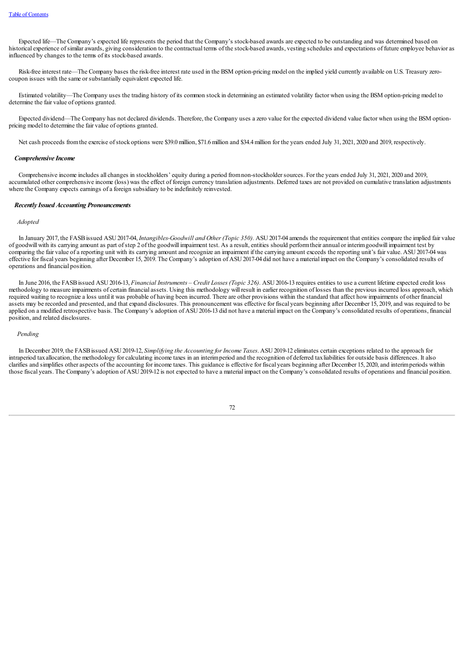Expected life—The Company's expected life represents the period that the Company's stock-based awards are expected to be outstanding and was determined based on historical experience of similar awards, giving consideration to the contractual terms of the stock-based awards, vesting schedules and expectations of future employee behavior as influenced by changes to the terms of its stock-based awards.

Risk-free interest rate—The Company bases the risk-free interest rate used in the BSM option-pricing model on the implied yield currently available on U.S. Treasury zerocoupon issues with the same orsubstantially equivalent expected life.

Estimated volatility—The Company uses the trading history of its common stock in determining an estimated volatility factor when using the BSM option-pricing model to determine the fair value of options granted.

Expected dividend—The Company has not declared dividends. Therefore, the Company uses a zero value for the expected dividend value factor when using the BSM optionpricing model to determine the fair value of options granted.

Net cash proceeds from the exercise of stock options were \$39.0 million, \$71.6 million and \$34.4 million for the years ended July 31, 2021, 2020 and 2019, respectively.

#### *ComprehensiveIncome*

Comprehensive income includes allchanges in stockholders'equity during a period fromnon-stockholdersources. For the years ended July 31, 2021, 2020 and 2019, accumulated other comprehensive income (loss) was the effect of foreign currency translation adjustments. Deferred taxes are not provided on cumulative translation adjustments where the Company expects earnings of a foreign subsidiary to be indefinitely reinvested.

#### *RecentlyIssued Accounting Pronouncements*

#### *Adopted*

In January 2017, the FASBissued ASU2017-04, *Intangibles-Goodwill and Other (Topic 350).* ASU2017-04 amends the requirement that entities compare the implied fair value of goodwillwith its carrying amount as part ofstep 2 of the goodwill impairment test. As a result,entities should performtheirannual or interimgoodwill impairment test by comparing the fair value ofa reporting unit with its carrying amount and recognize an impairment if the carrying amount exceeds the reporting unit's fair value. ASU2017-04was effective for fiscal years beginning after December 15, 2019. The Company's adoption of ASU2017-04 did not have a material impact on the Company's consolidated results of operations and financial position.

In June 2016, the FASB issued ASU 2016-13, *Financial Instruments – Credit Losses (Topic 326)*. ASU 2016-13 requires entities to use a current lifetime expected credit loss methodology to measure impairments ofcertain financialassets. Using this methodology will result in earlier recognition of losses than the previous incurred loss approach, which required waiting to recognize a loss until it was probable of having been incurred. There are other provisions within the standard that affect howimpairments of other financial assets may be recorded and presented, and that expand disclosures. This pronouncement was effective for fiscal years beginning after December 15, 2019, and was required to be applied on a modified retrospective basis. The Company's adoption of ASU 2016-13 did not have a material impact on the Company's consolidated results of operations, financial position,and related disclosures.

#### *Pending*

In December 2019, the FASBissued ASU2019-12, *Simplifying the Accounting for Income Taxes*. ASU2019-12 eliminates certain exceptions related to the approach for intraperiod taxallocation, the methodology forcalculating income taxes in an interimperiod and the recognition of deferred taxliabilities for outside basis differences. It also clarifies and simplifies other aspects of the accounting for income taxes. This guidance is effective for fiscal years beginning after December 15, 2020, and interimperiods within those fiscal years. The Company's adoption of ASU 2019-12 is not expected to have a material impact on the Company's consolidated results of operations and financial position.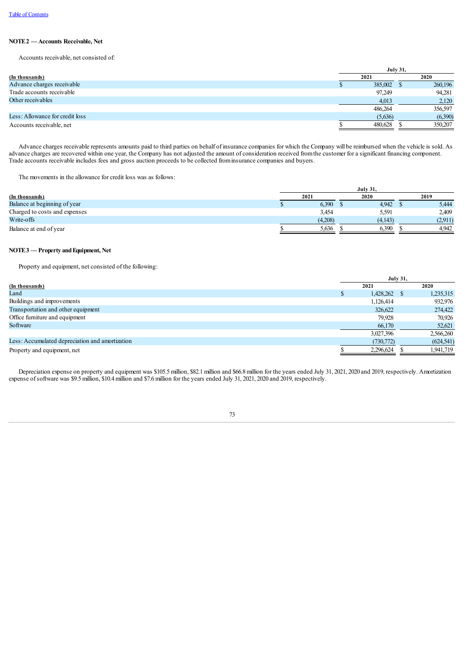#### **NOTE2 — Accounts Receivable, Net**

Accounts receivable, net consisted of:

|                                 |            | <b>July 31,</b> |
|---------------------------------|------------|-----------------|
| (In thousands)                  | 2021       | 2020            |
| Advance charges receivable      | 385,002 \$ | 260,196         |
| Trade accounts receivable       | 97,249     | 94,281          |
| Other receivables               | 4,013      | 2,120           |
|                                 | 486,264    | 356,597         |
| Less: Allowance for credit loss | (5,636)    | (6,390)         |
| Accounts receivable, net        | 480,628    | 350,207         |
|                                 |            |                 |

Advance charges receivable represents amounts paid to third parties on behalf of insurance companies for which the Company will be reimbursed when the vehicle is sold. As advance charges are recovered within one year, the Company has not adjusted the amount ofconsideration received fromthe customer fora significant financing component. Trade accounts receivable includes fees and gross auction proceeds to be collected frominsurance companies and buyers.

The movements in the allowance for credit loss was as follows:

| (In thousands)                |  | 2021    | 2020    | 2019    |
|-------------------------------|--|---------|---------|---------|
| Balance at beginning of year  |  | 6,390   | 4.942   | 5,444   |
| Charged to costs and expenses |  | 3,454   | 5,591   | 2,409   |
| Write-offs                    |  | (4,208) | (4.143) | (2.911) |
| Balance at end of year        |  | 5.636   | 6.390   | 4.942   |

## **NOTE3 — Property andEquipment, Net**

Property and equipment, net consisted of the following:

|                                                 | <b>July 31,</b> |  |            |
|-------------------------------------------------|-----------------|--|------------|
| (In thousands)                                  | 2021            |  | 2020       |
| Land                                            | 1,428,262 \$    |  | 1,235,315  |
| Buildings and improvements                      | 1,126,414       |  | 932,976    |
| Transportation and other equipment              | 326,622         |  | 274,422    |
| Office furniture and equipment                  | 79.928          |  | 70,926     |
| Software                                        | 66,170          |  | 52,621     |
|                                                 | 3,027,396       |  | 2,566,260  |
| Less: Accumulated depreciation and amortization | (730, 772)      |  | (624, 541) |
| Property and equipment, net                     | 2,296,624       |  | 1,941,719  |

Depreciation expense on property and equipment was \$105.5million, \$82.1million and \$66.8million for the years ended July 31, 2021, 2020 and 2019, respectively. Amortization expense ofsoftware was \$9.5million, \$10.4million and \$7.6million for the years ended July 31, 2021, 2020 and 2019, respectively.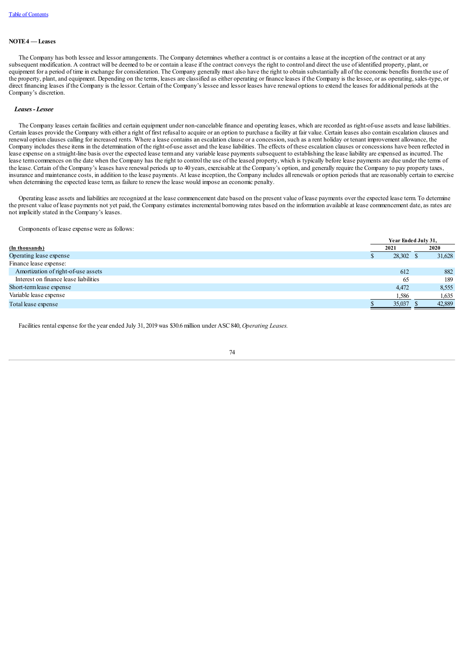#### **NOTE4 — Leases**

The Company has both lessee and lessorarrangements. The Company determines whethera contract is orcontains a lease at the inception of the contract orat any subsequent modification. A contract will be deemed to be or contain a lease if the contract conveys the right to control and direct the use of identified property, plant, or equipment for a period of time in exchange for consideration. The Company generally must also have the right to obtain substantially all of the economic benefits from the use of the property, plant,and equipment. Depending on the terms, leases are classified as either operating or finance leases if the Company is the lessee, oras operating, sales-type, or direct financing leases if the Company is the lessor. Certain of the Company's lessee and lessor leases have renewal options to extend the leases for additional periods at the Company's discretion.

#### *Leases- Lessee*

The Company leases certain facilities and certain equipment under non-cancelable finance and operating leases, which are recorded as right-of-use assets and lease liabilities. Certain leases provide the Company with eithera right of first refusal to acquire oran option to purchase a facility at fair value. Certain leases also contain escalation clauses and renewal option clauses calling for increased rents. Where a lease contains an escalation clause or a concession, such as a rent holiday or tenant improvement allowance, the Company includes these items in the determination of the right-of-use asset and the lease liabilities. The effects of these escalation clauses orconcessions have been reflected in lease expense on a straight-line basis over the expected lease termand any variable lease payments subsequent to establishing the lease liability are expensed as incurred. The lease termcommences on the date when the Company has the right to control the use of the leased property, which is typically before lease payments are due under the terms of the lease. Certain of the Company's leases have renewal periods up to 40 years, exercisable at the Company's option, and generally require the Company to pay property taxes, insurance and maintenance costs, in addition to the lease payments. At lease inception, the Company includes all renewals or option periods that are reasonably certain to exercise when determining the expected lease term, as failure to renew the lease would impose an economic penalty.

Operating lease assets and liabilities are recognized at the lease commencement date based on the present value of lease payments over the expected lease term. To determine the present value of lease payments not yet paid, the Company estimates incremental borrowing rates based on the information available at lease commencement date, as rates are not implicitly stated in the Company's leases.

Components of lease expense were as follows:

|                                       |        | Year Ended July 31, |        |
|---------------------------------------|--------|---------------------|--------|
| (In thousands)                        | 2021   |                     | 2020   |
| Operating lease expense               | 28,302 |                     | 31,628 |
| Finance lease expense:                |        |                     |        |
| Amortization of right-of-use assets   | 612    |                     | 882    |
| Interest on finance lease liabilities | 65     |                     | 189    |
| Short-term lease expense              | 4.472  |                     | 8,555  |
| Variable lease expense                | 1,586  |                     | 1,635  |
| Total lease expense                   | 35,037 |                     | 42,889 |

Facilities rentalexpense for the yearended July 31, 2019was \$30.6million under ASC840, *Operating Leases.*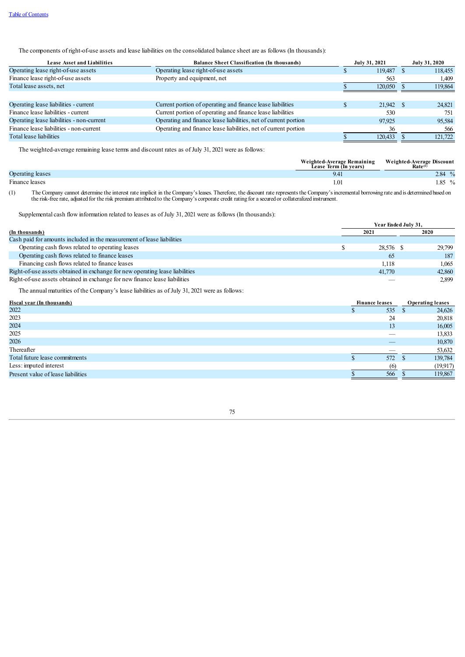The components of right-of-use assets and lease liabilities on the consolidated balance sheet are as follows (In thousands):

| <b>Lease Asset and Liabilities</b>        | <b>Balance Sheet Classification (In thousands)</b>              | July 31, 2021 | July 31, 2020 |
|-------------------------------------------|-----------------------------------------------------------------|---------------|---------------|
| Operating lease right-of-use assets       | Operating lease right-of-use assets                             | 119.487       | 118,455       |
| Finance lease right-of-use assets         | Property and equipment, net                                     | 563           | 1,409         |
| Total lease assets, net                   |                                                                 | 120,050       | 119,864       |
|                                           |                                                                 |               |               |
| Operating lease liabilities - current     | Current portion of operating and finance lease liabilities      | 21.942 \$     | 24,821        |
| Finance lease liabilities - current       | Current portion of operating and finance lease liabilities      | 530           | 751           |
| Operating lease liabilities - non-current | Operating and finance lease liabilities, net of current portion | 97.925        | 95.584        |
| Finance lease liabilities - non-current   | Operating and finance lease liabilities, net of current portion | 36            | 566           |
| Total lease liabilities                   |                                                                 | 120.433       | 121,722       |
|                                           |                                                                 |               |               |

The weighted-average remaining lease terms and discount rates as of July 31, 2021 were as follows:

|                  | Weighted-Average Remaining<br>Lease Term (In years) | Weighted-Average Discount<br>$Rate^{(1)}$ |
|------------------|-----------------------------------------------------|-------------------------------------------|
| Operating leases | 9.4 <sub>1</sub>                                    | 2.84<br>$\frac{0}{0}$                     |
| Finance leases   | 1.01                                                | 1.85<br>$\%$                              |

(1) The Company cannot determine the interest rate implicit in the Company's leases. Therefore, the discount rate represents the Company's incremental borrowing rate and is determined based on the risk-free rate, adjusted

Supplemental cash flow information related to leases as of July 31, 2021 were as follows (In thousands):

|                                                                              | Year Ended July 31. |        |  |
|------------------------------------------------------------------------------|---------------------|--------|--|
| (In thousands)                                                               | 2021                | 2020   |  |
| Cash paid for amounts included in the measurement of lease liabilities       |                     |        |  |
| Operating cash flows related to operating leases                             | 28,576 \$           | 29.799 |  |
| Operating cash flows related to finance leases                               | 65                  | 187    |  |
| Financing cash flows related to finance leases                               | 1.118               | 1.065  |  |
| Right-of-use assets obtained in exchange for new operating lease liabilities | 41,770              | 42,860 |  |
| Right-of-use assets obtained in exchange for new finance lease liabilities   |                     | 2,899  |  |

The annual maturities of the Company's lease liabilities as of July 31, 2021 were as follows:

| Fiscal year (In thousands)         | <b>Finance leases</b> |  | <b>Operating leases</b> |
|------------------------------------|-----------------------|--|-------------------------|
| 2022                               | 535                   |  | 24,626                  |
| 2023                               | 24                    |  | 20,818                  |
| 2024                               | 13                    |  | 16,005                  |
| 2025                               |                       |  | 13,833                  |
| 2026                               |                       |  | 10,870                  |
| Thereafter                         |                       |  | 53,632                  |
| Total future lease commitments     | 572                   |  | 139,784                 |
| Less: imputed interest             | (6)                   |  | (19, 917)               |
| Present value of lease liabilities | 566                   |  | 119,867                 |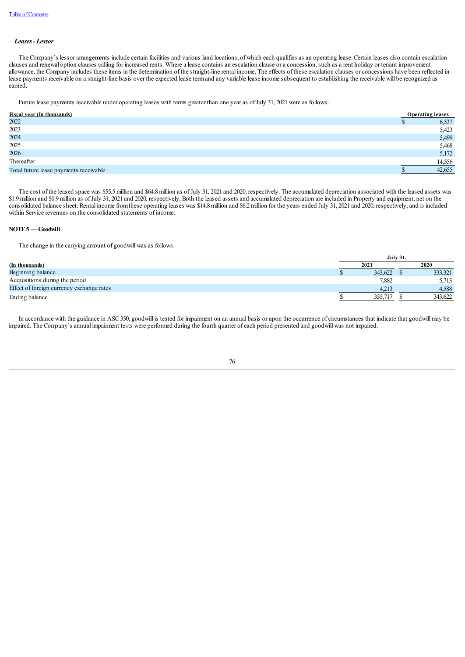#### *Leases- Lessor*

The Company's lessorarrangements include certain facilities and various land locations, of which each qualifies as an operating lease. Certain leases also contain escalation clauses and renewal option clauses calling for increased rents. Where a lease contains an escalation clause ora concession, such as a rent holiday or tenant improvement allowance, the Company includes these items in the determination of the straight-line rental income. The effects of these escalation clauses orconcessions have been reflected in lease payments receivable on a straight-line basis over the expected lease termand any variable lease income subsequent to establishing the receivable will be recognized as earned.

Future lease payments receivable under operating leases with terms greater than one year as of July 31, 2021 were as follows:

| <b>Fiscal year (In thousands)</b>      | <b>Operating leases</b> |
|----------------------------------------|-------------------------|
| 2022                                   | 6,537                   |
| 2023                                   | 5,423                   |
| 2024                                   | 5,499                   |
| 2025                                   | 5,468                   |
| 2026                                   | 5,172                   |
| Thereafter                             | 14,556                  |
| Total future lease payments receivable | 42,655                  |

The cost of the leased space was \$55.5million and \$64.8million as ofJuly 31, 2021 and 2020, respectively. The accumulated depreciation associated with the leased assets was \$1.9million and \$0.9million as ofJuly 31, 2021 and 2020, respectively. Both the leased assets and accumulated depreciation are included in Property and equipment, net on the consolidated balance sheet. Rental income fromthese operating leases was \$14.8million and \$6.2million for the years ended July 31, 2021 and 2020, respectively,and is included within Service revenues on the consolidated statements of income.

#### **NOTE5 — Goodwill**

The change in the carrying amount of goodwill was as follows:

|                                           | <b>July 31,</b> |  |         |  |  |
|-------------------------------------------|-----------------|--|---------|--|--|
| (In thousands)                            | 2021            |  | 2020    |  |  |
| Beginning balance                         | 343,622         |  | 333,321 |  |  |
| Acquisitions during the period            | 7,882           |  | 5,713   |  |  |
| Effect of foreign currency exchange rates | 4.213           |  | 4.588   |  |  |
| Ending balance                            | 355.7'          |  | 343,622 |  |  |

In accordance with the guidance in ASC 350, goodwill is tested for impairment on an annual basis or upon the occurrence of circumstances that indicate that goodwill may be impaired. The Company's annual impairment tests were performed during the fourth quarter ofeach period presented and goodwillwas not impaired.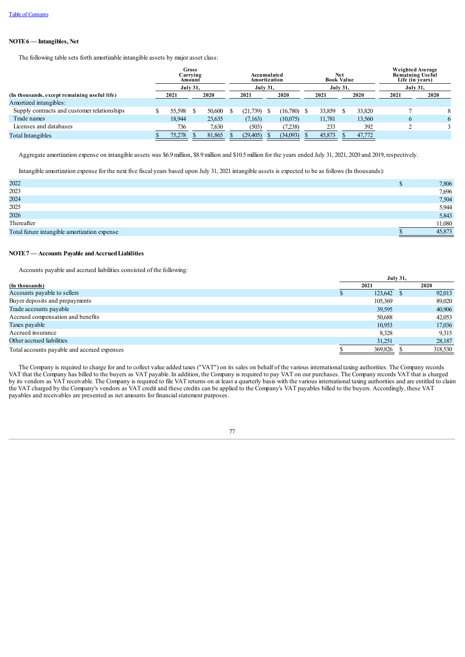## **NOTE6 — Intangibles, Net**

The following table sets forth amortizable intangible assets by majorasset class:

|                                              | Gross<br>Carrving<br>Accumulated<br>Amortization<br>Amount |  |        |  | <b>Net</b><br><b>Book Value</b>    |  |          |  | Weighted Average<br>Remaining Useful<br>Life (in years) |  |        |          |      |  |                 |
|----------------------------------------------|------------------------------------------------------------|--|--------|--|------------------------------------|--|----------|--|---------------------------------------------------------|--|--------|----------|------|--|-----------------|
|                                              | <b>July 31,</b>                                            |  |        |  | <b>July 31,</b><br><b>July 31.</b> |  |          |  |                                                         |  |        |          |      |  | <b>July 31,</b> |
| (In thousands, except remaining useful life) | 2021                                                       |  | 2020   |  | 2021                               |  | 2020     |  | 2021                                                    |  | 2020   | 2021     | 2020 |  |                 |
| Amortized intangibles:                       |                                                            |  |        |  |                                    |  |          |  |                                                         |  |        |          |      |  |                 |
| Supply contracts and customer relationships  | 55.598                                                     |  | 50,600 |  | $(21,739)$ \$                      |  | (16,780) |  | 33,859                                                  |  | 33,820 |          |      |  |                 |
| Trade names                                  | 18,944                                                     |  | 23,635 |  | (7,163)                            |  | (10,075) |  | 11,781                                                  |  | 13,560 | $\sigma$ |      |  |                 |
| Licenses and databases                       | 736                                                        |  | 7,630  |  | (503)                              |  | (7.238)  |  | 233                                                     |  | 392    |          |      |  |                 |
| Total Intangibles                            | 75,278                                                     |  | 81,865 |  | (29, 405)                          |  | (34,093) |  | 45,873                                                  |  | 47,772 |          |      |  |                 |

Aggregate amortization expense on intangible assets was \$6.9million, \$8.9million and \$10.5million for the years ended July 31, 2021, 2020 and 2019, respectively.

Intangible amortization expense for the next five fiscal years based upon July 31, 2021 intangible assets is expected to be as follows (In thousands):

| 2022                                         | <b>D</b> | 7,806  |
|----------------------------------------------|----------|--------|
| 2023                                         |          | 7.696  |
| 2024                                         |          | 7,504  |
| 2025                                         |          | 5,944  |
| 2026                                         |          | 5,843  |
| Thereafter                                   |          | 11,080 |
| Total future intangible amortization expense |          | 45,873 |

## **NOTE7** — **Accounts Payable** and **Accrued Liabilities**

Accounts payable and accrued liabilities consisted of the following:

|                                             |         | <b>July 31,</b> |         |
|---------------------------------------------|---------|-----------------|---------|
| (In thousands)                              | 2021    |                 | 2020    |
| Accounts payable to sellers                 |         | 123,642 \$      | 92,013  |
| Buyer deposits and prepayments              | 105,369 |                 | 89,020  |
| Trade accounts payable                      | 39,595  |                 | 40,906  |
| Accrued compensation and benefits           | 50,688  |                 | 42,053  |
| Taxes payable                               | 10.953  |                 | 17,036  |
| Accrued insurance                           |         | 8,328           | 9.315   |
| Other accrued liabilities                   | 31,251  |                 | 28,187  |
| Total accounts payable and accrued expenses | 369,826 |                 | 318,530 |

The Company is required to charge forand to collect value added taxes ("VAT") on its sales on behalf of the various international taxing authorities. The Company records VAT that the Company has billed to the buyers as VAT payable. In addition, the Company is required to pay VAT on our purchases. The Company records VAT that is charged by its vendors as VAT receivable. The Company is required to file VAT returns on at least a quarterly basis with the various international taxing authorities and are entitled to claim the VAT charged by the Company's vendors as VAT credit and these credits can be applied to the Company's VAT payables billed to the buyers. Accordingly, these VAT payables and receivables are presented as net amounts for financial statement purposes.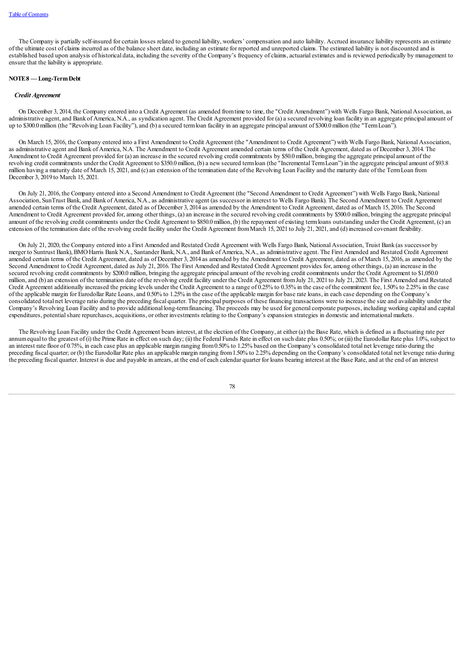The Company is partially self-insured forcertain losses related to general liability, workers'compensation and auto liability. Accrued insurance liability represents an estimate of the ultimate cost ofclaims incurred as of the balance sheet date, including an estimate for reported and unreported claims. The estimated liability is not discounted and is established based upon analysis of historical data, including the severity of the Company's frequency ofclaims,actuarialestimates and is reviewed periodically by management to ensure that the liability is appropriate.

#### **NOTE8 — Long-TermDebt**

#### *Credit Agreement*

On December 3, 2014, the Company entered into a Credit Agreement (as amended from time to time, the "Credit Amendment") with Wells Fargo Bank, National Association, as administrative agent,and Bank of America, N.A.,as syndication agent. The Credit Agreement provided for (a)a secured revolving loan facility in an aggregate principalamount of up to \$300.0 million (the "Revolving Loan Facility"), and (b) a secured term loan facility in an aggregate principal amount of \$300.0 million (the "Term Loan").

On March 15, 2016, the Company entered into a First Amendment to Credit Agreement (the "Amendment to Credit Agreement") with Wells Fargo Bank, National Association, as administrative agent and Bank of America, N.A. The Amendment to Credit Agreement amended certain terms of the Credit Agreement, dated as of December 3, 2014. The Amendment to Credit Agreement provided for (a) an increase in the secured revolving credit commitments by \$50.0 million, bringing the aggregate principal amount of the revolving credit commitments under the Credit Agreement to \$350.0 million, (b) a new secured term loan (the "Incremental Term Loan") in the aggregate principal amount of \$93.8 million having a maturity date of March 15, 2021, and (c) an extension of the termination date of the Revolving Loan Facility and the maturity date of the Term Loan from December 3, 2019 to March 15, 2021.

On July 21, 2016, the Company entered into a Second Amendment to Credit Agreement (the "Second Amendment to Credit Agreement") with Wells Fargo Bank, National Association, SunTrust Bank, and Bank of America, N.A., as administrative agent (as successor in interest to Wells Fargo Bank). The Second Amendment to Credit Agreement amended certain terms of the Credit Agreement, dated as of December 3, 2014 as amended by the Amendment to Credit Agreement, dated as of March 15, 2016. The Second Amendment to Credit Agreement provided for,among other things, (a)an increase in the secured revolving credit commitments by \$500.0million, bringing the aggregate principal amount of the revolving credit commitments under the Credit Agreement to \$850.0 million, (b) the repayment of existing term loans outstanding under the Credit Agreement, (c) an extension of the termination date of the revolving credit facility under the Credit Agreement fromMarch 15, 2021 to July 21, 2021,and (d) increased covenant flexibility.

On July 21, 2020, the Company entered into a First Amended and Restated Credit Agreement with Wells Fargo Bank, National Association, Truist Bank (as successor by merger to Suntrust Bank), BMO Harris Bank N.A., Santander Bank, N.A., and Bank of America, N.A., as administrative agent. The First Amended and Restated Credit Agreement amended certain terms of the Credit Agreement, dated as of December 3, 2014 as amended by the Amendment to Credit Agreement, dated as of March 15, 2016, as amended by the Second Amendment to Credit Agreement, dated as July 21, 2016. The First Amended and Restated Credit Agreement provides for, among other things, (a) an increase in the secured revolving credit commitments by \$200.0 million, bringing the aggregate principal amount of the revolving credit commitments under the Credit Agreement to \$1,050.0 million,and (b)an extension of the termination date of the revolving credit facility under the Credit Agreement fromJuly 21, 2021 to July 21, 2023. The First Amended and Restated Credit Agreement additionally increased the pricing levels under the Credit Agreement to a range of 0.25% to 0.35% in the case of the commitment fee, 1.50% to 2.25% in the case of the applicable margin for Eurodollar Rate Loans,and 0.50% to 1.25% in the case of the applicable margin for base rate loans, in each case depending on the Company's consolidated total net leverage ratio during the preceding fiscal quarter. The principal purposes of these financing transactions were to increase the size and availability under the Company's Revolving Loan Facility and to provide additional long-termfinancing. The proceeds may be used for generalcorporate purposes, including working capitaland capital expenditures, potential share repurchases, acquisitions, or other investments relating to the Company's expansion strategies in domestic and international markets.

The Revolving Loan Facility under the Credit Agreement bears interest, at the election of the Company, at either (a) the Base Rate, which is defined as a fluctuating rate per annumequal to the greatest of (i) the Prime Rate in effect on such day; (ii) the Federal Funds Rate in effect on such date plus 0.50%; or (iii) the Eurodollar Rate plus 1.0%, subject to an interest rate floor of 0.75%, in each case plus an applicable margin ranging from0.50% to 1.25% based on the Company's consolidated total net leverage ratio during the preceding fiscal quarter; or (b) the Eurodollar Rate plus an applicable marging from 1.50% to 2.25% depending on the Company's consolidated total net leverage ratio during the preceding fiscal quarter. Interest is due and payable in arrears, at the end of each calendar quarter for loans bearing interest at the Base Rate, and at the end of an interest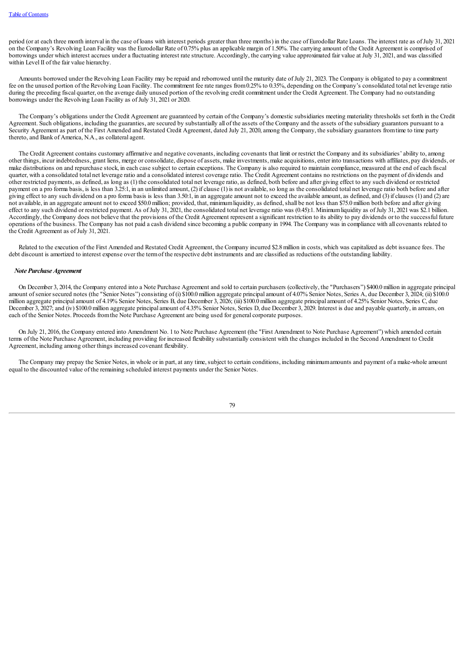period (orat each three month interval in the case of loans with interest periods greater than three months) in the case of Eurodollar Rate Loans. The interest rate as ofJuly 31, 2021 on the Company's Revolving Loan Facility was the Eurodollar Rate of 0.75% plus an applicable margin of 1.50%. The carrying amount of the Credit Agreement is comprised of borrowings under which interest accrues under a fluctuating interest rate structure. Accordingly, the carrying value approximated fair value at July 31, 2021, and was classified within Level II of the fair value hierarchy.

Amounts borrowed under the Revolving Loan Facility may be repaid and reborrowed until the maturity date ofJuly 21, 2023. The Company is obligated to pay a commitment fee on the unused portion of the Revolving Loan Facility. The commitment fee rate ranges from0.25% to 0.35%, depending on the Company's consolidated total net leverage ratio during the preceding fiscal quarter, on the average daily unused portion of the revolving credit commitment under the Credit Agreement. The Company had no outstanding borrowings under the Revolving Loan Facility as of July 31, 2021 or 2020.

The Company's obligations under the Credit Agreement are guaranteed by certain of the Company's domestic subsidiaries meeting materiality thresholds set forth in the Credit Agreement. Such obligations, including the guaranties, are secured by substantially all of the assets of the Company and the assets of the subsidiary guarantors pursuant to a Security Agreement as part of the First Amended and Restated Credit Agreement, dated July 21, 2020, among the Company, the subsidiary guarantors from time to time party thereto, and Bank of America, N.A., as collateral agent.

The Credit Agreement contains customary affirmative and negative covenants, including covenants that limit or restrict the Company and its subsidiaries' ability to, among other things, incur indebtedness, grant liens, merge or consolidate, dispose of assets, make investments, make acquisitions, enter into transactions with affiliates, pay dividends, or make distributions on and repurchase stock, in each case subject to certain exceptions. The Company is also required to maintain compliance, measured at the end ofeach fiscal quarter, with a consolidated total net leverage ratio and a consolidated interest coverage ratio. The Credit Agreement contains no restrictions on the payment of dividends and other restricted payments,as defined,as long as (1) the consolidated total net leverage ratio,as defined, both before and after giving effect to any such dividend or restricted payment on a pro forma basis, is less than 3.25:1, in an unlimited amount, (2) ifclause (1) is not available, so long as the consolidated total net leverage ratio both before and after giving effect to any such dividend on a pro forma basis is less than 3.50:1, in an aggregate amount not to exceed the available amount, as defined, and (3) if clauses (1) and (2) are not available, in an aggregate amount not to exceed \$50.0million; provided, that, minimumliquidity,as defined, shall be not less than \$75.0million both before and after giving effect to any such dividend or restricted payment. As of July 31, 2021, the consolidated total net leverage ratio was (0.45):1. Minimum liquidity as of July 31, 2021 was \$2.1 billion. Accordingly, the Company does not believe that the provisions of the Credit Agreement represent a significant restriction to its ability to pay dividends or to the successful future operations of the business. The Company has not paid a cash dividend since becoming a public company in 1994. The Company was in compliance with allcovenants related to the Credit Agreement as of July 31, 2021.

Related to the execution of the First Amended and Restated Credit Agreement, the Company incurred \$2.8million in costs, which was capitalized as debt issuance fees. The debt discount is amortized to interest expense over the termof the respective debt instruments and are classified as reductions of the outstanding liability.

#### *Note Purchase Agreement*

On December 3, 2014, the Company entered into a Note Purchase Agreement and sold to certain purchasers (collectively, the "Purchasers") \$400.0million in aggregate principal amount of senior secured notes (the "Senior Notes") consisting of (i) \$100.0 million aggregate principal amount of 4.07% Senior Notes, Series A, due December 3, 2024; (ii) \$100.0 million aggregate principalamount of 4.19% Senior Notes, Series B, due December 3, 2026; (iii) \$100.0million aggregate principalamount of 4.25% Senior Notes, Series C, due December 3, 2027; and (iv) \$100.0 million aggregate principal amount of 4.35% Senior Notes, Series D, due December 3, 2029. Interest is due and payable quarterly, in arrears, on each of the Senior Notes. Proceeds fromthe Note Purchase Agreement are being used for generalcorporate purposes.

On July 21, 2016, the Company entered into Amendment No. 1 to Note Purchase Agreement (the "First Amendment to Note Purchase Agreement") which amended certain terms of the Note Purchase Agreement, including providing for increased flexibility substantially consistent with the changes included in the Second Amendment to Credit Agreement, including among other things increased covenant flexibility.

The Company may prepay the Senior Notes, in whole or in part, at any time, subject to certain conditions, including minimum amounts and payment of a make-whole amount equal to the discounted value of the remaining scheduled interest payments under the Senior Notes.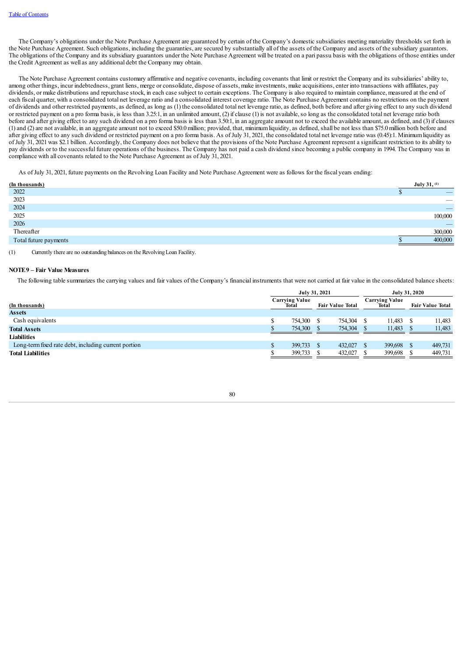The Company's obligations under the Note Purchase Agreement are guaranteed by certain of the Company's domestic subsidiaries meeting materiality thresholds set forth in the Note Purchase Agreement. Such obligations, including the guaranties,are secured by substantially all of the assets of the Company and assets of the subsidiary guarantors. The obligations of the Company and its subsidiary guarantors under the Note Purchase Agreement will be treated on a pari passu basis with the obligations of those entities under the Credit Agreement as wellas any additional debt the Company may obtain.

The Note Purchase Agreement contains customary affirmative and negative covenants, including covenants that limit or restrict the Company and its subsidiaries'ability to, among other things, incur indebtedness, grant liens, merge orconsolidate, dispose ofassets, make investments, make acquisitions,enter into transactions with affiliates, pay dividends, or make distributions and repurchase stock, in each case subject to certain exceptions. The Company is also required to maintain compliance, measured at the end of each fiscal quarter, with a consolidated total net leverage ratio and a consolidated interest coverage ratio. The Note Purchase Agreement contains no restrictions on the payment of dividends and other restricted payments, as defined, as long as (1) the consolidated total net leverage ratio, as defined, both before and after giving effect to any such dividend or restricted payment on a pro forma basis, is less than 3.25:1, in an unlimited amount, (2) ifclause (1) is not available, so long as the consolidated total net leverage ratio both before and after giving effect to any such dividend on a pro forma basis is less than  $3.50:1$ , in an aggregate amount not to exceed the available amount, as defined, and (3) if clauses (1)and (2)are not available, in an aggregate amount not to exceed \$50.0million; provided, that, minimumliquidity,as defined, shall be not less than \$75.0million both before and after giving effect to any such dividend or restricted payment on a pro forma basis. As of July 31, 2021, the consolidated total net leverage ratio was (0.45):1. Minimum liquidity as ofJuly 31, 2021was \$2.1 billion. Accordingly, the Company does not believe that the provisions of the Note Purchase Agreement represent a significant restriction to its ability to pay dividends or to the successful future operations of the business. The Company has not paid a cash dividend since becoming a public company in 1994. The Company was in compliance with all covenants related to the Note Purchase Agreement as of July 31, 2021.

As ofJuly 31, 2021, future payments on the Revolving Loan Facility and Note Purchase Agreement were as follows for the fiscal years ending:

| (In thousands)        | July 31, $(1)$ |
|-----------------------|----------------|
| 2022                  |                |
| 2023                  |                |
| 2024                  |                |
| 2025                  | 100,000        |
| 2026                  |                |
| Thereafter            | 300,000        |
| Total future payments | 400,000        |

(1) Currently thereare no outstanding balances on the RevolvingLoan Facility.

## **NOTE9 – Fair Value Measures**

The following table summarizes the carrying values and fair values of the Company's financial instruments that were not carried at fair value in the consolidated balance sheets:

|                                                      |  | July 31, 2021            |                         | July 31, 2020 |                                 |            |  |                         |
|------------------------------------------------------|--|--------------------------|-------------------------|---------------|---------------------------------|------------|--|-------------------------|
| (In thousands)                                       |  | Carrving Value<br>`Total | <b>Fair Value Total</b> |               | <b>Carrying Value</b><br>`Total |            |  | <b>Fair Value Total</b> |
| <b>Assets</b>                                        |  |                          |                         |               |                                 |            |  |                         |
| Cash equivalents                                     |  | 754,300                  |                         | 754,304       |                                 | 11,483     |  | 11,483                  |
| <b>Total Assets</b>                                  |  | 754,300                  |                         | 754,304       |                                 | 11,483     |  | 11,483                  |
| <b>Liabilities</b>                                   |  |                          |                         |               |                                 |            |  |                         |
| Long-term fixed rate debt, including current portion |  | 399,733                  |                         | 432,027       |                                 | 399,698 \$ |  | 449,731                 |
| <b>Total Liabilities</b>                             |  | 399,733                  |                         | 432,027       |                                 | 399,698    |  | 449,731                 |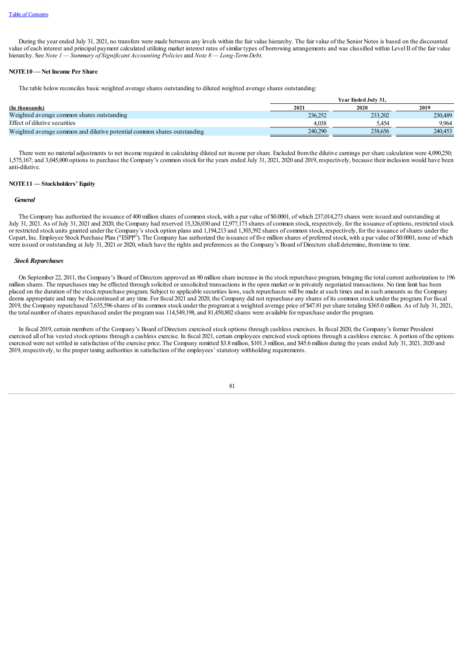During the year ended July 31, 2021, no transfers were made between any levels within the fair value hierarchy. The fair value of the Senior Notes is based on the discounted value ofeach interest and principal payment calculated utilizing market interest rates ofsimilar types of borrowing arrangements and was classified within Level II of the fair value hierarchy. See *Note 1 — Summary of Significant Accounting Policies*and *Note 8 — Long-TermDebt*.

#### **NOTE10 — NetIncome Per Share**

The table belowreconciles basic weighted average shares outstanding to diluted weighted average shares outstanding:

|                                                                          |         | Year Ended July 31. |         |
|--------------------------------------------------------------------------|---------|---------------------|---------|
| (In thousands)                                                           | 2021    | 2020                | 2019    |
| Weighted average common shares outstanding                               | 236,252 | 233,202             | 230,489 |
| Effect of dilutive securities                                            | 4.038   | - 454               | 9.964   |
| Weighted average common and dilutive potential common shares outstanding | 240.290 | 238,656             | 240,453 |

There were no materialadjustments to net income required in calculating diluted net income pershare. Excluded fromthe dilutive earnings pershare calculation were 4,090,250; 1,575,167; and 3,045,000 options to purchase the Company's common stock for the years ended July 31, 2021, 2020 and 2019, respectively, because their inclusion would have been anti-dilutive.

### **NOTE11 — Stockholders' Equity**

#### *General*

The Company has authorized the issuance of 400 million shares of common stock, with a par value of \$0.0001, of which 237,014,273 shares were issued and outstanding at July 31, 2021. As ofJuly 31, 2021 and 2020, the Company had reserved 15,326,030 and 12,977,173 shares ofcommon stock, respectively, for the issuance of options, restricted stock or restricted stock units granted under the Company's stock option plans and 1,194,213 and 1,303,592 shares ofcommon stock, respectively, for the issuance ofshares under the Copart, Inc. Employee Stock Purchase Plan ("ESPP"). The Company has authorized the issuance of five million shares of preferred stock, with a par value of \$0.0001, none of which were issued or outstanding at July 31, 2021 or 2020, which have the rights and preferences as the Company's Board of Directors shall determine, fromtime to time.

#### *Stock Repurchases*

On September 22, 2011, the Company's Board of Directors approved an 80million share increase in the stock repurchase program, bringing the totalcurrent authorization to 196 million shares. The repurchases may be effected through solicited or unsolicited transactions in the open market or in privately negotiated transactions. No time limit has been placed on the duration of the stock repurchase program. Subject to applicable securities laws, such repurchases will be made at such times and in such amounts as the Company deems appropriate and may be discontinued at any time. For fiscal 2021 and 2020, the Company did not repurchase any shares of its common stock under the program. For fiscal 2019, the Company repurchased 7,635,596 shares of its common stock under the programat a weighted average price of \$47.81 pershare totaling \$365.0million. As ofJuly 31, 2021, the total number of shares repurchased under the program was 114,549,198, and 81,450,802 shares were available for repurchase under the program.

In fiscal 2019, certain members of the Company's Board of Directors exercised stock options through cashless exercises. In fiscal 2020, the Company's former President exercised all of his vested stock options through a cashless exercise. In fiscal 2021, certain employees exercised stock options through a cashless exercise. A portion of the options exercised were net settled in satisfaction of the exercise price. The Company remitted \$3.8 million, \$101.3 million, and \$45.6 million during the years ended July 31, 2021, 2020 and 2019, respectively, to the proper taxing authorities in satisfaction of the employees'statutory withholding requirements.

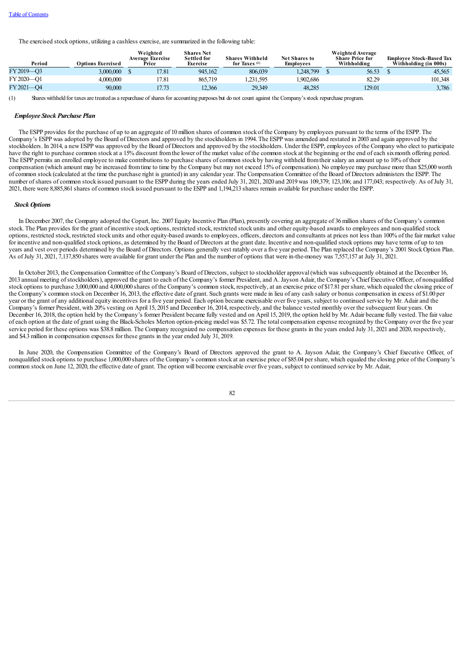The exercised stock options, utilizing a cashless exercise, are summarized in the following table:

| Period     | Options Exercised | Weighted<br>Average Exercise<br>Price |       | <b>Shares Net</b><br><b>Settled for</b><br>Exercise | <b>Shares Withheld</b><br>for Taxes $(1)$ | <b>Net Shares to</b><br>Employees |  | <b>Weighted Average</b><br><b>Share Price for</b><br>Withholding |  | <b>Employee Stock-Based Tax</b><br>Withholding (in 000s) |
|------------|-------------------|---------------------------------------|-------|-----------------------------------------------------|-------------------------------------------|-----------------------------------|--|------------------------------------------------------------------|--|----------------------------------------------------------|
| FY 2019-03 | 3.000.000         |                                       | 17.81 | 945.162                                             | 806,039                                   | .248.799                          |  | 56.53                                                            |  | 45.565                                                   |
| FY 2020-O1 | 4.000.000         |                                       | 17.81 | 865,719                                             | .231,595                                  | .902.686                          |  | 82.29                                                            |  | 101.348                                                  |
| FY 2021-04 | 90,000            |                                       | 17.73 | 12.366                                              | 29.349                                    | 48.285                            |  | 129.01                                                           |  | 3,786                                                    |

(1) Shareswithheld for taxesaretreated asarepurchase of sharesfor accounting purposes but do not count against the Company'sstock repurchase program.

#### *Employee Stock Purchase Plan*

The ESPP provides for the purchase of up to an aggregate of 10 million shares of common stock of the Company by employees pursuant to the terms of the ESPP. The Company's ESPP was adopted by the Board of Directors and approved by the stockholders in 1994. The ESPP was amended and restated in 2003 and again approved by the stockholders. In 2014, a new ESPP was approved by the Board of Directors and approved by the stockholders. Under the ESPP, employees of the Company who elect to participate have the right to purchase common stock at a 15% discount from the lower of the market value of the common stock at the beginning or the end of each sixmonth offering period. The ESPP permits an enrolled employee to make contributions to purchase shares of common stock by having withheld from their salary an amount up to 10% of their compensation (which amount may be increased from time to time by the Company but may not exceed 15% of compensation). No employee may purchase more than \$25,000 worth ofcommon stock (calculated at the time the purchase right is granted) in any calendar year. The Compensation Committee of the Board of Directors administers the ESPP. The number of shares of common stock issued pursuant to the ESPP during the years ended July 31, 2021, 2020 and 2019 was 109,379; 123,106; and 177,043; respectively. As of July 31, 2021, there were 8,885,861 shares ofcommon stock issued pursuant to the ESPP and 1,194,213 shares remain available for purchase under the ESPP.

#### *Stock Options*

In December 2007, the Company adopted the Copart, Inc. 2007 Equity Incentive Plan (Plan), presently covering an aggregate of 36million shares of the Company's common stock. The Plan provides for the grant of incentive stock options, restricted stock, restricted stock units and other equity-based awards to employees and non-qualified stock options, restricted stock, restricted stock units and otherequity-based awards to employees, officers, directors and consultants at prices not less than 100% of the fairmarket value for incentive and non-qualified stock options, as determined by the Board of Directors at the grant date. Incentive and non-qualified stock options may have terms of up to ten years and vest over periods determined by the Board of Directors. Options generally vest ratably over a five year period. The Plan replaced the Company's 2001 Stock Option Plan. As ofJuly 31, 2021, 7,137,850 shares were available for grant under the Plan and the number of options that were in-the-money was 7,557,157 at July 31, 2021.

In October 2013, the Compensation Committee of the Company's Board of Directors, subject to stockholder approval (which was subsequently obtained at the December 16, 2013 annual meeting of stockholders), approved the grant to each of the Company's former President, and A. Jayson Adair, the Company's Chief Executive Officer, of nonqualified stock options to purchase 3,000,000 and 4,000,000 shares of the Company's common stock, respectively, at an exercise price of \$17.81 per share, which equaled the closing price of the Company's common stock on December 16, 2013, the effective date of grant. Such grants were made in lieu ofany cash salary or bonus compensation in excess of \$1.00 per year or the grant of any additional equity incentives for a five year period. Each option became exercisable over five years, subject to continued service by Mr. Adair and the Company's former President, with 20% vesting on April 15, 2015 and December 16, 2014, respectively,and the balance vested monthly over the subsequent four years. On December 16, 2018, the option held by the Company's former President became fully vested and on April 15, 2019, the option held by Mr. Adair became fully vested. The fair value ofeach option at the date of grant using the Black-Scholes Merton option-pricing modelwas \$5.72. The totalcompensation expense recognized by the Company over the five year service period for these options was \$38.8 million. The Company recognized no compensation expenses for these grants in the years ended July 31, 2021 and 2020, respectively, and \$4.3million in compensation expenses for these grants in the yearended July 31, 2019.

In June 2020, the Compensation Committee of the Company's Board of Directors approved the grant to A. Jayson Adair, the Company's Chief Executive Officer, of nonqualified stock options to purchase 1,000,000 shares of the Company's common stock at an exercise price of \$85.04 pershare, which equaled the closing price of the Company's common stock on June 12, 2020, the effective date of grant. The option will become exercisable over five years, subject to continued service by Mr. Adair,

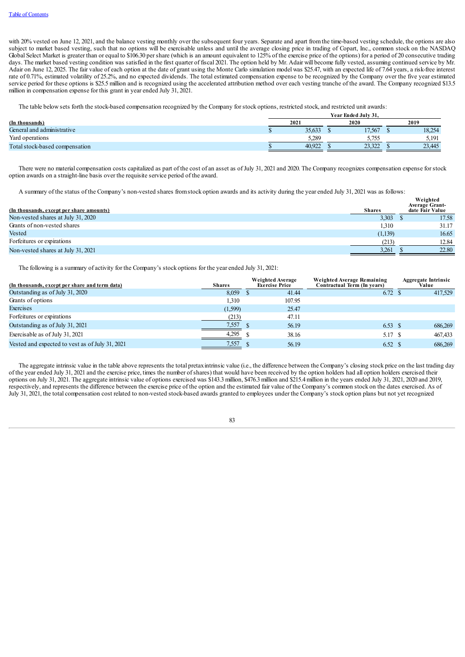with 20% vested on June 12, 2021, and the balance vesting monthly over the subsequent four years. Separate and apart from the time-based vesting schedule, the options are also subject to market based vesting, such that no options will be exercisable unless and until the average closing price in trading of Copart, Inc., common stock on the NASDAQ Global Select Market is greater than or equal to \$106.30 per share (which is an amount equivalent to 125% of the exercise price of the options) for a period of 20 consecutive trading days. The market based vesting condition was satisfied in the first quarter of fiscal 2021. The option held by Mr. Adair will become fully vested, assuming continued service by Mr. Adair on June 12, 2025. The fair value of each option at the date of grant using the Monte Carlo simulation model was \$25.47, with an expected life of 7.64 years, a risk-free interest rate of 0.71%, estimated volatility of 25.2%, and no expected dividends. The totalestimated compensation expense to be recognized by the Company over the five year estimated service period for these options is \$25.5 million and is recognized using the accelerated attribution method over each vesting tranche of the award. The Company recognized \$13.5 million in compensation expense for this grant in yearended July 31, 2021.

The table below sets forth the stock-based compensation recognized by the Company for stock options, restricted stock, and restricted unit awards:

|                                |      |        | Year Ended July 31. |        |
|--------------------------------|------|--------|---------------------|--------|
| (In thousands)                 | 2021 |        | 2020                | 2019   |
| General and administrative     |      | 35,633 | 17,567              | 18,254 |
| Yard operations                |      | 5,289  | 5 755<br>- - - -    | 5.191  |
| Total stock-based compensation |      | 40.922 | 23.322              | 23,445 |

There were no material compensation costs capitalized as part of the cost of an asset as of July 31, 2021 and 2020. The Company recognizes compensation expense for stock option awards on a straight-line basis over the requisite service period of the award.

A summary of the status of the Company's non-vested shares fromstock option awards and its activity during the yearended July 31, 2021was as follows:

| (In thousands, except per share amounts) | <b>Shares</b> | Weighted<br><b>Average Grant-</b><br>date Fair Value |
|------------------------------------------|---------------|------------------------------------------------------|
| Non-vested shares at July 31, 2020       | 3,303         | 17.58                                                |
| Grants of non-vested shares              | 1,310         | 31.17                                                |
| Vested                                   | (1,139)       | 16.65                                                |
| Forfeitures or expirations               | (213)         | 12.84                                                |
| Non-vested shares at July 31, 2021       | 3,261         | 22.80                                                |

The following is a summary of activity for the Company's stock options for the year ended July 31, 2021:

| (In thousands, except per share and term data)  | <b>Shares</b> | <b>Weighted Average</b><br>Exercise Price | Weighted Average Remaining<br>Contractual Term (In years) | <b>Aggregate Intrinsic</b><br>Value |
|-------------------------------------------------|---------------|-------------------------------------------|-----------------------------------------------------------|-------------------------------------|
| Outstanding as of July 31, 2020                 | 8.059         | 41.44                                     | 6.72 \$                                                   | 417.529                             |
| Grants of options                               | 1.310         | 107.95                                    |                                                           |                                     |
| Exercises                                       | (1, 599)      | 25.47                                     |                                                           |                                     |
| Forfeitures or expirations                      | (213)         | 47.11                                     |                                                           |                                     |
| Outstanding as of July 31, 2021                 | 7,557         | 56.19                                     | 6.53 S                                                    | 686,269                             |
| Exercisable as of July 31, 2021                 | 4,295         | 38.16                                     | 5.17 \$                                                   | 467.433                             |
| Vested and expected to vest as of July 31, 2021 | 7.557         | 56.19                                     | $6.52 \text{ }$ \$                                        | 686,269                             |

The aggregate intrinsic value in the table above represents the total pretax intrinsic value (i.e., the difference between the Company's closing stock price on the last trading day of the yearended July 31, 2021 and the exercise price, times the number ofshares) that would have been received by the option holders had all option holders exercised their options on July 31, 2021. The aggregate intrinsic value of options exercised was \$143.3million, \$476.3million and \$215.4million in the years ended July 31, 2021, 2020 and 2019, respectively, and represents the difference between the exercise price of the option and the estimated fair value of the Company's common stock on the dates exercised. As of July 31, 2021, the totalcompensation cost related to non-vested stock-based awards granted to employees under the Company's stock option plans but not yet recognized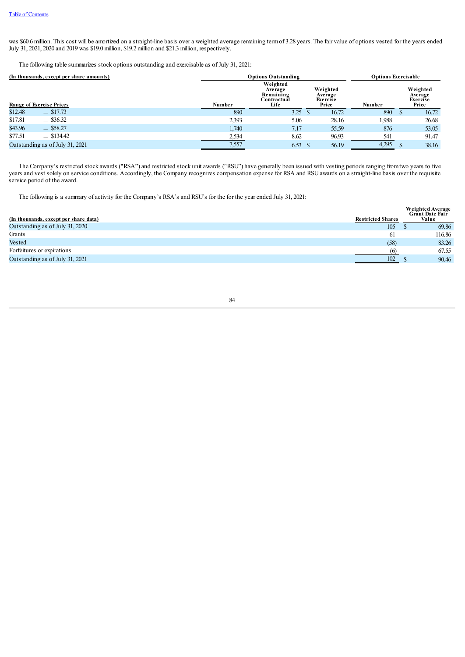was \$60.6 million. This cost will be amortized on a straight-line basis over a weighted average remaining term of 3.28 years. The fair value of options vested for the years ended July 31, 2021, 2020 and 2019was \$19.0million, \$19.2million and \$21.3million, respectively.

The following table summarizes stock options outstanding and exercisable as of July 31, 2021:

| (In thousands, except per share amounts) |        | <b>Options Outstanding</b>                              | <b>Options Exercisable</b>               |        |                                          |  |
|------------------------------------------|--------|---------------------------------------------------------|------------------------------------------|--------|------------------------------------------|--|
| <b>Range of Exercise Prices</b>          | Number | Weighted<br>Average<br>Remaining<br>Contractual<br>Life | Weighted<br>Average<br>Exercise<br>Price | Number | Weighted<br>Average<br>Exercise<br>Price |  |
| \$12.48<br>$=$ \$17.73                   | 890    | 3.25 S                                                  | 16.72                                    | 890    | 16.72                                    |  |
| \$17.81<br>$-$ \$36.32                   | 2,393  | 5.06                                                    | 28.16                                    | 1,988  | 26.68                                    |  |
| \$43.96<br>$-$ \$58.27                   | 1,740  | 7.17                                                    | 55.59                                    | 876    | 53.05                                    |  |
| \$77.51<br>$-$ \$134.42                  | 2,534  | 8.62                                                    | 96.93                                    | 541    | 91.47                                    |  |
| Outstanding as of July 31, 2021          | 7,557  | $6.53$ \$                                               | 56.19                                    | 4,295  | 38.16<br><sup>S</sup>                    |  |

The Company's restricted stock awards ("RSA") and restricted stock unit awards ("RSU") have generally been issued with vesting periods ranging from two years to five years and vest solely on service conditions. Accordingly, the Company recognizes compensation expense for RSA and RSU awards on a straight-line basis over the requisite service period of the award.

The following is a summary ofactivity for the Company's RSA's and RSU's for the for the yearended July 31, 2021:

| (In thousands, except per share data) | <b>Restricted Shares</b> | <b>Weighted Average</b><br><b>Grant Date Fair</b><br>Value |
|---------------------------------------|--------------------------|------------------------------------------------------------|
| Outstanding as of July 31, 2020       | 105                      | 69.86                                                      |
| Grants                                | 61                       | 116.86                                                     |
| Vested                                | (58)                     | 83.26                                                      |
| Forfeitures or expirations            | (6)                      | 67.55                                                      |
| Outstanding as of July 31, 2021       | 102                      | 90.46                                                      |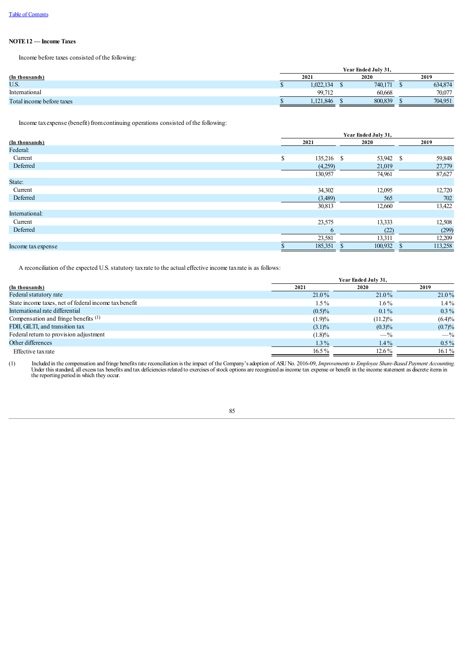## **NOTE12 — Income Taxes**

Income before taxes consisted of the following:

| Year Ended July 31.       |  |           |  |         |  |         |  |  |
|---------------------------|--|-----------|--|---------|--|---------|--|--|
| (In thousands)            |  | 2021      |  | 2020    |  | 2019    |  |  |
| U.S.                      |  | 1,022,134 |  | 740,171 |  | 634,874 |  |  |
| International             |  | 99.712    |  | 60.668  |  | 70,077  |  |  |
| Total income before taxes |  | 1.121.846 |  | 800,839 |  | 704.951 |  |  |
|                           |  |           |  |         |  |         |  |  |

Income taxexpense (benefit) fromcontinuing operations consisted of the following:

|                    | Year Ended July 31, |              |           |         |
|--------------------|---------------------|--------------|-----------|---------|
| (In thousands)     |                     | 2021         | 2020      | 2019    |
| Federal:           |                     |              |           |         |
| Current            | \$                  | $135,216$ \$ | 53,942 \$ | 59,848  |
| Deferred           |                     | (4,259)      | 21,019    | 27,779  |
|                    |                     | 130,957      | 74,961    | 87,627  |
| State:             |                     |              |           |         |
| Current            |                     | 34,302       | 12,095    | 12,720  |
| Deferred           |                     | (3,489)      | 565       | 702     |
|                    |                     | 30,813       | 12,660    | 13,422  |
| International:     |                     |              |           |         |
| Current            |                     | 23,575       | 13,333    | 12,508  |
| Deferred           |                     | 6            | (22)      | (299)   |
|                    |                     | 23,581       | 13,311    | 12,209  |
| Income tax expense |                     | 185,351      | 100,932   | 113,258 |

A reconciliation of the expected U.S. statutory taxrate to the actualeffective income taxrate is as follows:

|                                                       | Year Ended July 31, |            |                 |
|-------------------------------------------------------|---------------------|------------|-----------------|
| (In thousands)                                        | 2021                | 2020       | 2019            |
| Federal statutory rate                                | $21.0\%$            | $21.0\%$   | $21.0\%$        |
| State income taxes, net of federal income tax benefit | $1.5\%$             | $1.6\%$    | $1.4\%$         |
| International rate differential                       | $(0.5)\%$           | $0.1\%$    | $0.3\%$         |
| Compensation and fringe benefits (1)                  | (1.9)%              | $(11.2)\%$ | $(6.4)\%$       |
| FDII, GILTI, and transition tax                       | $(3.1)\%$           | $(0.3)\%$  | (0.7)%          |
| Federal return to provision adjustment                | $(1.8)\%$           | $-$ %      | $- \frac{9}{6}$ |
| Other differences                                     | $1.3\%$             | $1.4\%$    | $0.5\%$         |
| Effective tax rate                                    | $16.5\%$            | $12.6\%$   | $16.1\%$        |

(1) Included in the compensation and fringe benefits rate reconciliation is the impact of the Company's adoption of ASU No. 2016-09, *Improvements to Employee Share-Based Payment Accounting*. Under this standard, all exces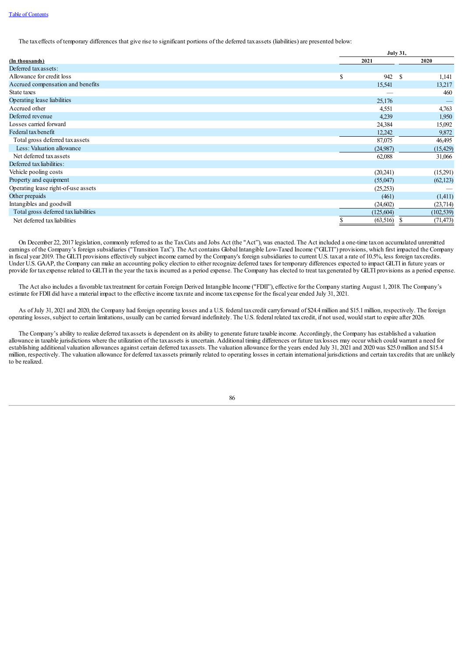The taxeffects of temporary differences that give rise to significant portions of the deferred taxassets (liabilities) are presented below:

|                                      |            | <b>July 31,</b> |            |  |
|--------------------------------------|------------|-----------------|------------|--|
| (In thousands)                       | 2021       |                 | 2020       |  |
| Deferred tax assets:                 |            |                 |            |  |
| Allowance for credit loss            | \$<br>942  | -S              | 1,141      |  |
| Accrued compensation and benefits    | 15,541     |                 | 13,217     |  |
| State taxes                          |            |                 | 460        |  |
| Operating lease liabilities          | 25,176     |                 |            |  |
| Accrued other                        | 4,551      |                 | 4,763      |  |
| Deferred revenue                     | 4,239      |                 | 1,950      |  |
| Losses carried forward               | 24,384     |                 | 15,092     |  |
| Federal tax benefit                  | 12,242     |                 | 9,872      |  |
| Total gross deferred tax assets      | 87,075     |                 | 46,495     |  |
| Less: Valuation allowance            | (24,987)   |                 | (15, 429)  |  |
| Net deferred tax assets              | 62,088     |                 | 31,066     |  |
| Deferred tax liabilities:            |            |                 |            |  |
| Vehicle pooling costs                | (20,241)   |                 | (15,291)   |  |
| Property and equipment               | (55,047)   |                 | (62, 123)  |  |
| Operating lease right-of-use assets  | (25,253)   |                 |            |  |
| Other prepaids                       | (461)      |                 | (1,411)    |  |
| Intangibles and goodwill             | (24,602)   |                 | (23,714)   |  |
| Total gross deferred tax liabilities | (125, 604) |                 | (102, 539) |  |
| Net deferred tax liabilities         | (63,516)   | -8              | (71, 473)  |  |

On December 22, 2017 legislation,commonly referred to as the TaxCuts and Jobs Act (the "Act"), was enacted. The Act included a one-time taxon accumulated unremitted earnings of the Company's foreign subsidiaries ("Transition Tax"). The Act contains Global Intangible Low-Taxed Income ("GILTI") provisions, which first impacted the Company in fiscal year 2019. The GILTI provisions effectively subject income earned by the Company's foreign subsidiaries to current U.S. taxat a rate of 10.5%, less foreign taxcredits. Under U.S. GAAP, the Company can make an accounting policy election to either recognize deferred taxes for temporary differences expected to impact GILTI in future years or provide for taxexpense related to GILTI in the year the taxis incurred as a period expense. The Company has elected to treat taxgenerated by GILTI provisions as a period expense.

The Act also includes a favorable taxtreatment for certain Foreign Derived Intangible Income ("FDII"), effective for the Company starting August 1, 2018. The Company's estimate for FDII did have a material impact to the effective income taxrate and income taxexpense for the fiscal yearended July 31, 2021.

As ofJuly 31, 2021 and 2020, the Company had foreign operating losses and a U.S. federal taxcredit carryforward of \$24.4million and \$15.1million, respectively. The foreign operating losses, subject to certain limitations, usually can be carried forward indefinitely. The U.S. federal related taxcredit, if not used, would start to expire after 2026.

The Company's ability to realize deferred taxassets is dependent on its ability to generate future taxable income. Accordingly, the Company has established a valuation allowance in taxable jurisdictions where the utilization of the taxassets is uncertain. Additional timing differences or future taxlosses may occur which could warrant a need for establishing additional valuation allowances against certain deferred taxassets. The valuation allowance for the years ended July 31, 2021 and 2020was \$25.0million and \$15.4 million, respectively. The valuation allowance for deferred taxassets primarily related to operating losses in certain international jurisdictions and certain taxcredits that are unlikely to be realized.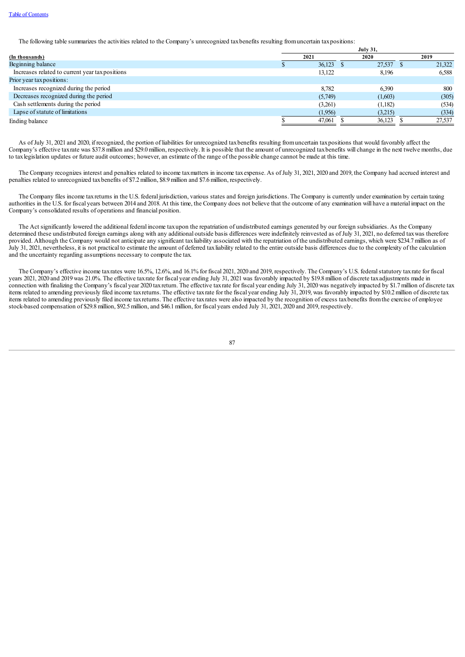The following table summarizes the activities related to the Company's unrecognized taxbenefits resulting fromuncertain taxpositions:

|                                                | <b>July 31,</b> |         |  |           |  |        |
|------------------------------------------------|-----------------|---------|--|-----------|--|--------|
| (In thousands)                                 |                 | 2021    |  | 2020      |  | 2019   |
| Beginning balance                              |                 | 36,123  |  | 27,537 \$ |  | 21,322 |
| Increases related to current year taxpositions |                 | 13,122  |  | 8,196     |  | 6,588  |
| Prior year tax positions:                      |                 |         |  |           |  |        |
| Increases recognized during the period         |                 | 8,782   |  | 6,390     |  | 800    |
| Decreases recognized during the period         |                 | (5,749) |  | (1,603)   |  | (305)  |
| Cash settlements during the period             |                 | (3,261) |  | (1,182)   |  | (534)  |
| Lapse of statute of limitations                |                 | (1,956) |  | (3,215)   |  | (334)  |
| Ending balance                                 |                 | 47,061  |  | 36,123    |  | 27,537 |

As of July 31, 2021 and 2020, if recognized, the portion of liabilities for unrecognized tax benefits resulting from uncertain tax positions that would favorably affect the Company's effective taxrate was \$37.8million and \$29.0million, respectively. It is possible that the amount of unrecognized taxbenefits willchange in the next twelve months, due to tax legislation updates or future audit outcomes; however, an estimate of the range of the possible change cannot be made at this time.

The Company recognizes interest and penalties related to income tax matters in income taxexpense. As of July 31, 2021, 2020 and 2019, the Company had accrued interest and penalties related to unrecognized taxbenefits of \$7.2million, \$8.9million and \$7.6million, respectively.

The Company files income taxreturns in the U.S. federal jurisdiction, various states and foreign jurisdictions. The Company is currently under examination by certain taxing authorities in the U.S. for fiscal years between 2014 and 2018. At this time, the Company does not believe that the outcome ofany examination will have a material impact on the Company's consolidated results of operations and financial position.

The Act significantly lowered the additional federal income taxupon the repatriation of undistributed earnings generated by our foreign subsidiaries. As the Company determined these undistributed foreign earnings along with any additional outside basis differences were indefinitely reinvested as of July 31, 2021, no deferred tax was therefore provided. Although the Company would not anticipate any significant taxliability associated with the repatriation of the undistributed earnings, which were \$234.7million as of July 31, 2021, nevertheless, it is not practical to estimate the amount of deferred taxliability related to the entire outside basis differences due to the complexity of the calculation and the uncertainty regarding assumptions necessary to compute the tax.

The Company's effective income taxrates were 16.5%, 12.6%, and 16.1% for fiscal 2021, 2020 and 2019, respectively. The Company's U.S. federal statutory taxrate for fiscal years 2021, 2020 and 2019 was 21.0%. The effective taxrate for fiscal year ending July 31, 2021 was favorably impacted by \$19.8 million of discrete tax adjustments made in connection with finalizing the Company's fiscal year 2020 taxreturn. The effective taxrate for fiscal year ending July 31, 2020 was negatively impacted by \$1.7 million of discrete tax items related to amending previously filed income taxreturns. The effective taxrate for the fiscal yearending July 31, 2019, was favorably impacted by \$10.2million of discrete tax items related to amending previously filed income taxreturns. The effective taxrates were also impacted by the recognition ofexcess taxbenefits fromthe exercise ofemployee stock-based compensation of \$29.8 million, \$92.5 million, and \$46.1 million, for fiscal years ended July 31, 2021, 2020 and 2019, respectively.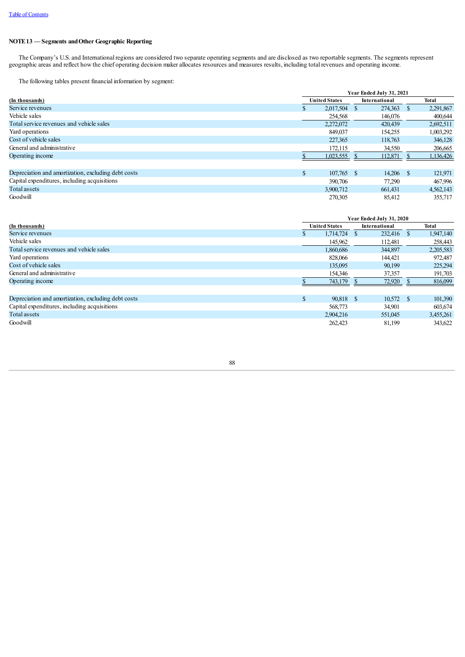## **NOTE13 — Segments andOther Geographic Reporting**

The Company's U.S.and International regions are considered two separate operating segments and are disclosed as two reportable segments. The segments represent geographic areas and reflect howthe chief operating decision makerallocates resources and measures results, including total revenues and operating income.

The following tables present financial information by segment:

|                                                     |                      | Year Ended July 31, 2021 |               |    |           |
|-----------------------------------------------------|----------------------|--------------------------|---------------|----|-----------|
| (In thousands)                                      | <b>United States</b> |                          | International |    | Total     |
| Service revenues                                    | 2.017.504            | -S                       | 274,363       | S. | 2,291,867 |
| Vehicle sales                                       | 254,568              |                          | 146,076       |    | 400,644   |
| Total service revenues and vehicle sales            | 2.272.072            |                          | 420,439       |    | 2,692,511 |
| Yard operations                                     | 849,037              |                          | 154,255       |    | 1,003,292 |
| Cost of vehicle sales                               | 227,365              |                          | 118.763       |    | 346,128   |
| General and administrative                          | 172,115              |                          | 34,550        |    | 206,665   |
| Operating income                                    | 1,023,555            |                          | 112,871       |    | 1,136,426 |
|                                                     |                      |                          |               |    |           |
| Depreciation and amortization, excluding debt costs | \$<br>$107.765$ \$   |                          | $14.206$ \$   |    | 121,971   |
| Capital expenditures, including acquisitions        | 390,706              |                          | 77,290        |    | 467,996   |
| Total assets                                        | 3,900,712            |                          | 661.431       |    | 4,562,143 |
| Goodwill                                            | 270,305              |                          | 85,412        |    | 355,717   |

|                                                     | Year Ended July 31, 2020 |                      |    |               |      |           |
|-----------------------------------------------------|--------------------------|----------------------|----|---------------|------|-----------|
| (In thousands)                                      |                          | <b>United States</b> |    | International |      | Total     |
| Service revenues                                    |                          | 1.714.724            | -S | 232,416 \$    |      | 1,947,140 |
| Vehicle sales                                       |                          | 145,962              |    | 112,481       |      | 258,443   |
| Total service revenues and vehicle sales            |                          | 1,860,686            |    | 344,897       |      | 2,205,583 |
| Yard operations                                     |                          | 828,066              |    | 144,421       |      | 972,487   |
| Cost of vehicle sales                               |                          | 135,095              |    | 90,199        |      | 225,294   |
| General and administrative                          |                          | 154,346              |    | 37,357        |      | 191,703   |
| Operating income                                    |                          | 743,179              |    | 72,920        |      | 816,099   |
|                                                     |                          |                      |    |               |      |           |
| Depreciation and amortization, excluding debt costs | \$                       | 90,818 \$            |    | 10.572        | - \$ | 101,390   |
| Capital expenditures, including acquisitions        |                          | 568,773              |    | 34,901        |      | 603,674   |
| Total assets                                        |                          | 2.904.216            |    | 551,045       |      | 3,455,261 |
| Goodwill                                            |                          | 262,423              |    | 81,199        |      | 343,622   |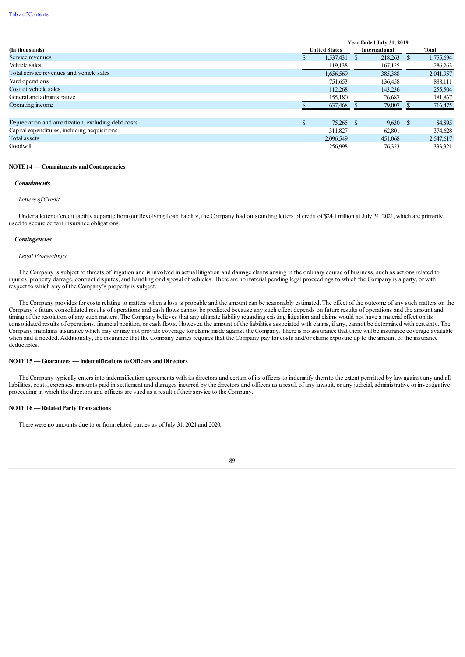|                                                     |                      | Year Ended July 31, 2019 |               |    |           |
|-----------------------------------------------------|----------------------|--------------------------|---------------|----|-----------|
| (In thousands)                                      | <b>United States</b> |                          | International |    | Total     |
| Service revenues                                    |                      | 1,537,431<br>-S          | 218,263       | S. | 1,755,694 |
| Vehicle sales                                       |                      | 119,138                  | 167,125       |    | 286,263   |
| Total service revenues and vehicle sales            |                      | 1,656,569                | 385,388       |    | 2,041,957 |
| Yard operations                                     |                      | 751,653                  | 136,458       |    | 888,111   |
| Cost of vehicle sales                               |                      | 112,268                  | 143.236       |    | 255,504   |
| General and administrative                          |                      | 155,180                  | 26,687        |    | 181,867   |
| Operating income                                    |                      | 637,468                  | 79,007        |    | 716,475   |
|                                                     |                      |                          |               |    |           |
| Depreciation and amortization, excluding debt costs | \$.                  | 75,265 \$                | $9,630$ \$    |    | 84,895    |
| Capital expenditures, including acquisitions        |                      | 311,827                  | 62,801        |    | 374,628   |
| Total assets                                        |                      | 2,096,549                | 451,068       |    | 2,547,617 |
| Goodwill                                            |                      | 256,998                  | 76,323        |    | 333,321   |

## **NOTE14** — **Commitments** and **Contingencies**

#### *Commitments*

## *Letters of Credit*

Under a letter of credit facility separate from our Revolving Loan Facility, the Company had outstanding letters of credit of \$24.1 million at July 31, 2021, which are primarily used to secure certain insurance obligations.

### *Contingencies*

### *Legal Proceedings*

The Company is subject to threats of litigation and is involved in actual litigation and damage claims arising in the ordinary course of business, such as actions related to injuries, property damage, contract disputes, and handling or disposal of vehicles. There are no material pending legal proceedings to which the Company is a party, or with respect to which any of the Company's property is subject.

The Company provides for costs relating to matters when a loss is probable and the amount can be reasonably estimated. The effect of the outcome of any such matters on the Company's future consolidated results of operations and cash flows cannot be predicted because any such effect depends on future results of operations and the amount and timing of the resolution of any such matters. The Company believes that any ultimate liability regarding existing litigation and claims would not have a material effect on its consolidated results of operations, financial position, orcash flows. However, the amount of the liabilities associated with claims, ifany,cannot be determined with certainty. The Company maintains insurance which may or may not provide coverage for claims made against the Company. There is no assurance that there will be insurance coverage available when and if needed. Additionally, the insurance that the Company carries requires that the Company pay for costs and/or claims exposure up to the amount of the insurance deductibles.

#### **NOTE15** — Guarantees — Indemnifications to Officers and Directors

The Company typically enters into indemnification agreements with its directors and certain of its officers to indemnify themto the extent permitted by lawagainst any and all liabilities, costs, expenses, amounts paid in settlement and damages incurred by the directors and officers as a result of any lawsuit, or any judicial, administrative or investigative proceeding in which the directors and officers are sued as a result of their service to the Company.

## **NOTE16 — RelatedParty Transactions**

There were no amounts due to or from related parties as of July 31, 2021 and 2020.

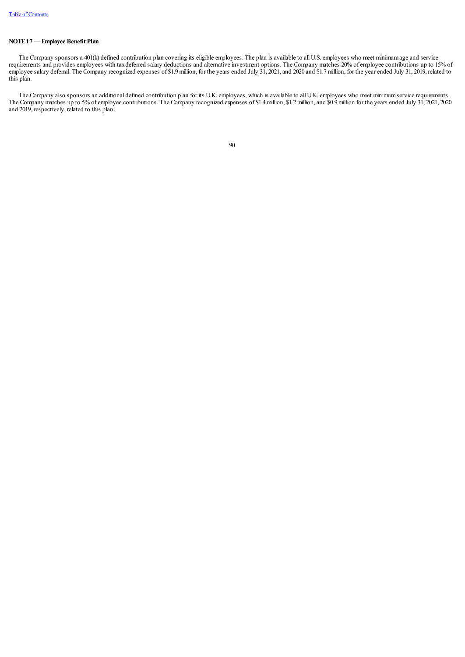## **NOTE17 — Employee Benefit Plan**

The Company sponsors a 401(k) defined contribution plan covering its eligible employees. The plan is available to all U.S. employees who meet minimum age and service requirements and provides employees with taxdeferred salary deductions and alternative investment options. The Company matches 20% of employee contributions up to 15% of employee salary deferral. The Company recognized expenses of \$1.9 million, for the years ended July 31, 2021, and 2020 and \$1.7 million, for the year ended July 31, 2019, related to this plan.

The Company also sponsors an additional defined contribution plan for its U.K. employees, which is available to all U.K. employees who meet minimum service requirements. The Company matches up to 5% of employee contributions. The Company recognized expenses of \$1.4 million, \$1.2 million, and \$0.9 million for the years ended July 31, 2021, 2020 and 2019, respectively, related to this plan.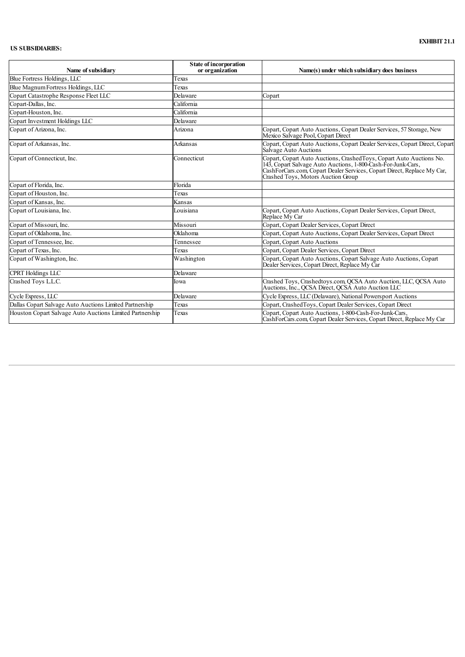## **US SUBSIDIARIES:**

| Name of subsidiary                                       | <b>State of incorporation</b><br>or organization | Name(s) under which subsidiary does business                                                                                                                                                                                                          |
|----------------------------------------------------------|--------------------------------------------------|-------------------------------------------------------------------------------------------------------------------------------------------------------------------------------------------------------------------------------------------------------|
| Blue Fortress Holdings, LLC                              | Texas                                            |                                                                                                                                                                                                                                                       |
| Blue Magnum Fortress Holdings, LLC                       | Texas                                            |                                                                                                                                                                                                                                                       |
| Copart Catastrophe Response Fleet LLC                    | Delaware                                         | Copart                                                                                                                                                                                                                                                |
| Copart-Dallas, Inc.                                      | California                                       |                                                                                                                                                                                                                                                       |
| Copart-Houston, Inc.                                     | California                                       |                                                                                                                                                                                                                                                       |
| Copart Investment Holdings LLC                           | Delaware                                         |                                                                                                                                                                                                                                                       |
| Copart of Arizona, Inc.                                  | Arizona                                          | Copart, Copart Auto Auctions, Copart Dealer Services, 57 Storage, New<br>Mexico Salvage Pool, Copart Direct                                                                                                                                           |
| Copart of Arkansas, Inc.                                 | Arkansas                                         | Copart, Copart Auto Auctions, Copart Dealer Services, Copart Direct, Copart<br>Salvage Auto Auctions                                                                                                                                                  |
| Copart of Connecticut, Inc.                              | Connecticut                                      | Copart, Copart Auto Auctions, Crashed Toys, Copart Auto Auctions No.<br>143, Copart Salvage Auto Auctions, 1-800-Cash-For-Junk-Cars,<br>CashForCars.com, Copart Dealer Services, Copart Direct, Replace My Car,<br>Crashed Toys, Motors Auction Group |
| Copart of Florida, Inc.                                  | Florida                                          |                                                                                                                                                                                                                                                       |
| Copart of Houston, Inc.                                  | Texas                                            |                                                                                                                                                                                                                                                       |
| Copart of Kansas, Inc.                                   | Kansas                                           |                                                                                                                                                                                                                                                       |
| Copart of Louisiana, Inc.                                | Louisiana                                        | Copart, Copart Auto Auctions, Copart Dealer Services, Copart Direct,<br>Replace My Car                                                                                                                                                                |
| Copart of Missouri, Inc.                                 | Missouri                                         | Copart, Copart Dealer Services, Copart Direct                                                                                                                                                                                                         |
| Copart of Oklahoma, Inc.                                 | Oklahoma                                         | Copart, Copart Auto Auctions, Copart Dealer Services, Copart Direct                                                                                                                                                                                   |
| Copart of Tennessee, Inc.                                | Tennessee                                        | Copart, Copart Auto Auctions                                                                                                                                                                                                                          |
| Copart of Texas, Inc.                                    | Texas                                            | Copart, Copart Dealer Services, Copart Direct                                                                                                                                                                                                         |
| Copart of Washington, Inc.                               | Washington                                       | Copart, Copart Auto Auctions, Copart Salvage Auto Auctions, Copart<br>Dealer Services, Copart Direct, Replace My Car                                                                                                                                  |
| <b>CPRT</b> Holdings LLC                                 | Delaware                                         |                                                                                                                                                                                                                                                       |
| Crashed Toys L.L.C.                                      | Iowa                                             | Crashed Toys, Crashedtoys.com, QCSA Auto Auction, LLC, QCSA Auto<br>Auctions, Inc., QCSA Direct, QCSA Auto Auction LLC                                                                                                                                |
| Cycle Express, LLC                                       | Delaware                                         | Cycle Express, LLC (Delaware), National Powersport Auctions                                                                                                                                                                                           |
| Dallas Copart Salvage Auto Auctions Limited Partnership  | Texas                                            | Copart, CrashedToys, Copart Dealer Services, Copart Direct                                                                                                                                                                                            |
| Houston Copart Salvage Auto Auctions Limited Partnership | Texas                                            | Copart, Copart Auto Auctions, 1-800-Cash-For-Junk-Cars,<br>CashForCars.com, Copart Dealer Services, Copart Direct, Replace My Car                                                                                                                     |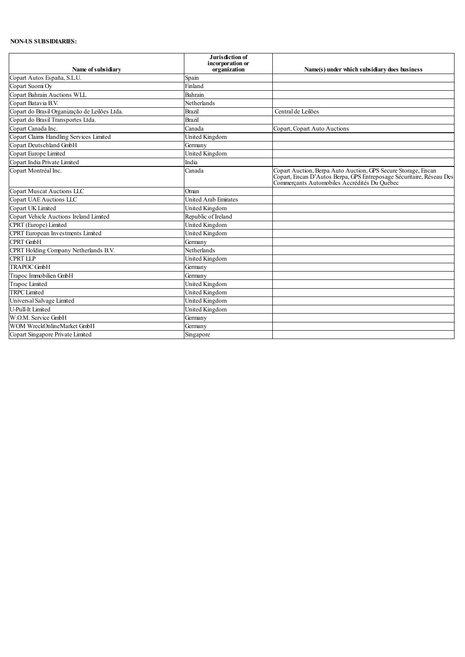# **NON-US SUBSIDIARIES:**

| Name of subsidiary                            | Jurisdiction of<br>incorporation or<br>organization | Name(s) under which subsidiary does business                                                                                                                                          |
|-----------------------------------------------|-----------------------------------------------------|---------------------------------------------------------------------------------------------------------------------------------------------------------------------------------------|
| Copart Autos España, S.L.U.                   | Spain                                               |                                                                                                                                                                                       |
| Copart Suomi Oy                               | Finland                                             |                                                                                                                                                                                       |
| Copart Bahrain Auctions WLL                   | Bahrain                                             |                                                                                                                                                                                       |
| Copart Batavia B.V.                           | Netherlands                                         |                                                                                                                                                                                       |
| Copart do Brasil Organização de Leilões Ltda. | Brazil                                              | Central de Leilões                                                                                                                                                                    |
| Copart do Brasil Transportes Ltda.            | Brazil                                              |                                                                                                                                                                                       |
| Copart Canada Inc.                            | Canada                                              | Copart, Copart Auto Auctions                                                                                                                                                          |
| Copart Claims Handling Services Limited       | United Kingdom                                      |                                                                                                                                                                                       |
| Copart Deutschland GmbH                       | Germany                                             |                                                                                                                                                                                       |
| Copart Europe Limited                         | United Kingdom                                      |                                                                                                                                                                                       |
| Copart India Private Limited                  | India                                               |                                                                                                                                                                                       |
| Copart Montréal Inc.                          | Canada                                              | Copart Auction, Berpa Auto Auction, GPS Secure Storage, Encan<br>Copart, Encan D'Autos Berpa, GPS Entreposage Sécuritaire, Réseau Des<br>Commerçants Automobiles Accrédités Du Québec |
| <b>Copart Muscat Auctions LLC</b>             | Oman                                                |                                                                                                                                                                                       |
| <b>Copart UAE Auctions LLC</b>                | <b>United Arab Emirates</b>                         |                                                                                                                                                                                       |
| Copart UK Limited                             | United Kingdom                                      |                                                                                                                                                                                       |
| Copart Vehicle Auctions Ireland Limited       | Republic of Ireland                                 |                                                                                                                                                                                       |
| CPRT (Europe) Limited                         | United Kingdom                                      |                                                                                                                                                                                       |
| <b>CPRT</b> European Investments Limited      | United Kingdom                                      |                                                                                                                                                                                       |
| <b>CPRT GmbH</b>                              | Germany                                             |                                                                                                                                                                                       |
| CPRT Holding Company Netherlands B.V.         | Netherlands                                         |                                                                                                                                                                                       |
| <b>CPRT LLP</b>                               | United Kingdom                                      |                                                                                                                                                                                       |
| <b>TRAPOC GmbH</b>                            | Germany                                             |                                                                                                                                                                                       |
| Trapoc Immobilien GmbH                        | Germany                                             |                                                                                                                                                                                       |
| <b>Trapoc Limited</b>                         | United Kingdom                                      |                                                                                                                                                                                       |
| <b>TRPC</b> Limited                           | United Kingdom                                      |                                                                                                                                                                                       |
| Universal Salvage Limited                     | United Kingdom                                      |                                                                                                                                                                                       |
| U-Pull-It Limited                             | United Kingdom                                      |                                                                                                                                                                                       |
| W.O.M. Service GmbH                           | Germany                                             |                                                                                                                                                                                       |
| WOM WreckOnlineMarket GmbH                    | Germany                                             |                                                                                                                                                                                       |
| Copart Singapore Private Limited              | Singapore                                           |                                                                                                                                                                                       |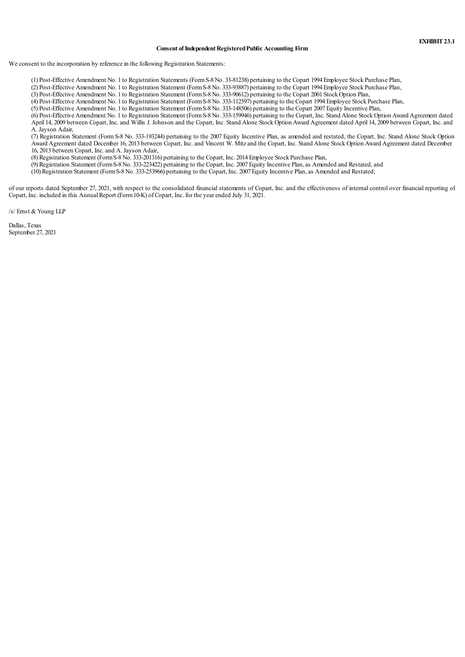### **Consent of Independent Registered Public Accounting Firm**

We consent to the incorporation by reference in the following Registration Statements:

- (1) Post-Effective Amendment No. 1 to Registration Statements (FormS-8No. 33-81238) pertaining to the Copart 1994 Employee Stock Purchase Plan,
- (2) Post-Effective Amendment No. 1 to Registration Statement (FormS-8No. 333-93887) pertaining to the Copart 1994 Employee Stock Purchase Plan,
- (3) Post-Effective Amendment No. 1 to Registration Statement (FormS-8No. 333-90612) pertaining to the Copart 2001 StockOption Plan,
	- (4) Post-Effective Amendment No. 1 to Registration Statement (FormS-8No. 333-112597) pertaining to the Copart 1994 Employee Stock Purchase Plan,
	- (5) Post-Effective Amendment No. 1 to Registration Statement (FormS-8No. 333-148506) pertaining to the Copart 2007 Equity Incentive Plan,

(6) Post-EffectiveAmendment No. 1 to Registration Statement (FormS-8 No. 333-159946) pertaining to the Copart, Inc. Stand Alone Stock Option Award Agreement dated April 14, 2009 between Copart, Inc.and Willis J. Johnson and the Copart, Inc. Stand Alone Stock Option Award Agreement dated April 14, 2009 between Copart, Inc.and A. Jayson Adair,

(7) Registration Statement (Form S-8 No. 333-193244) pertaining to the 2007 Equity Incentive Plan, as amended and restated, the Copart, Inc. Stand Alone Stock Option Award Agreement dated December 16, 2013 between Copart, Inc.and Vincent W. Mitzand the Copart, Inc. Stand Alone Stock Option Award Agreement dated December 16, 2013 between Copart, Inc.and A. Jayson Adair,

(8) Registration Statement (FormS-8No. 333-201316) pertaining to the Copart, Inc. 2014 Employee Stock Purchase Plan,

- (9) Registration Statement (FormS-8No. 333-223422) pertaining to the Copart, Inc. 2007 Equity Incentive Plan,as Amended and Restated,and
- (10) Registration Statement (FormS-8No. 333-253966) pertaining to the Copart, Inc. 2007 Equity Incentive Plan,as Amended and Restated;

of our reports dated September 27, 2021, with respect to the consolidated financial statements of Copart, Inc. and the effectiveness of internal control over financial reporting of Copart, Inc. included in this Annual Report (Form10-K) of Copart, Inc. for the yearended July 31, 2021.

/s/ Ernst & Young LLP

Dallas, Texas September 27, 2021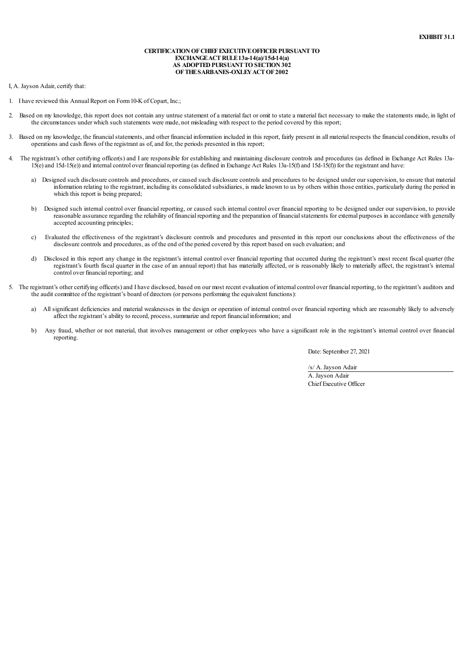#### **CERTIFICATIONOFCHIEFEXECUTIVEOFFICERPURSUANTTO EXCHANGEACTRULE13a-14(a)/15d-14(a) AS ADOPTED PURSUANT TO SECTION 302 OFTHESARBANES-OXLEYACTOF2002**

I, A. Jayson Adair, certify that:

- 1. I have reviewed this Annual Report on Form 10-K of Copart, Inc.;
- 2. Based on my knowledge, this report does not contain any untrue statement ofa material fact or omit to state a material fact necessary to make the statements made, in light of the circumstances under which such statements were made, not misleading with respect to the period covered by this report;
- 3. Based on my knowledge, the financial statements, and other financial information included in this report, fairly present in all material respects the financial condition, results of operations and cash flows of the registrant as of,and for, the periods presented in this report;
- 4. The registrant's other certifying officer(s) and I are responsible for establishing and maintaining disclosure controls and procedures (as defined in Exchange Act Rules 13a-15(e)and 15d-15(e))and internalcontrol over financial reporting (as defined in Exchange Act Rules 13a-15(f)and 15d-15(f)) for the registrant and have:
	- a) Designed such disclosure controls and procedures, orcaused such disclosure controls and procedures to be designed under our supervision, to ensure that material information relating to the registrant, including its consolidated subsidiaries, is made known to us by others within those entities, particularly during the period in which this report is being prepared;
	- b) Designed such internal control over financial reporting, or caused such internal control over financial reporting to be designed under our supervision, to provide reasonable assurance regarding the reliability of financial reporting and the preparation of financialstatements forexternal purposes in accordance with generally accepted accounting principles;
	- c) Evaluated the effectiveness of the registrant's disclosure controls and procedures and presented in this report our conclusions about the effectiveness of the disclosure controls and procedures, as of the end of the period covered by this report based on such evaluation; and
	- d) Disclosed in this report any change in the registrant's internal control over financial reporting that occurred during the registrant's most recent fiscal quarter (the registrant's fourth fiscal quarter in the case of an annual report) that has materially affected, or is reasonably likely to materially affect, the registrant's internal control over financial reporting; and
- 5. The registrant's other certifying officer(s) and I have disclosed, based on our most recent evaluation of internal control over financial reporting, to the registrant's auditors and the audit committee of the registrant's board of directors (or persons performing the equivalent functions):
	- a) All significant deficiencies and material weaknesses in the design or operation of internal control over financial reporting which are reasonably likely to adversely affect the registrant's ability to record, process, summarize and report financial information; and
	- b) Any fraud, whether or not material, that involves management or other employees who have a significant role in the registrant's internal control over financial reporting.

Date: September 27, 2021

/s/ A. Jayson Adair A. Jayson Adair Chief Executive Officer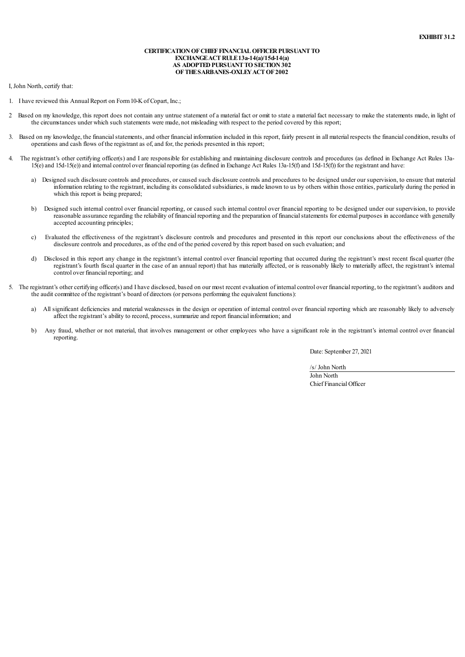#### **CERTIFICATIONOFCHIEFFINANCIALOFFICERPURSUANTTO EXCHANGEACTRULE13a-14(a)/15d-14(a) AS ADOPTED PURSUANT TO SECTION 302 OFTHESARBANES-OXLEYACTOF2002**

I, John North, certify that:

- 1. I have reviewed this Annual Report on Form 10-K of Copart, Inc.;
- 2 Based on my knowledge, this report does not contain any untrue statement of a material fact or omit to state a material fact necessary to make the statements made, in light of the circumstances under which such statements were made, not misleading with respect to the period covered by this report;
- 3. Based on my knowledge, the financial statements, and other financial information included in this report, fairly present in all material respects the financial condition, results of operations and cash flows of the registrant as of,and for, the periods presented in this report;
- 4. The registrant's other certifying officer(s) and I are responsible for establishing and maintaining disclosure controls and procedures (as defined in Exchange Act Rules 13a-15(e)and 15d-15(e))and internalcontrol over financial reporting (as defined in Exchange Act Rules 13a-15(f)and 15d-15(f)) for the registrant and have:
	- a) Designed such disclosure controls and procedures, orcaused such disclosure controls and procedures to be designed under our supervision, to ensure that material information relating to the registrant, including its consolidated subsidiaries, is made known to us by others within those entities, particularly during the period in which this report is being prepared;
	- b) Designed such internal control over financial reporting, or caused such internal control over financial reporting to be designed under our supervision, to provide reasonable assurance regarding the reliability of financial reporting and the preparation of financialstatements forexternal purposes in accordance with generally accepted accounting principles;
	- c) Evaluated the effectiveness of the registrant's disclosure controls and procedures and presented in this report our conclusions about the effectiveness of the disclosure controls and procedures, as of the end of the period covered by this report based on such evaluation; and
	- d) Disclosed in this report any change in the registrant's internal control over financial reporting that occurred during the registrant's most recent fiscal quarter (the registrant's fourth fiscal quarter in the case of an annual report) that has materially affected, or is reasonably likely to materially affect, the registrant's internal control over financial reporting; and
- 5. The registrant's other certifying officer(s) and I have disclosed, based on our most recent evaluation of internal control over financial reporting, to the registrant's auditors and the audit committee of the registrant's board of directors (or persons performing the equivalent functions):
	- a) All significant deficiencies and material weaknesses in the design or operation of internal control over financial reporting which are reasonably likely to adversely affect the registrant's ability to record, process, summarize and report financial information; and
	- b) Any fraud, whether or not material, that involves management or other employees who have a significant role in the registrant's internal control over financial reporting.

Date: September 27, 2021

/s/ John North John North Chief FinancialOfficer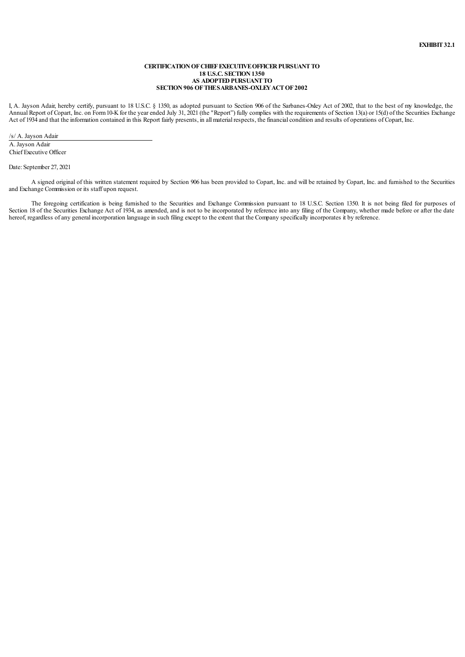#### CERTIFICATION OF CHIEF EXECUTIVE OFFICER PURSUANT TO **18 U.S.C. SECTION1350 AS ADOPTEDPURSUANTTO SECTION906 OFTHESARBANES-OXLEYACTOF2002**

I, A. Jayson Adair, hereby certify, pursuant to 18 U.S.C. § 1350, as adopted pursuant to Section 906 of the Sarbanes-Oxley Act of 2002, that to the best of my knowledge, the Annual Report of Copart, Inc. on Form10-Kfor the yearended July 31, 2021 (the "Report") fully complies with the requirements of Section 13(a) or 15(d) of the Securities Exchange Act of 1934 and that the information contained in this Report fairly presents, in all material respects, the financial condition and results of operations of Copart, Inc.

/s/ A. Jayson Adair A. Jayson Adair

Chief Executive Officer

Date: September 27, 2021

A signed original of this written statement required by Section 906 has been provided to Copart, Inc. and will be retained by Copart, Inc. and furnished to the Securities and Exchange Commission or its staff upon request.

The foregoing certification is being furnished to the Securities and Exchange Commission pursuant to 18 U.S.C. Section 1350. It is not being filed for purposes of Section 18 of the Securities Exchange Act of 1934, as amended, and is not to be incorporated by reference into any filing of the Company, whether made before or after the date hereof, regardless of any general incorporation language in such filing except to the extent that the Company specifically incorporates it by reference.